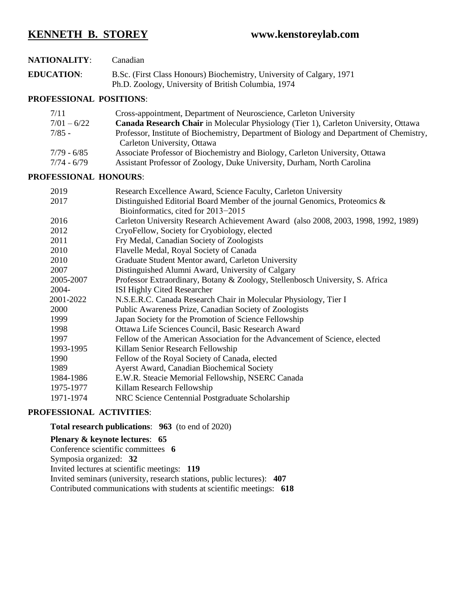# **KENNETH B. STOREY www.kenstoreylab.com**

| <b>NATIONALITY:</b> | Canadian                                                                                                                     |
|---------------------|------------------------------------------------------------------------------------------------------------------------------|
| <b>EDUCATION:</b>   | B.Sc. (First Class Honours) Biochemistry, University of Calgary, 1971<br>Ph.D. Zoology, University of British Columbia, 1974 |

# **PROFESSIONAL POSITIONS**:

| 7/11          | Cross-appointment, Department of Neuroscience, Carleton University                         |
|---------------|--------------------------------------------------------------------------------------------|
| $7/01 - 6/22$ | <b>Canada Research Chair</b> in Molecular Physiology (Tier 1), Carleton University, Ottawa |
| $7/85 -$      | Professor, Institute of Biochemistry, Department of Biology and Department of Chemistry,   |
|               | Carleton University, Ottawa                                                                |
| 7/79 - 6/85   | Associate Professor of Biochemistry and Biology, Carleton University, Ottawa               |
| $7/74 - 6/79$ | Assistant Professor of Zoology, Duke University, Durham, North Carolina                    |

# **PROFESSIONAL HONOURS**:

| 2019      | Research Excellence Award, Science Faculty, Carleton University                    |
|-----------|------------------------------------------------------------------------------------|
| 2017      | Distinguished Editorial Board Member of the journal Genomics, Proteomics &         |
|           | Bioinformatics, cited for 2013-2015                                                |
| 2016      | Carleton University Research Achievement Award (also 2008, 2003, 1998, 1992, 1989) |
| 2012      | CryoFellow, Society for Cryobiology, elected                                       |
| 2011      | Fry Medal, Canadian Society of Zoologists                                          |
| 2010      | Flavelle Medal, Royal Society of Canada                                            |
| 2010      | Graduate Student Mentor award, Carleton University                                 |
| 2007      | Distinguished Alumni Award, University of Calgary                                  |
| 2005-2007 | Professor Extraordinary, Botany & Zoology, Stellenbosch University, S. Africa      |
| 2004-     | ISI Highly Cited Researcher                                                        |
| 2001-2022 | N.S.E.R.C. Canada Research Chair in Molecular Physiology, Tier I                   |
| 2000      | Public Awareness Prize, Canadian Society of Zoologists                             |
| 1999      | Japan Society for the Promotion of Science Fellowship                              |
| 1998      | Ottawa Life Sciences Council, Basic Research Award                                 |
| 1997      | Fellow of the American Association for the Advancement of Science, elected         |
| 1993-1995 | Killam Senior Research Fellowship                                                  |
| 1990      | Fellow of the Royal Society of Canada, elected                                     |
| 1989      | <b>Ayerst Award, Canadian Biochemical Society</b>                                  |
| 1984-1986 | E.W.R. Steacie Memorial Fellowship, NSERC Canada                                   |
| 1975-1977 | Killam Research Fellowship                                                         |
| 1971-1974 | NRC Science Centennial Postgraduate Scholarship                                    |
|           |                                                                                    |

# **PROFESSIONAL ACTIVITIES**:

# **Total research publications**: **963** (to end of 2020)

# **Plenary & keynote lectures**: **65**

Conference scientific committees **6** Symposia organized: **32** Invited lectures at scientific meetings: **119** Invited seminars (university, research stations, public lectures): **407** Contributed communications with students at scientific meetings: **618**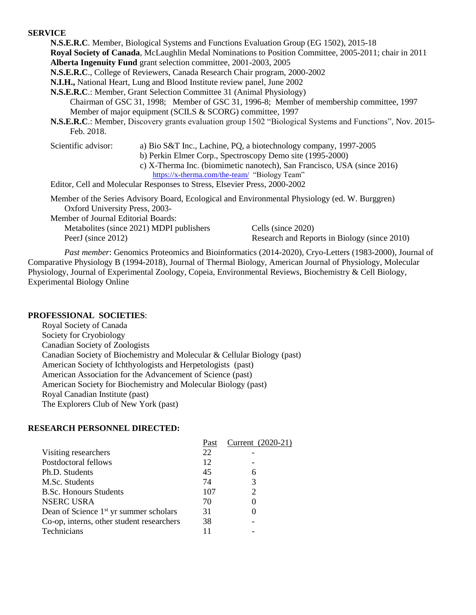# **SERVICE**

**N.S.E.R.C**. Member, Biological Systems and Functions Evaluation Group (EG 1502), 2015-18 **Royal Society of Canada**, McLaughlin Medal Nominations to Position Committee, 2005-2011; chair in 2011 **Alberta Ingenuity Fund** grant selection committee, 2001-2003, 2005

**N.S.E.R.C**., College of Reviewers, Canada Research Chair program, 2000-2002

**N.I.H.,** National Heart, Lung and Blood Institute review panel, June 2002

**N.S.E.R.C**.: Member, Grant Selection Committee 31 (Animal Physiology) Chairman of GSC 31, 1998; Member of GSC 31, 1996-8; Member of membership committee, 1997 Member of major equipment (SCILS & SCORG) committee, 1997

- **N.S.E.R.C**.: Member, Discovery grants evaluation group 1502 "Biological Systems and Functions", Nov. 2015- Feb. 2018.
- 

Scientific advisor: a) Bio S&T Inc., Lachine, PQ, a biotechnology company, 1997-2005

- b) Perkin Elmer Corp., Spectroscopy Demo site (1995-2000)
- c) X-Therma Inc. (biomimetic nanotech), San Francisco, USA (since 2016) <https://x-therma.com/the-team/>"Biology Team"

Editor, Cell and Molecular Responses to Stress, Elsevier Press, 2000-2002

Member of the Series Advisory Board, Ecological and Environmental Physiology (ed. W. Burggren) Oxford University Press, 2003-

Member of Journal Editorial Boards:

Metabolites (since 2021) MDPI publishers Cells (since 2020)

PeerJ (since 2012) Research and Reports in Biology (since 2010)

*Past member*: Genomics Proteomics and Bioinformatics (2014-2020), Cryo-Letters (1983-2000), Journal of Comparative Physiology B (1994-2018), Journal of Thermal Biology, American Journal of Physiology, Molecular Physiology, Journal of Experimental Zoology, Copeia, Environmental Reviews, Biochemistry & Cell Biology, Experimental Biology Online

# **PROFESSIONAL SOCIETIES**:

Royal Society of Canada Society for Cryobiology Canadian Society of Zoologists Canadian Society of Biochemistry and Molecular & Cellular Biology (past) American Society of Ichthyologists and Herpetologists (past) American Association for the Advancement of Science (past) American Society for Biochemistry and Molecular Biology (past) Royal Canadian Institute (past) The Explorers Club of New York (past)

# **RESEARCH PERSONNEL DIRECTED:**

| Past | Current (2020-21)           |
|------|-----------------------------|
| 22   |                             |
| 12   |                             |
| 45   | 6                           |
| 74   | 3                           |
| 107  | $\mathcal{D}_{\mathcal{A}}$ |
| 70   |                             |
| 31   |                             |
| 38   |                             |
|      |                             |
|      |                             |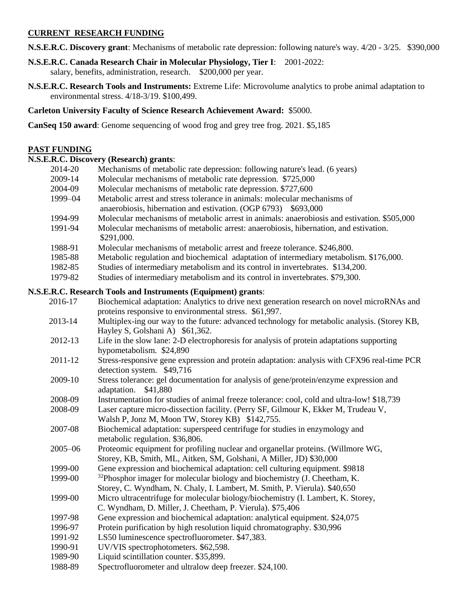# **CURRENT RESEARCH FUNDING**

- **N.S.E.R.C. Discovery grant**: Mechanisms of metabolic rate depression: following nature's way. 4/20 3/25. \$390,000
- **N.S.E.R.C. Canada Research Chair in Molecular Physiology, Tier I**: 2001-2022: salary, benefits, administration, research. \$200,000 per year.
- **N.S.E.R.C. Research Tools and Instruments:** Extreme Life: Microvolume analytics to probe animal adaptation to environmental stress. 4/18-3/19. \$100,499.

**Carleton University Faculty of Science Research Achievement Award:** \$5000.

**CanSeq 150 award**: Genome sequencing of wood frog and grey tree frog. 2021. \$5,185

# **PAST FUNDING**

# **N.S.E.R.C. Discovery (Research) grants**:

| 2014-20            | Mechanisms of metabolic rate depression: following nature's lead. (6 years)                                                                                                                       |
|--------------------|---------------------------------------------------------------------------------------------------------------------------------------------------------------------------------------------------|
| 2009-14            | Molecular mechanisms of metabolic rate depression. \$725,000                                                                                                                                      |
| 2004-09            | Molecular mechanisms of metabolic rate depression. \$727,600                                                                                                                                      |
| 1999-04            | Metabolic arrest and stress tolerance in animals: molecular mechanisms of                                                                                                                         |
|                    | anaerobiosis, hibernation and estivation. (OGP 6793) \$693,000                                                                                                                                    |
| 1994-99<br>1991-94 | Molecular mechanisms of metabolic arrest in animals: anaerobiosis and estivation. \$505,000<br>Molecular mechanisms of metabolic arrest: anaerobiosis, hibernation, and estivation.<br>\$291,000. |
| 1988-91            | Molecular mechanisms of metabolic arrest and freeze tolerance. \$246,800.                                                                                                                         |
| 1985-88            | Metabolic regulation and biochemical adaptation of intermediary metabolism. \$176,000.                                                                                                            |
| 1982-85            | Studies of intermediary metabolism and its control in invertebrates. \$134,200.                                                                                                                   |
| 1979-82            | Studies of intermediary metabolism and its control in invertebrates. \$79,300.                                                                                                                    |
|                    | N.S.E.R.C. Research Tools and Instruments (Equipment) grants:                                                                                                                                     |
| 2016-17            | Biochemical adaptation: Analytics to drive next generation research on novel microRNAs and<br>proteins responsive to environmental stress. \$61,997.                                              |
| 2013-14            | Multiplex-ing our way to the future: advanced technology for metabolic analysis. (Storey KB,<br>Hayley S, Golshani A) \$61,362.                                                                   |
| 2012-13            | Life in the slow lane: 2-D electrophoresis for analysis of protein adaptations supporting                                                                                                         |
|                    | hypometabolism. \$24,890                                                                                                                                                                          |
| 2011-12            | Stress-responsive gene expression and protein adaptation: analysis with CFX96 real-time PCR<br>detection system. \$49,716                                                                         |
| 2009-10            | Stress tolerance: gel documentation for analysis of gene/protein/enzyme expression and<br>adaptation. \$41,880                                                                                    |
| 2008-09            | Instrumentation for studies of animal freeze tolerance: cool, cold and ultra-low! \$18,739                                                                                                        |
| 2008-09            | Laser capture micro-dissection facility. (Perry SF, Gilmour K, Ekker M, Trudeau V,<br>Walsh P, Jonz M, Moon TW, Storey KB) \$142,755.                                                             |
| 2007-08            | Biochemical adaptation: superspeed centrifuge for studies in enzymology and<br>metabolic regulation. \$36,806.                                                                                    |
| $2005 - 06$        | Proteomic equipment for profiling nuclear and organellar proteins. (Willmore WG,<br>Storey, KB, Smith, ML, Aitken, SM, Golshani, A Miller, JD) \$30,000                                           |
| 1999-00            | Gene expression and biochemical adaptation: cell culturing equipment. \$9818                                                                                                                      |
| 1999-00            | <sup>32</sup> Phosphor imager for molecular biology and biochemistry (J. Cheetham, K.                                                                                                             |
|                    | Storey, C. Wyndham, N. Chaly, I. Lambert, M. Smith, P. Vierula). \$40,650                                                                                                                         |
| 1999-00            | Micro ultracentrifuge for molecular biology/biochemistry (I. Lambert, K. Storey,<br>C. Wyndham, D. Miller, J. Cheetham, P. Vierula). \$75,406                                                     |
| 1997-98            | Gene expression and biochemical adaptation: analytical equipment. \$24,075                                                                                                                        |
| 1996-97            | Protein purification by high resolution liquid chromatography. \$30,996                                                                                                                           |
| 1991-92            | LS50 luminescence spectrofluorometer. \$47,383.                                                                                                                                                   |
| 1990-91            | UV/VIS spectrophotometers. \$62,598.                                                                                                                                                              |
| 1989-90            | Liquid scintillation counter. \$35,899.                                                                                                                                                           |
| 1988-89            | Spectrofluorometer and ultralow deep freezer. \$24,100.                                                                                                                                           |
|                    |                                                                                                                                                                                                   |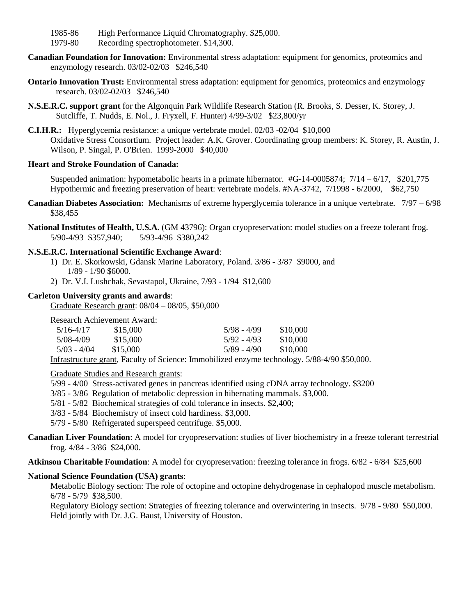- 1985-86 High Performance Liquid Chromatography. \$25,000.
- 1979-80 Recording spectrophotometer. \$14,300.
- **Canadian Foundation for Innovation:** Environmental stress adaptation: equipment for genomics, proteomics and enzymology research. 03/02-02/03 \$246,540
- **Ontario Innovation Trust:** Environmental stress adaptation: equipment for genomics, proteomics and enzymology research. 03/02-02/03 \$246,540
- **N.S.E.R.C. support grant** for the Algonquin Park Wildlife Research Station (R. Brooks, S. Desser, K. Storey, J. Sutcliffe, T. Nudds, E. Nol., J. Fryxell, F. Hunter) 4/99-3/02 \$23,800/yr
- **C.I.H.R.:** Hyperglycemia resistance: a unique vertebrate model. 02/03 -02/04 \$10,000 Oxidative Stress Consortium. Project leader: A.K. Grover. Coordinating group members: K. Storey, R. Austin, J. Wilson, P. Singal, P. O'Brien. 1999-2000 \$40,000

# **Heart and Stroke Foundation of Canada:**

Suspended animation: hypometabolic hearts in a primate hibernator. #G-14-0005874; 7/14 – 6/17, \$201,775 Hypothermic and freezing preservation of heart: vertebrate models. #NA-3742, 7/1998 - 6/2000, \$62,750

- **Canadian Diabetes Association:** Mechanisms of extreme hyperglycemia tolerance in a unique vertebrate. 7/97 6/98 \$38,455
- **National Institutes of Health, U.S.A.** (GM 43796): Organ cryopreservation: model studies on a freeze tolerant frog. 5/90-4/93 \$357,940; 5/93-4/96 \$380,242

# **N.S.E.R.C. International Scientific Exchange Award**:

- 1) Dr. E. Skorkowski, Gdansk Marine Laboratory, Poland. 3/86 3/87 \$9000, and 1/89 - 1/90 \$6000.
- 2) Dr. V.I. Lushchak, Sevastapol, Ukraine, 7/93 1/94 \$12,600

# **Carleton University grants and awards**:

Graduate Research grant: 08/04 – 08/05, \$50,000

Research Achievement Award:

| $5/16 - 4/17$ | \$15,000 | $5/98 - 4/99$ | \$10,000 |
|---------------|----------|---------------|----------|
| 5/08-4/09     | \$15,000 | $5/92 - 4/93$ | \$10,000 |
| $5/03 - 4/04$ | \$15,000 | $5/89 - 4/90$ | \$10,000 |
|               |          |               |          |

Infrastructure grant, Faculty of Science: Immobilized enzyme technology. 5/88-4/90 \$50,000.

Graduate Studies and Research grants:

- 5/99 4/00 Stress-activated genes in pancreas identified using cDNA array technology. \$3200
- 3/85 3/86 Regulation of metabolic depression in hibernating mammals. \$3,000.
- 5/81 5/82 Biochemical strategies of cold tolerance in insects. \$2,400;
- 3/83 5/84 Biochemistry of insect cold hardiness. \$3,000.

5/79 - 5/80 Refrigerated superspeed centrifuge. \$5,000.

- **Canadian Liver Foundation**: A model for cryopreservation: studies of liver biochemistry in a freeze tolerant terrestrial frog. 4/84 - 3/86 \$24,000.
- **Atkinson Charitable Foundation**: A model for cryopreservation: freezing tolerance in frogs. 6/82 6/84 \$25,600

# **National Science Foundation (USA) grants**:

Metabolic Biology section: The role of octopine and octopine dehydrogenase in cephalopod muscle metabolism. 6/78 - 5/79 \$38,500.

Regulatory Biology section: Strategies of freezing tolerance and overwintering in insects. 9/78 - 9/80 \$50,000. Held jointly with Dr. J.G. Baust, University of Houston.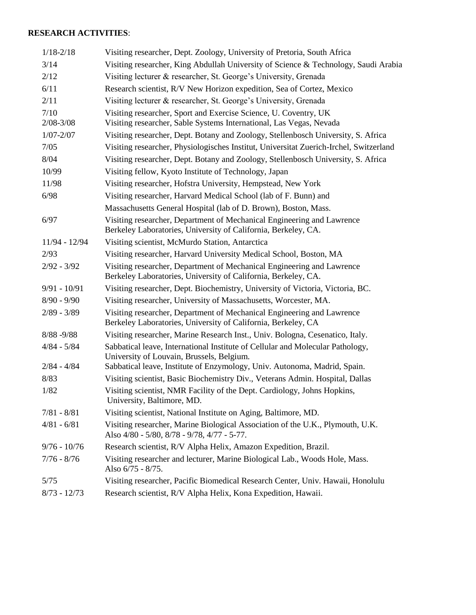# **RESEARCH ACTIVITIES**:

| $1/18 - 2/18$  | Visiting researcher, Dept. Zoology, University of Pretoria, South Africa                                                                 |
|----------------|------------------------------------------------------------------------------------------------------------------------------------------|
| 3/14           | Visiting researcher, King Abdullah University of Science & Technology, Saudi Arabia                                                      |
| 2/12           | Visiting lecturer & researcher, St. George's University, Grenada                                                                         |
| 6/11           | Research scientist, R/V New Horizon expedition, Sea of Cortez, Mexico                                                                    |
| 2/11           | Visiting lecturer & researcher, St. George's University, Grenada                                                                         |
| 7/10           | Visiting researcher, Sport and Exercise Science, U. Coventry, UK                                                                         |
| $2/08 - 3/08$  | Visiting researcher, Sable Systems International, Las Vegas, Nevada                                                                      |
| $1/07 - 2/07$  | Visiting researcher, Dept. Botany and Zoology, Stellenbosch University, S. Africa                                                        |
| 7/05           | Visiting researcher, Physiologisches Institut, Universitat Zuerich-Irchel, Switzerland                                                   |
| 8/04           | Visiting researcher, Dept. Botany and Zoology, Stellenbosch University, S. Africa                                                        |
| 10/99          | Visiting fellow, Kyoto Institute of Technology, Japan                                                                                    |
| 11/98          | Visiting researcher, Hofstra University, Hempstead, New York                                                                             |
| 6/98           | Visiting researcher, Harvard Medical School (lab of F. Bunn) and                                                                         |
|                | Massachusetts General Hospital (lab of D. Brown), Boston, Mass.                                                                          |
| 6/97           | Visiting researcher, Department of Mechanical Engineering and Lawrence<br>Berkeley Laboratories, University of California, Berkeley, CA. |
| 11/94 - 12/94  | Visiting scientist, McMurdo Station, Antarctica                                                                                          |
| 2/93           | Visiting researcher, Harvard University Medical School, Boston, MA                                                                       |
| $2/92 - 3/92$  | Visiting researcher, Department of Mechanical Engineering and Lawrence<br>Berkeley Laboratories, University of California, Berkeley, CA. |
| $9/91 - 10/91$ | Visiting researcher, Dept. Biochemistry, University of Victoria, Victoria, BC.                                                           |
| $8/90 - 9/90$  | Visiting researcher, University of Massachusetts, Worcester, MA.                                                                         |
| $2/89 - 3/89$  | Visiting researcher, Department of Mechanical Engineering and Lawrence<br>Berkeley Laboratories, University of California, Berkeley, CA  |
| $8/88 - 9/88$  | Visiting researcher, Marine Research Inst., Univ. Bologna, Cesenatico, Italy.                                                            |
| $4/84 - 5/84$  | Sabbatical leave, International Institute of Cellular and Molecular Pathology,<br>University of Louvain, Brussels, Belgium.              |
| $2/84 - 4/84$  | Sabbatical leave, Institute of Enzymology, Univ. Autonoma, Madrid, Spain.                                                                |
| 8/83           | Visiting scientist, Basic Biochemistry Div., Veterans Admin. Hospital, Dallas                                                            |
| 1/82           | Visiting scientist, NMR Facility of the Dept. Cardiology, Johns Hopkins,<br>University, Baltimore, MD.                                   |
| $7/81 - 8/81$  | Visiting scientist, National Institute on Aging, Baltimore, MD.                                                                          |
| $4/81 - 6/81$  | Visiting researcher, Marine Biological Association of the U.K., Plymouth, U.K.<br>Also 4/80 - 5/80, 8/78 - 9/78, 4/77 - 5-77.            |
| $9/76 - 10/76$ | Research scientist, R/V Alpha Helix, Amazon Expedition, Brazil.                                                                          |
| $7/76 - 8/76$  | Visiting researcher and lecturer, Marine Biological Lab., Woods Hole, Mass.<br>Also 6/75 - 8/75.                                         |
| 5/75           | Visiting researcher, Pacific Biomedical Research Center, Univ. Hawaii, Honolulu                                                          |
| $8/73 - 12/73$ | Research scientist, R/V Alpha Helix, Kona Expedition, Hawaii.                                                                            |
|                |                                                                                                                                          |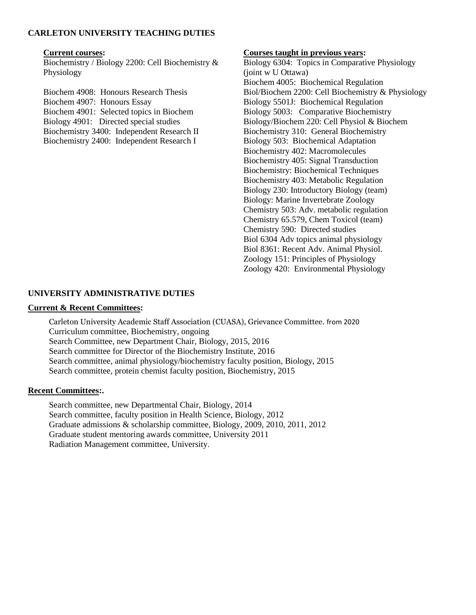# **CARLETON UNIVERSITY TEACHING DUTIES**

Biochemistry / Biology 2200: Cell Biochemistry & Physiology

Biochem 4907: Honours Essay Biology 5501J: Biochemical Regulation Biochem 4901: Selected topics in Biochem Biology 5003: Comparative Biochemistry Biochemistry 3400: Independent Research II Biochemistry 310: General Biochemistry Biochemistry 2400: Independent Research I Biology 503: Biochemical Adaptation

# **Current courses: Courses taught in previous years:**

Biology 6304: Topics in Comparative Physiology (joint w U Ottawa) Biochem 4005: Biochemical Regulation Biochem 4908: Honours Research Thesis Biol/Biochem 2200: Cell Biochemistry & Physiology Biology 4901: Directed special studies Biology/Biochem 220: Cell Physiol & Biochem Biochemistry 402: Macromolecules Biochemistry 405: Signal Transduction Biochemistry: Biochemical Techniques Biochemistry 403: Metabolic Regulation Biology 230: Introductory Biology (team) Biology: Marine Invertebrate Zoology Chemistry 503: Adv. metabolic regulation Chemistry 65.579, Chem Toxicol (team) Chemistry 590: Directed studies Biol 6304 Adv topics animal physiology Biol 8361: Recent Adv. Animal Physiol. Zoology 151: Principles of Physiology Zoology 420: Environmental Physiology

# **UNIVERSITY ADMINISTRATIVE DUTIES**

# **Current & Recent Committees:**

Carleton University Academic Staff Association (CUASA), Grievance Committee. from 2020 Curriculum committee, Biochemistry, ongoing Search Committee, new Department Chair, Biology, 2015, 2016 Search committee for Director of the Biochemistry Institute, 2016 Search committee, animal physiology/biochemistry faculty position, Biology, 2015 Search committee, protein chemist faculty position, Biochemistry, 2015

# **Recent Committees:.**

Search committee, new Departmental Chair, Biology, 2014 Search committee, faculty position in Health Science, Biology, 2012 Graduate admissions & scholarship committee, Biology, 2009, 2010, 2011, 2012 Graduate student mentoring awards committee, University 2011 Radiation Management committee, University.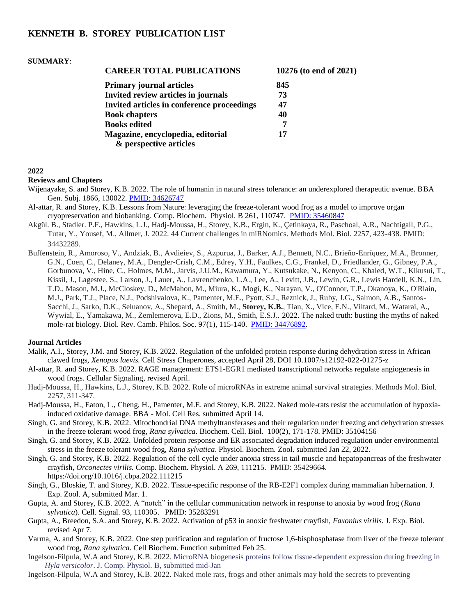# **KENNETH B. STOREY PUBLICATION LIST**

#### **SUMMARY**:

| <b>CAREER TOTAL PUBLICATIONS</b>           | 10276 (to end of 2021) |
|--------------------------------------------|------------------------|
| <b>Primary journal articles</b>            | 845                    |
| Invited review articles in journals        | 73                     |
| Invited articles in conference proceedings | 47                     |
| <b>Book chapters</b>                       | 40                     |
| <b>Books edited</b>                        | 7                      |
| Magazine, encyclopedia, editorial          | 17                     |
| & perspective articles                     |                        |

**2022** 

#### **Reviews and Chapters**

- Wijenayake, S. and Storey, K.B. 2022. The role of humanin in natural stress tolerance: an underexplored therapeutic avenue. BBA Gen. Subj. 1866, 130022. [PMID: 34626747](http://www.ncbi.nlm.nih.gov/pubmed/34626747)
- Al-attar, R. and Storey, K.B. Lessons from Nature: leveraging the freeze-tolerant wood frog as a model to improve organ cryopreservation and biobanking. Comp. Biochem. Physiol. B 261, 110747. [PMID: 35460847](http://www.ncbi.nlm.nih.gov/pubmed/35460847)
- Akgül. B., Stadler. P.F., Hawkins, L.J., Hadj-Moussa, H., Storey, K.B., Ergin, K., Çetinkaya, R., Paschoal, A.R., Nachtigall, P.G., Tutar, Y., Yousef, M., Allmer, J. 2022. 44 Current challenges in miRNomics. Methods Mol. Biol. 2257, 423-438. PMID: 34432289.
- Buffenstein, R., Amoroso, V., Andziak, B., Avdieiev, S., Azpurua, J., Barker, A.J., Bennett, N.C., Brieño-Enríquez, M.A., Bronner, G.N., Coen, C., Delaney, M.A., Dengler-Crish, C.M., Edrey, Y.H., Faulkes, C.G., Frankel, D., Friedlander, G., Gibney, P.A., Gorbunova, V., Hine, C., Holmes, M.M., Jarvis, J.U.M., Kawamura, Y., Kutsukake, N., Kenyon, C., Khaled, W.T., Kikusui, T., Kissil, J., Lagestee, S., Larson, J., Lauer, A., Lavrenchenko, L.A., Lee, A., Levitt, J.B., Lewin, G.R., Lewis Hardell, K.N., Lin, T.D., Mason, M.J., McCloskey, D., McMahon, M., Miura, K., Mogi, K., Narayan, V., O'Connor, T.P., Okanoya, K., O'Riain, M.J., Park, T.J., Place, N.J., Podshivalova, K., Pamenter, M.E., Pyott, S.J., Reznick, J., Ruby, J.G., Salmon, A.B., Santos-Sacchi, J., Sarko, D.K., Seluanov, A., Shepard, A., Smith, M., **Storey, K.B.**, Tian, X., Vice, E.N., Viltard, M., Watarai, A., Wywial, E., Yamakawa, M., Zemlemerova, E.D., Zions, M., Smith, E.S.J.. 2022. The naked truth: busting the myths of naked mole-rat biology. Biol. Rev. Camb. Philos. Soc. 97(1), 115-140. [PMID: 34476892.](http://www.ncbi.nlm.nih.gov/pubmed/34476892)

- Malik, A.I., Storey, J.M. and Storey, K.B. 2022. Regulation of the unfolded protein response during dehydration stress in African clawed frogs, *Xenopus laevis.* Cell Stress Chaperones, accepted April 28, DOI 10.1007/s12192-022-01275-z
- Al-attar, R. and Storey, K.B. 2022. RAGE management: ETS1-EGR1 mediated transcriptional networks regulate angiogenesis in wood frogs. Cellular Signaling, revised April.
- Hadj-Moussa, H., Hawkins, L.J., Storey, K.B. 2022. Role of microRNAs in extreme animal survival strategies. Methods Mol. Biol. 2257, 311-347.
- Hadj-Moussa, H., Eaton, L., Cheng, H., Pamenter, M.E. and Storey, K.B. 2022. Naked mole-rats resist the accumulation of hypoxiainduced oxidative damage. BBA - Mol. Cell Res. submitted April 14.
- Singh, G. and Storey, K.B. 2022. Mitochondrial DNA methyltransferases and their regulation under freezing and dehydration stresses in the freeze tolerant wood frog*, Rana sylvatica*. Biochem. Cell. Biol. 100(2), 171-178. PMID: 35104156
- Singh, G. and Storey, K.B. 2022. Unfolded protein response and ER associated degradation induced regulation under environmental stress in the freeze tolerant wood frog, *Rana sylvatica*. Physiol. Biochem. Zool. submitted Jan 22, 2022.
- Singh, G. and Storey, K.B. 2022. Regulation of the cell cycle under anoxia stress in tail muscle and hepatopancreas of the freshwater crayfish, *Orconectes virilis.* Comp. Biochem. Physiol. A 269, 111215. PMID: 35429664. https://doi.org/10.1016/j.cbpa.2022.111215
- Singh, G., Bloskie, T. and Storey, K.B. 2022. Tissue-specific response of the RB-E2F1 complex during mammalian hibernation. J. Exp. Zool. A, submitted Mar. 1.
- Gupta, A. and Storey, K.B. 2022. A "notch" in the cellular communication network in response to anoxia by wood frog (*Rana sylvatica*). Cell. Signal. 93, 110305. PMID: 35283291
- Gupta, A., Breedon, S.A. and Storey, K.B. 2022. Activation of p53 in anoxic freshwater crayfish*, Faxonius virilis.* J. Exp. Biol. revised Apr 7.
- Varma, A. and Storey, K.B. 2022. One step purification and regulation of fructose 1,6-bisphosphatase from liver of the freeze tolerant wood frog, *Rana sylvatica*. Cell Biochem. Function submitted Feb 25.
- Ingelson-Filpula, W.A and Storey, K.B. 2022. MicroRNA biogenesis proteins follow tissue-dependent expression during freezing in *Hyla versicolor*. J. Comp. Physiol. B, submitted mid-Jan
- Ingelson-Filpula, W.A and Storey, K.B. 2022. Naked mole rats, frogs and other animals may hold the secrets to preventing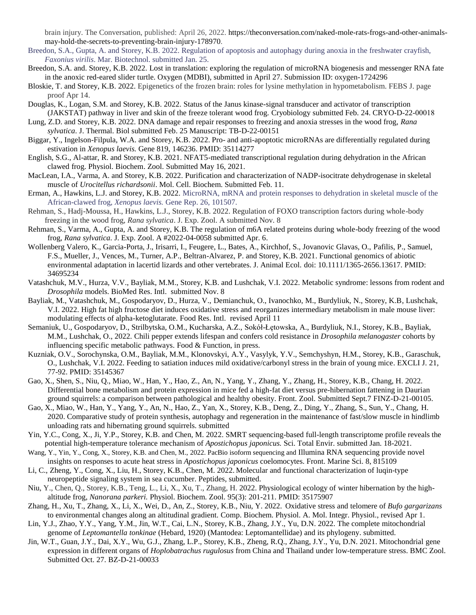brain injury. The Conversation, published: April 26, 2022. https://theconversation.com/naked-mole-rats-frogs-and-other-animalsmay-hold-the-secrets-to-preventing-brain-injury-178970.

- Breedon, S.A., Gupta, A. and Storey, K.B. 2022. Regulation of apoptosis and autophagy during anoxia in the freshwater crayfish, *Faxonius virilis*. Mar. Biotechnol. submitted Jan. 25.
- Breedon, S.A. and. Storey, K.B. 2022. Lost in translation: exploring the regulation of microRNA biogenesis and messenger RNA fate in the anoxic red-eared slider turtle. Oxygen (MDBI), submitted in April 27. Submission ID: oxygen-1724296
- Bloskie, T. and Storey, K.B. 2022. Epigenetics of the frozen brain: roles for lysine methylation in hypometabolism. FEBS J. page proof Apr 14.
- Douglas, K., Logan, S.M. and Storey, K.B. 2022. Status of the Janus kinase-signal transducer and activator of transcription (JAKSTAT) pathway in liver and skin of the freeze tolerant wood frog. Cryobiology submitted Feb. 24. CRYO-D-22-00018
- Lung, Z.D. and Storey, K.B. 2022. DNA damage and repair responses to freezing and anoxia stresses in the wood frog, *Rana sylvatica*. J. Thermal. Biol submitted Feb. 25 Manuscript: TB-D-22-00151
- Biggar, Y., Ingelson-Filpula, W.A. and Storey, K.B. 2022. Pro- and anti-apoptotic microRNAs are differentially regulated during estivation in *Xenopus laevis.* Gene 819, 146236. PMID: 35114277
- English, S.G., Al-attar, R. and Storey, K.B. 2021. NFAT5-mediated transcriptional regulation during dehydration in the African clawed frog. Physiol. Biochem. Zool. Submitted May 16, 2021.
- MacLean, I.A., Varma, A. and Storey, K.B. 2022. Purification and characterization of NADP-isocitrate dehydrogenase in skeletal muscle of *Urocitellus richardsonii*. Mol. Cell. Biochem. Submitted Feb. 11.
- Erman, A., Hawkins, L.J. and Storey, K.B. 2022. MicroRNA, mRNA and protein responses to dehydration in skeletal muscle of the African-clawed frog, *Xenopus laevis.* Gene Rep. 26, 101507.
- Rehman, S., Hadj-Moussa, H., Hawkins, L.J., Storey, K.B. 2022. Regulation of FOXO transcription factors during whole-body freezing in the wood frog, *Rana sylvatica*. J. Exp. Zool. A submitted Nov. 8
- Rehman, S., Varma, A., Gupta, A. and Storey, K.B. The regulation of m6A related proteins during whole-body freezing of the wood frog, *Rana sylvatica.* J. Exp. Zool. A #2022-04-0058 submitted Apr. 6.
- Wollenberg Valero, K., Garcia-Porta, J., Irisarri, I., Feugere, L., Bates, A., Kirchhof, S., Jovanovic Glavas, O., Pafilis, P., Samuel, F.S., Mueller, J., Vences, M., Turner, A.P., Beltran-Alvarez, P. and Storey, K.B. 2021. Functional genomics of abiotic environmental adaptation in lacertid lizards and other vertebrates. J. Animal Ecol. doi: 10.1111/1365-2656.13617. PMID: 34695234
- Vatashchuk, M.V., Hurza, V.V., Bayliak, M.M., Storey, K.B. and Lushchak, V.I. 2022. Metabolic syndrome: lessons from rodent and *Drosophila* models. BioMed Res. Intl. submitted Nov. 8
- Bayliak, M., Vatashchuk, M., Gospodaryov, D., Hurza, V., Demianchuk, O., Ivanochko, M., Burdyliuk, N., Storey, K.B, Lushchak, V.I. 2022. High fat high fructose diet induces oxidative stress and reorganizes intermediary metabolism in male mouse liver: modulating effects of alpha-ketoglutarate. Food Res. Intl. revised April 11
- Semaniuk, U., Gospodaryov, D., Strilbytska, O.M., Kucharska, A.Z., Sokół-Łętowska, A., Burdyliuk, N.I., Storey, K.B., Bayliak, M.M., Lushchak, O., 2022. Chili pepper extends lifespan and confers cold resistance in *Drosophila melanogaster* cohorts by influencing specific metabolic pathways. Food & Function, in press.
- Kuzniak, O.V., Sorochynska, O.M., Bayliak, M.M., Klonovskyi, A.Y., Vasylyk, Y.V., Semchyshyn, H.M., Storey, K.B., Garaschuk, O., Lushchak, V.I. 2022. Feeding to satiation induces mild oxidative/carbonyl stress in the brain of young mice. EXCLI J. 21, 77-92. PMID: 35145367
- Gao, X., Shen, S., Niu, Q., Miao, W., Han, Y., Hao, Z., An, N., Yang, Y., Zhang, Y., Zhang, H., Storey, K.B., Chang, H. 2022. Differential bone metabolism and protein expression in mice fed a high-fat diet versus pre-hibernation fattening in Daurian ground squirrels: a comparison between pathological and healthy obesity. Front. Zool. Submitted Sept.7 FINZ-D-21-00105.
- Gao, X., Miao, W., Han, Y., Yang, Y., An, N., Hao, Z., Yan, X., Storey, K.B., Deng, Z., Ding, Y., Zhang, S., Sun, Y., Chang, H. 2020. Comparative study of protein synthesis, autophagy and regeneration in the maintenance of fast/slow muscle in hindlimb unloading rats and hibernating ground squirrels. submitted
- Yin, Y.C., Cong, X., Ji, Y.P., Storey, K.B. and Chen, M. 2022. SMRT sequencing-based full-length transcriptome profile reveals the potential high-temperature tolerance mechanism of *Apostichopus japonicus.* Sci. Total Envir. submitted Jan. 18-2021.
- Wang, Y., Yin, Y., Cong, X., Storey, K.B. and Chen, M., 2022. PacBio isoform sequencing and Illumina RNA sequencing provide novel insights on responses to acute heat stress in *Apostichopus japonicus* coelomocytes. Front. Marine Sci. 8, 815109
- Li, C., Zheng, Y., Cong, X., Liu, H., Storey, K.B., Chen, M. 2022. Molecular and functional characterization of luqin-type neuropeptide signaling system in sea cucumber. Peptides, submitted.
- Niu, Y., Chen, Q., Storey, K.B., Teng, L., Li, X., Xu, T., Zhang, H. 2022. Physiological ecology of winter hibernation by the highaltitude frog, *Nanorana parkeri.* Physiol. Biochem. Zool. 95(3): 201-211. PMID: 35175907
- Zhang, H., Xu, T., Zhang, X., Li, X., Wei, D., An, Z., Storey, K.B., Niu, Y. 2022. Oxidative stress and telomere of *Bufo gargarizans* to environmental changes along an altitudinal gradient. Comp. Biochem. Physiol. A. Mol. Integr. Physiol., revised Apr 1.
- Lin, Y.J., Zhao, Y.Y., Yang, Y.M., Jin, W.T., Cai, L.N., Storey, K.B., Zhang, J.Y., Yu, D.N. 2022. The complete mitochondrial genome of *Leptomantella tonkinae* (Hebard, 1920) (Mantodea: Leptomantellidae) and its phylogeny. submitted.
- Jin, W.T., Guan, J.Y., Dai, X.Y., Wu, G.J., Zhang, L.P., Storey, K.B., Zheng, R.Q., Zhang, J.Y., Yu, D.N. 2021. Mitochondrial gene expression in different organs of *Hoplobatrachus rugulosus* from China and Thailand under low-temperature stress. BMC Zool. Submitted Oct. 27. BZ-D-21-00033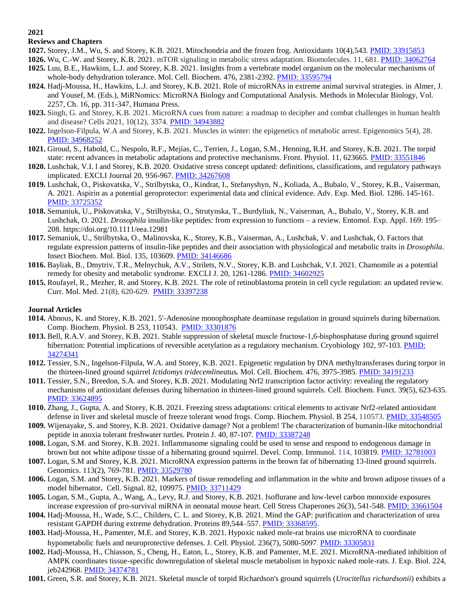# **Reviews and Chapters**

**2021**

- **1027.** Storey, J.M., Wu, S. and Storey, K.B. 2021. Mitochondria and the frozen frog. Antioxidants 10(4)*,*543. [PMID: 33915853](http://www.ncbi.nlm.nih.gov/pubmed/33915853)
- **1026.** Wu, C.-W. and Storey, K.B. 2021. mTOR signaling in metabolic stress adaptation. Biomolecules. 11, 681. [PMID: 34062764](http://www.ncbi.nlm.nih.gov/pubmed/34062764)
- **1025.** Luu, B.E., Hawkins, L.J. and Storey, K.B. 2021. Insights from a vertebrate model organism on the molecular mechanisms of whole-body dehydration tolerance. Mol. Cell. Biochem. 476, 2381-2392. [PMID: 33595794](http://www.ncbi.nlm.nih.gov/pubmed/33595794)
- **1024.** Hadj-Moussa, H., Hawkins, L.J. and Storey, K.B. 2021. Role of microRNAs in extreme animal survival strategies. in Almer, J. and Yousef, M. (Eds.), MiRNomics: MicroRNA Biology and Computational Analysis. Methods in Molecular Biology, Vol. 2257, Ch. 16, pp. 311-347, Humana Press.
- **1023.** Singh, G. and Storey, K.B. 2021. MicroRNA cues from nature: a roadmap to decipher and combat challenges in human health and disease? Cells 2021, 10(12), 3374. [PMID: 34943882](http://www.ncbi.nlm.nih.gov/pubmed/34943882)
- **1022.** Ingelson-Filpula, W.A and Storey, K.B. 2021. Muscles in winter: the epigenetics of metabolic arrest. Epigenomics 5(4), 28. [PMID: 34968252](http://www.ncbi.nlm.nih.gov/pubmed/34968252)
- **1021.** Giroud, S., Habold, C., Nespolo, R.F., Mejías, C., Terrien, J., Logan, S.M., Henning, R.H. and Storey, K.B. 2021. The torpid state: recent advances in metabolic adaptations and protective mechanisms. Front. Physiol. 11, 623665. [PMID: 33551846](http://www.ncbi.nlm.nih.gov/pubmed/33551846)
- **1020.** Lushchak, V.I. l and Storey, K.B. 2020. Oxidative stress concept updated: definitions, classifications, and regulatory pathways implicated. EXCLI Journal 20, 956-967[. PMID: 34267608](http://www.ncbi.nlm.nih.gov/pubmed/34267608)
- **1019.** Lushchak, O., Piskovatska, V., Strilbytska, O., Kindrat, I., Stefanyshyn, N., Koliada, A., Bubalo, V., Storey, K.B., Vaiserman, A. 2021. Aspirin as a potential geroprotector: experimental data and clinical evidence. Adv. Exp. Med. Biol. 1286. 145-161. [PMID: 33725352](http://www.ncbi.nlm.nih.gov/pubmed/33725352)
- **1018.** Semaniuk, U., Piskovatska, V., Strilbytska, O., Strutynska, T., Burdyliuk, N., Vaiserman, A., Bubalo, V., Storey, K.B. and Lushchak, O. 2021. *Drosophila* insulin-like peptides: from expression to functions – a review. Entomol. Exp. Appl. 169: 195– 208.<https://doi.org/10.1111/eea.12981>
- **1017.** Semaniuk, U., Strilbytska, O., Malinovska, K., Storey, K.B., Vaiserman, A., Lushchak, V. and Lushchak, O. Factors that regulate expression patterns of insulin-like peptides and their association with physiological and metabolic traits in *Drosophila*. Insect Biochem. Mol. Biol. 135, 103609. [PMID: 34146686](http://www.ncbi.nlm.nih.gov/pubmed/34146686)
- **1016.** Bayliak, B., Dmytriv, T.R., Melnychuk, A.V., Strilets, N.V., Storey, K.B. and Lushchak, V.I. 2021. Chamomile as a potential remedy for obesity and metabolic syndrome. EXCLI J. 20, 1261-1286. PMID: [34602925](http://www.ncbi.nlm.nih.gov/pubmed/34602925)
- **1015.** Roufayel, R., Mezher, R. and Storey, K.B. 2021. The role of retinoblastoma protein in cell cycle regulation: an updated review. Curr. Mol. Med. 21(8), 620-629. [PMID: 33397238](http://www.ncbi.nlm.nih.gov/pubmed/33397238)

- **1014.** Abnous, K. and Storey, K.B. 2021. 5'-Adenosine monophosphate deaminase regulation in ground squirrels during hibernation. Comp. Biochem. Physiol. B 253, 110543. [PMID: 33301876](http://www.ncbi.nlm.nih.gov/pubmed/33301876)
- **1013.** Bell, R.A.V. and Storey, K.B. 2021. Stable suppression of skeletal muscle fructose-1,6-bisphosphatase during ground squirrel hibernation: Potential implications of reversible acetylation as a regulatory mechanism. Cryobiology 102, 97-103. PMID: [34274341](http://www.ncbi.nlm.nih.gov/pubmed/34274341)
- **1012.** Tessier, S.N., Ingelson-Filpula, W.A. and Storey, K.B. 2021. Epigenetic regulation by DNA methyltransferases during torpor in the thirteen-lined ground squirrel *Ictidomys tridecemlineatus.* Mol. Cell. Biochem. 476, 3975-3985. [PMID: 34191233](http://www.ncbi.nlm.nih.gov/pubmed/34191233)
- **1011.** Tessier, S.N., Breedon, S.A. and Storey, K.B. 2021. Modulating Nrf2 transcription factor activity: revealing the regulatory mechanisms of antioxidant defenses during hibernation in thirteen-lined ground squirrels. Cell. Biochem. Funct. 39(5), 623-635. [PMID: 33624895](http://www.ncbi.nlm.nih.gov/pubmed/33624895)
- **1010.** Zhang, J., Gupta, A. and Storey, K.B. 2021. Freezing stress adaptations: critical elements to activate Nrf2-related antioxidant defense in liver and skeletal muscle of freeze tolerant wood frogs. Comp. Biochem. Physiol. B 254, 110573. [PMID: 33548505](http://www.ncbi.nlm.nih.gov/pubmed/33548505)
- **1009.** Wijenayake, S. and Storey, K.B. 2021. Oxidative damage? Not a problem! The characterization of humanin-like mitochondrial peptide in anoxia tolerant freshwater turtles. Protein J. 40, 87-107. [PMID: 33387248](http://www.ncbi.nlm.nih.gov/pubmed/33387248)
- **1008.** Logan, S.M. and Storey, K.B. 2021. Inflammasome signaling could be used to sense and respond to endogenous damage in brown but not white adipose tissue of a hibernating ground squirrel. Devel. Comp. Immunol. 114, 103819. [PMID: 32781003](http://www.ncbi.nlm.nih.gov/pubmed/32781003)
- **1007.** Logan, S.M and Storey, K.B. 2021. MicroRNA expression patterns in the brown fat of hibernating 13-lined ground squirrels. Genomics. 113(2), 769-781. [PMID: 33529780](http://www.ncbi.nlm.nih.gov/pubmed/33529780)
- **1006.** Logan, S.M. and Storey, K.B. 2021. Markers of tissue remodeling and inflammation in the white and brown adipose tissues of a model hibernator**.** Cell. Signal. 82, 109975[. PMID: 33711429](http://www.ncbi.nlm.nih.gov/pubmed/33711429)
- **1005.** Logan, S.M., Gupta, A., Wang, A., Levy, R.J. and Storey, K.B. 2021. Isoflurane and low-level carbon monoxide exposures increase expression of pro-survival miRNA in neonatal mouse heart. Cell Stress Chaperones 26(3), 541-548. [PMID: 33661504](http://www.ncbi.nlm.nih.gov/pubmed/33661504)
- **1004.** Hadj-Moussa, H., Wade, S.C., Childers, C. L. and Storey, K.B. 2021. Mind the GAP: purification and characterization of urea resistant GAPDH during extreme dehydration. Proteins 89,544–557. [PMID: 33368595.](http://www.ncbi.nlm.nih.gov/pubmed/33368595)
- **1003.** Hadj-Moussa, H., Pamenter, M.E. and Storey, K.B. 2021. Hypoxic naked mole-rat brains use microRNA to coordinate hypometabolic fuels and neuroprotective defenses. J. Cell. Physiol. 236(7), 5080-5097. [PMID: 33305831](http://www.ncbi.nlm.nih.gov/pubmed/32445798)
- **1002.** Hadj-Moussa, H., Chiasson, S., Cheng, H., Eaton, L., Storey, K.B. and Pamenter, M.E. 2021. MicroRNA-mediated inhibition of AMPK coordinates tissue-specific downregulation of skeletal muscle metabolism in hypoxic naked mole-rats. J. Exp. Biol. 224, jeb242968. [PMID: 34374781](http://www.ncbi.nlm.nih.gov/pubmed/34374781)
- **1001.** Green, S.R. and Storey, K.B. 2021. Skeletal muscle of torpid Richardson's ground squirrels (*Urocitellus richardsonii*) exhibits a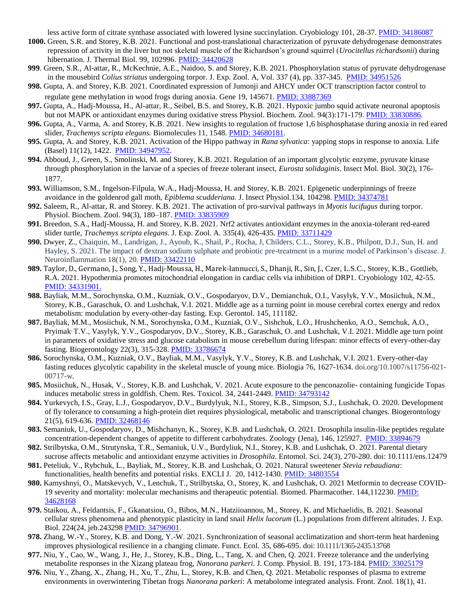less active form of citrate synthase associated with lowered lysine succinylation. Cryobiology 101, 28-37. [PMID: 34186087](PMID:%2034186087)

- **1000.** Green, S.R. and Storey, K.B. 2021. Functional and post-translational characterization of pyruvate dehydrogenase demonstrates repression of activity in the liver but not skeletal muscle of the Richardson's ground squirrel (*Urocitellus richardsonii*) during hibernation. J. Thermal Biol. 99, 102996. PMID: 34420628
- **999**. Green, S.R., Al-attar, R., McKechnie, A.E., Naidoo, S. and Storey, K.B. 2021. Phosphorylation status of pyruvate dehydrogenase in the mousebird *Colius striatus* undergoing torpor. J. Exp. Zool. A, Vol. 337 (4), pp. 337-345. [PMID: 34951526](http://www.ncbi.nlm.nih.gov/pubmed/34951526)
- **998.** Gupta, A. and Storey, K.B. 2021. Coordinated expression of Jumonji and AHCY under OCT transcription factor control to regulate gene methylation in wood frogs during anoxia. Gene 19, 145671. [PMID: 33887369](http://www.ncbi.nlm.nih.gov/pubmed/33887369)
- **997.** Gupta, A., Hadj-Moussa, H., Al-attar, R., Seibel, B.S. and Storey, K.B. 2021. Hypoxic jumbo squid activate neuronal apoptosis but not MAPK or antioxidant enzymes during oxidative stress Physiol. Biochem. Zool. 94(3):171-179. [PMID: 33830886.](http://www.ncbi.nlm.nih.gov/pubmed/33830886)
- **996.** Gupta, A., Varma, A. and Storey, K.B. 2021. New insights to regulation of fructose 1,6 bisphosphatase during anoxia in red eared slider, *Trachemys scripta elegans.* Biomolecules 11, 1548. [PMID: 34680181.](http://www.ncbi.nlm.nih.gov/pubmed/34680181)
- **995.** Gupta, A. and Storey, K.B. 2021. Activation of the Hippo pathway in *Rana sylvatica*: yapping stops in response to anoxia. Life (Basel) 11(12), 1422. [PMID: 34947952.](http://www.ncbi.nlm.nih.gov/pubmed/34947952)
- **994.** Abboud, J., Green, S., Smolinski, M. and Storey, K.B. 2021. Regulation of an important glycolytic enzyme, pyruvate kinase through phosphorylation in the larvae of a species of freeze tolerant insect, *Eurosta solidaginis*. Insect Mol. Biol. 30(2), 176- 1877.
- **993.** Williamson, S.M., Ingelson-Filpula, W.A., Hadj-Moussa, H. and Storey, K.B. 2021. Epigenetic underpinnings of freeze avoidance in the goldenrod gall moth, *Epiblema scudderiana.* J. Insect Physiol.134, 104298. [PMID: 34374781](http://www.ncbi.nlm.nih.gov/pubmed/34374781)
- **992.** Saleem, R., Al-attar, R. and Storey. K.B. 2021. The activation of pro-survival pathways in *Myotis lucifugus* during torpor. Physiol. Biochem. Zool. 94(3), 180–187. [PMID: 33835909](http://www.ncbi.nlm.nih.gov/pubmed/33835909)
- **991.** Breedon, S.A., Hadj-Moussa, H. and Storey, K.B. 2021. Nrf2 activates antioxidant enzymes in the anoxia-tolerant red-eared slider turtle, *Trachemys scripta elegans*. J. Exp. Zool. A. 335(4), 426-435. [PMID: 33711429](http://www.ncbi.nlm.nih.gov/pubmed/33711429)
- **990.** Dwyer, Z., Chaiquin, M., Landrigan, J., Ayoub, K., Shail, P., Rocha, J, Childers, C.L., Storey, K.B., Philpott, D.J., Sun, H. and Hayley, S. 2021. The impact of dextran sodium sulphate and probiotic pre-treatment in a murine model of Parkinson's disease. J. Neuroinflammation 18(1), 20[. PMID: 33422110](http://www.ncbi.nlm.nih.gov/pubmed/33422110)
- **989.** Taylor, D., Germano, J., Song, Y., Hadj-Moussa, H., Marek-Iannucci, S., Dhanji, R., Sin, J., Czer, L.S.C., Storey, K.B., Gottlieb, R.A. 2021. Hypothermia promotes mitochondrial elongation in cardiac cells via inhibition of DRP1. Cryobiology 102, 42-55. [PMID: 34331901.](http://www.ncbi.nlm.nih.gov/pubmed/34331901)
- **988.** Bayliak, M.M., Sorochynska, O.M., Kuzniak, O.V., Gospodaryov, D.V., Demianchuk, O.I., Vasylyk, Y.V., Mosiichuk, N.M., Storey, K.B., Garaschuk, O. and Lushchak, V.I. 2021. Middle age as a turning point in mouse cerebral cortex energy and redox metabolism: modulation by every-other-day fasting. Exp. Gerontol. 145, 111182.
- **987.** Bayliak, M.M., Mosiichuk, N.M., Sorochynska, O.M., Kuzniak, O.V., Sishchuk, L.O., Hrushchenko, A.O., Semchuk, A.O., Pryimak, T.V., Vasylyk, Y.V., Gospodaryov, D.V., Storey, K.B., Garaschuk, O. and Lushchak, V.I. 2021. Middle age turn point in parameters of oxidative stress and glucose catabolism in mouse cerebellum during lifespan: minor effects of every-other-day fasting. Biogerontology 22(3), 315-328. [PMID: 33786674](http://www.ncbi.nlm.nih.gov/pubmed/33786674)
- **986.** Sorochynska, O.M., Kuzniak, O.V., Bayliak, M.M., Vasylyk, Y.V., Storey, K.B. and Lushchak, V.I. 2021. Every-other-day fasting reduces glycolytic capability in the skeletal muscle of young mice. Biologia 76, 1627-1634. doi.org/10.1007/s11756-021- 00717-w.
- **985.** Mosiichuk, N., Husak, V., Storey, K.B. and Lushchak, V. 2021. Acute exposure to the penconazolie- containing fungicide Topas induces metabolic stress in goldfish. Chem. Res. Toxicol. 34, 2441-2449[. PMID: 34793142](http://www.ncbi.nlm.nih.gov/pubmed/34793142)
- **984.** Yurkevych, I.S., Gray, L.J., Gospodaryov, D.V., Burdylyuk, N.I., Storey, K.B., Simpson, S.J., Lushchak, O. 2020. Development of fly tolerance to consuming a high-protein diet requires physiological, metabolic and transcriptional changes. Biogerontology 21(5), 619-636. [PMID: 32468146](http://www.ncbi.nlm.nih.gov/pubmed/32468146)
- **983.** Semaniuk, U., Gospodaryov, D., Mishchanyn, K., Storey, K.B. and Lushchak, O. 2021. Drosophila insulin-like peptides regulate concentration-dependent changes of appetite to different carbohydrates. Zoology (Jena), 146, 125927. [PMID: 33894679](http://www.ncbi.nlm.nih.gov/pubmed/33894679)
- **982.** Strilbytska, O.M., Strutynska, T.R., Semaniuk, U.V., Burdyliuk, N.I., Storey, K.B. and Lushchak, O. 2021. Parental dietary sucrose affects metabolic and antioxidant enzyme activities in *Drosophila*. Entomol. Sci. 24(3), 270-280. doi: 10.1111/ens.12479
- **981.** Peteliuk, V., Rybchuk, L., Bayliak, M., Storey, K.B. and Lushchak, O. 2021. Natural sweetener *Stevia rebaudiana*: functionalities, health benefits and potential risks. EXCLI J. 20, 1412-1430. [PMID: 34803554](http://www.ncbi.nlm.nih.gov/pubmed/34803554)
- **980.** Kamyshnyi, O., Matskevych, V., Lenchuk, T., Strilbytska, O., Storey, K. and Lushchak, O. 2021 Metformin to decrease COVID-19 severity and mortality: molecular mechanisms and therapeutic potential. Biomed. Pharmacother. 144,112230. [PMID:](http://www.ncbi.nlm.nih.gov/pubmed/34628168)  [34628168](http://www.ncbi.nlm.nih.gov/pubmed/34628168)
- **979.** Staikou, A., Feidantsis, F., Gkanatsiou, O., Bibos, M.N., Hatziioannou, M., Storey, K. and Michaelidis, B. 2021. Seasonal cellular stress phenomena and phenotypic plasticity in land snail *Helix lucorum* (L.) populations from different altitudes. J. Exp. Biol. 224(24, jeb.243298 [PMID: 34796901.](http://www.ncbi.nlm.nih.gov/pubmed/34796901)
- **978.** Zhang, W.-Y., Storey, K.B. and Dong, Y.-W. 2021. Synchronization of seasonal acclimatization and short-term heat hardening improves physiological resilience in a changing climate. Funct. Ecol. 35, 686-695. doi: 10.1111/1365-2435.13768
- **977.** Niu, Y., Cao, W., Wang, J., He, J., Storey, K.B., Ding, L., Tang, X. and Chen, Q. 2021. Freeze tolerance and the underlying metabolite responses in the Xizang plateau frog, *Nanorana parkeri*. J. Comp. Physiol. B. 191, 173-184. [PMID: 33025179](http://www.ncbi.nlm.nih.gov/pubmed/33025179)
- **976.** Niu, Y., Zhang, X., Zhang, H., Xu, T., Zhu, L., Storey, K.B. and Chen, Q. 2021. Metabolic responses of plasma to extreme environments in overwintering Tibetan frogs *Nanorana parkeri*: A metabolome integrated analysis. Front. Zool. 18(1), 41.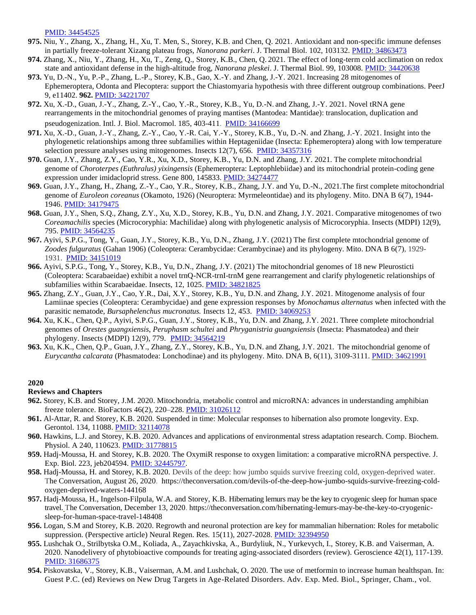[PMID: 34454525](http://www.ncbi.nlm.nih.gov/pubmed/34454525) 

- **975.** Niu, Y., Zhang, X., Zhang, H., Xu, T. Men, S., Storey, K.B. and Chen, Q. 2021. Antioxidant and non-specific immune defenses in partially freeze-tolerant Xizang plateau frogs, *Nanorana parkeri*. J. Thermal Biol. 102, 103132. [PMID: 34863473](http://www.ncbi.nlm.nih.gov/pubmed/34863473)
- **974.** Zhang, X., Niu, Y., Zhang, H., Xu, T., Zeng, Q., Storey, K.B., Chen, Q. 2021. The effect of long-term cold acclimation on redox state and antioxidant defense in the high-altitude frog, *Nanorana pleskei*. J. Thermal Biol. 99, 103008. [PMID: 34420638](http://www.ncbi.nlm.nih.gov/pubmed/34400638)
- **973.** Yu, D.-N., Yu, P.-P., Zhang, L.-P., Storey, K.B., Gao, X.-Y. and Zhang, J.-Y. 2021. Increasing 28 mitogenomes of Ephemeroptera, Odonta and Plecoptera: support the Chiastomyaria hypothesis with three different outgroup combinations. PeerJ 9, e11402. **962.** [PMID: 34221707](http://www.ncbi.nlm.nih.gov/pubmed/34221707)
- **972.** Xu, X.-D., Guan, J.-Y., Zhang, Z.-Y., Cao, Y.-R., Storey, K.B., Yu, D.-N. and Zhang, J.-Y. 2021. Novel tRNA gene rearrangements in the mitochondrial genomes of praying mantises (Mantodea: Mantidae): translocation, duplication and pseudogenization. Intl. J. Biol. Macromol. 185, 403-411. PMID: [34166699](http://www.ncbi.nlm.nih.gov/pubmed/34166699)
- **971.** Xu, X.-D., Guan, J.-Y., Zhang, Z.-Y., Cao, Y.-R. Cai, Y.-Y., Storey, K.B., Yu, D.-N. and Zhang, J.-Y. 2021. Insight into the phylogenetic relationships among three subfamilies within Heptageniidae (Insecta: Ephemeroptera) along with low temperature selection pressure analyses using mitogenomes. Insects 12(7), 656. [PMID: 34357316](http://www.ncbi.nlm.nih.gov/pubmed/34357316)
- **970.** Guan, J.Y., Zhang, Z.Y., Cao, Y.R., Xu, X.D., Storey, K.B., Yu, D.N. and Zhang, J.Y. 2021. The complete mitochondrial genome of *Choroterpes (Euthralus) yixingensis* (Ephemeroptera: Leptophlebiidae) and its mitochondrial protein-coding gene expression under imidacloprid stress. Gene 800, 145833. [PMID: 34274477](http://www.ncbi.nlm.nih.gov/pubmed/34274477)
- **969.** Guan, J.Y., Zhang, H., Zhang, Z.-Y., Cao, Y.R., Storey, K.B., Zhang, J.Y. and Yu, D.-N., 2021.The first complete mitochondrial genome of *Euroleon coreanus* (Okamoto, 1926) (Neuroptera: Myrmeleontidae) and its phylogeny. Mito. DNA B 6(7), 1944- 1946. [PMID: 34179475](http://www.ncbi.nlm.nih.gov/pubmed/34179475)
- **968.** Guan, J.Y., Shen, S.Q., Zhang, Z.Y., Xu, X.D., Storey, K.B., Yu, D.N. and Zhang, J.Y. 2021. Comparative mitogenomes of two *Coreamachilis* species (Microcoryphia: Machilidae) along with phylogenetic analysis of Microcoryphia. Insects (MDPI) 12(9), 795. [PMID: 34564235](http://www.ncbi.nlm.nih.gov/pubmed/34564235)
- **967.** Ayivi, S.P.G., Tong, Y., Guan, J.Y., Storey, K.B., Yu, D.N., Zhang, J.Y. (2021) The first complete mtochondrial genome of *Zoodes fulguratus* (Gahan 1906) (Coleoptera: Cerambycidae: Cerambycinae) and its phylogeny. Mito. DNA B 6(7), 1929- 1931. [PMID: 34151019](http://www.ncbi.nlm.nih.gov/pubmed/34151019)
- **966.** Ayivi, S.P.G., Tong, Y., Storey, K.B., Yu, D.N., Zhang, J.Y. (2021) The mitochondrial genomes of 18 new Pleurosticti (Coleoptera: Scarabaeidae) exhibit a novel trnQ-NCR-trnI-trnM gene rearrangement and clarify phylogenetic relationships of subfamilies within Scarabaeidae. Insects, 12, 1025. [PMID: 34821825](PMID:%2034821825)
- **965.** Zhang, Z.Y., Guan, J.Y., Cao, Y.R., Dai, X.Y., Storey, K.B., Yu, D.N. and Zhang, J.Y. 2021. Mitogenome analysis of four Lamiinae species (Coleoptera: Cerambycidae) and gene expression responses by *Monochamus alternatus* when infected with the parasitic nematode, *Bursaphelenchus mucronatus.* Insects 12, 453. [PMID: 34069253](http://www.ncbi.nlm.nih.gov/pubmed/34069253)
- **964.** Xu, K.K., Chen, Q.P., Ayivi, S.P.G., Guan, J.Y., Storey, K.B., Yu, D.N. and Zhang, J.Y. 2021. Three complete mitochondrial genomes of *Orestes guangxiensis*, *Peruphasm schultei* and *Phryganistria guangxiensis* (Insecta: Phasmatodea) and their phylogeny. Insects (MDPI) 12(9), 779. [PMID: 34564219](http://www.ncbi.nlm.nih.gov/pubmed/34564219)
- **963.** Xu, K.K., Chen, Q.P., Guan, J.Y., Zhang, Z.Y., Storey, K.B., Yu, D.N. and Zhang, J.Y. 2021. The mitochondrial genome of *Eurycantha calcarata* (Phasmatodea: Lonchodinae) and its phylogeny. Mito. DNA B, 6(11), 3109-3111. [PMID: 34621991](http://www.ncbi.nlm.nih.gov/pubmed/34621991)

#### **2020**

#### **Reviews and Chapters**

- **962.** Storey, K.B. and Storey, J.M. 2020. Mitochondria, metabolic control and microRNA: advances in understanding amphibian freeze tolerance. BioFactors 46(2), 220–228. [PMID: 31026112](http://www.ncbi.nlm.nih.gov/pubmed/31026112)
- **961.** Al-Attar, R. and Storey, K.B. 2020. Suspended in time: Molecular responses to hibernation also promote longevity. Exp. Gerontol. 134, 11088. [PMID: 32114078](http://www.ncbi.nlm.nih.gov/pubmed/32114078)
- **960.** Hawkins, L.J. and Storey, K.B. 2020. Advances and applications of environmental stress adaptation research. Comp. Biochem. Physiol. A 240, 110623. [PMID: 31778815](http://www.ncbi.nlm.nih.gov/pubmed/31778815)
- **959.** Hadj-Moussa, H. and Storey, K.B. 2020. The OxymiR response to oxygen limitation: a comparative microRNA perspective. J. Exp. Biol. 223, jeb204594. [PMID: 32445797.](http://www.ncbi.nlm.nih.gov/pubmed/32445797)
- **958.** Hadj-Moussa, H. and Storey, K.B. 2020. Devils of the deep: how jumbo squids survive freezing cold, oxygen-deprived water. The Conversation, August 26, 2020. https://theconversation.com/devils-of-the-deep-how-jumbo-squids-survive-freezing-coldoxygen-deprived-waters-144168
- **957.** Hadj-Moussa, H., Ingelson-Filpula, W.A. and Storey, K.B. Hibernating lemurs may be the key to cryogenic sleep for human space travel. The Conversation, December 13, 2020. https://theconversation.com/hibernating-lemurs-may-be-the-key-to-cryogenicsleep-for-human-space-travel-148408
- **956.** Logan, S.M and Storey, K.B. 2020. Regrowth and neuronal protection are key for mammalian hibernation: Roles for metabolic suppression. (Perspective article) Neural Regen. Res. 15(11), 2027-2028. [PMID: 32394950](http://www.ncbi.nlm.nih.gov/pubmed/32394950)
- **955.** Lushchak O., Strilbytska O.M., Koliada, A., Zayachkivska, A., Burdyliuk, N., Yurkevych, I., Storey, K.B. and Vaiserman, A. 2020. Nanodelivery of phytobioactive compounds for treating aging-associated disorders (review). Geroscience 42(1), 117-139. [PMID: 31686375](http://www.ncbi.nlm.nih.gov/pubmed/31686375)
- **954.** Piskovatska, V., Storey, K.B., Vaiserman, A.M. and Lushchak, O. 2020. The use of metformin to increase human healthspan. In: Guest P.C. (ed) Reviews on New Drug Targets in Age-Related Disorders. Adv. Exp. Med. Biol., Springer, Cham., vol.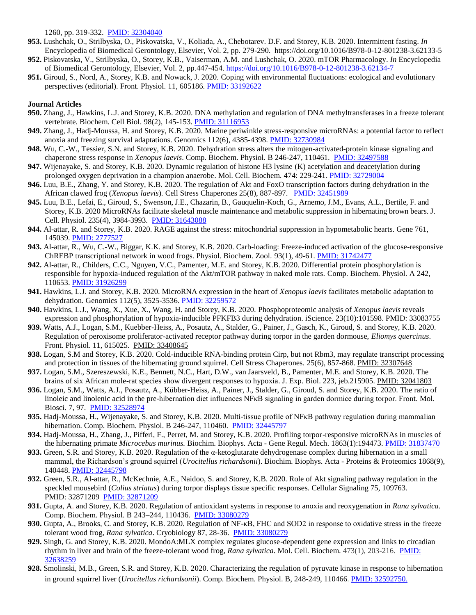1260, pp. 319-332. [PMID: 32304040](http://www.ncbi.nlm.nih.gov/pubmed/32304040) 

- **953.** Lushchak, O., Strilbyska, O., Piskovatska, V., Koliada, A., Chebotarev. D.F. and Storey, K.B. 2020. Intermittent fasting. *In* Encyclopedia of Biomedical Gerontology, Elsevier, Vol. 2, pp. 279-290. <https://doi.org/10.1016/B978-0-12-801238-3.62133-5>
- **952.** Piskovatska, V., Strilbyska, O., Storey, K.B., Vaiserman, A.M. and Lushchak, O. 2020. mTOR Pharmacology. *In* Encyclopedia of Biomedical Gerontology, Elsevier, Vol. 2, pp.447-454.<https://doi.org/10.1016/B978-0-12-801238-3.62134-7>
- **951.** Giroud, S., Nord, A., Storey, K.B. and Nowack, J. 2020. Coping with environmental fluctuations: ecological and evolutionary perspectives (editorial). Front. Physiol. 11, 605186. [PMID: 33192622](http://www.ncbi.nlm.nih.gov/pubmed/33192622)

- **950.** Zhang, J., Hawkins, L.J. and Storey, K.B. 2020. DNA methylation and regulation of DNA methyltransferases in a freeze tolerant vertebrate. Biochem. Cell Biol. 98(2), 145-153. [PMID: 31116953](http://www.ncbi.nlm.nih.gov/pubmed/31116953)
- **949.** Zhang, J., Hadj-Moussa, H. and Storey, K.B. 2020. Marine periwinkle stress-responsive microRNAs: a potential factor to reflect anoxia and freezing survival adaptations. Genomics 112(6), 4385-4398. [PMID: 32730984](http://www.ncbi.nlm.nih.gov/pubmed/32730984)
- **948.** Wu, C.-W., Tessier, S.N. and Storey, K.B. 2020. Dehydration stress alters the mitogen-activated-protein kinase signaling and chaperone stress response in *Xenopus laevis*. Comp. Biochem. Physiol. B 246-247, 110461. [PMID: 32497588](http://www.ncbi.nlm.nih.gov/pubmed/32497588)
- **947.** Wijenayake, S. and Storey, K.B. 2020. Dynamic regulation of histone H3 lysine (K) acetylation and deacetylation during prolonged oxygen deprivation in a champion anaerobe. Mol. Cell. Biochem. 474: 229-241. [PMID: 32729004](http://www.ncbi.nlm.nih.gov/pubmed/32729004)
- **946.** Luu, B.E., Zhang, Y. and Storey, K.B. 2020. The regulation of Akt and FoxO transcription factors during dehydration in the African clawed frog (*Xenopus laevis*)*.* Cell Stress Chaperones 25(8), 887-897. [PMID: 32451989](http://www.ncbi.nlm.nih.gov/pubmed/324519898)
- **945.** Luu, B.E., Lefai, E., Giroud, S., Swenson, J.E., Chazarin, B., Gauquelin-Koch, G., Arnemo, J.M., Evans, A.L., Bertile, F. and Storey, K.B. 2020 MicroRNAs facilitate skeletal muscle maintenance and metabolic suppression in hibernating brown bears. J. Cell. Physiol. 235(4), 3984-3993. [PMID: 31643088](http://www.ncbi.nlm.nih.gov/pubmed/31643088)
- **944.** Al-attar, R. and Storey, K.B. 2020. RAGE against the stress: mitochondrial suppression in hypometabolic hearts. Gene 761, 145039[. PMID: 2777527](http://www.ncbi.nlm.nih.gov/pubmed/32777527)
- **943.** Al-attar, R., Wu, C.-W., Biggar, K.K. and Storey, K.B. 2020. Carb-loading: Freeze-induced activation of the glucose-responsive ChREBP transcriptional network in wood frogs. Physiol. Biochem. Zool. 93(1), 49-61. [PMID: 31742477](http://www.ncbi.nlm.nih.gov/pubmed/31742477)
- **942.** Al-attar, R., Childers, C.C., Nguyen, V.C., Pamenter, M.E. and Storey, K.B. 2020. Differential protein phosphorylation is responsible for hypoxia-induced regulation of the Akt/mTOR pathway in naked mole rats. Comp. Biochem. Physiol. A 242, 110653[. PMID: 31926299](http://www.ncbi.nlm.nih.gov/pubmed/31926299)
- **941.** Hawkins, L.J. and Storey, K.B. 2020. MicroRNA expression in the heart of *Xenopus laevis* facilitates metabolic adaptation to dehydration. Genomics 112(5), 3525-3536. [PMID: 32259572](http://www.ncbi.nlm.nih.gov/pubmed/32259572)
- **940.** Hawkins, L.J., Wang, X., Xue, X., Wang, H. and Storey, K.B. 2020. Phosphoproteomic analysis of *Xenopus laevis* reveals expression and phosphorylation of hypoxia-inducible PFKFB3 during dehydration. iScience. 23(10):101598. [PMID: 33083755](http://www.ncbi.nlm.nih.gov/pubmed/33083755)
- **939.** Watts, A.J., Logan, S.M., Kuebber-Heiss, A., Posautz, A., Stalder, G., Painer, J., Gasch, K., Giroud, S. and Storey, K.B. 2020. Regulation of peroxisome proliferator-activated receptor pathway during torpor in the garden dormouse, *Eliomys quercinus*. Front. Physiol. 11, 615025. [PMID: 33408645](http://www.ncbi.nlm.nih.gov/pubmed/33408645)
- **938.** Logan, S.M and Storey, K.B. 2020. Cold-inducible RNA-binding protein Cirp, but not Rbm3, may regulate transcript processing and protection in tissues of the hibernating ground squirrel. Cell Stress Chaperones. 25(6), 857-868. [PMID: 32307648](http://www.ncbi.nlm.nih.gov/pubmed/32307648)
- **937.** Logan, S.M., Szereszewski, K.E., Bennett, N.C., Hart, D.W., van Jaarsveld, B., Pamenter, M.E. and Storey, K.B. 2020. The brains of six African mole-rat species show divergent responses to hypoxia. J. Exp. Biol. 223, jeb.215905. [PMID: 32041803](http://www.ncbi.nlm.nih.gov/pubmed/31837470)
- **936.** Logan, S.M., Watts, A.J., Posautz, A., Kübber-Heiss, A., Painer, J., Stalder, G., Giroud, S. and Storey, K.B. 2020. The ratio of linoleic and linolenic acid in the pre-hibernation diet influences NFκB signaling in garden dormice during torpor. Front. Mol. Biosci. 7, 97. [PMID: 32528974](http://www.ncbi.nlm.nih.gov/pubmed/32528974)
- **935.** Hadj-Moussa, H., Wijenayake, S. and Storey, K.B. 2020. Multi-tissue profile of NFκB pathway regulation during mammalian hibernation. Comp. Biochem. Physiol. B 246-247, 110460. [PMID: 32445797](http://www.ncbi.nlm.nih.gov/pubmed/32445797)
- **934.** Hadj-Moussa, H., Zhang, J., Pifferi, F., Perret, M. and Storey, K.B. 2020. Profiling torpor-responsive microRNAs in muscles of the hibernating primate *Microcebus murinus.* Biochim. Biophys. Acta - Gene Regul. Mech. 1863(1):194473[. PMID: 31837470](http://www.ncbi.nlm.nih.gov/pubmed/31837470)
- **933.** Green, S.R. and Storey, K.B. 2020. Regulation of the α-ketoglutarate dehydrogenase complex during hibernation in a small mammal, the Richardson's ground squirrel (*Urocitellus richardsonii*). Biochim. Biophys. Acta - Proteins & Proteomics 1868(9), 140448. [PMID: 32445798](http://www.ncbi.nlm.nih.gov/pubmed/32445798)
- **932.** Green, S.R., Al-attar, R., McKechnie, A.E., Naidoo, S. and Storey, K.B. 2020. Role of Akt signaling pathway regulation in the speckled mousebird (*Colius striatus*) during torpor displays tissue specific responses. Cellular Signaling 75, 109763. PMID: 32871209 [PMID: 32871209](http://www.ncbi.nlm.nih.gov/pubmed/32871209)
- **931.** Gupta, A. and Storey, K.B. 2020. Regulation of antioxidant systems in response to anoxia and reoxygenation in *Rana sylvatica*. Comp. Biochem. Physiol. B [243–244,](https://www.sciencedirect.com/science/journal/10964959/243/supp/C) 110436. [PMID: 33080279](http://www.ncbi.nlm.nih.gov/pubmed/33080279)
- **930.** Gupta, A., Brooks, C. and Storey, K.B. 2020. Regulation of NF-κB, FHC and SOD2 in response to oxidative stress in the freeze tolerant wood frog, *Rana sylvatica*. Cryobiology 87, 28-36. [PMID: 33080279](http://www.ncbi.nlm.nih.gov/pubmed/33080279)
- **929.** Singh, G. and Storey, K.B. 2020. MondoA:MLX complex regulates glucose-dependent gene expression and links to circadian rhythm in liver and brain of the freeze-tolerant wood frog, *Rana sylvatica*. Mol. Cell. Biochem. 473(1), 203-216. [PMID:](http://www.ncbi.nlm.nih.gov/pubmed/33095404)  [32638259](http://www.ncbi.nlm.nih.gov/pubmed/33095404)
- **928.** Smolinski, M.B., Green, S.R. and Storey, K.B. 2020. Characterizing the regulation of pyruvate kinase in response to hibernation in ground squirrel liver (*Urocitellus richardsonii*). Comp. Biochem. Physiol. B, 248-249, 110466. [PMID: 32592750.](http://www.ncbi.nlm.nih.gov/pubmed/32592750)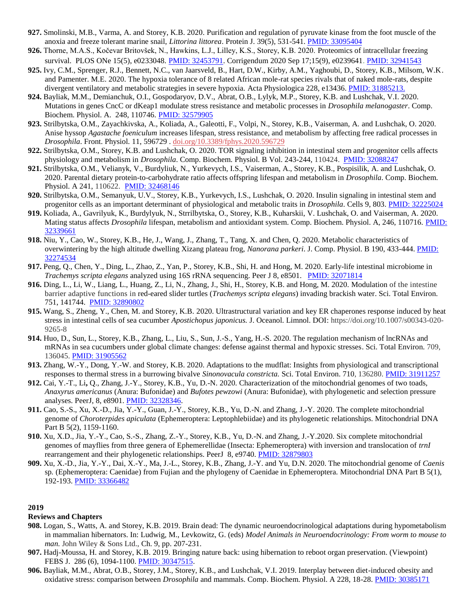- **927.** Smolinski, M.B., Varma, A. and Storey, K.B. 2020. Purification and regulation of pyruvate kinase from the foot muscle of the anoxia and freeze tolerant marine snail, *Littorina littorea*. Protein J. 39(5), 531-541[. PMID: 33095404](http://www.ncbi.nlm.nih.gov/pubmed/32592750)
- **926.** Thorne, M.A.S., Kočevar Britovšek, N., Hawkins, L.J., Lilley, K.S., Storey, K.B. 2020. Proteomics of intracellular freezing survival. PLOS ONe 15(5), e0233048[. PMID: 32453791.](http://www.ncbi.nlm.nih.gov/pubmed/32453791) Corrigendum 2020 Sep 17;15(9), e0239641. [PMID: 32941543](http://www.ncbi.nlm.nih.gov/pubmed/32941543)
- **925.** Ivy, C.M., Sprenger, R.J., Bennett, N.C., van Jaarsveld, B., Hart, D.W., Kirby, A.M., Yaghoubi, D., Storey, K.B., Milsom, W.K. and Pamenter. M.E. 2020. The hypoxia tolerance of 8 related African mole-rat species rivals that of naked mole-rats, despite divergent ventilatory and metabolic strategies in severe hypoxia. Acta Physiologica 228, e13436[. PMID: 3188521](http://www.ncbi.nlm.nih.gov/pubmed/31116953)3.
- **924.** Bayliak, M.M., Demianchuk, O.I., Gospodaryov, D.V., Abrat, O.B., Lylyk, M.P., Storey, K.B. and Lushchak, V.I. 2020. Mutations in genes CncC or dKeap1 modulate stress resistance and metabolic processes in *Drosophila melanogaster*. Comp. Biochem. Physiol. A. 248, 110746. [PMID: 32579905](http://www.ncbi.nlm.nih.gov/pubmed/32579905)
- **923.** Strilbytska, O.M., Zayachkivska, A., Koliada, A., Galeotti, F., Volpi, N., Storey, K.B., Vaiserman, A. and Lushchak, O. 2020. Anise hyssop *Agastache foeniculum* increases lifespan, stress resistance, and metabolism by affecting free radical processes in *Drosophila*. Front. Physiol. [11, 596729](https://doi.org/10.3389/fphys.2020.596729) . [doi.org/10.3389/fphys.2020.596729](https://doi.org/10.3389/fphys.2020.596729)
- **922.** Strilbytska, O.M., Storey, K.B. and Lushchak, O. 2020. TOR signaling inhibition in intestinal stem and progenitor cells affects physiology and metabolism in *Drosophila*. Comp. Biochem. Physiol. B Vol. 243-244, 110424.[PMID: 32088247](http://www.ncbi.nlm.nih.gov/pubmed/32088257)
- **921.** Strilbytska, O.M., Velianyk, V., Burdyliuk, N., Yurkevych, I.S., Vaiserman, A., Storey, K.B., Pospisilik, A. and Lushchak, O. 2020. Parental dietary protein-to-carbohydrate ratio affects offspring lifespan and metabolism in *Drosophila*. Comp. Biochem. Physiol. A 241, 110622. [PMID: 32468146](http://www.ncbi.nlm.nih.gov/pubmed/32468146)
- **920.** Strilbytska, O.M., Semanyuk, U.V., Storey, K.B., Yurkevych, I.S., Lushchak, O. 2020. Insulin signaling in intestinal stem and progenitor cells as an important determinant of physiological and metabolic traits in *Drosophila*. Cells 9, 803[. PMID: 32225024](http://www.ncbi.nlm.nih.gov/pubmed/32225024)
- **919.** Koliada, A., Gavrilyuk, K., Burdylyuk, N., Strrilbytska, O., Storey, K.B., Kuharskii, V. Lushchak, O. and Vaiserman, A. 2020. Mating status affects *Drosophila* lifespan, metabolism and antioxidant system. Comp. Biochem. Physiol. A, 246, 110716. [PMID:](http://www.ncbi.nlm.nih.gov/pubmed/32339661)  [32339661](http://www.ncbi.nlm.nih.gov/pubmed/32339661)
- **918.** Niu, Y., Cao, W., Storey, K.B., He, J., Wang, J., Zhang, T., Tang, X. and Chen, Q. 2020. Metabolic characteristics of overwintering by the high altitude dwelling Xizang plateau frog, *Nanorana parkeri*. J. Comp. Physiol. B 190, 433-444[. PMID:](http://www.ncbi.nlm.nih.gov/pubmed/32274534)  [32274534](http://www.ncbi.nlm.nih.gov/pubmed/32274534)
- **917.** Peng, Q., Chen, Y., Ding, L., Zhao, Z., Yan, P., Storey, K.B., Shi, H. and Hong, M. 2020. Early-life intestinal microbiome in *Trachemys scripta elegans* analyzed using 16S rRNA sequencing. Peer J 8, e8501. [PMID: 32071814](http://www.ncbi.nlm.nih.gov/pubmed/32071814)
- **916.** Ding, L., Li, W., Liang, L., Huang, Z., Li, N., Zhang, J., Shi, H., Storey, K.B. and Hong, M. 2020. Modulation of the intestine barrier adaptive functions in red-eared slider turtles (*Trachemys scripta elegans*) invading brackish water. Sci. Total Environ. 751, 141744. [PMID: 32890802](http://www.ncbi.nlm.nih.gov/pubmed/32890802)
- **915.** Wang, S., Zheng, Y., Chen, M. and Storey, K.B. 2020. Ultrastructural variation and key ER chaperones response induced by heat stress in intestinal cells of sea cucumber *Apostichopus japonicus.* J. Oceanol. Limnol. DOI: https://doi.org/10.1007/s00343-020- 9265-8
- **914.** Huo, D., Sun, L., Storey, K.B., Zhang, L., Liu, S., Sun, J.-S., Yang, H.-S. 2020. The regulation mechanism of lncRNAs and mRNAs in sea cucumbers under global climate changes: defense against thermal and hypoxic stresses. Sci. Total Environ. 709, 136045. [PMID: 31905562](http://www.ncbi.nlm.nih.gov/pubmed/31905562)
- **913.** Zhang, W.-Y., Dong, Y.-W. and Storey, K.B. 2020. Adaptations to the mudflat: Insights from physiological and transcriptional responses to thermal stress in a burrowing bivalve *Sinonovacula constricta.* Sci. Total Environ. 710, 136280. [PMID: 31911257](http://www.ncbi.nlm.nih.gov/pubmed/31911257)
- **912.** Cai, Y.-T., Li**,** Q., Zhang, J.-Y., Storey, K.B., Yu, D.-N. 2020. Characterization of the mitochondrial genomes of two toads, *Anaxyrus americanus* (Anura: Bufonidae) and *Bufotes pewzowi* (Anura: Bufonidae), with phylogenetic and selection pressure analyses. PeerJ, 8, e8901[. PMID: 32328346.](http://www.ncbi.nlm.nih.gov/pubmed/32328346)
- **911.** Cao, S.-S., Xu, X.-D., Jia, Y.-Y., Guan, J.-Y., Storey, K.B., Yu, D.-N. and Zhang, J.-Y. 2020. The complete mitochondrial genome of *Choroterpides apiculata* (Ephemeroptera: Leptophlebiidae) and its phylogenetic relationships. Mitochondrial DNA Part B 5(2), 1159-1160.
- **910.** Xu, X.D., Jia, Y.-Y., Cao, S.-S., Zhang, Z.-Y., Storey, K.B., Yu, D.-N. and Zhang, J.-Y.2020. Six complete mitochondrial genomes of mayflies from three genera of Ephemerellidae (Insecta: Ephemeroptera) with inversion and translocation of *trnI* rearrangement and their phylogenetic relationships. PeerJ 8, e9740. [PMID: 32879803](http://www.ncbi.nlm.nih.gov/pubmed/32879803)
- **909.** Xu, X.-D., Jia, Y.-Y., Dai, X.-Y., Ma, J.-L., Storey, K.B., Zhang, J.-Y. and Yu, D.N. 2020. The mitochondrial genome of *Caenis*  sp*.* (Ephemeroptera: Caenidae) from Fujian and the phylogeny of Caenidae in Ephemeroptera. Mitochondrial DNA Part B 5(1), 192-193. [PMID: 33366482](http://www.ncbi.nlm.nih.gov/pubmed/33366482)

#### **Reviews and Chapters**

- **908.** Logan, S., Watts, A. and Storey, K.B. 2019. Brain dead: The dynamic neuroendocrinological adaptations during hypometabolism in mammalian hibernators. In: Ludwig, M., Levkowitz, G. (eds) *Model Animals in Neuroendocrinology: From worm to mouse to man.* John Wiley & Sons Ltd., Ch. 9, pp. 207-231.
- **907.** Hadj-Moussa, H. and Storey, K.B. 2019. Bringing nature back: using hibernation to reboot organ preservation. (Viewpoint) FEBS J. 286 (6), 1094-1100. [PMID: 30347515.](http://www.ncbi.nlm.nih.gov/pubmed/30347515)
- **906.** Bayliak, M.M., Abrat, O.B., Storey, J.M., Storey, K.B., and Lushchak, V.I. 2019. Interplay between diet-induced obesity and oxidative stress: comparison between *Drosophila* and mammals. Comp. Biochem. Physiol. A 228, 18-28. [PMID: 30385171](http://www.ncbi.nlm.nih.gov/pubmed/30385171)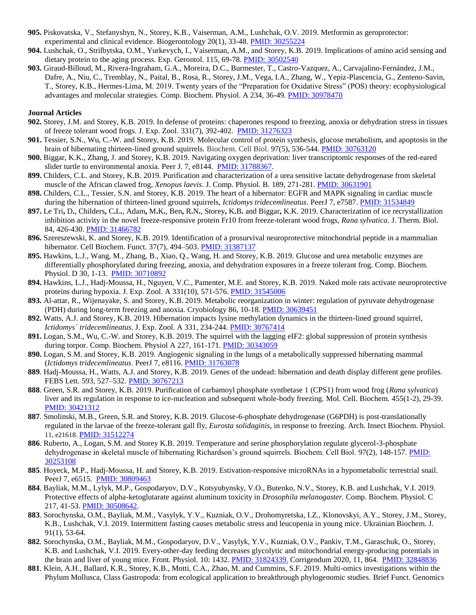- **905.** Piskovatska, V., Stefanyshyn, N., Storey, K.B., Vaiserman, A.M., Lushchak, O.V. 2019. Metformin as geroprotector: experimental and clinical evidence. Biogerontology 20(1), 33-48. [PMID: 30255224](http://www.ncbi.nlm.nih.gov/pubmed/30255224)
- **904.** Lushchak, O., Strilbytska, O.M., Yurkevych, I., Vaiserman, A.M., and Storey, K.B. 2019. Implications of amino acid sensing and dietary protein to the aging process. Exp. Gerontol. 115, 69-78[. PMID: 30502540](http://www.ncbi.nlm.nih.gov/pubmed/30255224)
- **903.** Giraud-Billoud, M., Rivera-Ingraham, G.A., Moreira, D.C., Burmester, T., Castro-Vazquez, A., Carvajalino-Fernández, J.M., Dafre, A., Niu, C., Tremblay, N., Paital, B., Rosa, R., Storey, J.M., Vega, I.A., Zhang, W., Yepiz-Plascencia, G., Zenteno-Savin, T., Storey, K.B., Hermes-Lima, M. 2019. Twenty years of the "Preparation for Oxidative Stress" (POS) theory: ecophysiological advantages and molecular strategies. Comp. Biochem. Physiol. A 234, 36-49. [PMID: 30978470](http://www.ncbi.nlm.nih.gov/pubmed/30978470)

- **902.** Storey, J.M. and Storey, K.B. 2019. In defense of proteins: chaperones respond to freezing, anoxia or dehydration stress in tissues of freeze tolerant wood frogs. J. Exp. Zool. 331(7), 392-402. [PMID: 31276323](http://www.ncbi.nlm.nih.gov/pubmed/31276323)
- **901.** Tessier, S.N., Wu, C.-W. and Storey, K.B. 2019. Molecular control of protein synthesis, glucose metabolism, and apoptosis in the brain of hibernating thirteen-lined ground squirrels. Biochem. Cell Biol. 97(5), 536-544[. PMID: 30763120](http://www.ncbi.nlm.nih.gov/pubmed/30763120)
- **900.** Biggar, K.K., Zhang, J. and Storey, K.B. 2019. Navigating oxygen deprivation: liver transcriptomic responses of the red-eared slider turtle to environmental anoxia. Peer J. 7, e8144. [PMID: 31788367.](http://www.ncbi.nlm.nih.gov/pubmed/31788367)
- **899.** Childers, C.L. and Storey, K.B. 2019. Purification and characterization of a urea sensitive lactate dehydrogenase from skeletal muscle of the African clawed frog*, Xenopus laevis*. J. Comp. Physiol. B. 189, 271-281. [PMID: 30631901](http://www.ncbi.nlm.nih.gov/pubmed/30631901)
- **898.** Childers, C.L., Tessier, S.N. and Storey, K.B. 2019. The heart of a hibernator: EGFR and MAPK signaling in cardiac muscle during the hibernation of thirteen-lined ground squirrels, *Ictidomys tridecemlineatus*. PeerJ 7, e7587. [PMID: 31534849](http://www.ncbi.nlm.nih.gov/pubmed/31534849)
- 897. Le Tri, D., Childers, C.L., Adam, M.K., Ben, R.N., Storey, K.B. and Biggar, K.K. 2019. Characterization of ice recrystallization inhibition activity in the novel freeze-responsive protein Fr10 from freeze-tolerant wood frogs, *Rana sylvatica*. J. Therm. Biol. 84, 426-430. [PMID: 31466782](http://www.ncbi.nlm.nih.gov/pubmed/31466782)
- **896.** Szeres*z*ewski, K. and Storey, K.B. 2019. Identification of a prosurvival neuroprotective mitochondrial peptide in a mammalian hibernator. Cell Biochem. Funct. 37(7), 494–503[. PMID: 31387137](http://www.ncbi.nlm.nih.gov/pubmed/31387137)
- **895.** Hawkins, L.J., Wang, M., Zhang, B., Xiao, Q., Wang, H. and Storey, K.B. 2019. Glucose and urea metabolic enzymes are differentially phosphorylated during freezing, anoxia, and dehydration exposures in a freeze tolerant frog. Comp. Biochem. Physiol. D 30, 1-13. [PMID: 30710892](http://www.ncbi.nlm.nih.gov/pubmed/30710892)
- **894.** Hawkins, L.J., Hadj-Moussa, H., Nguyen, V.C., Pamenter, M.E. and Storey, K.B. 2019. Naked mole rats activate neuroprotective proteins during hypoxia. J. Exp. Zool. A 331(10), 571-576. [PMID: 31545006](http://www.ncbi.nlm.nih.gov/pubmed/31545006)
- **893.** Al-attar, R., Wijenayake, S. and Storey, K.B. 2019. Metabolic reorganization in winter: regulation of pyruvate dehydrogenase (PDH) during long-term freezing and anoxia. Cryobiology 86, 10-18. [PMID: 30639451](http://www.ncbi.nlm.nih.gov/pubmed/30639451)
- **892.** Watts, A.J. and Storey, K.B. 2019. Hibernation impacts lysine methylation dynamics in the thirteen-lined ground squirrel, *Ictidomys` tridecemlineatus*. J. Exp. Zool. A 331, 234-244. [PMID: 30767414](http://www.ncbi.nlm.nih.gov/pubmed/30767414)
- **891.** Logan, S.M., Wu, C.-W. and Storey, K.B. 2019. The squirrel with the lagging eIF2: global suppression of protein synthesis during torpor. Comp. Biochem. Physiol A 227, 161-171. [PMID: 30343059](http://www.ncbi.nlm.nih.gov/pubmed/30343059)
- **890.** Logan, S.M. and Storey, K.B. 2019. Angiogenic signaling in the lungs of a metabolically suppressed hibernating mammal (*Ictidomys tridecemlineatus*. PeerJ 7, e8116. [PMID: 31763078](http://www.ncbi.nlm.nih.gov/pubmed/31763078)
- **889**. Hadj-Moussa, H., Watts, A.J. and Storey, K.B. 2019. Genes of the undead: hibernation and death display different gene profiles. FEBS Lett. 593, 527–532. [PMID: 30767213](http://www.ncbi.nlm.nih.gov/pubmed/30767213)
- **888**. Green, S.R. and Storey, K.B. 2019. Purification of carbamoyl phosphate synthetase 1 (CPS1) from wood frog (*Rana sylvatica*) liver and its regulation in response to ice-nucleation and subsequent whole-body freezing. Mol. Cell. Biochem. 455(1-2), 29-39. [PMID: 30421312](http://www.ncbi.nlm.nih.gov/pubmed/30421312)
- **887**. Smolinski, M.B., Green, S.R. and Storey, K.B. 2019. Glucose-6-phosphate dehydrogenase (G6PDH) is post-translationally regulated in the larvae of the freeze-tolerant gall fly, *Eurosta solidaginis*, in response to freezing. Arch. Insect Biochem. Physiol. 11, e21618. [PMID: 31512274](http://www.ncbi.nlm.nih.gov/pubmed/31512274)
- **886**. Ruberto, A., Logan, S.M. and Storey K.B. 2019. Temperature and serine phosphorylation regulate glycerol-3-phosphate dehydrogenase in skeletal muscle of hibernating Richardson's ground squirrels. Biochem. Cell Biol. 97(2), 148-157. PMID: [30253108](http://www.ncbi.nlm.nih.gov/pubmed/30253108)
- **885**. Hoyeck, M.P., Hadj-Moussa, H. and Storey, K.B. 2019. Estivation-responsive microRNAs in a hypometabolic terrestrial snail. PeerJ 7, e6515. [PMID: 30809463](http://www.ncbi.nlm.nih.gov/pubmed/30809463)
- **884**. Bayliak, M.M., Lylyk, M.P., Gospodaryov, D.V., Kotsyubynsky, V.O., Butenko, N.V., Storey, K.B. and Lushchak, V.I. 2019. Protective effects of alpha-ketoglutarate against aluminum toxicity in *Drosophila melanogaster.* Comp. Biochem. Physiol. C 217, 41-53. [PMID: 30508642.](http://www.ncbi.nlm.nih.gov/pubmed/30508642)
- **883**. Sorochynska, O.M., Bayliak, M.M., Vasylyk, Y.V., Kuzniak, O.V., Drohomyretska, I.Z., Klonovskyi, A.Y., Storey, J.M., Storey, K.B., Lushchak, V.I. 2019. Intermittent fasting causes metabolic stress and leucopenia in young mice. Ukrainian Biochem. J. 91(1), 53-64.
- **882**. Sorochynska, O.M., Bayliak, M.M., Gospodaryov, D.V., Vasylyk, Y.V., Kuzniak, O.V., Pankiv, T.M., Garaschuk, O., Storey, K.B. and Lushchak, V.I. 2019. Every-other-day feeding decreases glycolytic and mitochondrial energy-producing potentials in the brain and liver of young mice. Front. Physiol. 10: 1432. [PMID: 31824339.](http://www.ncbi.nlm.nih.gov/pubmed/31824339) Corrigendum 2020, 11, 864. [PMID: 32848836](http://www.ncbi.nlm.nih.gov/pubmed/32848836)
- **881**. Klein, A.H., Ballard, K.R., Storey, K.B., Motti, C.A., Zhao, M. and Cummins, S.F. 2019. Multi-omics investigations within the Phylum Mollusca, Class Gastropoda: from ecological application to breakthrough phylogenomic studies. Brief Funct. Genomics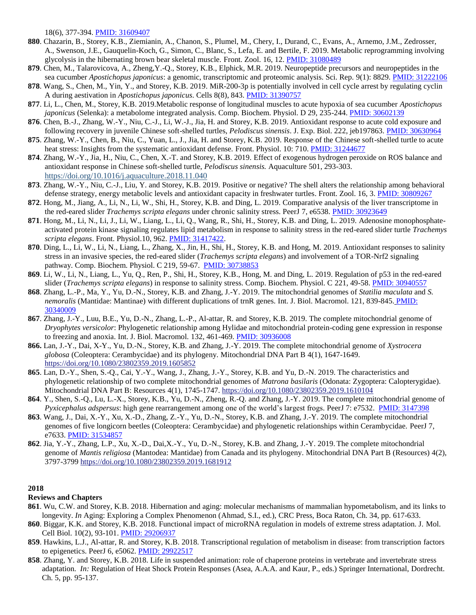18(6), 377-394. [PMID: 31609407](http://www.ncbi.nlm.nih.gov/pubmed/31609407)

- **880**. Chazarin, B., Storey, K.B., Ziemianin, A., Chanon, S., Plumel, M., Chery, I., Durand, C., Evans, A., Arnemo, J.M., Zedrosser, A., Swenson, J.E., Gauquelin-Koch, G., Simon, C., Blanc, S., Lefa, E. and Bertile, F. 2019. Metabolic reprogramming involving glycolysis in the hibernating brown bear skeletal muscle. Front. Zool. 16, 12[. PMID: 31080489](http://www.ncbi.nlm.nih.gov/pubmed/31080489)
- **879**. Chen, M., Talarovicova, A., Zheng,Y.-Q., Storey, K.B., Elphick, M.R. 2019. Neuropeptide precursors and neuropeptides in the sea cucumber *Apostichopus japonicus*: a genomic, transcriptomic and proteomic analysis. Sci. Rep. 9(1): 8829. [PMID: 31222106](http://www.ncbi.nlm.nih.gov/pubmed/31222106)
- **878**. Wang, S., Chen, M., Yin, Y., and Storey, K.B. 2019. MiR-200-3p is potentially involved in cell cycle arrest by regulating cyclin A during aestivation in *Apostichopus japonicus*. Cells 8(8), 843. [PMID: 31390757](http://www.ncbi.nlm.nih.gov/pubmed/31390757)
- **877**. Li, L., Chen, M., Storey, K.B. 2019.Metabolic response of longitudinal muscles to acute hypoxia of sea cucumber *Apostichopus japonicus* (Selenka): a metabolome integrated analysis. Comp. Biochem. Physiol. D 29, 235-244. [PMID: 30602139](http://www.ncbi.nlm.nih.gov/pubmed/30602139)
- **876**. Chen, B.-J., Zhang, W.-Y., Niu, C.-J., Li, W.-J., Jia, H. and Storey, K.B. 2019. Antioxidant response to acute cold exposure and following recovery in juvenile Chinese soft-shelled turtles, *Pelodiscus sinensis*. J. Exp. Biol. 222, jeb197863. [PMID: 30630964](http://www.ncbi.nlm.nih.gov/pubmed/30630964)
- **875**. Zhang, W.-Y., Chen, B., Niu, C., Yuan, L., J., Jia, H. and Storey, K.B. 2019. Response of the Chinese soft-shelled turtle to acute heat stress: Insights from the systematic antioxidant defense. Front. Physiol. 10: 710. [PMID: 31244677](http://www.ncbi.nlm.nih.gov/pubmed/31244677)
- **874**. Zhang, W.-Y., Jia, H., Niu, C., Chen, X.-T. and Storey, K.B. 2019. Effect of exogenous hydrogen peroxide on ROS balance and antioxidant response in Chinese soft-shelled turtle, *Pelodiscus sinensis.* Aquaculture 501, 293-303. <https://doi.org/10.1016/j.aquaculture.2018.11.040>
- **873**. Zhang, W.-Y., Niu, C.-J., Liu, Y. and Storey, K.B. 2019. Positive or negative? The shell alters the relationship among behavioral defense strategy, energy metabolic levels and antioxidant capacity in freshwater turtles. Front. Zool. 16, 3[. PMID: 30809267](http://www.ncbi.nlm.nih.gov/pubmed/30809267)
- **872**. Hong, M., Jiang, A., Li, N., Li, W., Shi, H., Storey, K.B. and Ding, L. 2019. Comparative analysis of the liver transcriptome in the red-eared slider *Trachemys scripta elegans* under chronic salinity stress. PeerJ 7, e6538[. PMID: 30923649](http://www.ncbi.nlm.nih.gov/pubmed/30923649)
- **871**. Hong, M., Li, N., Li, J., Li, W., Liang, L., Li, Q., Wang, R., Shi, H., Storey, K.B. and Ding, L. 2019. Adenosine monophosphateactivated protein kinase signaling regulates lipid metabolism in response to salinity stress in the red-eared slider turtle *Trachemys scripta elegans*. Front. Physiol.10, 962[. PMID: 31417422.](http://www.ncbi.nlm.nih.gov/pubmed/31417422)
- **870**. Ding, L., Li, W., Li, N., Liang, L., Zhang, X., Jin, H., Shi, H., Storey, K.B. and Hong, M. 2019. Antioxidant responses to salinity stress in an invasive species, the red-eared slider (*Trachemys scripta elegans*) and involvement of a TOR-Nrf2 signaling pathway. Comp. Biochem. Physiol. C 219, 59-67. [PMID: 30738853](http://www.ncbi.nlm.nih.gov/pubmed/307348853)
- **869**. Li, W., Li, N., Liang, L., Yu, Q., Ren, P., Shi, H., Storey, K.B., Hong, M. and Ding, L. 2019. Regulation of p53 in the red-eared slider (*Trachemys scripta elegans*) in response to salinity stress. Comp. Biochem. Physiol. C 221, 49-58. [PMID: 30940557](http://www.ncbi.nlm.nih.gov/pubmed/30940557)
- **868**. Zhang, L.-P., Ma, Y., Yu, D.-N., Storey, K.B. and Zhang, J.-Y. 2019. The mitochondrial genomes of *Statilia maculata* and *S. nemoralis* (Mantidae: Mantinae) with different duplications of trnR genes. Int. J. Biol. Macromol. 121, 839-845. [PMID:](http://www.ncbi.nlm.nih.gov/pubmed/30340009)  [30340009](http://www.ncbi.nlm.nih.gov/pubmed/30340009)
- **867**. Zhang, J.-Y., Luu, B.E., Yu, D.-N., Zhang, L.-P., Al-attar, R. and Storey, K.B. 2019. The complete mitochondrial genome of *Dryophytes versicolor*: Phylogenetic relationship among Hylidae and mitochondrial protein-coding gene expression in response to freezing and anoxia. Int. J. Biol. Macromol. 132, 461-469. [PMID: 30936008](http://www.ncbi.nlm.nih.gov/pubmed/30936008)
- **866.** Lan, J.-Y., Dai, X-Y., Yu, D.-N., Storey, K.B. and Zhang, J.-Y. 2019. The complete mitochondrial genome of *Xystrocera globosa* (Coleoptera: Cerambycidae) and its phylogeny. Mitochondrial DNA Part B 4(1), 1647-1649. <https://doi.org/10.1080/23802359.2019.1605852>
- **865**. Lan, D.-Y., Shen, S.-Q., Cai, Y.-Y., Wang, J., Zhang, J.-Y., Storey, K.B. and Yu, D.-N. 2019. The characteristics and phylogenetic relationship of two complete mitochondrial genomes of *Matrona basilaris* (Odonata: Zygoptera: Calopterygidae). Mitochondrial DNA Part B: Resources 4(1), 1745-1747[. https://doi.org/10.1080/23802359.2019.1610104](https://doi.org/10.1080/23802359.2019.1610104)
- **864**. Y., Shen, S.-Q., Lu, L.-X., Storey, K.B., Yu, D.-N., Zheng, R.-Q. and Zhang, J.-Y. 2019. The complete mitochondrial genome of *Pyxicephalus adspersus*: high gene rearrangement among one of the world's largest frogs. PeerJ 7: e7532. [PMID: 3147398](http://www.ncbi.nlm.nih.gov/pubmed/31497398)
- **863**. Wang, J., Dai, X.-Y., Xu, X.-D., Zhang, Z.-Y., Yu, D.-N., Storey, K.B. and Zhang, J.-Y. 2019. The complete mitochondrial genomes of five longicorn beetles (Coleoptera: Cerambycidae) and phylogenetic relationships within Cerambycidae. PeerJ 7, e7633. [PMID: 31534857](http://www.ncbi.nlm.nih.gov/pubmed/31534857)
- **862**. Jia, Y.-Y., Zhang, L.P., Xu, X.-D., Dai,X.-Y., Yu, D.-N., Storey, K.B. and Zhang, J.-Y. 2019. The complete mitochondrial genome of *Mantis religiosa* (Mantodea: Mantidae) from Canada and its phylogeny. Mitochondrial DNA Part B (Resources) 4(2), 3797-3799 <https://doi.org/10.1080/23802359.2019.1681912>

#### **2018**

#### **Reviews and Chapters**

- **861**. Wu, C.W. and Storey, K.B. 2018. Hibernation and aging: molecular mechanisms of mammalian hypometabolism, and its links to longevity. *In* Aging: Exploring a Complex Phenomenon (Ahmad, S.I., ed.), CRC Press, Boca Raton, Ch. 34, pp. 617-633.
- **860**. Biggar, K.K. and Storey, K.B. 2018. Functional impact of microRNA regulation in models of extreme stress adaptation. J. Mol. Cell Biol. 10(2), 93-101. [PMID: 29206937](http://www.ncbi.nlm.nih.gov/pubmed/29206937)
- **859**. Hawkins, L.J., Al-attar, R. and Storey, K.B. 2018. Transcriptional regulation of metabolism in disease: from transcription factors to epigenetics. PeerJ 6, e5062. [PMID: 29922517](http://www.ncbi.nlm.nih.gov/pubmed/29922517)
- **858**. Zhang, Y. and Storey, K.B. 2018. Life in suspended animation: role of chaperone proteins in vertebrate and invertebrate stress adaptation. *In:* Regulation of Heat Shock Protein Responses (Asea, A.A.A. and Kaur, P., eds.) Springer International, Dordrecht. Ch. 5, pp. 95-137.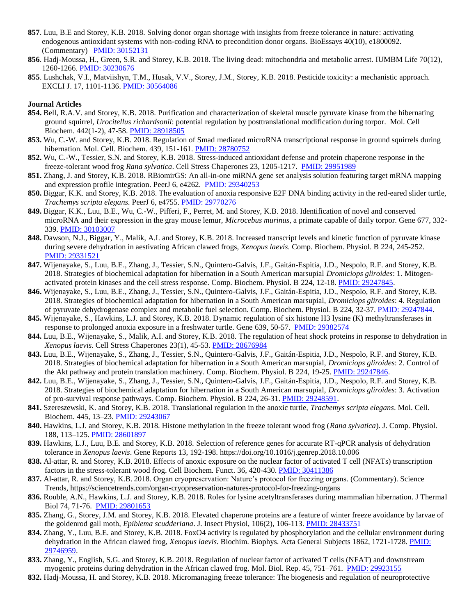- **857**. Luu, B.E and Storey, K.B. 2018. Solving donor organ shortage with insights from freeze tolerance in nature: activating endogenous antioxidant systems with non-coding RNA to precondition donor organs. BioEssays 40(10), e1800092. (Commentary) [PMID: 30152131](http://www.ncbi.nlm.nih.gov/pubmed/30152131)
- **856**. Hadj-Moussa, H., Green, S.R. and Storey, K.B. 2018. The living dead: mitochondria and metabolic arrest. IUMBM Life 70(12), 1260-1266. [PMID: 30230676](http://www.ncbi.nlm.nih.gov/pubmed/30230676)
- **855**. Lushchak, V.I., Matviishyn, T.M., Husak, V.V., Storey, J.M., Storey, K.B. 2018. Pesticide toxicity: a mechanistic approach. EXCLI J. 17, 1101-1136. [PMID: 30564086](http://www.ncbi.nlm.nih.gov/pubmed/30564086)

- **854.** Bell, R.A.V. and Storey, K.B. 2018. Purification and characterization of skeletal muscle pyruvate kinase from the hibernating ground squirrel, *Urocitellus richardsonii*: potential regulation by posttranslational modification during torpor. Mol. Cell Biochem. 442(1-2), 47-58. [PMID: 28918505](http://www.ncbi.nlm.nih.gov/pubmed/28918505)
- **853.** Wu, C.-W. and Storey, K.B. 2018. Regulation of Smad mediated microRNA transcriptional response in ground squirrels during hibernation. Mol. Cell. Biochem. 439, 151-161. PMID: 28780752
- **852.** Wu, C.-W., Tessier, S.N. and Storey, K.B. 2018. Stress-induced antioxidant defense and protein chaperone response in the freeze-tolerant wood frog *Rana sylvatica*. Cell Stress Chaperones 23, 1205-1217. [PMID: 29951989](http://www.ncbi.nlm.nih.gov/pubmed/29951989)
- **851.** Zhang, J. and Storey, K.B. 2018. RBiomirGS: An all-in-one miRNA gene set analysis solution featuring target mRNA mapping and expression profile integration. PeerJ 6, e4262. [PMID: 29340253](http://www.ncbi.nlm.nih.gov/pubmed/29340253)
- **850.** Biggar, K.K. and Storey, K.B. 2018. The evaluation of anoxia responsive E2F DNA binding activity in the red-eared slider turtle, *Trachemys scripta elegans.* PeerJ 6, e4755. [PMID: 29770276](http://www.ncbi.nlm.nih.gov/pubmed/29770276)
- **849.** Biggar, K.K., Luu, B.E., Wu, C.-W., Pifferi, F., Perret, M. and Storey, K.B. 2018. Identification of novel and conserved microRNA and their expression in the gray mouse lemur, *Microcebus murinus*, a primate capable of daily torpor. Gene 677, 332- 339. [PMID: 30103007](http://www.ncbi.nlm.nih.gov/pubmed/30103007)
- **848.** Dawson, N.J., Biggar, Y., Malik, A.I. and Storey, K.B. 2018. Increased transcript levels and kinetic function of pyruvate kinase during severe dehydration in aestivating African clawed frogs, *Xenopus laevis*. Comp. Biochem. Physiol. B 224, 245-252. [PMID: 29331521](http://www.ncbi.nlm.nih.gov/pubmed/29331521)
- **847.** Wijenayake, S., Luu, B.E., Zhang, J., Tessier, S.N., Quintero-Galvis, J.F., Gaitán-Espitia, J.D., Nespolo, R.F. and Storey, K.B. 2018. Strategies of biochemical adaptation for hibernation in a South American marsupial *Dromiciops gliroides*: 1. Mitogenactivated protein kinases and the cell stress response. Comp. Biochem. Physiol. B 224, 12-18. [PMID: 29247845.](http://www.ncbi.nlm.nih.gov/pubmed/29247845)
- **846.** Wijenayake, S., Luu, B.E., Zhang, J., Tessier, S.N., Quintero-Galvis, J.F., Gaitán-Espitia, J.D., Nespolo, R.F. and Storey, K.B. 2018. Strategies of biochemical adaptation for hibernation in a South American marsupial, *Dromiciops gliroides*: 4. Regulation of pyruvate dehydrogenase complex and metabolic fuel selection. Comp. Biochem. Physiol. B 224, 32-37. [PMID: 29247844.](http://www.ncbi.nlm.nih.gov/pubmed/29247844)
- **845.** Wijenayake, S., Hawkins, L.J. and Storey, K.B. 2018. Dynamic regulation of six histone H3 lysine (K) methyltransferases in response to prolonged anoxia exposure in a freshwater turtle. Gene 639, 50-57. [PMID: 29382574](http://www.ncbi.nlm.nih.gov/pubmed/29382574)
- **844.** Luu, B.E., Wijenayake, S., Malik, A.I. and Storey, K.B. 2018. The regulation of heat shock proteins in response to dehydration in *Xenopus laevis*. Cell Stress Chaperones 23(1), 45-53. [PMID: 28676984](http://www.ncbi.nlm.nih.gov/pubmed/28676984)
- **843.** Luu, B.E., Wijenayake, S., Zhang, J., Tessier, S.N., Quintero-Galvis, J.F., Gaitán-Espitia, J.D., Nespolo, R.F. and Storey, K.B. 2018. Strategies of biochemical adaptation for hibernation in a South American marsupial, *Dromiciops gliroides*: 2. Control of the Akt pathway and protein translation machinery. Comp. Biochem. Physiol. B 224, 19-25. [PMID: 29247846.](http://www.ncbi.nlm.nih.gov/pubmed/29247846)
- **842.** Luu, B.E., Wijenayake, S., Zhang, J., Tessier, S.N., Quintero-Galvis, J.F., Gaitán-Espitia, J.D., Nespolo, R.F. and Storey, K.B. 2018. Strategies of biochemical adaptation for hibernation in a South American marsupial, *Dromiciops gliroides*: 3. Activation of pro-survival response pathways. Comp. Biochem. Physiol. B 224, 26-31. [PMID: 29248591.](http://www.ncbi.nlm.nih.gov/pubmed/29248591)
- **841.** Szeres*z*ewski, K. and Storey, K.B. 2018. Translational regulation in the anoxic turtle, *Trachemys scripta elegans*. Mol. Cell. Biochem. 445, 13–23[. PMID: 29243067](http://www.ncbi.nlm.nih.gov/pubmed/29243067)
- **840.** Hawkins, L.J. and Storey, K.B. 2018. Histone methylation in the freeze tolerant wood frog (*Rana sylvatica*). J. Comp. Physiol. 188, 113–125[. PMID: 28601897](http://www.ncbi.nlm.nih.gov/pubmed/28601897)
- **839.** Hawkins, L.J., Luu, B.E. and Storey, K.B. 2018. Selection of reference genes for accurate RT-qPCR analysis of dehydration tolerance in *Xenopus laevis*. Gene Reports 13, 192-198. https://doi.org/10.1016/j.genrep.2018.10.006
- **838.** Al-attar, R. and Storey, K.B. 2018. Effects of anoxic exposure on the nuclear factor of activated T cell (NFATs) transcription factors in the stress-tolerant wood frog. Cell Biochem. Funct. 36, 420-430. [PMID: 30411386](http://www.ncbi.nlm.nih.gov/pubmed/30411386)
- **837.** Al-attar, R. and Storey, K.B. 2018. Organ cryopreservation: Nature's protocol for freezing organs. (Commentary). Science Trends, https://sciencetrends.com/organ-cryopreservation-natures-protocol-for-freezing-organs
- **836.** Rouble, A.N., Hawkins, L.J. and Storey, K.B. 2018. Roles for lysine acetyltransferases during mammalian hibernation. J Thermal Biol 74, 71-76. [PMID: 29801653](http://www.ncbi.nlm.nih.gov/pubmed/29801653)
- **835.** Zhang, G., Storey, J.M. and Storey, K.B. 2018. Elevated chaperone proteins are a feature of winter freeze avoidance by larvae of the goldenrod gall moth, *Epiblema scudderiana*. J. Insect Physiol, 106(2), 106-113. [PMID: 28433751](http://www.ncbi.nlm.nih.gov/pubmed/28433751)
- **834.** Zhang, Y., Luu, B.E. and Storey, K.B. 2018. FoxO4 activity is regulated by phosphorylation and the cellular environment during dehydration in the African clawed frog, *Xenopus laevis*. Biochim. Biophys. Acta General Subjects 1862, 1721-1728. PMID: [29746959.](http://www.ncbi.nlm.nih.gov/pubmed/29746959)
- **833.** Zhang, Y., English, S.G. and Storey, K.B. 2018. Regulation of nuclear factor of activated T cells (NFAT) and downstream myogenic proteins during dehydration in the African clawed frog. Mol. Biol. Rep. 45, 751–761. [PMID: 29923155](http://www.ncbi.nlm.nih.gov/pubmed/29923155)
- **832.** Hadj-Moussa, H. and Storey, K.B. 2018. Micromanaging freeze tolerance: The biogenesis and regulation of neuroprotective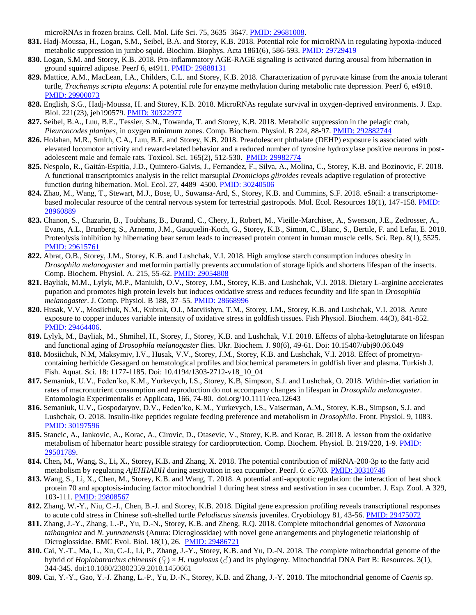microRNAs in frozen brains. Cell. Mol. Life Sci. 75, 3635–3647. [PMID: 29681008.](http://www.ncbi.nlm.nih.gov/pubmed/29681008)

- **831.** Hadj-Moussa, H., Logan, S.M., Seibel, B.A. and Storey, K.B. 2018. Potential role for microRNA in regulating hypoxia-induced metabolic suppression in jumbo squid. Biochim. Biophys. Acta 1861(6), 586-593. [PMID: 29729419](http://www.ncbi.nlm.nih.gov/pubmed/29729419)
- **830.** Logan, S.M. and Storey, K.B. 2018. Pro-inflammatory AGE-RAGE signaling is activated during arousal from hibernation in ground squirrel adipose. PeerJ 6, e4911. [PMID: 29888131](http://www.ncbi.nlm.nih.gov/pubmed/29888131)
- **829.** Mattice, A.M., MacLean, I.A., Childers, C.L. and Storey, K.B. 2018. Characterization of pyruvate kinase from the anoxia tolerant turtle, *Trachemys scripta elegans*: A potential role for enzyme methylation during metabolic rate depression. PeerJ 6, e4918. [PMID: 29900073](http://www.ncbi.nlm.nih.gov/pubmed/29900073)
- **828.** English, S.G., Hadj-Moussa, H. and Storey, K.B. 2018. MicroRNAs regulate survival in oxygen-deprived environments. J. Exp. Biol. 221(23), jeb190579[. PMID: 30322977](http://www.ncbi.nlm.nih.gov/pubmed/30322977)
- **827.** Seibel, B.A., Luu, B.E., Tessier, S.N., Towanda, T. and Storey, K.B. 2018. Metabolic suppression in the pelagic crab, *Pleuroncodes planipes*, in oxygen minimum zones. Comp. Biochem. Physiol. B 224, 88-97[. PMID: 292882744](http://www.ncbi.nlm.nih.gov/pubmed/29288744)
- **826.** Holahan, M.R., Smith, C.A., Luu, B.E. and Storey, K.B. 2018. Preadolescent phthalate (DEHP) exposure is associated with elevated locomotor activity and reward-related behavior and a reduced number of tyrosine hydroxylase positive neurons in postadolescent male and female rats. Toxicol. Sci. 165(2), 512-530. PMID: [29982774](http://www.ncbi.nlm.nih.gov/pubmed/29982774)
- **825.** Nespolo, R., Gaitán-Espitia, J.D., Quintero-Galvis, J., Fernandez, F., Silva, A., Molina, C., Storey, K.B. and Bozinovic, F. 2018. A functional transcriptomics analysis in the relict marsupial *Dromiciops gliroides* reveals adaptive regulation of protective function during hibernation. Mol. Ecol. 27, 4489–4500[. PMID: 30240506](http://www.ncbi.nlm.nih.gov/pubmed/30240506)
- **824.** Zhao, M., Wang, T., Stewart, M.J., Bose, U., Suwansa-Ard, S., Storey, K.B. and Cummins, S.F. 2018. eSnail: a transcriptomebased molecular resource of the central nervous system for terrestrial gastropods. Mol. Ecol. Resources 18(1), 147-158[. PMID:](http://www.ncbi.nlm.nih.gov/pubmed/28960889)  [28960889](http://www.ncbi.nlm.nih.gov/pubmed/28960889)
- **823.** Chanon, S., Chazarin, B., Toubhans, B., Durand, C., Chery, I., Robert, M., Vieille-Marchiset, A., Swenson, J.E., Zedrosser, A., Evans, A.L., Brunberg, S., Arnemo, J.M., Gauquelin-Koch, G., Storey, K.B., Simon, C., Blanc, S., Bertile, F. and Lefai, E. 2018. Proteolysis inhibition by hibernating bear serum leads to increased protein content in human muscle cells. Sci. Rep. 8(1), 5525. [PMID: 29615761](http://www.ncbi.nlm.nih.gov/pubmed/29615761)
- **822.** Abrat, O.B., Storey, J.M., Storey, K.B. and Lushchak, V.I. 2018. High amylose starch consumption induces obesity in *Drosophila melanogaster* and metformin partially prevents accumulation of storage lipids and shortens lifespan of the insects. Comp. Biochem. Physiol. A. 215, 55-62. [PMID: 29054808](http://www.ncbi.nlm.nih.gov/pubmed/29054808)
- **821.** Bayliak, M.M., Lylyk, M.P., Maniukh, O.V., Storey, J.M., Storey, K.B. and Lushchak, V.I. 2018. Dietary L-arginine accelerates pupation and promotes high protein levels but induces oxidative stress and reduces fecundity and life span in *Drosophila melanogaster*. J. Comp. Physiol. B 188, 37–55[. PMID: 28668996](http://www.ncbi.nlm.nih.gov/pubmed/28668996)
- **820.** Husak, V.V., Mosiichuk, N.M., Kubrak, O.I., Matviishyn, T.M., Storey, J.M., Storey, K.B. and Lushchak, V.I. 2018. Acute exposure to copper induces variable intensity of oxidative stress in goldfish tissues. Fish Physiol. Biochem. 44(3), 841-852. [PMID: 29464406.](http://www.ncbi.nlm.nih.gov/pubmed/29464406)
- **819.** Lylyk, M., Bayliak, M., Shmihel, H., Storey, J., Storey, K.B. and Lushchak, V.I. 2018. Effects of alpha-ketoglutarate on lifespan and functional aging of *Drosophila melanogaster* flies. Ukr. Biochem. J. 90(6), 49-61. Doi: 10.15407/ubj90.06.049
- **818.** Mosiichuk, N.M, Maksymiv, I.V., Husak, V.V., Storey, J.M., Storey, K.B. and Lushchak, V.I. 2018. Effect of prometryncontaining herbicide Gesagard on hematological profiles and biochemical parameters in goldfish liver and plasma. Turkish J. Fish. Aquat. Sci. 18: 1177-1185. Doi: 10.4194/1303-2712-v18\_10\_04
- **817.** Semaniuk, U.V., Feden'ko, K.M., Yurkevych, I.S., Storey, K.B, Simpson, S.J. and Lushchak, O. 2018. Within-diet variation in rates of macronutrient consumption and reproduction do not accompany changes in lifespan in *Drosophila melanogaster.* Entomologia Experimentalis et Applicata, 166, 74-80. doi.org/10.1111/eea.12643
- **816.** Semaniuk, U.V., Gospodaryov, D.V., Feden'ko, K.M., Yurkevych, I.S., Vaiserman, A.M., Storey, K.B., Simpson, S.J. and Lushchak, O. 2018. Insulin-like peptides regulate feeding preference and metabolism in *Drosophila*. Front. Physiol. 9, 1083. [PMID: 30197596](http://www.ncbi.nlm.nih.gov/pubmed/30197596)
- **815.** Stancic, A., Jankovic, A., Korac, A., Cirovic, D., Otasevic, V., Storey, K.B. and Korac, B. 2018. A lesson from the oxidative metabolism of hibernator heart: possible strategy for cardioprotection. Comp. Biochem. Physiol. B. 219/220, 1-9. [PMID:](http://www.ncbi.nlm.nih.gov/pubmed/29486721)  [29501789.](http://www.ncbi.nlm.nih.gov/pubmed/29486721)
- **814.** Chen**,** M**.**, Wang**,** S**.**, Li**,** X**.**, Storey**,** K**.**B**.** and Zhang, X. 2018. The potential contribution of miRNA-200-3p to the fatty acid metabolism by regulating *AjEHHADH* during aestivation in sea cucumber. PeerJ. 6: e5703[. PMID: 30310746](http://www.ncbi.nlm.nih.gov/pubmed/30310746)
- **813.** Wang, S., Li, X., Chen, M., Storey, K.B. and Wang, T. 2018. A potential anti-apoptotic regulation: the interaction of heat shock protein 70 and apoptosis-inducing factor mitochondrial 1 during heat stress and aestivation in sea cucumber. J. Exp. Zool. A 329, 103-111. [PMID: 29808567](http://www.ncbi.nlm.nih.gov/pubmed/28179395)
- **812.** Zhang, W.-Y., Niu, C.-J., Chen, B.-J. and Storey, K.B. 2018. Digital gene expression profiling reveals transcriptional responses to acute cold stress in Chinese soft-shelled turtle *Pelodiscus sinensis* juveniles. Cryobiology 81, 43-56. [PMID: 29475072](http://www.ncbi.nlm.nih.gov/pubmed/29475072)
- **811.** Zhang, J.-Y., Zhang, L.-P., Yu, D.-N., Storey, K.B. and Zheng, R.Q. 2018. Complete mitochondrial genomes of *Nanorana taihangnica* and *N. yunnanensis* (Anura: Dicroglossidae) with novel gene arrangements and phylogenetic relationship of Dicroglossidae. BMC Evol. Biol. 18(1), 26. [PMID: 29486721](http://www.ncbi.nlm.nih.gov/pubmed/29486721)
- **810.** Cai, Y.-T., Ma, L., Xu, C.-J., Li, P., Zhang, J.-Y., Storey, K.B. and Yu, D.-N. 2018. The complete mitochondrial genome of the hybrid of *Hoplobatrachus chinensis* (♀) × *H. rugulosus* (♂) and its phylogeny. Mitochondrial DNA Part B: Resources. 3(1), 344-345. doi:10.1080/23802359.2018.1450661
- **809.** Cai, Y.-Y., Gao, Y.-J. Zhang, L.-P., Yu, D.-N., Storey, K.B. and Zhang, J.-Y. 2018. The mitochondrial genome of *Caenis* sp.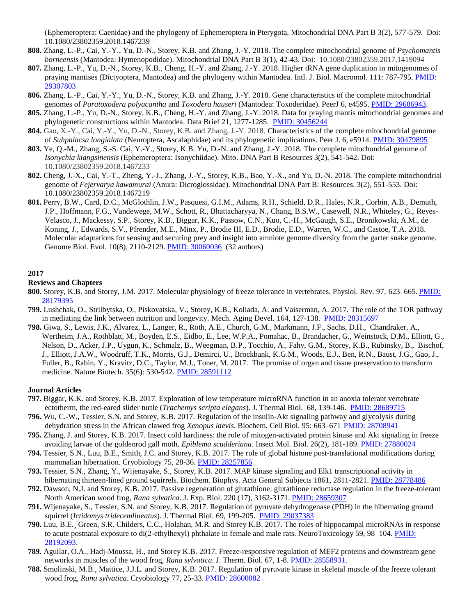(Ephemeroptera: Caenidae) and the phylogeny of Ephemeroptera in Pterygota, Mitochondrial DNA Part B 3(2), 577-579. Doi: 10.1080/23802359.2018.1467239

- **808.** Zhang, L.-P., Cai, Y.-Y., Yu, D.-N., Storey, K.B. and Zhang, J.-Y. 2018. The complete mitochondrial genome of *Psychomantis borneensis* (Mantodea: Hymenopodidae). Mitochondrial DNA Part B 3(1), 42-43. Doi: 10.1080/23802359.2017.1419094
- **807.** Zhang, L.-P., Yu, D.-N., Storey, K.B., Cheng. H.-Y. and Zhang, J.-Y. 2018. Higher tRNA gene duplication in mitogenomes of praying mantises (Dictyoptera, Mantodea) and the phylogeny within Mantodea. Intl. J. Biol. Macromol. 111: 787-795. [PMID:](http://www.ncbi.nlm.nih.gov/pubmed/29307803)  [29307803](http://www.ncbi.nlm.nih.gov/pubmed/29307803)
- **806.** Zhang, L.-P., Cai, Y.-Y., Yu, D.-N., Storey, K.B. and Zhang, J.-Y. 2018. Gene characteristics of the complete mitochondrial genomes of *Paratoxodera polyacantha* and *Toxodera hauseri* (Mantodea: Toxoderidae). PeerJ 6, e4595. [PMID: 29686943.](http://www.ncbi.nlm.nih.gov/pubmed/29686943)
- **805.** Zhang, L.-P., Yu, D.-N., Storey, K.B., Cheng, H.-Y. and Zhang, J.-Y. 2018. Data for praying mantis mitochondrial genomes and phylogenetic constructions within Mantodea. Data Brief 21, 1277-1285. [PMID: 30456244](http://www.ncbi.nlm.nih.gov/pubmed/30456244)
- **804.** Gao, X.-Y., Cai, Y.-Y., Yu, D.-N., Storey, K.B. and Zhang, J.-Y. 2018. Characteristics of the complete mitochondrial genome of *Suhpalacsa longialata* (Neuroptera, Ascalaphidae) and its phylogenetic implications. Peer J. 6, e5914[. PMID: 30479895](http://www.ncbi.nlm.nih.gov/pubmed/30479895)
- **803.** Ye, Q.-M., Zhang, S.-S. Cai, Y.-Y., Storey, K.B. Yu, D.-N. and Zhang, J.-Y. 2018. The complete mitochondrial genome of *Isonychia kiangsinensis* (Ephemeroptera: Isonychiidae). Mito. DNA Part B Resources 3(2), 541-542. Doi: 10.1080/23802359.2018.1467233
- **802.** Cheng, J.-X., Cai, Y.-T., Zheng, Y.-J., Zhang, J.-Y., Storey, K.B., Bao, Y.-X., and Yu, D.-N. 2018. The complete mitochondrial genome of *Fejervarya kawamurai* (Anura: Dicroglossidae). Mitochondrial DNA Part B: Resources. 3(2), 551-553. Doi: 10.1080/23802359.2018.1467219
- **801.** Perry, B.W., Card, D.C., McGlothlin, J.W., Pasquesi, G.I.M., Adams, R.H., Schield, D.R., Hales, N.R., Corbin, A.B., Demuth, J.P., Hoffmann, F.G., Vandewege, M.W., Schott, R., Bhattacharyya, N., Chang, B.S.W., Casewell, N.R., Whiteley, G., Reyes-Velasco, J., Mackessy, S.P., Storey, K.B., Biggar, K.K., Passow, C.N., Kuo, C.-H., McGaugh, S.E., Bronikowski, A.M., de Koning, J., Edwards, S.V., Pfrender, M.E., Minx, P., Brodie III, E.D., Brodie, E.D., Warren, W.C., and Castoe, T.A. 2018. Molecular adaptations for sensing and securing prey and insight into amniote genome diversity from the garter snake genome. Genome Biol. Evol. 10(8), 2110-2129. [PMID: 30060036](http://www.ncbi.nlm.nih.gov/pubmed/30060036) (32 authors)

## **2017**

#### **Reviews and Chapters**

- **800.** Storey, K.B. and Storey, J.M. 2017. Molecular physiology of freeze tolerance in vertebrates. Physiol. Rev. 97, 623–665. [PMID:](http://www.ncbi.nlm.nih.gov/pubmed/28179395)  [28179395](http://www.ncbi.nlm.nih.gov/pubmed/28179395)
- **799.** Lushchak, O., Strilbytska, O., Piskovatska, V., Storey, K.B., Koliada, A. and Vaiserman, A. 2017. The role of the TOR pathway in mediating the link between nutrition and longevity. Mech. Aging Devel. 164, 127-138. [PMID: 28315697](http://www.ncbi.nlm.nih.gov/pubmed/28315697)
- **798.** Giwa, S., Lewis, J.K., Alvarez, L., Langer, R., Roth, A.E., Church, G.M., Markmann, J.F., Sachs, D.H., Chandraker, A., Wertheim, J.A., Rothblatt, M., Boyden, E.S., Eidbo, E., Lee, W.P.A., Pomahac, B., Brandacher, G., Weinstock, D.M., Elliott, G., Nelson, D., Acker, J.P., Uygun, K., Schmalz, B., Weegman, B.P., Tocchio, A., Fahy, G.M., Storey, K.B., Rubinsky, B., Bischof, J., Elliott, J.A.W., Woodruff, T.K., Morris, G.J., Demirci, U., Brockbank, K.G.M., Woods, E.J., Ben, R.N., Baust, J.G., Gao, J., Fuller, B., Rabin, Y., Kravitz, D.C., Taylor, M.J., Toner, M. 2017. The promise of organ and tissue preservation to transform medicine. Nature Biotech. 35(6): 530-542. PMID: [28591112](http://www.ncbi.nlm.nih.gov/pubmed/28591112)

- **797.** Biggar, K.K. and Storey, K.B. 2017. Exploration of low temperature microRNA function in an anoxia tolerant vertebrate ectotherm, the red-eared slider turtle (*Trachemys scripta elegans*). J. Thermal Biol. 68, 139-146. [PMID: 28689715](http://www.ncbi.nlm.nih.gov/pubmed/28689715)
- **796.** Wu, C.-W., Tessier, S.N. and Storey, K.B. 2017. Regulation of the insulin-Akt signaling pathway and glycolysis during dehydration stress in the African clawed frog *Xenopus laevis*. Biochem. Cell Biol. 95: 663–671. [PMID: 28708941](http://www.ncbi.nlm.nih.gov/pubmed/28708941)
- **795.** Zhang, J. and Storey, K.B. 2017. Insect cold hardiness: the role of mitogen-activated protein kinase and Akt signaling in freeze avoiding larvae of the goldenrod gall moth, *Epiblema scudderiana*. Insect Mol. Biol. 26(2), 181-189. [PMID: 27880024](http://www.ncbi.nlm.nih.gov/pubmed/27880024)
- **794.** Tessier, S.N., Luu, B.E., Smith, J.C. and Storey, K.B. 2017. The role of global histone post-translational modifications during mammalian hibernation. Cryobiology 75, 28-36. [PMID: 28257856](http://www.ncbi.nlm.nih.gov/pubmed/28257856)
- **793.** Tessier, S.N., Zhang, Y., Wijenayake, S., Storey, K.B. 2017. MAP kinase signaling and Elk1 transcriptional activity in hibernating thirteen-lined ground squirrels. Biochem. Biophys. Acta General Subjects 1861, 2811-2821. [PMID: 28778486](http://www.ncbi.nlm.nih.gov/pubmed/28778486)
- **792.** Dawson, N.J. and Storey, K.B. 2017. Passive regeneration of glutathione: glutathione reductase regulation in the freeze-tolerant North American wood frog, *Rana sylvatica*. J. Exp. Biol. 220 (17), 3162-3171[. PMID: 28659307](http://www.ncbi.nlm.nih.gov/pubmed/28659307)
- **791.** Wijenayake, S., Tessier, S.N. and Storey, K.B. 2017. Regulation of pyruvate dehydrogenase (PDH) in the hibernating ground squirrel (*Ictidomys tridecemlineatus*). J. Thermal Biol. 69, 199-205. [PMID: 29037383](http://www.ncbi.nlm.nih.gov/pubmed/29037383)
- **790.** Luu, B.E.¸ Green, S.R. Childers, C.C., Holahan, M.R. and Storey K.B. 2017. The roles of hippocampal microRNAs in response to acute postnatal exposure to di(2-ethylhexyl) phthalate in female and male rats. NeuroToxicology 59, 98–104. PMID: [28192093.](http://www.ncbi.nlm.nih.gov/pubmed/28192093)
- **789.** Aguilar, O.A., Hadj-Moussa, H., and Storey K.B. 2017. Freeze-responsive regulation of MEF2 proteins and downstream gene networks in muscles of the wood frog, *Rana sylvatica.* J. Therm. Biol. 67, 1-8. [PMID: 28558931.](http://www.ncbi.nlm.nih.gov/pubmed/28558931)
- **788.** Smolinski, M.B., Mattice, J.J.L. and Storey, K.B. 2017. Regulation of pyruvate kinase in skeletal muscle of the freeze tolerant wood frog, *Rana sylvatica*. Cryobiology 77, 25-33[. PMID: 28600082](http://www.ncbi.nlm.nih.gov/pubmed/28600082)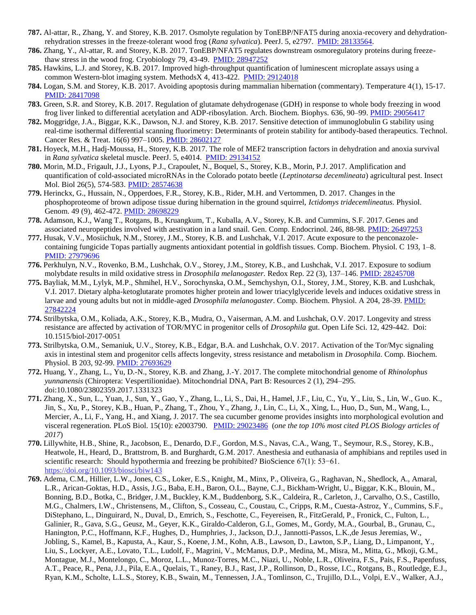- **787.** Al-attar, R., Zhang, Y. and Storey, K.B. 2017. Osmolyte regulation by TonEBP/NFAT5 during anoxia-recovery and dehydrationrehydration stresses in the freeze-tolerant wood frog (*Rana sylvatica*). PeerJ. 5, e2797. [PMID: 28133564.](http://www.ncbi.nlm.nih.gov/pubmed/28133564)
- **786.** Zhang, Y., Al-attar, R. and Storey, K.B. 2017. TonEBP/NFAT5 regulates downstream osmoregulatory proteins during freezethaw stress in the wood frog. Cryobiology 79, 43-49. [PMID: 28947252](http://www.ncbi.nlm.nih.gov/pubmed/28947252)
- **785.** Hawkins, L.J. and Storey, K.B. 2017. Improved high-throughput quantification of luminescent microplate assays using a common Western-blot imaging system. MethodsX 4, 413-422. [PMID: 29124018](http://www.ncbi.nlm.nih.gov/pubmed/29124018)
- **784.** Logan, S.M. and Storey, K.B. 2017. Avoiding apoptosis during mammalian hibernation (commentary). Temperature 4(1), 15-17. [PMID: 28417098](http://www.ncbi.nlm.nih.gov/pubmed/28417098)
- **783.** Green, S.R. and Storey, K.B. 2017. Regulation of glutamate dehydrogenase (GDH) in response to whole body freezing in wood frog liver linked to differential acetylation and ADP-ribosylation. Arch. Biochem. Biophys. 636, 90–99. [PMID: 29056417](http://www.ncbi.nlm.nih.gov/pubmed/29056417)
- **782.** Moggridge, J.A., Biggar, K.K., Dawson, N.J. and Storey, K.B. 2017. Sensitive detection of immunoglobulin G stability using real-time isothermal differential scanning fluorimetry: Determinants of protein stability for antibody-based therapeutics. Technol. Cancer Res. & Treat. 16(6) 997–1005. [PMID: 28602127](http://www.ncbi.nlm.nih.gov/pubmed/28602127)
- **781.** Hoyeck, M.H., Hadj-Moussa, H., Storey, K.B. 2017. The role of MEF2 transcription factors in dehydration and anoxia survival in *Rana sylvatica* skeletal muscle. PeerJ. 5, e4014. [PMID: 29134152](http://www.ncbi.nlm.nih.gov/pubmed/29134152)
- **780.** Morin, M.D., Frigault, J.J., Lyons, P.J., Crapoulet, N., Boquel, S., Storey, K.B., Morin, P.J. 2017. Amplification and quantification of cold-associated microRNAs in the Colorado potato beetle (*Leptinotarsa decemlineata*) agricultural pest. Insect Mol. Biol 26(5), 574-583. [PMID: 28574638](http://www.ncbi.nlm.nih.gov/pubmed/28574638)
- **779.** Herinckx, G., Hussain, N., Opperdoes, F.R., Storey, K.B., Rider, M.H. and Vertommen, D. 2017. Changes in the phosphoproteome of brown adipose tissue during hibernation in the ground squirrel, *Ictidomys tridecemlineatus.* Physiol. Genom. 49 (9), 462-472. [PMID: 28698229](http://www.ncbi.nlm.nih.gov/pubmed/28698229)
- **778.** Adamson, K.J., Wang T., Rotgans, B., Kruangkum, T., Kuballa, A.V., Storey, K.B. and Cummins, S.F. 2017. Genes and associated neuropeptides involved with aestivation in a land snail. Gen. Comp. Endocrinol. 246, 88-98. [PMID: 26497253](http://www.ncbi.nlm.nih.gov/pubmed/26497253)
- **777.** Husak, V.V., Mosiichuk, N.M., Storey, J.M., Storey, K.B. and Lushchak, V.I. 2017. Acute exposure to the penconazolecontaining fungicide Topas partially augments antioxidant potential in goldfish tissues. Comp. Biochem. Physiol. C 193, 1–8. [PMID: 27979696](http://www.ncbi.nlm.nih.gov/pubmed/27979696)
- **776.** Perkhulyn, N.V., Rovenko, B.M., Lushchak, O.V., Storey, J.M., Storey, K.B., and Lushchak, V.I. 2017. Exposure to sodium molybdate results in mild oxidative stress in *Drosophila melanogaster.* Redox Rep. 22 (3), 137–146. [PMID: 28245708](http://www.ncbi.nlm.nih.gov/pubmed/28245708)
- **775.** Bayliak, M.M., Lylyk, M.P., Shmihel, H.V., Sorochynska, O.M., Semchyshyn, O.I., Storey, J.M., Storey, K.B. and Lushchak, V.I. 2017. Dietary alpha-ketoglutarate promotes higher protein and lower triacylglyceride levels and induces oxidative stress in larvae and young adults but not in middle-aged *Drosophila melanogaster*. Comp. Biochem. Physiol. A 204, 28-39. [PMID:](http://www.ncbi.nlm.nih.gov/pubmed/27842224)  [27842224](http://www.ncbi.nlm.nih.gov/pubmed/27842224)
- **774.** Strilbytska, O.M., Koliada, A.K., Storey, K.B., Mudra, O., Vaiserman, A.M. and Lushchak, O.V. 2017. Longevity and stress resistance are affected by activation of TOR/MYC in progenitor cells of *Drosophila* gut. Open Life Sci. 12, 429-442. Doi: 10.1515/biol-2017-0051
- **773.** Strilbytska, O.M., Semaniuk, U.V., Storey, K.B., Edgar, B.A. and Lushchak, O.V. 2017. Activation of the Tor/Myc signaling axis in intestinal stem and progenitor cells affects longevity, stress resistance and metabolism in *Drosophila*. Comp. Biochem. Physiol. B 203, 92-99. [PMID: 27693629](http://www.ncbi.nlm.nih.gov/pubmed/27693629)
- **772.** Huang, Y., Zhang, L., Yu, D.-N., Storey, K.B. and Zhang, J.-Y. 2017. The complete mitochondrial genome of *Rhinolophus yunnanensis* (Chiroptera: Vespertilionidae). Mitochondrial DNA, Part B: Resources 2 (1), 294–295. doi:10.1080/23802359.2017.1331323
- **771.** Zhang, X., Sun, L., Yuan, J., Sun, Y., Gao, Y., Zhang, L., Li, S., Dai, H., Hamel, J.F., Liu, C., Yu, Y., Liu, S., Lin, W., Guo. K., Jin, S., Xu, P., Storey, K.B., Huan, P., Zhang, T., Zhou, Y., Zhang, J., Lin, C., Li, X., Xing, L., Huo, D., Sun, M., Wang, L., Mercier, A., Li, F., Yang, H., and Xiang, J. 2017. The sea cucumber genome provides insights into morphological evolution and visceral regeneration. PLoS Biol. 15(10): e2003790. [PMID: 29023486](http://www.ncbi.nlm.nih.gov/pubmed/29023486) (*one the top [10% most cited PLOS Biology](http://click.e.plos.org/?qs=a88b4e15d2b98303c4cc053f12b251a0b06a2fba806a27952e3ffce6824b42154cfbb9c1d8508d12bbfb26ca78b76511915cfcc1d1e11ec2) articles of 2017*)
- **770.** Lillywhite, H.B., Shine, R., Jacobson, E., Denardo, D.F., Gordon, M.S., Navas, C.A., Wang, T., Seymour, R.S., Storey, K.B., Heatwole, H., Heard, D., Brattstrom, B. and Burghardt, G.M. 2017. Anesthesia and euthanasia of amphibians and reptiles used in scientific research: Should hypothermia and freezing be prohibited? BioScience 67(1): 53−61. <https://doi.org/10.1093/biosci/biw143>
- **769.** Adema, C.M., Hillier, L.W., Jones, C.S., Loker, E.S., Knight, M., Minx, P., Oliveira, G., Raghavan, N., Shedlock, A., Amaral, L.R., Arican-Goktas, H.D., Assis, J.G., Baba, E.H., Baron, O.L., Bayne, C.J., Bickham-Wright, U., Biggar, K.K., Blouin, M., Bonning, B.D., Botka, C., Bridger, J.M., Buckley, K.M., Buddenborg, S.K., Caldeira, R., Carleton, J., Carvalho, O.S., Castillo, M.G., Chalmers, I.W., Christensens, M., Clifton, S., Cosseau, C., Coustau, C., Cripps, R.M., Cuesta-Astroz, Y., Cummins, S.F., DiStephano, L., Dinguirard, N., Duval, D., Emrich, S., Feschotte, C., Feyereisen, R., FitzGerald, P., Fronick, C., Fulton, L., Galinier, R., Gava, S.G., Geusz, M., Geyer, K.K., Giraldo-Calderon, G.I., Gomes, M., Gordy, M.A., Gourbal, B., Grunau, C., Hanington, P.C., Hoffmann, K.F., Hughes, D., Humphries, J., Jackson, D.J., Jannotti-Passos, L.K.,de Jesus Jeremias, W., Jobling, S., Kamel, B., Kapusta, A., Kaur, S., Koene, J.M., Kohn, A.B., Lawson, D., Lawton, S.P., Liang, D., Limpanont, Y., Liu, S., Lockyer, A.E., Lovato, T.L., Ludolf, F., Magrini, V., McManus, D.P., Medina, M., Misra, M., Mitta, G., Mkoji, G.M., Montague, M.J., Montelongo, C., Moroz, L.L., Munoz-Torres, M.C., Niazi, U., Noble, L.R., Oliveira, F.S., Pais, F.S., Papenfuss, A.T., Peace, R., Pena, J.J., Pila, E.A., Quelais, T., Raney, B.J., Rast, J.P., Rollinson, D., Rosse, I.C., Rotgans, B., Routledge, E.J., Ryan, K.M., Scholte, L.L.S., Storey, K.B., Swain, M., Tennessen, J.A., Tomlinson, C., Trujillo, D.L., Volpi, E.V., Walker, A.J.,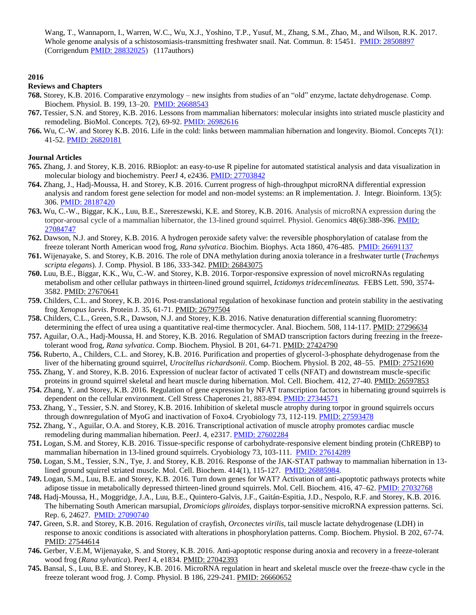Wang, T., Wannaporn, I., Warren, W.C., Wu, X.J., Yoshino, T.P., Yusuf, M., Zhang, S.M., Zhao, M., and Wilson, R.K. 2017. Whole genome analysis of a schistosomiasis-transmitting freshwater snail. Nat. Commun. 8: 15451. PMID: 28508897 (Corrigendum [PMID: 28832025\)](http://www.ncbi.nlm.nih.gov/pubmed/28832025) (117authors)

# **2016**

## **Reviews and Chapters**

- **768.** Storey, K.B. 2016. Comparative enzymology new insights from studies of an "old" enzyme, lactate dehydrogenase. Comp. Biochem. Physiol. B. 199, 13–20. [PMID: 26688543](http://www.ncbi.nlm.nih.gov/pubmed/26688543)
- **767.** Tessier, S.N. and Storey, K.B. 2016. Lessons from mammalian hibernators: molecular insights into striated muscle plasticity and remodeling. BioMol. Concepts. 7(2), 69-92. [PMID: 26982616](http://www.ncbi.nlm.nih.gov/pubmed/26982616)
- **766.** Wu, C.-W. and Storey K.B. 2016. Life in the cold: links between mammalian hibernation and longevity. Biomol. Concepts 7(1): 41-52. [PMID: 26820181](http://www.ncbi.nlm.nih.gov/pubmed/26820181)

- **765.** Zhang, J. and Storey, K.B. 2016. RBioplot: an easy-to-use R pipeline for automated statistical analysis and data visualization in molecular biology and biochemistry. PeerJ 4, e2436. [PMID: 27703842](http://www.ncbi.nlm.nih.gov/pubmed/27703842)
- **764.** Zhang, J., Hadj-Moussa, H. and Storey, K.B. 2016. Current progress of high-throughput microRNA differential expression analysis and random forest gene selection for model and non-model systems: an R implementation. J. Integr. Bioinform. 13(5): 306. [PMID: 28187420](http://www.ncbi.nlm.nih.gov/pubmed/28187420)
- **763.** Wu, C.-W., Biggar, K.K., Luu, B.E., Szereszewski, K.E. and Storey, K.B. 2016. Analysis of microRNA expression during the torpor-arousal cycle of a mammalian hibernator, the 13-lined ground squirrel. Physiol. Genomics 48(6):388-396. [PMID:](http://www.ncbi.nlm.nih.gov/pubmed/27084747)  [27084747](http://www.ncbi.nlm.nih.gov/pubmed/27084747)
- **762.** Dawson, N.J. and Storey, K.B. 2016. A hydrogen peroxide safety valve: the reversible phosphorylation of catalase from the freeze tolerant North American wood frog, *Rana sylvatica*. Biochim. Biophys. Acta 1860, 476-485. [PMID: 26691137](http://www.ncbi.nlm.nih.gov/pubmed/26691137)
- **761.** Wijenayake, S. and Storey, K.B. 2016. The role of DNA methylation during anoxia tolerance in a freshwater turtle (*Trachemys scripta elegans*). J. Comp. Physiol. B 186, 333-342. PMID: [26843075](http://www.ncbi.nlm.nih.gov/pubmed/26843075)
- **760.** Luu, B.E., Biggar, K.K., Wu, C.-W. and Storey, K.B. 2016. Torpor-responsive expression of novel microRNAs regulating metabolism and other cellular pathways in thirteen-lined ground squirrel, *Ictidomys tridecemlineatus.* FEBS Lett. 590, 3574- 3582. [PMID: 27670641](http://www.ncbi.nlm.nih.gov/pubmed/27670641)
- **759.** Childers, C.L. and Storey, K.B. 2016. Post-translational regulation of hexokinase function and protein stability in the aestivating frog *Xenopus laevis*. Protein J. 35, 61-71[. PMID: 26797504](http://www.ncbi.nlm.nih.gov/pubmed/26797504)
- **758.** Childers, C.L., Green, S.R., Dawson, N.J. and Storey, K.B. 2016. Native denaturation differential scanning fluorometry: determining the effect of urea using a quantitative real-time thermocycler. Anal. Biochem. 508, 114-117. [PMID: 27296634](http://www.ncbi.nlm.nih.gov/pubmed/27296623)
- **757.** Aguilar, O.A., Hadj-Moussa, H. and Storey, K.B. 2016. Regulation of SMAD transcription factors during freezing in the freezetolerant wood frog, *Rana sylvatica*. Comp. Biochem. Physiol. B 201, 64-71. [PMID: 27424790](http://www.ncbi.nlm.nih.gov/pubmed/27424790)
- **756.** Ruberto, A., Childers, C.L. and Storey, K.B. 2016. Purification and properties of glycerol-3-phosphate dehydrogenase from the liver of the hibernating ground squirrel, *Urocitellus richardsonii*. Comp. Biochem. Physiol. B 202, 48–55. [PMID: 27521690](http://www.ncbi.nlm.nih.gov/pubmed/27521690)
- **755.** Zhang, Y. and Storey, K.B. 2016. Expression of nuclear factor of activated T cells (NFAT) and downstream muscle-specific proteins in ground squirrel skeletal and heart muscle during hibernation. Mol. Cell. Biochem. 412, 27-40. [PMID: 26597853](http://www.ncbi.nlm.nih.gov/pubmed/26597853)
- **754.** Zhang, Y. and Storey, K.B. 2016. Regulation of gene expression by NFAT transcription factors in hibernating ground squirrels is dependent on the cellular environment. Cell Stress Chaperones 21, 883-894. [PMID: 27344571](http://www.ncbi.nlm.nih.gov/pubmed/27344571)
- **753.** Zhang, Y., Tessier, S.N. and Storey, K.B. 2016. Inhibition of skeletal muscle atrophy during torpor in ground squirrels occurs through downregulation of MyoG and inactivation of Foxo4. Cryobiology 73, 112-119. [PMID: 27593478](http://www.ncbi.nlm.nih.gov/pubmed/27593748)
- **752.** Zhang, Y., Aguilar, O.A. and Storey, K.B. 2016. Transcriptional activation of muscle atrophy promotes cardiac muscle remodeling during mammalian hibernation. PeerJ. 4, e2317[. PMID: 27602284](http://www.ncbi.nlm.nih.gov/pubmed/27602284)
- **751.** Logan, S.M. and Storey, K.B. 2016. Tissue-specific response of carbohydrate-responsive element binding protein (ChREBP) to mammalian hibernation in 13-lined ground squirrels. Cryobiology 73, 103-111. [PMID: 27614289](http://www.ncbi.nlm.nih.gov/pubmed/27614289)
- **750.** Logan, S.M., Tessier, S.N., Tye, J. and Storey, K.B. 2016. Response of the JAK-STAT pathway to mammalian hibernation in 13 lined ground squirrel striated muscle. Mol. Cell. Biochem. 414(1), 115-127. [PMID: 26885984.](http://www.ncbi.nlm.nih.gov/pubmed/26885984)
- **749.** Logan, S.M., Luu, B.E. and Storey, K.B. 2016. Turn down genes for WAT? Activation of anti-apoptotic pathways protects white adipose tissue in metabolically depressed thirteen-lined ground squirrels. Mol. Cell. Biochem. 416, 47–62. [PMID: 27032768](http://www.ncbi.nlm.nih.gov/pubmed/27032768)
- **748.** Hadj-Moussa, H., Moggridge, J.A., Luu, B.E., Quintero-Galvis, J.F., Gaitán-Espitia, J.D., Nespolo, R.F. and Storey, K.B. 2016. The hibernating South American marsupial, *Dromiciops gliroides,* displays torpor-sensitive microRNA expression patterns. Sci. Rep. 6, 24627. [PMID: 27090740](http://www.ncbi.nlm.nih.gov/pubmed/27090740)
- **747.** Green, S.R. and Storey, K.B. 2016. Regulation of crayfish, *Orconectes virilis*, tail muscle lactate dehydrogenase (LDH) in response to anoxic conditions is associated with alterations in phosphorylation patterns. Comp. Biochem. Physiol. B 202, 67-74. [PMID: 27544614](http://www.ncbi.nlm.nih.gov/pubmed/27544614)
- **746.** Gerber, V.E.M, Wijenayake, S. and Storey, K.B. 2016. Anti-apoptotic response during anoxia and recovery in a freeze-tolerant wood frog (*Rana sylvatica*). PeerJ 4, e1834. [PMID: 27042393](http://www.ncbi.nlm.nih.gov/pubmed/27042393)
- **745.** Bansal, S., Luu, B.E. and Storey, K.B. 2016. MicroRNA regulation in heart and skeletal muscle over the freeze-thaw cycle in the freeze tolerant wood frog. J. Comp. Physiol. B 186, 229-241. [PMID: 26660652](http://www.ncbi.nlm.nih.gov/pubmed/26660652)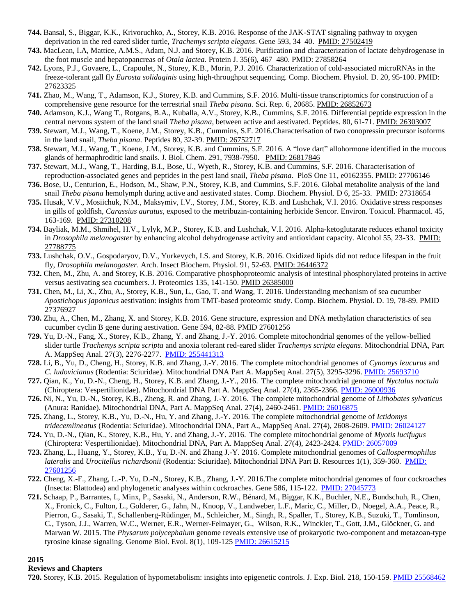- **744.** Bansal, S., Biggar, K.K., Krivoruchko, A., Storey, K.B. 2016. Response of the JAK-STAT signaling pathway to oxygen deprivation in the red eared slider turtle, *Trachemys scripta elegans*. Gene 593, 34–40. [PMID: 27502419](http://www.ncbi.nlm.nih.gov/pubmed/27502419)
- **743.** MacLean, I.A, Mattice, A.M.S., Adam, N.J. and Storey, K.B. 2016. Purification and characterization of lactate dehydrogenase in the foot muscle and hepatopancreas of *Otala lactea.* Protein J. 35(6), 467–480. [PMID: 27858264](http://www.ncbi.nlm.nih.gov/pubmed/27858264)
- **742.** Lyons, P.J., Govaere, L., Crapoulet, N., Storey, K.B., Morin, P.J. 2016. Characterization of cold-associated microRNAs in the freeze-tolerant gall fly *Eurosta solidaginis* using high-throughput sequencing. Comp. Biochem. Physiol. D. 20, 95-100. [PMID:](http://www.ncbi.nlm.nih.gov/pubmed/27623325)  [27623325](http://www.ncbi.nlm.nih.gov/pubmed/27623325)
- **741.** Zhao, M., Wang, T., Adamson, K.J., Storey, K.B. and Cummins, S.F. 2016. Multi-tissue transcriptomics for construction of a comprehensive gene resource for the terrestrial snail *Theba pisana.* Sci. Rep. 6, 20685[. PMID: 26852673](http://www.ncbi.nlm.nih.gov/pubmed/26852673)
- **740.** Adamson, K.J., Wang T., Rotgans, B.A., Kuballa, A.V., Storey, K.B., Cummins, S.F. 2016. Differential peptide expression in the central nervous system of the land snail *Theba pisana*, between active and aestivated. Peptides. 80, 61-71. [PMID: 26303007](http://www.ncbi.nlm.nih.gov/pubmed/26303007)
- **739.** Stewart, M.J., Wang, T., Koene, J.M., Storey, K.B., Cummins, S.F. 2016.Characterisation of two conopressin precursor isoforms in the land snail, *Theba pisana*. [Peptides 8](http://www.ncbi.nlm.nih.gov/pubmed/26752717)0, 32-39. [PMID: 26752717](http://www.ncbi.nlm.nih.gov/pubmed/26752717)
- **738.** Stewart, M.J., Wang, T., Koene, J.M., Storey, K.B. and Cummins, S.F. 2016. A "love dart" allohormone identified in the mucous glands of hermaphroditic land snails. J. Biol. Chem. 291, 7938-7950. [PMID: 26817846](http://www.ncbi.nlm.nih.gov/pubmed/26817846)
- **737.** Stewart, M.J., Wang, T., Harding, B.I., Bose, U., Wyeth, R., Storey, K.B. and Cummins, S.F. 2016. Characterisation of reproduction-associated genes and peptides in the pest land snail, *Theba pisana*. PloS One 11, e0162355[. PMID: 27706146](http://www.ncbi.nlm.nih.gov/pubmed/27706146)
- **736.** Bose, U., Centurion, E., Hodson, M., Shaw, P.N., Storey, K.B, and Cummins, S.F. 2016. Global metabolite analysis of the land snail *Theba pisana* hemolymph during active and aestivated states. Comp. Biochem. Physiol. D 6, 25-33. [PMID: 27318654](http://www.ncbi.nlm.nih.gov/pubmed/27318654)
- **735.** Husak, V.V., Mosiichuk, N.M., Maksymiv, I.V., Storey, J.M., Storey, K.B. and Lushchak, V.I. 2016. Oxidative stress responses in gills of goldfish, *Carassius auratus*, exposed to the metribuzin-containing herbicide Sencor. Environ. Toxicol. Pharmacol. 45, 163-169. [PMID: 27310208](http://www.ncbi.nlm.nih.gov/pubmed/27310208)
- **734.** Bayliak, M.M., Shmihel, H.V., Lylyk, M.P., Storey, K.B. and Lushchak, V.I. 2016. Alpha-ketoglutarate reduces ethanol toxicity in *Drosophila melanogaster* by enhancing alcohol dehydrogenase activity and antioxidant capacity. Alcohol 55, 23-33. [PMID:](http://www.ncbi.nlm.nih.gov/pubmed/27788775)  [27788775](http://www.ncbi.nlm.nih.gov/pubmed/27788775)
- **733.** Lushchak, O.V., Gospodaryov, D.V., Yurkevych, I.S. and Storey, K.B. 2016. Oxidized lipids did not reduce lifespan in the fruit fly, *Drosophila melanogaster*. Arch. Insect Biochem. Physiol. 91, 52-63. [PMID: 26446372](http://www.ncbi.nlm.nih.gov/pubmed/26446372)
- **732.** Chen, M., Zhu, A. and Storey, K.B. 2016. Comparative phosphoproteomic analysis of intestinal phosphorylated proteins in active versus aestivating sea cucumbers. J. Proteomics 135, 141-150. [PMID 26385000](http://www.ncbi.nlm.nih.gov/pubmed/26385000)
- **731.** Chen, M., Li, X., Zhu, A., Storey, K.B., Sun, L., Gao, T. and Wang, T. 2016. Understanding mechanism of sea cucumber *Apostichopus japonicus* aestivation: insights from TMT-based proteomic study. Comp. Biochem. Physiol. D. 19, 78-89. [PMID](http://www.ncbi.nlm.nih.gov/pubmed/27376927)  [27376927](http://www.ncbi.nlm.nih.gov/pubmed/27376927)
- **730.** Zhu, A., Chen, M., Zhang, X. and Storey, K.B. 2016. Gene structure, expression and DNA methylation characteristics of sea cucumber cyclin B gene during aestivation. Gene 594, 82-88. [PMID 27601256](http://www.ncbi.nlm.nih.gov/pubmed/27601256)
- **729.** Yu, D.-N., Fang, X., Storey, K.B., Zhang, Y. and Zhang, J.-Y. 2016. Complete mitochondrial genomes of the yellow-bellied slider turtle *Trachemys scripta scripta* and anoxia tolerant red-eared slider *Trachemys scripta elegans*. Mitochondrial DNA, Part A. MappSeq Anal. 27(3), 2276-2277. [PMID: 255441313](http://www.ncbi.nlm.nih.gov/pubmed/25541313)
- **728.** Li, B., Yu, D., Cheng, H., Storey, K.B. and Zhang, J.-Y. 2016. The complete mitochondrial genomes of *Cynomys leucurus* and *C. ludovicianus* (Rodentia: Sciuridae). Mitochondrial DNA Part A. MappSeq Anal. 27(5), 3295-3296. [PMID: 25693710](http://www.ncbi.nlm.nih.gov/pubmed/25693710)
- **727.** Qian, K., Yu, D.-N., Cheng, H., Storey, K.B. and Zhang, J.-Y., 2016. The complete mitochondrial genome of *Nyctalus noctula*  [\(Chiroptera:](http://www.ncbi.nlm.nih.gov/Taxonomy/Browser/wwwtax.cgi?mode=Undef&id=9397&lvl=3&lin=f&keep=1&srchmode=1&unlock) [Vespertilionidae\)](http://www.ncbi.nlm.nih.gov/Taxonomy/Browser/wwwtax.cgi?mode=Undef&id=9431&lvl=3&lin=f&keep=1&srchmode=1&unlock). Mitochondrial DNA Part A. MappSeq Anal. 27(4), 2365-2366. [PMID: 26000936](http://www.ncbi.nlm.nih.gov/pubmed/26000936)
- **726.** Ni, N., Yu, D.-N., Storey, K.B., Zheng, R. and Zhang, J.-Y. 2016. The complete mitochondrial genome of *Lithobates sylvaticus*  (Anura: Ranidae). Mitochondrial DNA, Part A. MappSeq Anal. 27(4), 2460-2461. [PMID: 26016875](http://www.ncbi.nlm.nih.gov/pubmed/26016875)
- **725.** Zhang, L., Storey, K.B., Yu, D.-N., Hu, Y. and Zhang, J.-Y. 2016. The complete mitochondrial genome of *Ictidomys tridecemlineatus* (Rodentia: Sciuridae). Mitochondrial DNA, Part A., MappSeq Anal. 27(4), 2608-2609[. PMID: 26024127](http://www.ncbi.nlm.nih.gov/pubmed/2624127)
- **724.** Yu, D.-N., Qian, K., Storey, K.B., Hu, Y. and Zhang, J.-Y. 2016. The complete mitochondrial genome of *Myotis lucifugus*  (Chiroptera: Vespertilionidae). Mitochondrial DNA, Part A. MappSeq Anal. 27(4), 2423-2424. [PMID: 26057009](http://www.ncbi.nlm.nih.gov/pubmed/26057009)
- **723.** Zhang, L., Huang, Y., Storey, K.B., Yu, D.-N. and Zhang J.-Y. 2016. Complete mitochondrial genomes of *Callospermophilus lateralis* and *Urocitellus richardsonii* (Rodentia: Sciuridae). Mitochondrial DNA Part B. Resources 1(1), 359-360. [PMID:](http://www.ncbi.nlm.nih.gov/pubmed/27601256)  [27601256](http://www.ncbi.nlm.nih.gov/pubmed/27601256)
- **722.** Cheng, X.-F., Zhang, L.-P. Yu, D.-N., Storey, K.B., Zhang, J.-Y. 2016.The complete mitochondrial genomes of four cockroaches (Insecta: Blattodea) and phylogenetic analyses within cockroaches. Gene 586, 115-122. [PMID: 27045773](http://www.ncbi.nlm.nih.gov/pubmed/27045773)
- **721.** Schaap, P., Barrantes, I., Minx, P., Sasaki, N., Anderson, R.W., Bénard, M., Biggar, K.K., Buchler, N.E., Bundschuh, R., Chen, X., Fronick, C., Fulton, L., Golderer, G., Jahn, N., Knoop, V., Landweber, L.F., Maric, C., Miller, D., Noegel, A.A., Peace, R., Pierron, G., Sasaki, T., Schallenberg-Rüdinger, M., Schleicher, M., Singh, R., Spaller, T., Storey, K.B., Suzuki, T., Tomlinson, C., Tyson, J.J., Warren, W.C., Werner, E.R., Werner-Felmayer, G., Wilson, R.K., Winckler, T., Gott, J.M., Glöckner, G. and Marwan W. 2015. The *Physarum polycephalum* genome reveals extensive use of prokaryotic two-component and metazoan-type tyrosine kinase signaling. Genome Biol. Evol. 8(1), 109-125 [PMID: 26615215](http://www.ncbi.nlm.nih.gov/pubmed/26615215)

# **Reviews and Chapters**

**720.** Storey, K.B. 2015. Regulation of hypometabolism: insights into epigenetic controls. J. Exp. Biol. 218, 150-159. [PMID 25568462](http://www.ncbi.nlm.nih.gov/pubmed/25568462)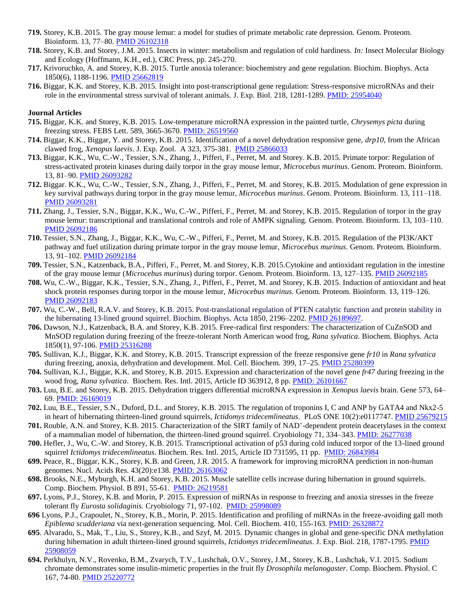- **719.** Storey, K.B. 2015. The gray mouse lemur: a model for studies of primate metabolic rate depression. Genom. Proteom. Bioinform. 13, 77–80. [PMID 26102318](http://www.ncbi.nlm.nih.gov/pubmed/26102318)
- **718.** Storey, K.B. and Storey, J.M. 2015. Insects in winter: metabolism and regulation of cold hardiness. *In:* Insect Molecular Biology and Ecology (Hoffmann, K.H., ed.), CRC Press, pp. 245-270.
- **717.** Krivoruchko, A. and Storey, K.B. 2015. Turtle anoxia tolerance: biochemistry and gene regulation. Biochim. Biophys. Acta 1850(6), 1188-1196. [PMID 25662819](http://www.ncbi.nlm.nih.gov/pubmed/25662819)
- **716.** Biggar, K.K. and Storey, K.B. 2015. Insight into post-transcriptional gene regulation: Stress-responsive microRNAs and their role in the environmental stress survival of tolerant animals. J. Exp. Biol. 218, 1281-1289. [PMID: 25954040](http://www.ncbi.nlm.nih.gov/pubmed/25954040)

- **715.** Biggar, K.K. and Storey, K.B. 2015. Low-temperature microRNA expression in the painted turtle, *Chrysemys picta* during freezing stress. FEBS Lett. 589, 3665-3670. [PMID: 26519560](http://www.ncbi.nlm.nih.gov/pubmed/26519560)
- **714.** Biggar, K.K., Biggar, Y. and Storey, K.B. 2015. Identification of a novel dehydration responsive gene, *drp10*, from the African clawed frog, *Xenopus laevis*. J. Exp. Zool. A 323, 375-381. [PMID 25866033](http://www.ncbi.nlm.nih.gov/pubmed/25866033)
- **713.** Biggar, K.K., Wu, C.-W., Tessier, S.N., Zhang, J., Pifferi, F., Perret, M. and Storey. K.B. 2015. Primate torpor: Regulation of stress-activated protein kinases during daily torpor in the gray mouse lemur, *Microcebus murinus*. Genom. Proteom. Bioinform. 13, 81–90[. PMID 26093282](http://www.ncbi.nlm.nih.gov/pubmed/26093282)
- **712.** Biggar. K.K., Wu, C.-W., Tessier, S.N., Zhang, J., Pifferi, F., Perret, M. and Storey, K.B. 2015. Modulation of gene expression in key survival pathways during torpor in the gray mouse lemur, *Microcebus murinus*. Genom. Proteom. Bioinform. 13, 111–118. [PMID 26093281](http://www.ncbi.nlm.nih.gov/pubmed/26093281)
- **711.** Zhang, J., Tessier, S.N., Biggar, K.K., Wu, C.-W., Pifferi, F., Perret, M. and Storey, K.B. 2015. Regulation of torpor in the gray mouse lemur: transcriptional and translational controls and role of AMPK signaling*.* Genom. Proteom. Bioinform. 13, 103–110. [PMID 26092186](http://www.ncbi.nlm.nih.gov/pubmed/26092186)
- **710.** Tessier, S.N., Zhang, J., Biggar, K.K., Wu, C.-W., Pifferi, F., Perret, M. and Storey, K.B. 2015. Regulation of the PI3K/AKT pathway and fuel utilization during primate torpor in the gray mouse lemur, *Microcebus murinus*. Genom. Proteom. Bioinform. 13, 91–102[. PMID 26092184](http://www.ncbi.nlm.nih.gov/pubmed/26092184)
- **709.** Tessier, S.N., Katzenback, B.A., Pifferi, F., Perret, M. and Storey, K.B. 2015.Cytokine and antioxidant regulation in the intestine of the gray mouse lemur (*Microcebus murinus*) during torpor. Genom. Proteom. Bioinform. 13, 127–135[. PMID 26092185](http://www.ncbi.nlm.nih.gov/pubmed/26092185)
- **708.** Wu, C.-W., Biggar, K.K., Tessier, S.N., Zhang, J., Pifferi, F., Perret, M. and Storey, K.B. 2015. Induction of antioxidant and heat shock protein responses during torpor in the mouse lemur, *Microcebus murinus*. Genom. Proteom. Bioinform. 13, 119–126. [PMID 26092183](http://www.ncbi.nlm.nih.gov/pubmed/26092183)
- **707.** Wu, C.-W., Bell, R.A.V. and Storey, K.B. 2015. Post-translational regulation of PTEN catalytic function and protein stability in the hibernating 13-lined ground squirrel. Biochim. Biophys. Acta 1850, 2196–2202. [PMID 26189697.](http://www.ncbi.nlm.nih.gov/pubmed/26189697)
- **706.** Dawson, N.J., Katzenback, B.A. and Storey, K.B. 2015. Free-radical first responders: The characterization of CuZnSOD and MnSOD regulation during freezing of the freeze-tolerant North American wood frog, *Rana sylvatica.* Biochem. Biophys. Acta 1850(1), 97-106[. PMID 25316288](http://www.ncbi.nlm.nih.gov/pubmed/25316288)
- **705.** Sullivan, K.J., Biggar, K.K. and Storey, K.B. 2015. Transcript expression of the freeze responsive gene *fr10* in *Rana sylvatica* during freezing, anoxia, dehydration and development. Mol. Cell. Biochem. 399, 17-25. [PMID 25280399](http://www.ncbi.nlm.nih.gov/pubmed/25280399)
- **704.** Sullivan, K.J., Biggar, K.K. and Storey, K.B. 2015. Expression and characterization of the novel gene *fr47* during freezing in the wood frog, *Rana sylvatica*. Biochem. Res. Intl. 2015, Article ID 363912, 8 pp. [PMID: 26101667](http://www.ncbi.nlm.nih.gov/pubmed/26101667)
- **703.** Luu, B.E. and Storey, K.B. 2015. Dehydration triggers differential microRNA expression in *Xenopus laevis* brain. Gene 573, 64– 69. [PMID: 26169019](http://www.ncbi.nlm.nih.gov/pubmed/26169019)
- **702.** Luu, B.E., Tessier, S.N., Duford, D.L. and Storey, K.B. 2015. The regulation of troponins I, C and ANP by GATA4 and Nkx2-5 in heart of hibernating thirteen-lined ground squirrels, *Ictidomys tridecemlineatus*. PLoS ONE 10(2):e0117747. PMID [25679215](http://www.ncbi.nlm.nih.gov/pubmed/25679215)
- **701.** Rouble, A.N. and Storey, K.B. 2015. Characterization of the SIRT family of NAD<sup>+</sup> -dependent protein deacetylases in the context of a mammalian model of hibernation, the thirteen-lined ground squirrel. Cryobiology 71, 334–343. [PMID: 26277038](http://www.ncbi.nlm.nih.gov/pubmed/26277038)
- **700.** Hefler, J., Wu, C.-W. and Storey, K.B. 2015. Transcriptional activation of p53 during cold induced torpor of the 13-lined ground squirrel *Ictidomys tridecemlineatus*. Biochem. Res. Intl. 2015, Article ID 731595, 11 pp. [PMID: 26843984](http://www.ncbi.nlm.nih.gov/pubmed/26843984)
- **699.** Peace, R., Biggar, K.K., Storey, K.B. and Green, J.R. 2015. A framework for improving microRNA prediction in non-human genomes. Nucl. Acids Res. 43(20):e138. [PMID: 26163062](http://www.ncbi.nlm.nih.gov/pubmed/26163062)
- **698.** Brooks, N.E., Myburgh, K.H. and Storey, K.B. 2015. Muscle satellite cells increase during hibernation in ground squirrels. Comp. Biochem. Physiol. B 891, 55-61. [PMID: 26219581](http://www.ncbi.nlm.nih.gov/pubmed/26219581)
- **697.** Lyons, P.J., Storey, K.B. and Morin, P. 2015. Expression of miRNAs in response to freezing and anoxia stresses in the freeze tolerant fly *Eurosta solidaginis.* Cryobiology 71, 97-102. [PMID: 25998089](http://www.ncbi.nlm.nih.gov/pubmed/25998089)
- **696** Lyons, P.J., Crapoulet, N., Storey, K.B., Morin, P. 2015. Identification and profiling of miRNAs in the freeze-avoiding gall moth *Epiblema scudderiana* via next-generation sequencing. Mol. Cell. Biochem. 410, 155-163. [PMID: 26328872](http://www.ncbi.nlm.nih.gov/pubmed/26328872)
- **695**. Alvarado, S., Mak, T., Liu, S., Storey, K.B., and Szyf, M. 2015. Dynamic changes in global and gene-specific DNA methylation during hibernation in adult thirteen-lined ground squirrels, *Ictidomys tridecemlineatus*. J. Exp. Biol. 218, 1787-1795. [PMID](http://www.ncbi.nlm.nih.gov/pubmed/25908059)  [25908059](http://www.ncbi.nlm.nih.gov/pubmed/25908059)
- **694.** Perkhulyn, N.V., Rovenko, B.M., Zvarych, T.V., Lushchak, O.V., Storey, J.M., Storey, K.B., Lushchak, V.I. 2015. Sodium chromate demonstrates some insulin-mimetic properties in the fruit fly *Drosophila melanogaster*. Comp. Biochem. Physiol. C 167, 74-80. [PMID 25220772](http://www.ncbi.nlm.nih.gov/pubmed/25220772)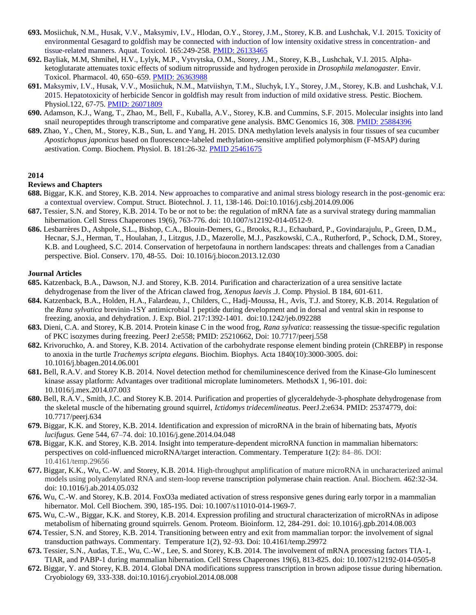- **693.** Mosiichuk, N.M., Husak, V.V., Maksymiv, I.V., Hlodan, O.Y., Storey, J.M., Storey, K.B. and Lushchak, V.I. 2015. Toxicity of environmental Gesagard to goldfish may be connected with induction of low intensity oxidative stress in concentration- and tissue-related manners. Aquat. Toxicol. 165:249-258. [PMID: 26133465](http://www.ncbi.nlm.nih.gov/pubmed/26133465)
- **692.** Bayliak, M.M, Shmihel, H.V., Lylyk, M.P., Vytvytska, O.M., Storey, J.M., Storey, K.B., Lushchak, V.I. 2015. Alphaketoglutarate attenuates toxic effects of sodium nitroprusside and hydrogen peroxide in *Drosophila melanogaster.* Envir. Toxicol. Pharmacol. 40, 650–659[. PMID: 26363988](http://www.ncbi.nlm.nih.gov/pubmed/26363988)
- **691.** Maksymiv, I.V., Husak, V.V., Mosiichuk, N.M., Matviishyn, T.M., Sluchyk, I.Y., Storey, J.M., Storey, K.B. and Lushchak, V.I. 2015. Hepatotoxicity of herbicide Sencor in goldfish may result from induction of mild oxidative stress. Pestic. Biochem. Physiol.122, 67-75. [PMID: 26071809](http://www.ncbi.nlm.nih.gov/pubmed/26071809)
- **690.** Adamson, K.J., Wang, T., Zhao, M., Bell, F., Kuballa, A.V., Storey, K.B. and Cummins, S.F. 2015. Molecular insights into land snail neuropeptides through transcriptome and comparative gene analysis. BMC Genomics 16, 308. [PMID: 25884396](http://www.ncbi.nlm.nih.gov/pubmed/25884396)
- **689.** Zhao, Y., Chen, M., Storey, K.B., Sun, L. and Yang, H. 2015. DNA methylation levels analysis in four tissues of sea cucumber *Apostichopus japonicus* based on fluorescence-labeled methylation-sensitive amplified polymorphism (F-MSAP) during aestivation. Comp. Biochem. Physiol. B. 181:26-32. [PMID 25461675](http://www.ncbi.nlm.nih.gov/pubmed/25461675)

## **Reviews and Chapters**

- **688.** Biggar, K.K. and Storey, K.B. 2014. New approaches to comparative and animal stress biology research in the post-genomic era: a contextual overview. Comput. Struct. Biotechnol. J. 11, 138-146. Doi:10.1016/j.csbj.2014.09.006
- **687.** Tessier, S.N. and Storey, K.B. 2014. To be or not to be: the regulation of mRNA fate as a survival strategy during mammalian hibernation. Cell Stress Chaperones 19(6), 763-776. doi: 10.1007/s12192-014-0512-9.
- **686.** Lesbarrères D., Ashpole, S.L., Bishop, C.A., Blouin-Demers, G., Brooks, R.J., Echaubard, P., Govindarajulu, P., Green, D.M., Hecnar, S.J., Herman, T., Houlahan, J., Litzgus, J.D., Mazerolle, M.J., Paszkowski, C.A., Rutherford, P., Schock, D.M., Storey, K.B. and Lougheed, S.C. 2014. Conservation of herpetofauna in northern landscapes: threats and challenges from a Canadian perspective. Biol. Conserv. 170, 48-55. Doi: 10.1016/j.biocon.2013.12.030

- **685.** Katzenback, B.A., Dawson, N.J. and Storey, K.B. 2014. Purification and characterization of a urea sensitive lactate dehydrogenase from the liver of the African clawed frog, *Xenopus laevis .*J. Comp. Physiol. B 184, 601-611.
- **684.** Katzenback, B.A., Holden, H.A., Falardeau, J., Childers, C., Hadj-Moussa, H., Avis, T.J. and Storey, K.B. 2014. Regulation of the *Rana sylvatica* brevinin-1SY antimicrobial 1 peptide during development and in dorsal and ventral skin in response to freezing, anoxia, and dehydration. J. Exp. Biol. 217:1392-1401. doi:10.1242/jeb.092288
- **683.** Dieni, C.A. and Storey, K.B. 2014. Protein kinase C in the wood frog, *Rana sylvatica*: reassessing the tissue-specific regulation of PKC isozymes during freezing. PeerJ 2:e558; PMID: 25210662, Doi: 10.7717/peerj.558
- **682.** Krivoruchko, A. and Storey, K.B. 2014. Activation of the carbohydrate response element binding protein (ChREBP) in response to anoxia in the turtle *Trachemys scripta elegans*. Biochim. Biophys. Acta 1840(10):3000-3005. doi: 10.1016/j.bbagen.2014.06.001
- **681.** Bell, R.A.V. and Storey K.B. 2014. Novel detection method for chemiluminescence derived from the Kinase-Glo luminescent kinase assay platform: Advantages over traditional microplate luminometers. MethodsX 1, 96-101. doi: 10.1016/j.mex.2014.07.003
- **680.** Bell, R.A.V., Smith, J.C. and Storey K.B. 2014. Purification and properties of glyceraldehyde-3-phosphate dehydrogenase from the skeletal muscle of the hibernating ground squirrel, *Ictidomys tridecemlineatus*. PeerJ.2:e634. PMID: 25374779, doi: 10.7717/peerj.634
- **679.** Biggar, K.K. and Storey, K.B. 2014. Identification and expression of microRNA in the brain of hibernating bats, *Myotis lucifugus.* Gene 544, 67–74. doi: 10.1016/j.gene.2014.04.048
- **678.** Biggar, K.K. and Storey, K.B. 2014. Insight into temperature-dependent microRNA function in mammalian hibernators: perspectives on cold-influenced microRNA/target interaction. Commentary. Temperature 1(2): 84–86. DOI: 10.4161/temp.29656
- **677.** Biggar, K.K., Wu, C.-W. and Storey, K.B. 2014. High-throughput amplification of mature microRNA in uncharacterized animal models using polyadenylated RNA and stem-loop reverse transcription polymerase chain reaction. Anal. Biochem. 462:32-34. doi: 10.1016/j.ab.2014.05.032
- **676.** Wu, C.-W. and Storey, K.B. 2014. FoxO3a mediated activation of stress responsive genes during early torpor in a mammalian hibernator. Mol. Cell Biochem. 390, 185-195. Doi: 10.1007/s11010-014-1969-7.
- **675.** Wu, C.-W., Biggar, K.K. and Storey, K.B. 2014. Expression profiling and structural characterization of microRNAs in adipose metabolism of hibernating ground squirrels. Genom. Proteom. Bioinform. 12, 284-291. doi: 10.1016/j.gpb.2014.08.003
- **674.** Tessier, S.N. and Storey, K.B. 2014. Transitioning between entry and exit from mammalian torpor: the involvement of signal transduction pathways. Commentary. Temperature 1(2), 92–93. Doi: 10.4161/temp.29972
- **673.** Tessier, S.N., Audas, T.E., Wu, C.-W., Lee, S. and Storey, K.B. 2014. The involvement of mRNA processing factors TIA-1, TIAR, and PABP-1 during mammalian hibernation. Cell Stress Chaperones 19(6), 813-825. doi: 10.1007/s12192-014-0505-8
- **672.** Biggar, Y. and Storey, K.B. 2014. Global DNA modifications suppress transcription in brown adipose tissue during hibernation. Cryobiology 69, 333-338. doi:10.1016/j.cryobiol.2014.08.008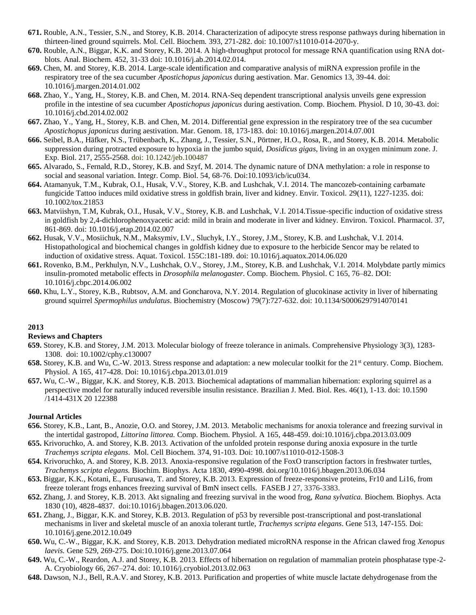- **671.** Rouble, A.N., Tessier, S.N., and Storey, K.B. 2014. Characterization of adipocyte stress response pathways during hibernation in thirteen-lined ground squirrels. Mol. Cell. Biochem. 393, 271-282. doi: 10.1007/s11010-014-2070-y.
- **670.** Rouble, A.N., Biggar, K.K. and Storey, K.B. 2014. A high-throughput protocol for message RNA quantification using RNA dotblots. Anal. Biochem. 452, 31-33 doi: 10.1016/j.ab.2014.02.014.
- **669.** Chen, M. and Storey, K.B. 2014. Large-scale identification and comparative analysis of miRNA expression profile in the respiratory tree of the sea cucumber *Apostichopus japonicus* during aestivation. Mar. Genomics 13, 39-44. doi: 10.1016/j.margen.2014.01.002
- **668.** Zhao, Y., Yang, H., Storey, K.B. and Chen, M. 2014. RNA-Seq dependent transcriptional analysis unveils gene expression profile in the intestine of sea cucumber *Apostichopus japonicus* during aestivation. Comp. Biochem. Physiol. D 10, 30-43. doi: 10.1016/j.cbd.2014.02.002
- **667.** Zhao, Y., Yang, H., Storey, K.B. and Chen, M. 2014. Differential gene expression in the respiratory tree of the sea cucumber *Apostichopus japonicus* during aestivation. Mar. Genom. 18, 173-183. doi: 10.1016/j.margen.2014.07.001
- **666.** Seibel, B.A., Häfker, N.S., Trübenbach, K., Zhang, J., Tessier, S.N., Pörtner, H.O., Rosa, R., and Storey, K.B. 2014. Metabolic suppression during protracted exposure to hypoxia in the jumbo squid, *Dosidicus gigas*, living in an oxygen minimum zone. J. Exp. Biol. 217, 2555-2568. doi: 10.1242/jeb.100487
- **665.** Alvarado, S., Fernald, R.D., Storey, K.B. and Szyf, M. 2014. The dynamic nature of DNA methylation: a role in response to social and seasonal variation. Integr. Comp. Biol. 54, 68-76. Doi:10.1093/icb/icu034.
- **664.** Atamanyuk, T.M., Kubrak, O.I., Husak, V.V., Storey, K.B. and Lushchak, V.I. 2014. The mancozeb-containing сarbamate fungicide Tattoo induces mild oxidative stress in goldfish brain, liver and kidney. Envir. Toxicol. 29(11), 1227-1235. doi: 10.1002/tox.21853
- **663.** Matviishyn, T.M, Kubrak, O.I., Husak, V.V., Storey, K.B. and Lushchak, V.I. 2014.Tissue-specific induction of oxidative stress in goldfish by 2,4-dichlorophenoxyacetic acid: mild in brain and moderate in liver and kidney. Environ. Toxicol. Pharmacol. 37, 861-869. doi: 10.1016/j.etap.2014.02.007
- **662.** Husak, V.V., Mosiichuk, N.M., Maksymiv, I.V., Sluchyk, I.Y., Storey, J.M., Storey, K.B. and Lushchak, V.I. 2014. Histopathological and biochemical changes in goldfish kidney due to exposure to the herbicide Sencor may be related to induction of oxidative stress. Aquat. Toxicol. 155C:181-189. doi: 10.1016/j.aquatox.2014.06.020
- **661.** Rovenko, B.M., Perkhulyn, N.V., Lushchak, O.V., Storey, J.M., Storey, K.B. and Lushchak, V.I. 2014. Molybdate partly mimics insulin-promoted metabolic effects in *Drosophila melanogaster.* Comp. Biochem. Physiol. C 165, 76–82. DOI: 10.1016/j.cbpc.2014.06.002
- **660.** Khu, L.Y., Storey, K.B., Rubtsov, A.M. and Goncharova, N.Y. 2014. Regulation of glucokinase activity in liver of hibernating ground squirrel *Spermophilus undulatus*. Biochemistry (Moscow) 79(7):727-632. doi: 10.1134/S0006297914070141

#### **Reviews and Chapters**

- **659.** Storey, K.B. and Storey, J.M. 2013. Molecular biology of freeze tolerance in animals. Comprehensive Physiology 3(3), 1283- 1308. doi: 10.1002/cphy.c130007
- **658.** Storey, K.B. and Wu, C.-W. 2013. Stress response and adaptation: a new molecular toolkit for the 21<sup>st</sup> century. Comp. Biochem. Physiol. A 165, 417-428. Doi: 10.1016/j.cbpa.2013.01.019
- **657.** Wu, C.-W., Biggar, K.K. and Storey, K.B. 2013. Biochemical adaptations of mammalian hibernation: exploring squirrel as a perspective model for naturally induced reversible insulin resistance. Brazilian J. Med. Biol. Res. 46(1), 1-13. [doi:](http://dx.doi/) 10.1590 /1414-431X 20 122388

- **656.** Storey, K.B., Lant, B., Anozie, O.O. and Storey, J.M. 2013. Metabolic mechanisms for anoxia tolerance and freezing survival in the intertidal gastropod, *Littorina littorea.* Comp. Biochem. Physiol. A 165, 448-459. doi:10.1016/j.cbpa.2013.03.009
- **655.** Krivoruchko, A. and Storey, K.B. 2013. Activation of the unfolded protein response during anoxia exposure in the turtle *Trachemys scripta elegans*. Mol. Cell Biochem. 374, 91-103. Doi: 10.1007/s11010-012-1508-3
- **654.** Krivoruchko, A. and Storey, K.B. 2013. Anoxia-responsive regulation of the FoxO transcription factors in freshwater turtles, *Trachemys scripta elegans.* Biochim. Biophys. Acta 1830, 4990-4998. doi.org/10.1016/j.bbagen.2013.06.034
- **653.** Biggar, K.K., Kotani, E., Furusawa, T. and Storey, K.B. 2013. Expression of freeze-responsive proteins, Fr10 and Li16, from freeze tolerant frogs enhances freezing survival of BmN insect cells. FASEB J 27, 3376-3383.
- **652.** Zhang, J. and Storey, K.B. 2013. Akt signaling and freezing survival in the wood frog, *Rana sylvatica.* Biochem. Biophys. Acta 1830 (10), 4828-4837. doi:10.1016/j.bbagen.2013.06.020.
- **651.** Zhang, J., Biggar, K.K. and Storey, K.B. 2013. Regulation of p53 by reversible post-transcriptional and post-translational mechanisms in liver and skeletal muscle of an anoxia tolerant turtle, *Trachemys scripta elegans*. Gene 513, 147-155. Doi: 10.1016/j.gene.2012.10.049
- **650.** Wu, C.-W., Biggar, K.K. and Storey, K.B. 2013. Dehydration mediated microRNA response in the African clawed frog *Xenopus laevis.* Gene 529, 269-275. Doi:10.1016/j.gene.2013.07.064
- **649.** Wu, C.-W., Reardon, A.J. and Storey, K.B. 2013. Effects of hibernation on regulation of mammalian protein phosphatase type-2- A. Cryobiology 66, 267–274. doi: 10.1016/j.cryobiol.2013.02.063
- **648.** Dawson, N.J., Bell, R.A.V. and Storey, K.B. 2013. Purification and properties of white muscle lactate dehydrogenase from the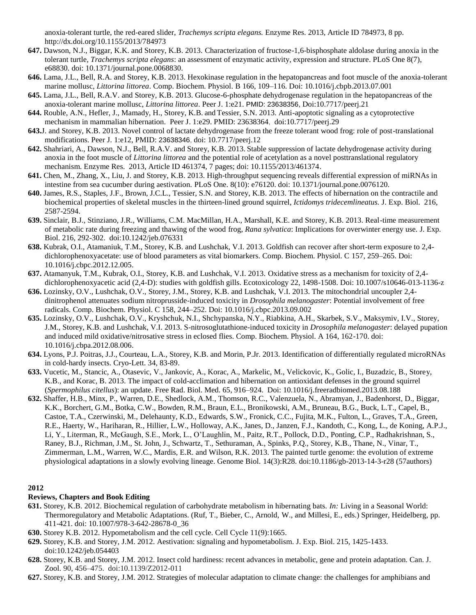anoxia-tolerant turtle, the red-eared slider, *Trachemys scripta elegans.* Enzyme Res. 2013, Article ID 784973, 8 pp. http://dx.doi.org/10.1155/2013/784973

- **647.** Dawson, N.J., Biggar, K.K. and Storey, K.B. 2013. Characterization of fructose-1,6-bisphosphate aldolase during anoxia in the tolerant turtle, *Trachemys scripta elegans*: an assessment of enzymatic activity, expression and structure. PLoS One 8(7), e68830. doi: 10.1371/journal.pone.0068830.
- **646.** Lama, J.L., Bell, R.A. and Storey, K.B. 2013. [Hexokinase regulation in the hepatopancreas and foot muscle of the anoxia-tolerant](http://www.ncbi.nlm.nih.gov/pubmed/23856184)  marine mollusc, *[Littorina littorea](http://www.ncbi.nlm.nih.gov/pubmed/23856184)*. Comp. Biochem. Physiol. B 166, 109–116. Doi: 10.1016/j.cbpb.2013.07.001
- **645.** Lama, J.L., Bell, R.A.V. and Storey, K.B. 2013. Glucose-6-phosphate dehydrogenase regulation in the hepatopancreas of the anoxia-tolerant marine mollusc, *Littorina littorea*. Peer J. 1:e21. PMID: 23638356, Doi:10.7717/peerj.21
- **644.** Rouble, A.N., Hefler, J., Mamady, H., Storey, K.B. and Tessier, S.N. 2013. Anti-apoptotic signaling as a cytoprotective mechanism in mammalian hibernation. Peer J. 1:e29. PMID: 23638364, doi:10.7717/peerj.29
- **643.**J. and Storey, K.B. 2013. Novel control of lactate dehydrogenase from the freeze tolerant wood frog: role of post-translational modifications. Peer J. 1:e12, PMID: 23638346, doi: 10.7717/peerj.12
- **642.** Shahriari, A., Dawson, N.J., Bell, R.A.V. and Storey, K.B. 2013. Stable suppression of lactate dehydrogenase activity during anoxia in the foot muscle of *Littorina littorea* and the potential role of acetylation as a novel posttranslational regulatory mechanism. Enzyme Res. 2013, Article ID 461374, 7 pages; doi: 10.1155/2013/461374.
- **641.** Chen, M., Zhang, X., Liu, J. and Storey, K.B. 2013. High-throughput sequencing reveals differential expression of miRNAs in intestine from sea cucumber during aestivation. PLoS One. 8(10): e76120. doi: 10.1371/journal.pone.0076120.
- **640.** James, R.S., Staples, J.F., Brown, J.C.L., Tessier, S.N. and Storey, K.B. 2013. The effects of hibernation on the contractile and biochemical properties of skeletal muscles in the thirteen-lined ground squirrel, *Ictidomys tridecemlineatus.* J. Exp. Biol. 216, 2587-2594.
- **639.** Sinclair, B.J., Stinziano, J.R., Williams, C.M. MacMillan, H.A., Marshall, K.E. and Storey, K.B. 2013. Real-time measurement of metabolic rate during freezing and thawing of the wood frog, *Rana sylvatica*: Implications for overwinter energy use. J. Exp. Biol. 216, 292-302. doi:10.1242/jeb.076331
- **638.** Kubrak, O.I., Atamaniuk, T.M., Storey, K.B. and Lushchak, V.I. 2013. Goldfish can recover after short-term exposure to 2,4 dichlorophenoxyacetate: use of blood parameters as vital biomarkers. Comp. Biochem. Physiol. C 157, 259–265. Doi: 10.1016/j.cbpc.2012.12.005.
- **637.** Atamanyuk, T.M., Kubrak, O.I., Storey, K.B. and Lushchak, V.I. 2013. Oxidative stress as a mechanism for toxicity of 2,4 dichlorophenoxyacetic acid (2,4-D): studies with goldfish gills. Ecotoxicology 22, 1498-1508. Doi: 10.1007/s10646-013-1136-z
- **636.** Lozinsky, O.V., Lushchak, O.V., Storey, J.M., Storey, K.B. and Lushchak, V.I. 2013. The mitochondrial uncoupler 2,4 dinitrophenol attenuates sodium nitroprusside-induced toxicity in *Drosophila melanogaster*: Potential involvement of free radicals. Comp. Biochem. Physiol. C 158, 244–252. Doi: 10.1016/j.cbpc.2013.09.002
- **635.** Lozinsky, O.V., Lushchak, O.V., Kryshchuk, N.I., Shchypanska, N.Y., Riabkina, A.H., Skarbek, S.V., Maksymiv, I.V., Storey, J.M., Storey, K.B. and Lushchak, V.I. 2013. S-nitrosoglutathione-induced toxicity in *Drosophila melanogaster*: delayed pupation and induced mild oxidative/nitrosative stress in eclosed flies. Comp. Biochem. Physiol. A 164, 162-170. doi: 10.1016/j.cbpa.2012.08.006.
- **634.** Lyons, P.J. Poitras, J.J., Courteau, L.A., Storey, K.B. and Morin, P.Jr. 2013. Identification of differentially regulated microRNAs in cold-hardy insects. Cryo-Lett. 34, 83-89.
- **633.** Vucetic, M., Stancic, A., Otasevic, V., Jankovic, A., Korac, A., Markelic, M., Velickovic, K., Golic, I., Buzadzic, B., Storey, K.B., and Korac, B. 2013. The impact of cold-acclimation and hibernation on antioxidant defenses in the ground squirrel (*Spermophilus citellus*): an update. Free Rad. Biol. Med. 65, 916–924. Doi: 10.1016/j.freeradbiomed.2013.08.188
- **632.** Shaffer, H.B., Minx, P., Warren, D.E., Shedlock, A.M., Thomson, R.C., Valenzuela, N., Abramyan, J., Badenhorst, D., Biggar, K.K., Borchert, G.M., Botka, C.W., Bowden, R.M., Braun, E.L., Bronikowski, A.M., Bruneau, B.G., Buck, L.T., Capel, B., Castoe, T.A., Czerwinski, M., Delehaunty, K.D., Edwards, S.W., Fronick, C.C., Fujita, M.K., Fulton, L., Graves, T.A., Green, R.E., Haerty, W., Hariharan, R., Hillier, L.W., Holloway, A.K., Janes, D., Janzen, F.J., Kandoth, C., Kong, L., de Koning, A.P.J., Li, Y., Literman, R., McGaugh, S.E., Mork, L., O'Laughlin, M., Paitz, R.T., Pollock, D.D., Ponting, C.P., Radhakrishnan, S., Raney, B.J., Richman, J.M., St. John, J., Schwartz, T., Sethuraman, A., Spinks, P.Q., Storey, K.B., Thane, N., Vinar, T., Zimmerman, L.M., Warren, W.C., Mardis, E.R. and Wilson, R.K. 2013. The painted turtle genome: the evolution of extreme physiological adaptations in a slowly evolving lineage. Genome Biol. 14(3):R28. doi:10.1186/gb-2013-14-3-r28 (57authors)

# **2012**

# **Reviews, Chapters and Book Editing**

- **631.** Storey, K.B. 2012. Biochemical regulation of carbohydrate metabolism in hibernating bats. *In:* Living in a Seasonal World: Thermoregulatory and Metabolic Adaptations. (Ruf, T., Bieber, C., Arnold, W., and Millesi, E., eds.) Springer, Heidelberg, pp. 411-421. doi: 10.1007/978-3-642-28678-0\_36
- **630.** Storey K.B. 2012. Hypometabolism and the cell cycle. Cell Cycle 11(9):1665.
- **629.** Storey, K.B. and Storey, J.M. 2012. Aestivation: signaling and hypometabolism. J. Exp. Biol. 215, 1425-1433. doi:10.1242/jeb.054403
- **628.** Storey, K.B. and Storey, J.M. 2012. Insect cold hardiness: recent advances in metabolic, gene and protein adaptation. Can. J. Zool. 90, 456–475. doi:10.1139/Z2012-011
- **627.** Storey, K.B. and Storey, J.M. 2012. Strategies of molecular adaptation to climate change: the challenges for amphibians and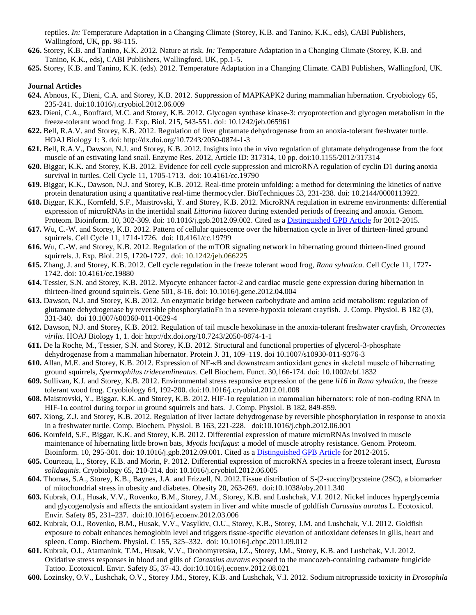reptiles. *In:* Temperature Adaptation in a Changing Climate (Storey, K.B. and Tanino, K.K., eds), CABI Publishers, Wallingford, UK, pp. 98-115.

- **626.** Storey, K.B. and Tanino, K.K. 2012. Nature at risk. *In:* Temperature Adaptation in a Changing Climate (Storey, K.B. and Tanino, K.K., eds), CABI Publishers, Wallingford, UK, pp.1-5.
- **625.** Storey, K.B. and Tanino, K.K. (eds). 2012. Temperature Adaptation in a Changing Climate. CABI Publishers, Wallingford, UK.

- **624.** Abnous, K., Dieni, C.A. and Storey, K.B. 2012. Suppression of MAPKAPK2 during mammalian hibernation. Cryobiology 65, 235-241. doi:10.1016/j.cryobiol.2012.06.009
- **623.** Dieni, C.A., Bouffard, M.C. and Storey, K.B. 2012. Glycogen synthase kinase-3: cryoprotection and glycogen metabolism in the freeze-tolerant wood frog. J. Exp. Biol. 215, 543-551. doi: 10.1242/jeb.065961
- **622.** Bell, R.A.V. and Storey, K.B. 2012. Regulation of liver glutamate dehydrogenase from an anoxia-tolerant freshwater turtle. HOAJ Biology 1: 3. doi: http://dx.doi.org/10.7243/2050-0874-1-3
- **621.** Bell, R.A.V., Dawson, N.J. and Storey, K.B. 2012. Insights into the in vivo regulation of glutamate dehydrogenase from the foot muscle of an estivating land snail. Enzyme Res. 2012, Article ID: 317314, 10 pp. doi:10.1155/2012/317314
- **620.** Biggar, K.K. and Storey, K.B. 2012. Evidence for cell cycle suppression and microRNA regulation of cyclin D1 during anoxia survival in turtles. Cell Cycle 11, 1705-1713. doi: 10.4161/cc.19790
- **619.** Biggar, K.K., Dawson, N.J. and Storey, K.B. 2012. Real-time protein unfolding: a method for determining the kinetics of native protein denaturation using a quantitative real-time thermocycler. BioTechniques 53, 231-238. doi: 10.2144/0000113922.
- **618.** Biggar, K.K., Kornfeld, S.F., Maistrovski, Y. and Storey, K.B. 2012. MicroRNA regulation in extreme environments: differential expression of microRNAs in the intertidal snail *Littorina littorea* during extended periods of freezing and anoxia. Genom. Proteom. Bioinform. 10, 302-309. doi: 10.1016/j.gpb.2012.09.002. Cited as [a Distinguished GPB Article](http://www.sciencedirect.com/science/article/pii/S1672022916302108) for 2012-2015.
- **617.** Wu, C.-W. and Storey, K.B. 2012. Pattern of cellular quiescence over the hibernation cycle in liver of thirteen-lined ground squirrels. Cell Cycle 11, 1714-1726. doi: 10.4161/cc.19799
- **616.** Wu, C.-W. and Storey, K.B. 2012. Regulation of the mTOR signaling network in hibernating ground thirteen-lined ground squirrels. J. Exp. Biol. 215, 1720-1727. doi: 10.1242/jeb.066225
- **615.** Zhang, J. and Storey, K.B. 2012. Cell cycle regulation in the freeze tolerant wood frog, *Rana sylvatica.* Cell Cycle 11, 1727- 1742. doi: 10.4161/cc.19880
- **614.** Tessier, S.N. and Storey, K.B. 2012. Myocyte enhancer factor-2 and cardiac muscle gene expression during hibernation in thirteen-lined ground squirrels. Gene 501, 8-16. doi: 10.1016/j.gene.2012.04.004
- **613.** Dawson, N.J. and Storey, K.B. 2012. An enzymatic bridge between carbohydrate and amino acid metabolism: regulation of glutamate dehydrogenase by reversible phosphorylatioFn in a severe-hypoxia tolerant crayfish. J. Comp. Physiol. B 182 (3), 331-340. doi 10.1007/s00360-011-0629-4
- **612.** Dawson, N.J. and Storey, K.B. 2012. Regulation of tail muscle hexokinase in the anoxia-tolerant freshwater crayfish, *Orconectes virilis*. HOAJ Biology 1, 1. doi: http://dx.doi.org/10.7243/2050-0874-1-1
- **611.** De la Roche, M., Tessier, S.N. and Storey, K.B. 2012. Structural and functional properties of glycerol-3-phosphate dehydrogenase from a mammalian hibernator. Protein J. 31, 109–119. doi 10.1007/s10930-011-9376-3
- **610.** Allan, M.E. and Storey, K.B. 2012. Expression of NF-κB and downstream antioxidant genes in skeletal muscle of hibernating ground squirrels, *Spermophilus tridecemlineatus*. Cell Biochem. Funct. 30,166-174. doi: 10.1002/cbf.1832
- **609.** Sullivan, K.J. and Storey, K.B. 2012. Environmental stress responsive expression of the gene *li16* in *Rana sylvatica*, the freeze tolerant wood frog. Cryobiology 64, 192-200. doi:10.1016/j.cryobiol.2012.01.008
- **608.** Maistrovski, Y., Biggar, K.K. and Storey, K.B. 2012. HIF-1α regulation in mammalian hibernators: role of non-coding RNA in HIF-1 $\alpha$  control during torpor in ground squirrels and bats. J. Comp. Physiol. B 182, 849-859.
- **607.** Xiong, Z.J. and Storey, K.B. 2012. Regulation of liver lactate dehydrogenase by reversible phosphorylation in response to anoxia in a freshwater turtle. Comp. Biochem. Physiol. B 163, 221-228. doi:10.1016/j.cbpb.2012.06.001
- **606.** Kornfeld, S.F., Biggar, K.K. and Storey, K.B. 2012. Differential expression of mature microRNAs involved in muscle maintenance of hibernating little brown bats, *Myotis lucifugus*: a model of muscle atrophy resistance. Genom. Proteom. Bioinform. 10, 295-301. doi: 10.1016/j.gpb.2012.09.001. Cited as [a Distinguished GPB Article](http://www.sciencedirect.com/science/article/pii/S1672022916302108) for 2012-2015.
- **605.** Courteau, L., Storey, K.B. and Morin, P. 2012. Differential expression of microRNA species in a freeze tolerant insect, *Eurosta solidaginis*. Cryobiology 65, 210-214. doi: 10.1016/j.cryobiol.2012.06.005
- **604.** Thomas, S.A., Storey, K.B., Baynes, J.A. and Frizzell, N. 2012.Tissue distribution of S-(2-succinyl)cysteine (2SC), a biomarker of mitochondrial stress in obesity and diabetes. Obesity 20, 263-269. doi:10.1038/oby.2011.340
- **603.** Kubrak, O.I., Husak, V.V., Rovenko, B.M., Storey, J.M., Storey, K.B. and Lushchak, V.I. 2012. Nickel induces hyperglycemia and glycogenolysis and affects the antioxidant system in liver and white muscle of goldfish *Carassius auratus* L. Ecotoxicol. Envir. Safety 85, 231–237. doi:10.1016/j.ecoenv.2012.03.006
- **602.** Kubrak, O.I., Rovenko, B.M., Husak, V.V., Vasylkiv, O.U., Storey, K.B., Storey, J.M. and Lushchak, V.I. 2012. Goldfish exposure to cobalt enhances hemoglobin level and triggers tissue-specific elevation of antioxidant defenses in gills, heart and spleen. Comp. Biochem. Physiol. C 155, 325–332. doi: 10.1016/j.cbpc.2011.09.012
- **601.** Kubrak, O.I., Atamaniuk, T.M., Husak, V.V., Drohomyretska, I.Z., Storey, J.M., Storey, K.B. and Lushchak, V.I. 2012. Oxidative stress responses in blood and gills of *Carassius auratus* exposed to the mancozeb-containing carbamate fungicide Tattoo. Ecotoxicol. Envir. Safety 85, 37-43. doi:10.1016/j.ecoenv.2012.08.021
- **600.** Lozinsky, O.V., Lushchak, O.V., Storey J.M., Storey, K.B. and Lushchak, V.I. 2012. Sodium nitroprusside toxicity in *Drosophila*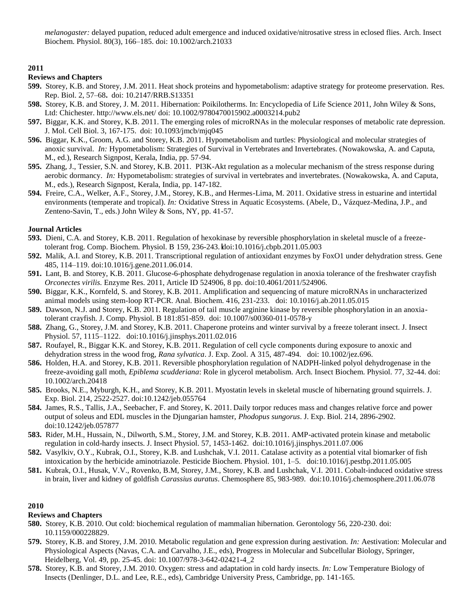*melanogaster:* delayed pupation, reduced adult emergence and induced oxidative/nitrosative stress in eclosed flies. Arch. Insect Biochem. Physiol. 80(3), 166–185. doi: 10.1002/arch.21033

# **2011**

#### **Reviews and Chapters**

- **599.** Storey, K.B. and Storey, J.M. 2011. Heat shock proteins and hypometabolism: adaptive strategy for proteome preservation. Res. Rep. Biol. 2, 57–68**.** doi: 10.2147/RRB.S13351
- **598.** Storey, K.B. and Storey, J. M. 2011. Hibernation: Poikilotherms. In: Encyclopedia of Life Science 2011, John Wiley & Sons, Ltd: Chichester. http://www.els.net/ doi: 10.1002/9780470015902.a0003214.pub2
- **597.** Biggar, K.K. and Storey, K.B. 2011. The emerging roles of microRNAs in the molecular responses of metabolic rate depression. J. Mol. Cell Biol. 3, 167-175. doi: 10.1093/jmcb/mjq045
- **596.** Biggar, K.K., Groom, A.G. and Storey, K.B. 2011. Hypometabolism and turtles: Physiological and molecular strategies of anoxic survival. *In:* Hypometabolism: Strategies of Survival in Vertebrates and Invertebrates. (Nowakowska, A. and Caputa, M., ed.), Research Signpost, Kerala, India, pp. 57-94.
- **595.** Zhang, J., Tessier, S.N. and Storey, K.B. 2011. PI3K-Akt regulation as a molecular mechanism of the stress response during aerobic dormancy. *In:* Hypometabolism: strategies of survival in vertebrates and invertebrates. (Nowakowska, A. and Caputa, M., eds.), Research Signpost, Kerala, India, pp. 147-182.
- **594.** Freire, C.A., Welker, A.F., Storey, J.M., Storey, K.B., and Hermes-Lima, M. 2011. Oxidative stress in estuarine and intertidal environments (temperate and tropical). *In:* Oxidative Stress in Aquatic Ecosystems. (Abele, D., Vázquez-Medina, J.P., and Zenteno-Savin, T., eds.) John Wiley & Sons, NY, pp. 41-57.

## **Journal Articles**

- **593.** Dieni, C.A. and Storey, K.B. 2011. Regulation of hexokinase by reversible phosphorylation in skeletal muscle of a freezetolerant frog. Comp. Biochem. Physiol. B 159, 236-243. doi:10.1016/j.cbpb.2011.05.003
- **592.** Malik, A.I. and Storey, K.B. 2011. Transcriptional regulation of antioxidant enzymes by FoxO1 under dehydration stress. Gene 485, 114–119. doi:10.1016/j.gene.2011.06.014.
- **591.** Lant, B. and Storey, K.B. 2011. Glucose-6-phosphate dehydrogenase regulation in anoxia tolerance of the freshwater crayfish *Orconectes virilis.* Enzyme Res. 2011, Article ID 524906, 8 pp. doi:10.4061/2011/524906.
- **590.** Biggar, K.K., Kornfeld, S. and Storey, K.B. 2011. Amplification and sequencing of mature microRNAs in uncharacterized animal models using stem-loop RT-PCR. Anal. Biochem. 416, 231-233. doi: 10.1016/j.ab.2011.05.015
- **589.** Dawson, N.J. and Storey, K.B. 2011. Regulation of tail muscle arginine kinase by reversible phosphorylation in an anoxiatolerant crayfish. J. Comp. Physiol. B 181:851-859. doi: 10.1007/s00360-011-0578-y
- **588.** Zhang, G., Storey, J.M. and Storey, K.B. 2011. Chaperone proteins and winter survival by a freeze tolerant insect. J. Insect Physiol. 57, 1115–1122. doi:10.1016/j.jinsphys.2011.02.016
- **587.** Roufayel, R., Biggar K.K. and Storey, K.B. 2011. Regulation of cell cycle components during exposure to anoxic and dehydration stress in the wood frog, *Rana sylvatica*. J. Exp. Zool. A 315, 487-494. doi: 10.1002/jez.696.
- **586.** Holden, H.A. and Storey, K.B. 2011. Reversible phosphorylation regulation of NADPH-linked polyol dehydrogenase in the freeze-avoiding gall moth, *Epiblema scudderiana*: Role in glycerol metabolism. Arch. Insect Biochem. Physiol. 77, 32-44. doi: 10.1002/arch.20418
- **585.** Brooks, N.E., Myburgh, K.H., and Storey, K.B. 2011. Myostatin levels in skeletal muscle of hibernating ground squirrels. J. Exp. Biol. 214, 2522-2527. doi:10.1242/jeb.055764
- **584.** James, R.S., Tallis, J.A., Seebacher, F. and Storey, K. 2011. Daily torpor reduces mass and changes relative force and power output of soleus and EDL muscles in the Djungarian hamster, *Phodopus sungorus*. J. Exp. Biol. 214, 2896-2902. doi:10.1242/jeb.057877
- **583.** Rider, M.H., Hussain, N., Dilworth, S.M., Storey, J.M. and Storey, K.B. 2011. AMP-activated protein kinase and metabolic regulation in cold-hardy insects. J. Insect Physiol. 57, 1453-1462. doi:10.1016/j.jinsphys.2011.07.006
- **582.** Vasylkiv, O.Y., Kubrak, O.I., Storey, K.B. and Lushchak, V.I. 2011. Catalase activity as a potential vital biomarker of fish intoxication by the herbicide aminotriazole. Pesticide Biochem. Physiol. 101, 1–5. doi:10.1016/j.pestbp.2011.05.005
- **581.** Kubrak, O.I., Husak, V.V., Rovenko, B.M, Storey, J.M., Storey, K.B. and Lushchak, V.I. 2011. Cobalt-induced oxidative stress in brain, liver and kidney of goldfish *Carassius auratus*. Chemosphere 85, 983-989. doi:10.1016/j.chemosphere.2011.06.078

# **2010**

# **Reviews and Chapters**

- **580.** Storey, K.B. 2010. Out cold: biochemical regulation of mammalian hibernation. Gerontology 56, 220-230. doi: 10.1159/000228829.
- **579.** Storey, K.B. and Storey, J.M. 2010. Metabolic regulation and gene expression during aestivation. *In:* Aestivation: Molecular and Physiological Aspects (Navas, C.A. and Carvalho, J.E., eds), Progress in Molecular and Subcellular Biology, Springer, Heidelberg, Vol. 49, pp. 25-45. doi: 10.1007/978-3-642-02421-4\_2
- **578.** Storey, K.B. and Storey, J.M. 2010. Oxygen: stress and adaptation in cold hardy insects. *In:* Low Temperature Biology of Insects (Denlinger, D.L. and Lee, R.E., eds), Cambridge University Press, Cambridge, pp. 141-165.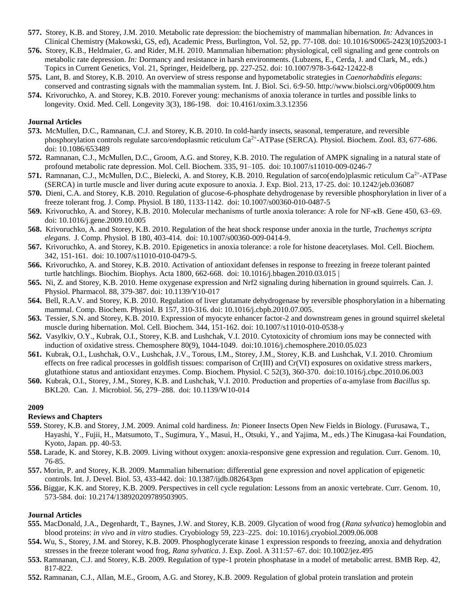- **577.** Storey, K.B. and Storey, J.M. 2010. Metabolic rate depression: the biochemistry of mammalian hibernation. *In:* Advances in Clinical Chemistry (Makowski, GS, ed), Academic Press, Burlington, Vol. 52, pp. 77-108. doi: 10.1016/S0065-2423(10)52003-1
- **576.** Storey, K.B., Heldmaier, G. and Rider, M.H. 2010. Mammalian hibernation: physiological, cell signaling and gene controls on metabolic rate depression. *In:* Dormancy and resistance in harsh environments. (Lubzens, E., Cerda, J. and Clark, M., eds.) Topics in Current Genetics, Vol. 21, Springer, Heidelberg, pp. 227-252. doi: 10.1007/978-3-642-12422-8
- **575.** Lant, B. and Storey, K.B. 2010. An overview of stress response and hypometabolic strategies in *Caenorhabditis elegans*: conserved and contrasting signals with the mammalian system. Int. J. Biol. Sci. 6:9-50. http://www.biolsci.org/v06p0009.htm
- **574.** Krivoruchko, A. and Storey, K.B. 2010. Forever young: mechanisms of anoxia tolerance in turtles and possible links to longevity. Oxid. Med. Cell. Longevity 3(3), 186-198. doi: 10.4161/oxim.3.3.12356

## **Journal Articles**

- **573.** McMullen, D.C., Ramnanan, C.J. and Storey, K.B. 2010. In cold-hardy insects, seasonal, temperature, and reversible phosphorylation controls regulate sarco/endoplasmic reticulum Ca<sup>2+</sup>-ATPase (SERCA). Physiol. Biochem. Zool. 83, 677-686. doi: 10.1086/653489
- **572.** Ramnanan, C.J., McMullen, D.C., Groom, A.G. and Storey, K.B. 2010. The regulation of AMPK signaling in a natural state of profound metabolic rate depression. Mol. Cell. Biochem. 335, 91–105. doi: 10.1007/s11010-009-0246-7
- 571. Ramnanan, C.J., McMullen, D.C., Bielecki, A. and Storey, K.B. 2010. Regulation of sarco(endo)plasmic reticulum Ca<sup>2+</sup>-ATPase (SERCA) in turtle muscle and liver during acute exposure to anoxia. J. Exp. Biol. 213, 17-25. doi: 10.1242/jeb.036087
- **570.** Dieni, C.A. and Storey, K.B. 2010. Regulation of glucose-6-phosphate dehydrogenase by reversible phosphorylation in liver of a freeze tolerant frog. J. Comp. Physiol. B 180, 1133-1142. doi: 10.1007/s00360-010-0487-5
- **569.** Krivoruchko, A. and Storey, K.B. 2010. Molecular mechanisms of turtle anoxia tolerance: A role for NF-κB. Gene 450, 63–69. doi: 10.1016/j.gene.2009.10.005
- **568.** Krivoruchko, A. and Storey, K.B. 2010. Regulation of the heat shock response under anoxia in the turtle, *Trachemys scripta elegans*. J. Comp. Physiol. B 180, 403-414. doi: 10.1007/s00360-009-0414-9.
- **567.** Krivoruchko, A. and Storey, K.B. 2010. Epigenetics in anoxia tolerance: a role for histone deacetylases. Mol. Cell. Biochem. 342, 151-161. doi: 10.1007/s11010-010-0479-5.
- **566.** Krivoruchko, A. and Storey, K.B. 2010. Activation of antioxidant defenses in response to freezing in freeze tolerant painted turtle hatchlings. Biochim. Biophys. Acta 1800, 662-668. doi: 10.1016/j.bbagen.2010.03.015 |
- **565.** Ni, Z. and Storey, K.B. 2010. Heme oxygenase expression and Nrf2 signaling during hibernation in ground squirrels. Can. J. Physiol. Pharmacol. 88, 379-387. doi: 10.1139/Y10-017
- **564.** Bell, R.A.V. and Storey, K.B. 2010. Regulation of liver glutamate dehydrogenase by reversible phosphorylation in a hibernating mammal. Comp. Biochem. Physiol. B 157, 310-316. doi: 10.1016/j.cbpb.2010.07.005.
- **563.** Tessier, S.N. and Storey, K.B. 2010. Expression of myocyte enhancer factor-2 and downstream genes in ground squirrel skeletal muscle during hibernation. Mol. Cell. Biochem. 344, 151-162. doi: 10.1007/s11010-010-0538-y
- **562.** Vasylkiv, O.Y., Kubrak, O.I., Storey, K.B. and Lushchak, V.I. 2010. Cytotoxicity of chromium ions may be connected with induction of oxidative stress. Chemosphere 80(9), 1044-1049. doi:10.1016/j.chemosphere.2010.05.023
- **561.** Kubrak, O.I., Lushchak, O.V., Lushchak, J.V., Torous, I.M., Storey, J.M., Storey, K.B. and Lushchak, V.I. 2010. Chromium effects on free radical processes in goldfish tissues: comparison of Cr(III) and Cr(VI) exposures on oxidative stress markers, glutathione status and antioxidant enzymes. Comp. Biochem. Physiol. C 52(3), 360-370. doi:10.1016/j.cbpc.2010.06.003
- **560.** Kubrak, O.I., Storey, J.M., Storey, K.B. and Lushchak, V.I. 2010. Production and properties of α-amylase from *Bacillus* sp*.*  BKL20. Can. J. Microbiol. 56, 279–288. doi: 10.1139/W10-014

#### **2009**

#### **Reviews and Chapters**

- **559.** Storey, K.B. and Storey, J.M. 2009. Animal cold hardiness. *In:* Pioneer Insects Open New Fields in Biology. (Furusawa, T., Hayashi, Y., Fujii, H., Matsumoto, T., Sugimura, Y., Masui, H., Otsuki, Y., and Yajima, M., eds.) The Kinugasa-kai Foundation, Kyoto, Japan. pp. 40-53.
- **558.** Larade, K. and Storey, K.B. 2009. Living without oxygen: anoxia-responsive gene expression and regulation. Curr. Genom. 10, 76-85.
- **557.** Morin, P. and Storey, K.B. 2009. Mammalian hibernation: differential gene expression and novel application of epigenetic controls. Int. J. Devel. Biol. 53, 433-442. doi: 10.1387/ijdb.082643pm
- **556.** Biggar, K.K. and Storey, K.B. 2009. Perspectives in cell cycle regulation: Lessons from an anoxic vertebrate. Curr. Genom. 10, 573-584. doi: 10.2174/138920209789503905.

- **555.** MacDonald, J.A., Degenhardt, T., Baynes, J.W. and Storey, K.B. 2009. Glycation of wood frog (*Rana sylvatica*) hemoglobin and blood proteins: *in vivo* and *in vitro* studies. Cryobiology 59, 223–225. doi: 10.1016/j.cryobiol.2009.06.008
- **554.** Wu, S., Storey, J.M. and Storey, K.B. 2009. Phosphoglycerate kinase 1 expression responds to freezing, anoxia and dehydration stresses in the freeze tolerant wood frog, *Rana sylvatica*. J. Exp. Zool. A 311:57–67. doi: 10.1002/jez.495
- **553.** Ramnanan, C.J. and Storey, K.B. 2009. Regulation of type-1 protein phosphatase in a model of metabolic arrest. BMB Rep. 42, 817-822.
- **552.** Ramnanan, C.J., Allan, M.E., Groom, A.G. and Storey, K.B. 2009. Regulation of global protein translation and protein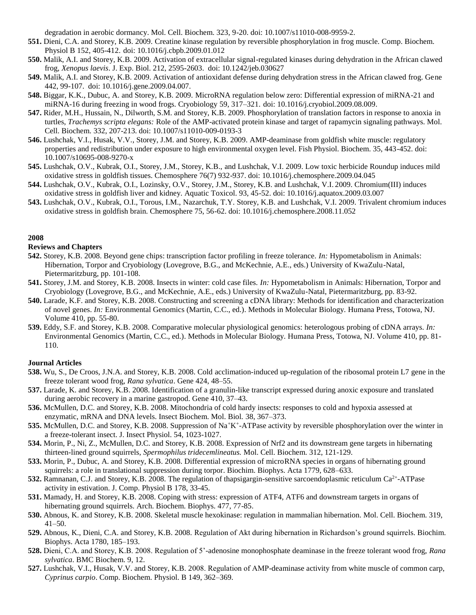degradation in aerobic dormancy. Mol. Cell. Biochem. 323, 9-20. doi: 10.1007/s11010-008-9959-2.

- **551.** Dieni, C.A. and Storey, K.B. 2009. Creatine kinase regulation by reversible phosphorylation in frog muscle. Comp. Biochem. Physiol B 152, 405-412. [doi: 10.1016/j.cbpb.2009.01.012](http://dx.doi.org/10.1016/j.cbpb.2009.01.012)
- **550.** Malik, A.I. and Storey, K.B. 2009. Activation of extracellular signal-regulated kinases during dehydration in the African clawed frog, *Xenopus laevis*. J. Exp. Biol. 212, 2595-2603. doi: 10.1242/jeb.030627
- **549.** Malik, A.I. and Storey, K.B. 2009. Activation of antioxidant defense during dehydration stress in the African clawed frog. Gene 442, 99-107. doi: 10.1016/j.gene.2009.04.007.
- **548.** Biggar, K.K., Dubuc, A. and Storey, K.B. 2009. MicroRNA regulation below zero: Differential expression of miRNA-21 and miRNA-16 during freezing in wood frogs. Cryobiology 59, 317–321. do[i: 10.1016/j.cryobiol.2009.08.009.](http://dx.doi.org.proxy.library.carleton.ca/10.1016/j.cryobiol.2009.08.009)
- **547.** Rider, M.H., Hussain, N., Dilworth, S.M. and Storey, K.B. 2009. Phosphorylation of translation factors in response to anoxia in turtles, *Trachemys scripta elegans:* Role of the AMP-activated protein kinase and target of rapamycin signaling pathways. Mol. Cell. Biochem. 332, 207-213. doi: 10.1007/s11010-009-0193-3
- **546.** Lushchak, V.I., Husak, V.V., Storey, J.M. and Storey, K.B. 2009. AMP-deaminase from goldfish white muscle: regulatory properties and redistribution under exposure to high environmental oxygen level. Fish Physiol. Biochem. 35, 443-452. doi: 10.1007/s10695-008-9270-x
- **545.** Lushchak, O.V., Kubrak, O.I., Storey, J.M., Storey, K.B., and Lushchak, V.I. 2009. Low toxic herbicide Roundup induces mild oxidative stress in goldfish tissues. Chemosphere 76(7) 932-937. doi: 10.1016/j.chemosphere.2009.04.045
- **544.** Lushchak, O.V., Kubrak, O.I., Lozinsky, O.V., Storey, J.M., Storey, K.B. and Lushchak, V.I. 2009. Chromium(III) induces oxidative stress in goldfish liver and kidney. Aquatic Toxicol. 93, 45-52. doi: 10.1016/j.aquatox.2009.03.007
- **543.** Lushchak, O.V., Kubrak, O.I., Torous, I.M., Nazarchuk, T.Y. Storey, K.B. and Lushchak, V.I. 2009. Trivalent chromium induces oxidative stress in goldfish brain. Chemosphere 75, 56-62. doi: 10.1016/j.chemosphere.2008.11.052

## **2008**

## **Reviews and Chapters**

- **542.** Storey, K.B. 2008. Beyond gene chips: transcription factor profiling in freeze tolerance. *In:* Hypometabolism in Animals: Hibernation, Torpor and Cryobiology (Lovegrove, B.G., and McKechnie, A.E., eds.) University of KwaZulu-Natal, Pietermaritzburg, pp. 101-108.
- **541.** Storey, J.M. and Storey, K.B. 2008. Insects in winter: cold case files. *In:* Hypometabolism in Animals: Hibernation, Torpor and Cryobiology (Lovegrove, B.G., and McKechnie, A.E., eds.) University of KwaZulu-Natal, Pietermaritzburg, pp. 83-92.
- **540.** Larade, K.F. and Storey, K.B. 2008. Constructing and screening a cDNA library: Methods for identification and characterization of novel genes. *In:* Environmental Genomics (Martin, C.C., ed.). Methods in Molecular Biology. Humana Press, Totowa, NJ. Volume 410, pp. 55-80.
- **539.** Eddy, S.F. and Storey, K.B. 2008. Comparative molecular physiological genomics: heterologous probing of cDNA arrays. *In:* Environmental Genomics (Martin, C.C., ed.). Methods in Molecular Biology. Humana Press, Totowa, NJ. Volume 410, pp. 81- 110.

- **538.** Wu, S., De Croos, J.N.A. and Storey, K.B. 2008. Cold acclimation-induced up-regulation of the ribosomal protein L7 gene in the freeze tolerant wood frog, *Rana sylvatica*. Gene 424, 48–55.
- **537.** Larade, K. and Storey, K.B. 2008. Identification of a granulin-like transcript expressed during anoxic exposure and translated during aerobic recovery in a marine gastropod. Gene 410, 37–43.
- **536.** McMullen, D.C. and Storey, K.B. 2008. Mitochondria of cold hardy insects: responses to cold and hypoxia assessed at enzymatic, mRNA and DNA levels. Insect Biochem. Mol. Biol. 38, 367–373.
- 535. McMullen, D.C. and Storey, K.B. 2008. Suppression of Na<sup>+</sup>K<sup>+</sup>-ATPase activity by reversible phosphorylation over the winter in a freeze-tolerant insect. J. Insect Physiol. 54, 1023-1027.
- **534.** Morin, P., Ni, Z., McMullen, D.C. and Storey, K.B. 2008. Expression of Nrf2 and its downstream gene targets in hibernating thirteen-lined ground squirrels, *Spermophilus tridecemlineatus.* Mol. Cell. Biochem. 312, 121-129.
- **533.** Morin, P., Dubuc, A. and Storey, K.B. 2008. Differential expression of microRNA species in organs of hibernating ground squirrels: a role in translational suppression during torpor. Biochim. Biophys. Acta 1779, 628–633.
- 532. Ramnanan, C.J. and Storey, K.B. 2008. The regulation of thapsigargin-sensitive sarcoendoplasmic reticulum Ca<sup>2+</sup>-ATPase activity in estivation. J. Comp. Physiol B 178, 33-45.
- **531.** Mamady, H. and Storey, K.B. 2008. Coping with stress: expression of ATF4, ATF6 and downstream targets in organs of hibernating ground squirrels. Arch. Biochem. Biophys. 477, 77-85.
- **530.** Abnous, K. and Storey, K.B. 2008. Skeletal muscle hexokinase: regulation in mammalian hibernation. Mol. Cell. Biochem. 319, 41–50.
- **529.** Abnous, K., Dieni, C.A. and Storey, K.B. 2008. Regulation of Akt during hibernation in Richardson's ground squirrels. Biochim. Biophys. Acta 1780, 185–193.
- **528.** Dieni, C.A. and Storey, K.B. 2008. Regulation of 5'-adenosine monophosphate deaminase in the freeze tolerant wood frog, *Rana sylvatica*. BMC Biochem. 9, 12.
- **527.** Lushchak, V.I., Husak, V.V. and Storey, K.B. 2008. Regulation of АМР-deaminase activity from white muscle of common carp, *Cyprinus carpio*. Comp. Biochem. Physiol. B 149, 362–369.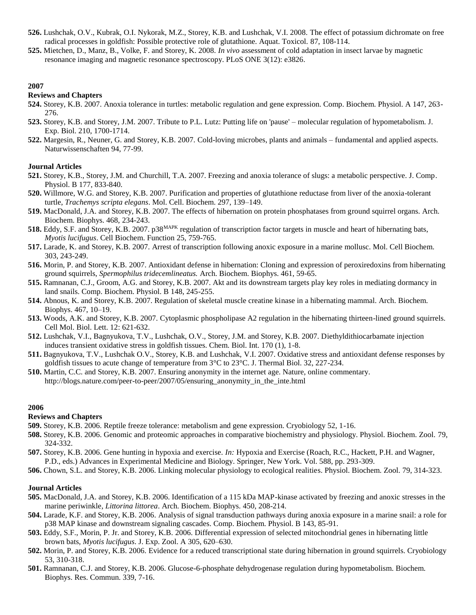- **526.** Lushchak, O.V., Kubrak, O.I. Nykorak, M.Z., Storey, K.B. and Lushchak, V.I. 2008. The effect of potassium dichromate on free radical processes in goldfish: Possible protective role of glutathione. Aquat. Toxicol. 87, 108-114.
- **525.** Mietchen, D., Manz, B., Volke, F. and Storey, K. 2008. *In vivo* assessment of cold adaptation in insect larvae by magnetic resonance imaging and magnetic resonance spectroscopy. PLoS ONE 3(12): e3826.

## **Reviews and Chapters**

- **524.** Storey, K.B. 2007. Anoxia tolerance in turtles: metabolic regulation and gene expression. Comp. Biochem. Physiol. A 147, 263- 276.
- **523.** Storey, K.B. and Storey, J.M. 2007. Tribute to P.L. Lutz: Putting life on 'pause' molecular regulation of hypometabolism. J. Exp. Biol. 210, 1700-1714.
- **522.** Margesin, R., Neuner, G. and Storey, K.B. 2007. Cold-loving microbes, plants and animals fundamental and applied aspects. Naturwissenschaften 94, 77-99.

#### **Journal Articles**

- **521.** Storey, K.B., Storey, J.M. and Churchill, T.A. 2007. Freezing and anoxia tolerance of slugs: a metabolic perspective. J. Comp. Physiol. B 177, 833-840.
- **520.** Willmore, W.G. and Storey, K.B. 2007. Purification and properties of glutathione reductase from liver of the anoxia-tolerant turtle, *Trachemys scripta elegans*. Mol. Cell. Biochem. 297, 139–149.
- **519.** MacDonald, J.A. and Storey, K.B. 2007. The effects of hibernation on protein phosphatases from ground squirrel organs. Arch. Biochem. Biophys. 468, 234-243.
- **518.** Eddy, S.F. and Storey, K.B. 2007. p38<sup>MAPK</sup> regulation of transcription factor targets in muscle and heart of hibernating bats, *Myotis lucifugus*. Cell Biochem. Function 25, 759-765.
- **517.** Larade, K. and Storey, K.B. 2007. Arrest of transcription following anoxic exposure in a marine mollusc. Mol. Cell Biochem. 303, 243-249.
- **516.** Morin, P. and Storey, K.B. 2007. Antioxidant defense in hibernation: Cloning and expression of peroxiredoxins from hibernating ground squirrels, *Spermophilus tridecemlineatus.* Arch. Biochem. Biophys. 461, 59-65.
- **515.** Ramnanan, C.J., Groom, A.G. and Storey, K.B. 2007. Akt and its downstream targets play key roles in mediating dormancy in land snails. Comp. Biochem. Physiol. B 148, 245-255.
- **514.** Abnous, K. and Storey, K.B. 2007. Regulation of skeletal muscle creatine kinase in a hibernating mammal. Arch. Biochem. Biophys. 467, 10–19.
- **513.** Woods, A.K. and Storey, K.B. 2007. Cytoplasmic phospholipase A2 regulation in the hibernating thirteen-lined ground squirrels. Cell Mol. Biol. Lett. 12: 621-632.
- **512.** Lushchak, V.I., Bagnyukova, T.V., Lushchak, O.V., Storey, J.M. and Storey, K.B. 2007. Diethyldithiocarbamate injection induces transient oxidative stress in goldfish tissues. Chem. Biol. Int. 170 (1), 1-8.
- **511.** Bagnyukova, T.V., Lushchak O.V., Storey, K.B. and Lushchak, V.I. 2007. Oxidative stress and antioxidant defense responses by goldfish tissues to acute change of temperature from 3°C to 23°C. J. Thermal Biol. 32, 227-234.
- **510.** Martin, C.C. and Storey, K.B. 2007. Ensuring anonymity in the internet age. Nature, online commentary. http://blogs.nature.com/peer-to-peer/2007/05/ensuring\_anonymity\_in\_the\_inte.html

#### **2006**

#### **Reviews and Chapters**

- **509.** Storey, K.B. 2006. Reptile freeze tolerance: metabolism and gene expression. Cryobiology 52, 1-16.
- **508.** Storey, K.B. 2006. Genomic and proteomic approaches in comparative biochemistry and physiology. Physiol. Biochem. Zool. 79, 324-332.
- **507.** Storey, K.B. 2006. Gene hunting in hypoxia and exercise. *In:* Hypoxia and Exercise (Roach, R.C., Hackett, P.H. and Wagner, P.D., eds.) Advances in Experimental Medicine and Biology. Springer, New York. Vol. 588, pp. 293-309.
- **506.** Chown, S.L. and Storey, K.B. 2006. Linking molecular physiology to ecological realities. Physiol. Biochem. Zool. 79, 314-323.

- **505.** MacDonald, J.A. and Storey, K.B. 2006. Identification of a 115 kDa MAP-kinase activated by freezing and anoxic stresses in the marine periwinkle*, Littorina littorea*. Arch. Biochem. Biophys. 450, 208-214.
- **504.** Larade, K.F. and Storey, K.B. 2006. Analysis of signal transduction pathways during anoxia exposure in a marine snail: a role for p38 MAP kinase and downstream signaling cascades. Comp. Biochem. Physiol. B 143, 85-91.
- **503.** Eddy, S.F., Morin, P. Jr. and Storey, K.B. 2006. Differential expression of selected mitochondrial genes in hibernating little brown bats, *Myotis lucifugus*. J. Exp. Zool. A 305, 620–630.
- **502.** Morin, P. and Storey, K.B. 2006. Evidence for a reduced transcriptional state during hibernation in ground squirrels. Cryobiology 53, 310-318.
- **501.** Ramnanan, C.J. and Storey, K.B. 2006. Glucose-6-phosphate dehydrogenase regulation during hypometabolism. Biochem. Biophys. Res. Commun. 339, 7-16.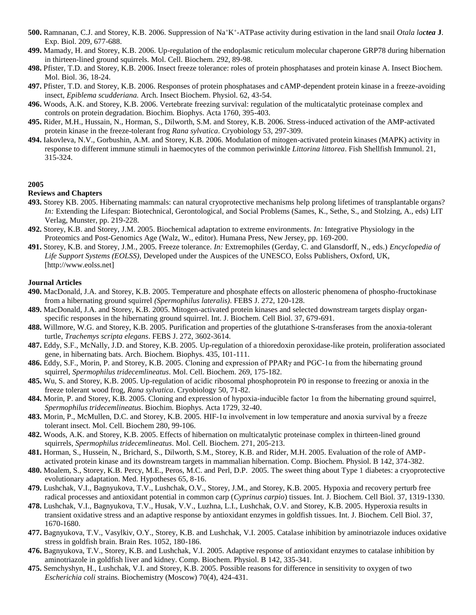- **500.** Ramnanan, C.J. and Storey, K.B. 2006. Suppression of Na<sup>+</sup>K<sup>+</sup> -ATPase activity during estivation in the land snail *Otala lactea* **J**. Exp. Biol. 209, 677-688.
- **499.** Mamady, H. and Storey, K.B. 2006. Up-regulation of the endoplasmic reticulum molecular chaperone GRP78 during hibernation in thirteen-lined ground squirrels. Mol. Cell. Biochem. 292, 89-98.
- **498.** Pfister, T.D. and Storey, K.B. 2006. Insect freeze tolerance: roles of protein phosphatases and protein kinase A. Insect Biochem. Mol. Biol. 36, 18-24.
- **497.** Pfister, T.D. and Storey, K.B. 2006. Responses of protein phosphatases and cAMP-dependent protein kinase in a freeze-avoiding insect, *Epiblema scudderiana.* Arch. Insect Biochem. Physiol. 62, 43-54.
- **496.** Woods, A.K. and Storey, K.B. 2006. Vertebrate freezing survival: regulation of the multicatalytic proteinase complex and controls on protein degradation. Biochim. Biophys. Acta 1760, 395-403.
- **495.** Rider, M.H., Hussain, N., Horman, S., Dilworth, S.M. and Storey, K.B. 2006. Stress-induced activation of the AMP-activated protein kinase in the freeze-tolerant frog *Rana sylvatica*. Cryobiology 53, 297-309.
- **494.** Iakovleva, N.V., Gorbushin, A.M. and Storey, K.B. 2006. Modulation of mitogen-activated protein kinases (MAPK) activity in response to different immune stimuli in haemocytes of the common periwinkle *Littorina littorea*. Fish Shellfish Immunol. 21, 315-324.

# **Reviews and Chapters**

- **493.** Storey KB. 2005. Hibernating mammals: can natural cryoprotective mechanisms help prolong lifetimes of transplantable organs? *In:* Extending the Lifespan: Biotechnical, Gerontological, and Social Problems (Sames, K., Sethe, S., and Stolzing, A., eds) LIT Verlag, Munster, pp. 219-228.
- **492.** Storey, K.B. and Storey, J.M. 2005. Biochemical adaptation to extreme environments. *In:* Integrative Physiology in the Proteomics and Post-Genomics Age (Walz, W., editor). Humana Press, New Jersey, pp. 169-200.
- **491.** Storey, K.B. and Storey, J.M., 2005. Freeze tolerance. *In:* Extremophiles (Gerday, C. and Glansdorff, N., eds.) *Encyclopedia of Life Support Systems (EOLSS),* Developed under the Auspices of the UNESCO, Eolss Publishers, Oxford, UK, [http://www.eolss.net]

- **490.** MacDonald, J.A. and Storey, K.B. 2005. Temperature and phosphate effects on allosteric phenomena of phospho-fructokinase from a hibernating ground squirrel *(Spermophilus lateralis)*. FEBS J. 272, 120-128.
- **489.** MacDonald, J.A. and Storey, K.B. 2005. Mitogen-activated protein kinases and selected downstream targets display organspecific responses in the hibernating ground squirrel. Int. J. Biochem. Cell Biol. 37, 679-691.
- **488.** Willmore, W.G. and Storey, K.B. 2005. Purification and properties of the glutathione S-transferases from the anoxia-tolerant turtle, *Trachemys scripta elegans*. FEBS J. 272, 3602-3614.
- **487.** Eddy, S.F., McNally, J.D. and Storey, K.B. 2005. Up-regulation of a thioredoxin peroxidase-like protein, proliferation associated gene, in hibernating bats. Arch. Biochem. Biophys. 435, 101-111.
- **486.** Eddy, S.F., Morin, P. and Storey, K.B. 2005. Cloning and expression of PPARγ and PGC-1α from the hibernating ground squirrel, *Spermophilus tridecemlineatus*. Mol. Cell. Biochem. 269, 175-182.
- **485.** Wu, S. and Storey, K.B. 2005. Up-regulation of acidic ribosomal phosphoprotein P0 in response to freezing or anoxia in the freeze tolerant wood frog, *Rana sylvatica*. Cryobiology 50, 71-82.
- **484.** Morin, P. and Storey, K.B. 2005. Cloning and expression of hypoxia-inducible factor 1α from the hibernating ground squirrel, *Spermophilus tridecemlineatus*. Biochim. Biophys. Acta 1729, 32-40.
- **483.** Morin, P., McMullen, D.C. and Storey, K.B. 2005. HIF-1α involvement in low temperature and anoxia survival by a freeze tolerant insect. Mol. Cell. Biochem 280, 99-106.
- **482.** Woods, A.K. and Storey, K.B. 2005. Effects of hibernation on multicatalytic proteinase complex in thirteen-lined ground squirrels, *Spermophilus tridecemlineatus*. Mol. Cell. Biochem. 271, 205-213.
- **481.** Horman, S., Hussein, N., Brichard, S., Dilworth, S.M., Storey, K.B. and Rider, M.H. 2005. Evaluation of the role of AMPactivated protein kinase and its downstream targets in mammalian hibernation. Comp. Biochem. Physiol. B 142, 374-382.
- **480.** Moalem, S., Storey, K.B. Percy, M.E., Peros, M.C. and Perl, D.P. 2005. The sweet thing about Type 1 diabetes: a cryoprotective evolutionary adaptation. Med. Hypotheses 65, 8-16.
- **479.** Lushchak, V.I., Bagnyukova, T.V., Lushchak, O.V., Storey, J.M., and Storey, K.B. 2005. Hypoxia and recovery perturb free radical processes and antioxidant potential in common carp (*Cyprinus carpio*) tissues. Int. J. Biochem. Cell Biol. 37, 1319-1330.
- **478.** Lushchak, V.I., Bagnyukova, T.V., Husak, V.V., Luzhna, L.I., Lushchak, O.V. and Storey, K.B. 2005. Hyperoxia results in transient oxidative stress and an adaptive response by antioxidant enzymes in goldfish tissues. Int. J. Biochem. Cell Biol. 37, 1670-1680.
- **477.** Bagnyukova, T.V., Vasylkiv, O.Y., Storey, K.B. and Lushchak, V.I. 2005. Catalase inhibition by aminotriazole induces oxidative stress in goldfish brain. Brain Res. 1052, 180-186.
- **476.** Bagnyukova, T.V., Storey, K.B. and Lushchak, V.I. 2005. Adaptive response of antioxidant enzymes to catalase inhibition by aminotriazole in goldfish liver and kidney. Comp. Biochem. Physiol. B 142, 335-341.
- **475.** Semchyshyn, H., Lushchak, V.I. and Storey, K.B. 2005. Possible reasons for difference in sensitivity to oxygen of two *Escherichia coli* strains. Biochemistry (Moscow) 70(4), 424-431.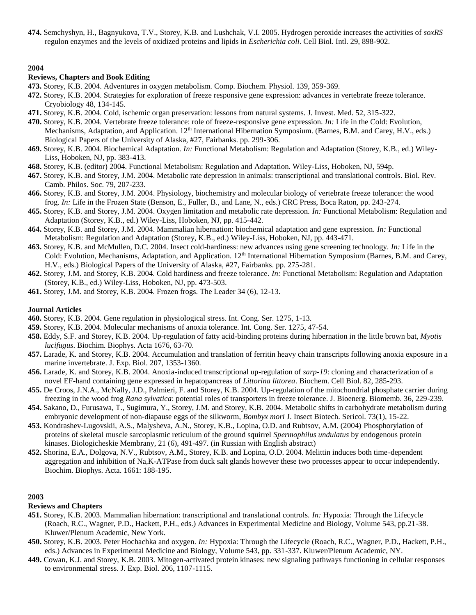**474.** Semchyshyn, H., Bagnyukova, T.V., Storey, K.B. and Lushchak, V.I. 2005. Hydrogen peroxide increases the activities of *soxRS* regulon enzymes and the levels of oxidized proteins and lipids in *Escherichia coli*. Cell Biol. Intl. 29, 898-902.

# **2004**

#### **Reviews, Chapters and Book Editing**

- **473.** Storey, K.B. 2004. Adventures in oxygen metabolism. Comp. Biochem. Physiol. 139, 359-369.
- **472.** Storey, K.B. 2004. Strategies for exploration of freeze responsive gene expression: advances in vertebrate freeze tolerance. Cryobiology 48, 134-145.
- **471.** Storey, K.B. 2004. Cold, ischemic organ preservation: lessons from natural systems. J. Invest. Med. 52, 315-322.
- **470.** Storey, K.B. 2004. Vertebrate freeze tolerance: role of freeze-responsive gene expression. *In:* Life in the Cold: Evolution, Mechanisms, Adaptation, and Application. 12<sup>th</sup> International Hibernation Symposium. (Barnes, B.M. and Carey, H.V., eds.) Biological Papers of the University of Alaska, #27, Fairbanks. pp. 299-306.
- **469.** Storey, K.B. 2004. Biochemical Adaptation. *In:* Functional Metabolism: Regulation and Adaptation (Storey, K.B., ed.) Wiley-Liss, Hoboken, NJ, pp. 383-413.
- **468.** Storey, K.B. (editor) 2004. Functional Metabolism: Regulation and Adaptation. Wiley-Liss, Hoboken, NJ, 594p.
- **467.** Storey, K.B. and Storey, J.M. 2004. Metabolic rate depression in animals: transcriptional and translational controls. Biol. Rev. Camb. Philos. Soc. 79, 207-233.
- **466.** Storey, K.B. and Storey, J.M. 2004. Physiology, biochemistry and molecular biology of vertebrate freeze tolerance: the wood frog. *In:* Life in the Frozen State (Benson, E., Fuller, B., and Lane, N., eds.) CRC Press, Boca Raton, pp. 243-274.
- **465.** Storey, K.B. and Storey, J.M. 2004. Oxygen limitation and metabolic rate depression. *In:* Functional Metabolism: Regulation and Adaptation (Storey, K.B., ed.) Wiley-Liss, Hoboken, NJ, pp. 415-442.
- **464.** Storey, K.B. and Storey, J.M. 2004. Mammalian hibernation: biochemical adaptation and gene expression. *In:* Functional Metabolism: Regulation and Adaptation (Storey, K.B., ed.) Wiley-Liss, Hoboken, NJ, pp. 443-471.
- **463.** Storey, K.B. and McMullen, D.C. 2004. Insect cold-hardiness: new advances using gene screening technology. *In:* Life in the Cold: Evolution, Mechanisms, Adaptation, and Application.  $12<sup>th</sup>$  International Hibernation Symposium (Barnes, B.M. and Carey, H.V., eds.) Biological Papers of the University of Alaska, #27, Fairbanks. pp. 275-281.
- **462.** Storey, J.M. and Storey, K.B. 2004. Cold hardiness and freeze tolerance. *In:* Functional Metabolism: Regulation and Adaptation (Storey, K.B., ed.) Wiley-Liss, Hoboken, NJ, pp. 473-503.
- **461.** Storey, J.M. and Storey, K.B. 2004. Frozen frogs. The Leader 34 (6), 12-13.

#### **Journal Articles**

- **460.** Storey, K.B. 2004. Gene regulation in physiological stress. Int. Cong. Ser. 1275, 1-13.
- **459.** Storey, K.B. 2004. Molecular mechanisms of anoxia tolerance. Int. Cong. Ser. 1275, 47-54.
- **458.** Eddy, S.F. and Storey, K.B. 2004. Up-regulation of fatty acid-binding proteins during hibernation in the little brown bat, *Myotis lucifugus*. Biochim. Biophys. Acta 1676, 63-70.
- **457.** Larade, K. and Storey, K.B. 2004. Accumulation and translation of ferritin heavy chain transcripts following anoxia exposure in a marine invertebrate. J. Exp. Biol. 207, 1353-1360.
- **456.** Larade, K. and Storey, K.B. 2004. Anoxia-induced transcriptional up-regulation of *sarp-19*: cloning and characterization of a novel EF-hand containing gene expressed in hepatopancreas of *Littorina littorea*. Biochem. Cell Biol. 82, 285-293.
- **455.** De Croos, J.N.A., McNally, J.D., Palmieri, F. and Storey, K.B. 2004. Up-regulation of the mitochondrial phosphate carrier during freezing in the wood frog *Rana sylvatica*: potential roles of transporters in freeze tolerance. J. Bioenerg. Biomemb. 36, 229-239.
- **454.** Sakano, D., Furusawa, T., Sugimura, Y., Storey, J.M. and Storey, K.B. 2004. Metabolic shifts in carbohydrate metabolism during embryonic development of non-diapause eggs of the silkworm, *Bombyx mori* J. Insect Biotech. Sericol. 73(1), 15-22.
- **453.** Kondrashev-Lugovskii, A.S., Malysheva, A.N., Storey, K.B., Lopina, O.D. and Rubtsov, A.M. (2004) Phosphorylation of proteins of skeletal muscle sarcoplasmic reticulum of the ground squirrel *Spermophilus undulatus* by endogenous protein kinases. Biologicheskie Membrany*,* 21 (6), 491-497. (in Russian with English abstract)
- **452.** Shorina, E.A., Dolgova, N.V., Rubtsov, A.M., Storey, K.B. and Lopina, O.D. 2004. Melittin induces both time-dependent aggregation and inhibition of Na,K-ATPase from duck salt glands however these two processes appear to occur independently. Biochim. Biophys. Acta. 1661: 188-195.

#### **2003**

#### **Reviews and Chapters**

- **451.** Storey, K.B. 2003. Mammalian hibernation: transcriptional and translational controls. *In:* Hypoxia: Through the Lifecycle (Roach, R.C., Wagner, P.D., Hackett, P.H., eds.) Advances in Experimental Medicine and Biology, Volume 543, pp.21-38. Kluwer/Plenum Academic, New York.
- **450.** Storey, K.B. 2003. Peter Hochachka and oxygen. *In:* Hypoxia: Through the Lifecycle (Roach, R.C., Wagner, P.D., Hackett, P.H., eds.) Advances in Experimental Medicine and Biology, Volume 543, pp. 331-337. Kluwer/Plenum Academic, NY.
- **449.** Cowan, K.J. and Storey, K.B. 2003. Mitogen-activated protein kinases: new signaling pathways functioning in cellular responses to environmental stress. J. Exp. Biol. 206, 1107-1115.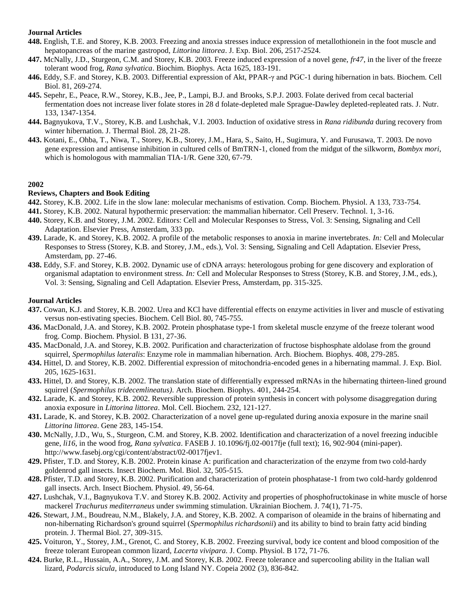## **Journal Articles**

- **448.** English, T.E. and Storey, K.B. 2003. Freezing and anoxia stresses induce expression of metallothionein in the foot muscle and hepatopancreas of the marine gastropod, *Littorina littorea*. J. Exp. Biol. 206, 2517-2524.
- **447.** McNally, J.D., Sturgeon, C.M. and Storey, K.B. 2003. Freeze induced expression of a novel gene, *fr47*, in the liver of the freeze tolerant wood frog, *Rana sylvatica*. Biochim. Biophys. Acta 1625, 183-191.
- **446.** Eddy, S.F. and Storey, K.B. 2003. Differential expression of Akt, PPAR-γ and PGC-1 during hibernation in bats. Biochem. Cell Biol. 81, 269-274.
- **445.** Sepehr, E., Peace, R.W., Storey, K.B., Jee, P., Lampi, B.J. and Brooks, S.P.J. 2003. Folate derived from cecal bacterial fermentation does not increase liver folate stores in 28 d folate-depleted male Sprague-Dawley depleted-repleated rats. J. Nutr. 133, 1347-1354.
- **444.** Bagnyukova, T.V., Storey, K.B. and Lushchak, V.I. 2003. Induction of oxidative stress in *Rana ridibunda* during recovery from winter hibernation. J. Thermal Biol. 28, 21-28.
- **443.** Kotani, E., Ohba, T., Niwa, T., Storey, K.B., Storey, J.M., Hara, S., Saito, H., Sugimura, Y. and Furusawa, T. 2003. De novo gene expression and antisense inhibition in cultured cells of BmTRN-1, cloned from the midgut of the silkworm, *Bombyx mori*, which is homologous with mammalian TIA-1/R. Gene 320, 67-79.

## **2002**

## **Reviews, Chapters and Book Editing**

- **442.** Storey, K.B. 2002. Life in the slow lane: molecular mechanisms of estivation. Comp. Biochem. Physiol. A 133, 733-754.
- **441.** Storey, K.B. 2002. Natural hypothermic preservation: the mammalian hibernator. Cell Preserv. Technol. 1, 3-16.
- **440.** Storey, K.B. and Storey, J.M. 2002. Editors: Cell and Molecular Responses to Stress, Vol. 3: Sensing, Signaling and Cell Adaptation. Elsevier Press, Amsterdam, 333 pp.
- **439.** Larade, K. and Storey, K.B. 2002. A profile of the metabolic responses to anoxia in marine invertebrates. *In:* Cell and Molecular Responses to Stress (Storey, K.B. and Storey, J.M., eds.), Vol. 3: Sensing, Signaling and Cell Adaptation. Elsevier Press, Amsterdam, pp. 27-46.
- **438.** Eddy, S.F. and Storey, K.B. 2002. Dynamic use of cDNA arrays: heterologous probing for gene discovery and exploration of organismal adaptation to environment stress. *In:* Cell and Molecular Responses to Stress (Storey, K.B. and Storey, J.M., eds.), Vol. 3: Sensing, Signaling and Cell Adaptation. Elsevier Press, Amsterdam, pp. 315-325.

- **437.** Cowan, K.J. and Storey, K.B. 2002. Urea and KCl have differential effects on enzyme activities in liver and muscle of estivating versus non-estivating species. Biochem. Cell Biol. 80, 745-755.
- **436.** MacDonald, J.A. and Storey, K.B. 2002. Protein phosphatase type-1 from skeletal muscle enzyme of the freeze tolerant wood frog. Comp. Biochem. Physiol. B 131, 27-36.
- **435.** MacDonald, J.A. and Storey, K.B. 2002. Purification and characterization of fructose bisphosphate aldolase from the ground squirrel, *Spermophilus lateralis*: Enzyme role in mammalian hibernation. Arch. Biochem. Biophys. 408, 279-285.
- **434.** Hittel, D. and Storey, K.B. 2002. Differential expression of mitochondria-encoded genes in a hibernating mammal. J. Exp. Biol. 205, 1625-1631.
- **433.** Hittel, D. and Storey, K.B. 2002. The translation state of differentially expressed mRNAs in the hibernating thirteen-lined ground squirrel (*Spermophilus tridecemlineatus)*. Arch. Biochem. Biophys. 401, 244-254.
- **432.** Larade, K. and Storey, K.B. 2002. Reversible suppression of protein synthesis in concert with polysome disaggregation during anoxia exposure in *Littorina littorea*. Mol. Cell. Biochem. 232, 121-127.
- **431.** Larade, K. and Storey, K.B. 2002. Characterization of a novel gene up-regulated during anoxia exposure in the marine snail *Littorina littorea*. Gene 283, 145-154.
- **430.** McNally, J.D., Wu, S., Sturgeon, C.M. and Storey, K.B. 2002. Identification and characterization of a novel freezing inducible gene, *li16*, in the wood frog, *Rana sylvatica*. FASEB J. 10.1096/fj.02-0017fje (full text); 16, 902-904 (mini-paper). http://www.fasebj.org/cgi/content/abstract/02-0017fjev1.
- **429.** Pfister, T.D. and Storey, K.B. 2002. Protein kinase A: purification and characterization of the enzyme from two cold-hardy goldenrod gall insects. Insect Biochem. Mol. Biol. 32, 505-515.
- **428.** Pfister, T.D. and Storey, K.B. 2002. Purification and characterization of protein phosphatase-1 from two cold-hardy goldenrod gall insects. Arch. Insect Biochem. Physiol. 49, 56-64.
- **427.** Lushchak, V.I., Bagnyukova T.V. and Storey K.B. 2002. Activity and properties of phosphofructokinase in white muscle of horse mackerel *Trachurus mediterraneus* under swimming stimulation. Ukrainian Biochem. J. 74(1), 71-75.
- **426.** Stewart, J.M., Boudreau, N.M., Blakely, J.A. and Storey, K.B. 2002. A comparison of oleamide in the brains of hibernating and non-hibernating Richardson's ground squirrel (*Spermophilus richardsonii*) and its ability to bind to brain fatty acid binding protein. J. Thermal Biol. 27, 309-315.
- **425.** Voituron, Y., Storey, J.M., Grenot, C. and Storey, K.B. 2002. Freezing survival, body ice content and blood composition of the freeze tolerant European common lizard, *Lacerta vivipara.* J. Comp. Physiol. B 172, 71-76.
- **424.** Burke, R.L., Hussain, A.A., Storey, J.M. and Storey, K.B. 2002. Freeze tolerance and supercooling ability in the Italian wall lizard, *Podarcis sicula*, introduced to Long Island NY. Copeia 2002 (3), 836-842.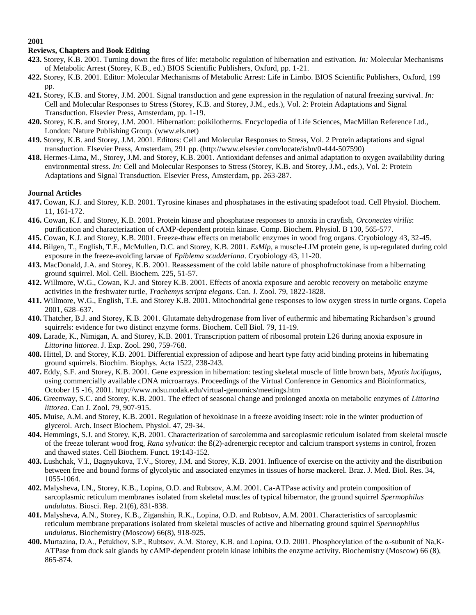## **Reviews, Chapters and Book Editing**

- **423.** Storey, K.B. 2001. Turning down the fires of life: metabolic regulation of hibernation and estivation. *In:* Molecular Mechanisms of Metabolic Arrest (Storey, K.B., ed.) BIOS Scientific Publishers, Oxford, pp. 1-21.
- **422.** Storey, K.B. 2001. Editor: Molecular Mechanisms of Metabolic Arrest: Life in Limbo. BIOS Scientific Publishers, Oxford, 199 pp.
- **421.** Storey, K.B. and Storey, J.M. 2001. Signal transduction and gene expression in the regulation of natural freezing survival. *In:* Cell and Molecular Responses to Stress (Storey, K.B. and Storey, J.M., eds.), Vol. 2: Protein Adaptations and Signal Transduction. Elsevier Press, Amsterdam, pp. 1-19.
- **420.** Storey, K.B. and Storey, J.M. 2001. Hibernation: poikilotherms. Encyclopedia of Life Sciences, MacMillan Reference Ltd., London: Nature Publishing Group. (www.els.net)
- **419.** Storey, K.B. and Storey, J.M. 2001. Editors: Cell and Molecular Responses to Stress, Vol. 2 Protein adaptations and signal transduction. Elsevier Press, Amsterdam, 291 pp. (http://www.elsevier.com/locate/isbn/0-444-507590)
- **418.** Hermes-Lima, M., Storey, J.M. and Storey, K.B. 2001. Antioxidant defenses and animal adaptation to oxygen availability during environmental stress. *In:* Cell and Molecular Responses to Stress (Storey, K.B. and Storey, J.M., eds.), Vol. 2: Protein Adaptations and Signal Transduction. Elsevier Press, Amsterdam, pp. 263-287.

- **417.** Cowan, K.J. and Storey, K.B. 2001. Tyrosine kinases and phosphatases in the estivating spadefoot toad. Cell Physiol. Biochem. 11, 161-172.
- **416.** Cowan, K.J. and Storey, K.B. 2001. Protein kinase and phosphatase responses to anoxia in crayfish, *Orconectes virilis*: purification and characterization of cAMP-dependent protein kinase. Comp. Biochem. Physiol. B 130, 565-577.
- **415.** Cowan, K.J. and Storey, K.B. 2001. Freeze-thaw effects on metabolic enzymes in wood frog organs. Cryobiology 43, 32-45.
- **414.** Bilgen, T., English, T.E., McMullen, D.C. and Storey, K.B. 2001. *EsMlp*, a muscle-LIM protein gene, is up-regulated during cold exposure in the freeze-avoiding larvae of *Epiblema scudderiana*. Cryobiology 43, 11-20.
- **413.** MacDonald, J.A. and Storey, K.B. 2001. Reassessment of the cold labile nature of phosphofructokinase from a hibernating ground squirrel. Mol. Cell. Biochem. 225, 51-57.
- **412.** Willmore, W.G., Cowan, K.J. and Storey K.B. 2001. Effects of anoxia exposure and aerobic recovery on metabolic enzyme activities in the freshwater turtle, *Trachemys scripta elegans*. Can. J. Zool. 79, 1822-1828.
- **411.** Willmore, W.G., English, T.E. and Storey K.B. 2001. Mitochondrial gene responses to low oxygen stress in turtle organs. Copeia 2001, 628–637.
- **410.** Thatcher, B.J. and Storey, K.B. 2001. Glutamate dehydrogenase from liver of euthermic and hibernating Richardson's ground squirrels: evidence for two distinct enzyme forms. Biochem. Cell Biol. 79, 11-19.
- **409.** Larade, K., Nimigan, A. and Storey, K.B. 2001. Transcription pattern of ribosomal protein L26 during anoxia exposure in *Littorina littorea*. J. Exp. Zool. 290, 759-768.
- **408.** Hittel, D. and Storey, K.B. 2001. Differential expression of adipose and heart type fatty acid binding proteins in hibernating ground squirrels. Biochim. Biophys. Acta 1522, 238-243.
- **407.** Eddy, S.F. and Storey, K.B. 2001. Gene expression in hibernation: testing skeletal muscle of little brown bats, *Myotis lucifugus,*  using commercially available cDNA microarrays. Proceedings of the Virtual Conference in Genomics and Bioinformatics, October 15 -16, 2001. http://www.ndsu.nodak.edu/virtual-genomics/meetings.htm
- **406.** Greenway, S.C. and Storey, K.B. 2001. The effect of seasonal change and prolonged anoxia on metabolic enzymes of *Littorina littorea.* Can J. Zool. 79, 907-915.
- **405.** Muise, A.M. and Storey, K.B. 2001. Regulation of hexokinase in a freeze avoiding insect: role in the winter production of glycerol. Arch. Insect Biochem. Physiol. 47, 29-34.
- **404.** Hemmings, S.J. and Storey, K,B. 2001. Characterization of sarcolemma and sarcoplasmic reticulum isolated from skeletal muscle of the freeze tolerant wood frog, *Rana sylvatica*: the ß(2)-adrenergic receptor and calcium transport systems in control, frozen and thawed states. Cell Biochem. Funct. 19:143-152.
- **403.** Lushchak, V.I., Bagnyukova, T.V., Storey, J.M. and Storey, K.B. 2001. Influence of exercise on the activity and the distribution between free and bound forms of glycolytic and associated enzymes in tissues of horse mackerel. Braz. J. Med. Biol. Res. 34, 1055-1064.
- **402.** Malysheva, I.N., Storey, K.B., Lopina, O.D. and Rubtsov, A.M. 2001. Ca-ATPase activity and protein composition of sarcoplasmic reticulum membranes isolated from skeletal muscles of typical hibernator, the ground squirrel *Spermophilus undulatus.* Biosci. Rep. 21(6), 831-838.
- **401.** Malysheva, A.N., Storey, K.B., Ziganshin, R.K., Lopina, O.D. and Rubtsov, A.M. 2001. Characteristics of sarcoplasmic reticulum membrane preparations isolated from skeletal muscles of active and hibernating ground squirrel *Spermophilus undulatus*. Biochemistry (Moscow) 66(8), 918-925.
- **400.** Murtazina, D.A., Petukhov, S.P., Rubtsov, A.M. Storey, K.B. and Lopina, O.D. 2001. Phosphorylation of the α-subunit of Na,K-ATPase from duck salt glands by cAMP-dependent protein kinase inhibits the enzyme activity. Biochemistry (Moscow) 66 (8), 865-874.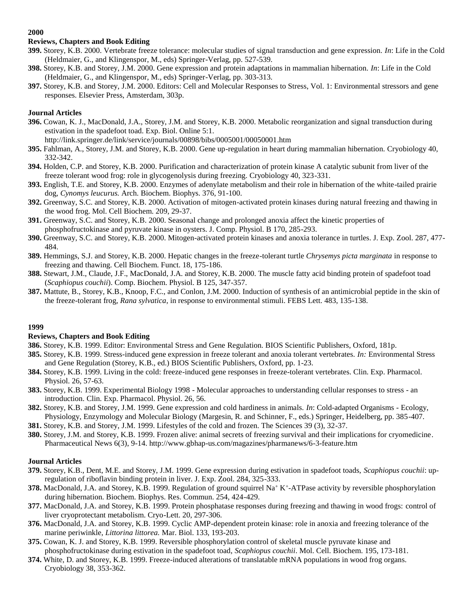# **Reviews, Chapters and Book Editing**

- **399.** Storey, K.B. 2000. Vertebrate freeze tolerance: molecular studies of signal transduction and gene expression. *In*: Life in the Cold (Heldmaier, G., and Klingenspor, M., eds) Springer-Verlag, pp. 527-539.
- **398.** Storey, K.B. and Storey, J.M. 2000. Gene expression and protein adaptations in mammalian hibernation. *In*: Life in the Cold (Heldmaier, G., and Klingenspor, M., eds) Springer-Verlag, pp. 303-313.
- **397.** Storey, K.B. and Storey, J.M. 2000. Editors: Cell and Molecular Responses to Stress, Vol. 1: Environmental stressors and gene responses. Elsevier Press, Amsterdam, 303p.

## **Journal Articles**

- **396.** Cowan, K. J., MacDonald, J.A., Storey, J.M. and Storey, K.B. 2000. Metabolic reorganization and signal transduction during estivation in the spadefoot toad. Exp. Biol. Online 5:1.
- http://link.springer.de/link/service/journals/00898/bibs/0005001/00050001.htm **395.** Fahlman, A., Storey, J.M. and Storey, K.B. 2000. Gene up-regulation in heart during mammalian hibernation*.* Cryobiology 40, 332-342.
- **394.** Holden, C.P. and Storey, K.B. 2000. Purification and characterization of protein kinase A catalytic subunit from liver of the freeze tolerant wood frog: role in glycogenolysis during freezing. Cryobiology 40, 323-331.
- **393.** English, T.E. and Storey, K.B. 2000. Enzymes of adenylate metabolism and their role in hibernation of the white-tailed prairie dog, *Cynomys leucurus.* Arch. Biochem. Biophys. 376, 91-100.
- **392.** Greenway, S.C. and Storey, K.B. 2000. Activation of mitogen-activated protein kinases during natural freezing and thawing in the wood frog. Mol. Cell Biochem. 209, 29-37.
- **391.** Greenway, S.C. and Storey, K.B. 2000. Seasonal change and prolonged anoxia affect the kinetic properties of phosphofructokinase and pyruvate kinase in oysters. J. Comp. Physiol. B 170, 285-293.
- **390.** Greenway, S.C. and Storey, K.B. 2000. Mitogen-activated protein kinases and anoxia tolerance in turtles. J. Exp. Zool. 287, 477- 484.
- **389.** Hemmings, S.J. and Storey, K.B. 2000. Hepatic changes in the freeze-tolerant turtle *Chrysemys picta marginata* in response to freezing and thawing. Cell Biochem. Funct. 18, 175-186.
- **388.** Stewart, J.M., Claude, J.F., MacDonald, J.A. and Storey, K.B. 2000. The muscle fatty acid binding protein of spadefoot toad (*Scaphiopus couchii*). Comp. Biochem. Physiol. B 125, 347-357.
- **387.** Mattute, B., Storey, K.B., Knoop, F.C., and Conlon, J.M. 2000. Induction of synthesis of an antimicrobial peptide in the skin of the freeze-tolerant frog, *Rana sylvatica*, in response to environmental stimuli. FEBS Lett. 483, 135-138.

#### **1999**

#### **Reviews, Chapters and Book Editing**

- **386.** Storey, K.B. 1999. Editor: Environmental Stress and Gene Regulation. BIOS Scientific Publishers, Oxford, 181p.
- **385.** Storey, K.B. 1999. Stress-induced gene expression in freeze tolerant and anoxia tolerant vertebrates. *In:* Environmental Stress and Gene Regulation (Storey, K.B., ed.) BIOS Scientific Publishers, Oxford, pp. 1-23.
- **384.** Storey, K.B. 1999. Living in the cold: freeze-induced gene responses in freeze-tolerant vertebrates. Clin. Exp. Pharmacol. Physiol. 26, 57-63.
- **383.** Storey, K.B. 1999. Experimental Biology 1998 Molecular approaches to understanding cellular responses to stress an introduction. Clin. Exp. Pharmacol. Physiol. 26, 56.
- **382.** Storey, K.B. and Storey, J.M. 1999. Gene expression and cold hardiness in animals. *In*: Cold-adapted Organisms Ecology, Physiology, Enzymology and Molecular Biology (Margesin, R. and Schinner, F., eds.) Springer, Heidelberg, pp. 385-407.
- **381.** Storey, K.B. and Storey, J.M. 1999. Lifestyles of the cold and frozen. The Sciences 39 (3), 32-37.
- **380.** Storey, J.M. and Storey, K.B. 1999. Frozen alive: animal secrets of freezing survival and their implications for cryomedicine. Pharmaceutical News 6(3), 9-14. http://www.gbhap-us.com/magazines/pharmanews/6-3-feature.htm

- **379.** Storey, K.B., Dent, M.E. and Storey, J.M. 1999. Gene expression during estivation in spadefoot toads, *Scaphiopus couchii*: upregulation of riboflavin binding protein in liver. J. Exp. Zool. 284, 325-333.
- 378. MacDonald, J.A. and Storey, K.B. 1999. Regulation of ground squirrel Na<sup>+</sup> K<sup>+</sup>-ATPase activity by reversible phosphorylation during hibernation. Biochem. Biophys. Res. Commun. 254, 424-429.
- **377.** MacDonald, J.A. and Storey, K.B. 1999. Protein phosphatase responses during freezing and thawing in wood frogs: control of liver cryoprotectant metabolism. Cryo-Lett. 20, 297-306.
- **376.** MacDonald, J.A. and Storey, K.B. 1999. Cyclic AMP-dependent protein kinase: role in anoxia and freezing tolerance of the marine periwinkle, *Littorina littorea.* Mar. Biol. 133, 193-203.
- **375.** Cowan, K. J. and Storey, K.B. 1999. Reversible phosphorylation control of skeletal muscle pyruvate kinase and phosphofructokinase during estivation in the spadefoot toad, *Scaphiopus couchii*. Mol. Cell. Biochem. 195, 173-181.
- **374.** White, D. and Storey, K.B. 1999. Freeze-induced alterations of translatable mRNA populations in wood frog organs. Cryobiology 38, 353-362.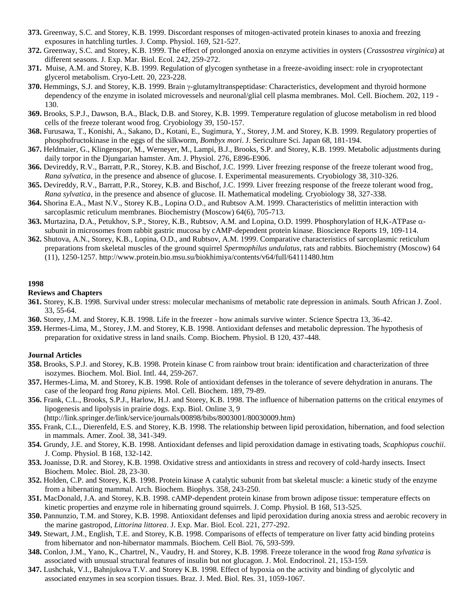- **373.** Greenway, S.C. and Storey, K.B. 1999. Discordant responses of mitogen-activated protein kinases to anoxia and freezing exposures in hatchling turtles. J. Comp. Physiol. 169, 521-527.
- **372.** Greenway, S.C. and Storey, K.B. 1999. The effect of prolonged anoxia on enzyme activities in oysters (*Crassostrea virginica*) at different seasons. J. Exp. Mar. Biol. Ecol. 242, 259-272.
- **371.** Muise, A.M. and Storey, K.B. 1999. Regulation of glycogen synthetase in a freeze-avoiding insect: role in cryoprotectant glycerol metabolism. Cryo-Lett. 20, 223-228.
- **370.** Hemmings, S.J. and Storey, K.B. 1999. Brain  $\gamma$ -glutamyltranspeptidase: Characteristics, development and thyroid hormone dependency of the enzyme in isolated microvessels and neuronal/glial cell plasma membranes. Mol. Cell. Biochem. 202, 119 -130.
- **369.** Brooks, S.P.J., Dawson, B.A., Black, D.B. and Storey, K.B. 1999. Temperature regulation of glucose metabolism in red blood cells of the freeze tolerant wood frog. Cryobiology 39, 150-157.
- **368.** Furusawa, T., Konishi, A., Sakano, D., Kotani, E., Sugimura, Y., Storey, J.M. and Storey, K.B. 1999. Regulatory properties of phosphofructokinase in the eggs of the silkworm, *Bombyx mori*. J. Sericulture Sci. Japan 68, 181-194.
- **367.** Heldmaier, G., Klingenspor, M., Werneyer, M., Lampi, B.J., Brooks, S.P. and Storey, K.B. 1999. Metabolic adjustments during daily torpor in the Djungarian hamster. Am. J. Physiol. 276, E896-E906.
- **366.** Devireddy, R.V., Barratt, P.R., Storey, K.B. and Bischof, J.C. 1999. Liver freezing response of the freeze tolerant wood frog, *Rana sylvatica*, in the presence and absence of glucose. I. Experimental measurements. Cryobiology 38, 310-326.
- **365.** Devireddy, R.V., Barratt, P.R., Storey, K.B. and Bischof, J.C. 1999. Liver freezing response of the freeze tolerant wood frog, *Rana sylvatica*, in the presence and absence of glucose. II. Mathematical modeling. Cryobiology 38, 327-338.
- **364.** Shorina E.A., Mast N.V., Storey K.B., Lopina O.D., and Rubtsov A.M. 1999. Characteristics of melittin interaction with sarcoplasmic reticulum membranes. Biochemistry (Moscow) 64(6), 705-713.
- **363.** Murtazina, D.A., Petukhov, S.P., Storey, K.B., Rubtsov, A.M. and Lopina, O.D. 1999. Phosphorylation of H,K-ATPase αsubunit in microsomes from rabbit gastric mucosa by cAMP-dependent protein kinase. Bioscience Reports 19, 109-114.
- **362.** Shutova, A.N., Storey, K.B., Lopina, O.D., and Rubtsov, A.M. 1999. Comparative characteristics of sarcoplasmic reticulum preparations from skeletal muscles of the ground squirrel *Spermophilus undulatus*, rats and rabbits. Biochemistry (Moscow) 64 (11), 1250-1257. http://www.protein.bio.msu.su/biokhimiya/contents/v64/full/64111480.htm

#### **Reviews and Chapters**

- **361.** Storey, K.B. 1998. Survival under stress: molecular mechanisms of metabolic rate depression in animals. South African J. Zool. 33, 55-64.
- **360.** Storey, J.M. and Storey, K.B. 1998. Life in the freezer how animals survive winter. Science Spectra 13, 36-42.
- **359.** Hermes-Lima, M., Storey, J.M. and Storey, K.B. 1998. Antioxidant defenses and metabolic depression. The hypothesis of preparation for oxidative stress in land snails. Comp. Biochem. Physiol. B 120, 437-448.

- **358.** Brooks, S.P.J. and Storey, K.B. 1998. Protein kinase C from rainbow trout brain: identification and characterization of three isozymes. Biochem. Mol. Biol. Intl. 44, 259-267.
- **357.** Hermes-Lima, M. and Storey, K.B. 1998. Role of antioxidant defenses in the tolerance of severe dehydration in anurans. The case of the leopard frog *Rana pipiens.* Mol. Cell. Biochem. 189, 79-89.
- **356.** Frank, C.L., Brooks, S.P.J., Harlow, H.J. and Storey, K.B. 1998. The influence of hibernation patterns on the critical enzymes of lipogenesis and lipolysis in prairie dogs. Exp. Biol. Online 3, 9
	- (http://link.springer.de/link/service/journals/00898/bibs/8003001/80030009.htm)
- **355.** Frank, C.L., Dierenfeld, E.S. and Storey, K.B. 1998. The relationship between lipid peroxidation, hibernation, and food selection in mammals. Amer. Zool. 38, 341-349.
- **354.** Grundy, J.E. and Storey, K.B. 1998. Antioxidant defenses and lipid peroxidation damage in estivating toads, *Scaphiopus couchii*. J. Comp. Physiol. B 168, 132-142.
- **353.** Joanisse, D.R. and Storey, K.B. 1998. Oxidative stress and antioxidants in stress and recovery of cold-hardy insects. Insect Biochem. Molec. Biol. 28, 23-30.
- **352.** Holden, C.P. and Storey, K.B. 1998. Protein kinase A catalytic subunit from bat skeletal muscle: a kinetic study of the enzyme from a hibernating mammal. Arch. Biochem. Biophys. 358, 243-250.
- **351.** MacDonald, J.A. and Storey, K.B. 1998. cAMP-dependent protein kinase from brown adipose tissue: temperature effects on kinetic properties and enzyme role in hibernating ground squirrels. J. Comp. Physiol. B 168, 513-525.
- **350.** Pannunzio, T.M. and Storey, K.B. 1998. Antioxidant defenses and lipid peroxidation during anoxia stress and aerobic recovery in the marine gastropod, *Littorina littorea*. J. Exp. Mar. Biol. Ecol. 221, 277-292.
- **349.** Stewart, J.M., English, T.E. and Storey, K.B. 1998. Comparisons of effects of temperature on liver fatty acid binding proteins from hibernator and non-hibernator mammals. Biochem. Cell Biol. 76, 593-599.
- **348.** Conlon, J.M., Yano, K., Chartrel, N., Vaudry, H. and Storey, K.B. 1998. Freeze tolerance in the wood frog *Rana sylvatica* is associated with unusual structural features of insulin but not glucagon. J. Mol. Endocrinol. 21, 153-159.
- **347.** Lushchak, V.I., Bahnjukova T.V. and Storey K.B. 1998. Effect of hypoxia on the activity and binding of glycolytic and associated enzymes in sea scorpion tissues. Braz. J. Med. Biol. Res. 31, 1059-1067.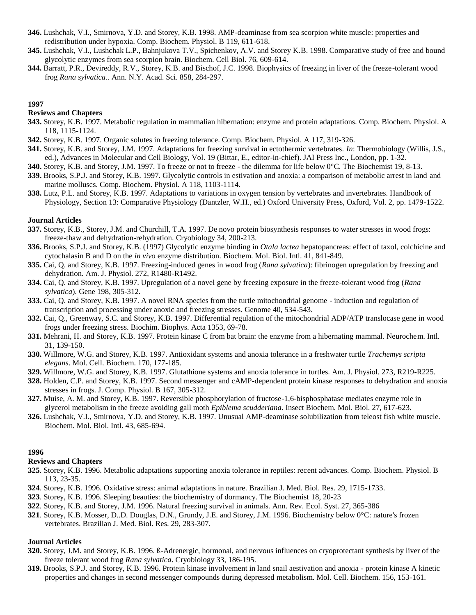- **346.** Lushchak, V.I., Smirnova, Y.D. and Storey, K.B. 1998. AMP-deaminase from sea scorpion white muscle: properties and redistribution under hypoxia. Comp. Biochem. Physiol. B 119, 611-618.
- **345.** Lushchak, V.I., Lushchak L.P., Bahnjukova T.V., Spichenkov, A.V. and Storey K.B. 1998. Comparative study of free and bound glycolytic enzymes from sea scorpion brain. Biochem. Cell Biol. 76, 609-614.
- **344.** Barratt, P.R., Devireddy, R.V., Storey, K.B. and Bischof, J.C. 1998. Biophysics of freezing in liver of the freeze-tolerant wood frog *Rana sylvatica.*. Ann. N.Y. Acad. Sci. 858, 284-297.

#### **Reviews and Chapters**

- **343.** Storey, K.B. 1997. Metabolic regulation in mammalian hibernation: enzyme and protein adaptations. Comp. Biochem. Physiol. A 118, 1115-1124.
- **342.** Storey, K.B. 1997. Organic solutes in freezing tolerance. Comp. Biochem. Physiol. A 117, 319-326.
- **341.** Storey, K.B. and Storey, J.M. 1997. Adaptations for freezing survival in ectothermic vertebrates. *In*: Thermobiology (Willis, J.S., ed.), Advances in Molecular and Cell Biology, Vol. 19 (Bittar, E., editor-in-chief). JAI Press Inc., London, pp. 1-32.
- **340.** Storey, K.B. and Storey, J.M. 1997. To freeze or not to freeze the dilemma for life below 0°C. The Biochemist 19, 8-13.
- **339.** Brooks, S.P.J. and Storey, K.B. 1997. Glycolytic controls in estivation and anoxia: a comparison of metabolic arrest in land and marine molluscs. Comp. Biochem. Physiol. A 118, 1103-1114.
- **338.** Lutz, P.L. and Storey, K.B. 1997. Adaptations to variations in oxygen tension by vertebrates and invertebrates. Handbook of Physiology, Section 13: Comparative Physiology (Dantzler, W.H., ed.) Oxford University Press, Oxford, Vol. 2, pp. 1479-1522.

#### **Journal Articles**

- **337.** Storey, K.B., Storey, J.M. and Churchill, T.A. 1997. De novo protein biosynthesis responses to water stresses in wood frogs: freeze-thaw and dehydration-rehydration. Cryobiology 34, 200-213.
- **336.** Brooks, S.P.J. and Storey, K.B. (1997) Glycolytic enzyme binding in *Otala lactea* hepatopancreas: effect of taxol, colchicine and cytochalasin B and D on the *in vivo* enzyme distribution. Biochem. Mol. Biol. Intl. 41, 841-849.
- **335.** Cai, Q. and Storey, K.B. 1997. Freezing-induced genes in wood frog (*Rana sylvatica*): fibrinogen upregulation by freezing and dehydration. Am. J. Physiol. 272, R1480-R1492.
- **334.** Cai, Q. and Storey, K.B. 1997. Upregulation of a novel gene by freezing exposure in the freeze-tolerant wood frog (*Rana sylvatica*)*.* Gene 198, 305-312.
- **333.** Cai, Q. and Storey, K.B. 1997. A novel RNA species from the turtle mitochondrial genome induction and regulation of transcription and processing under anoxic and freezing stresses. Genome 40, 534-543.
- **332.** Cai, Q., Greenway, S.C. and Storey, K.B. 1997. Differential regulation of the mitochondrial ADP/ATP translocase gene in wood frogs under freezing stress. Biochim. Biophys. Acta 1353, 69-78.
- **331.** Mehrani, H. and Storey, K.B. 1997. Protein kinase C from bat brain: the enzyme from a hibernating mammal. Neurochem. Intl. 31, 139-150.
- **330.** Willmore, W.G. and Storey, K.B. 1997. Antioxidant systems and anoxia tolerance in a freshwater turtle *Trachemys scripta elegans*. Mol. Cell. Biochem. 170, 177-185.
- **329.** Willmore, W.G. and Storey, K.B. 1997. Glutathione systems and anoxia tolerance in turtles. Am. J. Physiol. 273, R219-R225.
- **328.** Holden, C.P. and Storey, K.B. 1997. Second messenger and cAMP-dependent protein kinase responses to dehydration and anoxia stresses in frogs. J. Comp. Physiol. B 167, 305-312.
- **327.** Muise, A. M. and Storey, K.B. 1997. Reversible phosphorylation of fructose-1,6-bisphosphatase mediates enzyme role in glycerol metabolism in the freeze avoiding gall moth *Epiblema scudderiana*. Insect Biochem. Mol. Biol. 27, 617-623.
- **326.** Lushchak, V.I., Smirnova, Y.D. and Storey, K.B. 1997. Unusual AMP-deaminase solubilization from teleost fish white muscle. Biochem. Mol. Biol. Intl. 43, 685-694.

# **1996**

## **Reviews and Chapters**

- **325**. Storey, K.B. 1996. Metabolic adaptations supporting anoxia tolerance in reptiles: recent advances. Comp. Biochem. Physiol. B 113, 23-35.
- **324**. Storey, K.B. 1996. Oxidative stress: animal adaptations in nature. Brazilian J. Med. Biol. Res. 29, 1715-1733.
- **323**. Storey, K.B. 1996. Sleeping beauties: the biochemistry of dormancy. The Biochemist 18, 20-23
- **322**. Storey, K.B. and Storey, J.M. 1996. Natural freezing survival in animals. Ann. Rev. Ecol. Syst. 27, 365-386
- **321**. Storey, K.B. Mosser, D..D. Douglas, D.N., Grundy, J.E. and Storey, J.M. 1996. Biochemistry below 0°C: nature's frozen vertebrates. Brazilian J. Med. Biol. Res. 29, 283-307.

- **320.** Storey, J.M. and Storey, K.B. 1996. ß-Adrenergic, hormonal, and nervous influences on cryoprotectant synthesis by liver of the freeze tolerant wood frog *Rana sylvatica*. Cryobiology 33, 186-195.
- **319.** Brooks, S.P.J. and Storey, K.B. 1996. Protein kinase involvement in land snail aestivation and anoxia protein kinase A kinetic properties and changes in second messenger compounds during depressed metabolism. Mol. Cell. Biochem. 156, 153-161.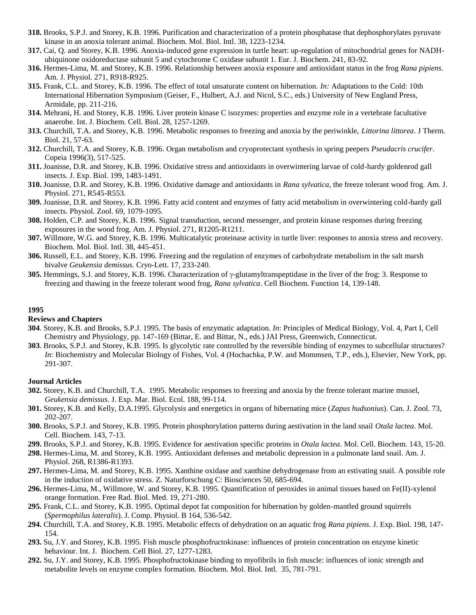- **318.** Brooks, S.P.J. and Storey, K.B. 1996. Purification and characterization of a protein phosphatase that dephosphorylates pyruvate kinase in an anoxia tolerant animal. Biochem. Mol. Biol. Intl. 38, 1223-1234.
- **317.** Cai, Q. and Storey, K.B. 1996. Anoxia-induced gene expression in turtle heart: up-regulation of mitochondrial genes for NADHubiquinone oxidoreductase subunit 5 and cytochrome C oxidase subunit 1. Eur. J. Biochem. 241, 83-92.
- **316.** Hermes-Lima, M. and Storey, K.B. 1996. Relationship between anoxia exposure and antioxidant status in the frog *Rana pipiens*. Am. J. Physiol. 271, R918-R925.
- **315.** Frank, C.L. and Storey, K.B. 1996. The effect of total unsaturate content on hibernation. *In:* Adaptations to the Cold: 10th International Hibernation Symposium (Geiser, F., Hulbert, A.J. and Nicol, S.C., eds.) University of New England Press, Armidale, pp. 211-216.
- **314.** Mehrani, H. and Storey, K.B. 1996. Liver protein kinase C isozymes: properties and enzyme role in a vertebrate facultative anaerobe. Int. J. Biochem. Cell. Biol. 28, 1257-1269.
- **313.** Churchill, T.A. and Storey, K.B. 1996. Metabolic responses to freezing and anoxia by the periwinkle, *Littorina littorea*. J Therm. Biol. 21, 57-63.
- **312.** Churchill, T.A. and Storey, K.B. 1996. Organ metabolism and cryoprotectant synthesis in spring peepers *Pseudacris crucifer*. Copeia 1996(3), 517-525.
- **311.** Joanisse, D.R. and Storey, K.B. 1996. Oxidative stress and antioxidants in overwintering larvae of cold-hardy goldenrod gall insects. J. Exp. Biol. 199, 1483-1491.
- **310.** Joanisse, D.R. and Storey, K.B. 1996. Oxidative damage and antioxidants in *Rana sylvatica,* the freeze tolerant wood frog. Am. J. Physiol. 271, R545-R553.
- **309.** Joanisse, D.R. and Storey, K.B. 1996. Fatty acid content and enzymes of fatty acid metabolism in overwintering cold-hardy gall insects. Physiol. Zool. 69, 1079-1095.
- **308.** Holden, C.P. and Storey, K.B. 1996. Signal transduction, second messenger, and protein kinase responses during freezing exposures in the wood frog. Am. J. Physiol. 271, R1205-R1211.
- **307.** Willmore, W.G. and Storey, K.B. 1996. Multicatalytic proteinase activity in turtle liver: responses to anoxia stress and recovery. Biochem. Mol. Biol. Intl. 38, 445-451.
- **306.** Russell, E.L. and Storey, K.B. 1996. Freezing and the regulation of enzymes of carbohydrate metabolism in the salt marsh bivalve *Geukensia demissus.* Cryo-Lett. 17, 233-240.
- **305.** Hemmings, S.J. and Storey, K.B. 1996. Characterization of  $\gamma$ -glutamyltranspeptidase in the liver of the frog: 3. Response to freezing and thawing in the freeze tolerant wood frog, *Rana sylvatica*. Cell Biochem. Function 14, 139-148.

#### **Reviews and Chapters**

- **304**. Storey, K.B. and Brooks, S.P.J. 1995. The basis of enzymatic adaptation. *In*: Principles of Medical Biology, Vol. 4, Part I, Cell Chemistry and Physiology, pp. 147-169 (Bittar, E. and Bittar, N., eds.) JAI Press, Greenwich, Connecticut.
- **303**. Brooks, S.P.J. and Storey, K.B. 1995. Is glycolytic rate controlled by the reversible binding of enzymes to subcellular structures? *In*: Biochemistry and Molecular Biology of Fishes, Vol. 4 (Hochachka, P.W. and Mommsen, T.P., eds.), Elsevier, New York, pp. 291-307.

- **302.** Storey, K.B. and Churchill, T.A. 1995. Metabolic responses to freezing and anoxia by the freeze tolerant marine mussel, *Geukensia demissus*. J. Exp. Mar. Biol. Ecol. 188, 99-114.
- **301.** Storey, K.B. and Kelly, D.A.1995. Glycolysis and energetics in organs of hibernating mice (*Zapus hudsonius*). Can. J. Zool. 73, 202-207.
- **300.** Brooks, S.P.J. and Storey, K.B. 1995. Protein phosphorylation patterns during aestivation in the land snail *Otala lactea*. Mol. Cell. Biochem. 143, 7-13.
- **299.** Brooks, S.P.J. and Storey, K.B. 1995. Evidence for aestivation specific proteins in *Otala lactea*. Mol. Cell. Biochem. 143, 15-20.
- **298.** Hermes-Lima, M. and Storey, K.B. 1995. Antioxidant defenses and metabolic depression in a pulmonate land snail. Am. J. Physiol. 268, R1386-R1393.
- **297.** Hermes-Lima, M. and Storey, K.B. 1995. Xanthine oxidase and xanthine dehydrogenase from an estivating snail. A possible role in the induction of oxidative stress. Z. Naturforschung C: Biosciences 50, 685-694.
- **296.** Hermes-Lima, M., Willmore, W. and Storey, K.B. 1995. Quantification of peroxides in animal tissues based on Fe(II)-xylenol orange formation. Free Rad. Biol. Med. 19, 271-280.
- **295.** Frank, C.L. and Storey, K.B. 1995. Optimal depot fat composition for hibernation by golden-mantled ground squirrels (*Spermophilus lateralis*). J. Comp. Physiol. B 164, 536-542.
- **294.** Churchill, T.A. and Storey, K.B. 1995. Metabolic effects of dehydration on an aquatic frog *Rana pipiens*. J. Exp. Biol. 198, 147- 154.
- **293.** Su, J.Y. and Storey, K.B. 1995. Fish muscle phosphofructokinase: influences of protein concentration on enzyme kinetic behaviour. Int. J. Biochem. Cell Biol. 27, 1277-1283.
- **292.** Su, J.Y. and Storey, K.B. 1995. Phosphofructokinase binding to myofibrils in fish muscle: influences of ionic strength and metabolite levels on enzyme complex formation. Biochem. Mol. Biol. Intl. 35, 781-791.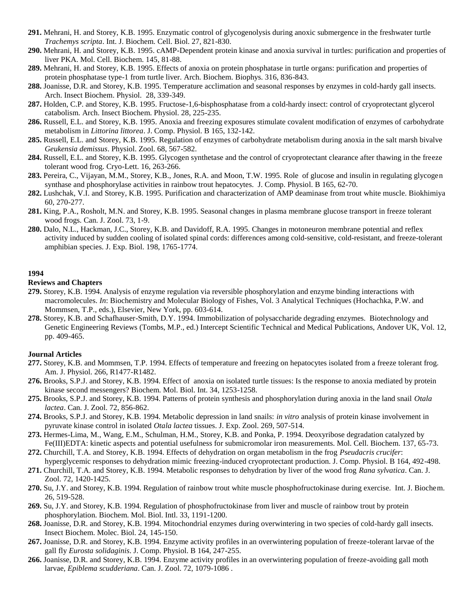- **291.** Mehrani, H. and Storey, K.B. 1995. Enzymatic control of glycogenolysis during anoxic submergence in the freshwater turtle *Trachemys scripta*. Int. J. Biochem. Cell. Biol. 27, 821-830.
- **290.** Mehrani, H. and Storey, K.B. 1995. cAMP-Dependent protein kinase and anoxia survival in turtles: purification and properties of liver PKA. Mol. Cell. Biochem. 145, 81-88.
- **289.** Mehrani, H. and Storey, K.B. 1995. Effects of anoxia on protein phosphatase in turtle organs: purification and properties of protein phosphatase type-1 from turtle liver. Arch. Biochem. Biophys. 316, 836-843.
- **288.** Joanisse, D.R. and Storey, K.B. 1995. Temperature acclimation and seasonal responses by enzymes in cold-hardy gall insects. Arch. Insect Biochem. Physiol. 28, 339-349.
- **287.** Holden, C.P. and Storey, K.B. 1995. Fructose-1,6-bisphosphatase from a cold-hardy insect: control of cryoprotectant glycerol catabolism. Arch. Insect Biochem. Physiol. 28, 225-235.
- **286.** Russell, E.L. and Storey, K.B. 1995. Anoxia and freezing exposures stimulate covalent modification of enzymes of carbohydrate metabolism in *Littorina littorea*. J. Comp. Physiol. B 165, 132-142.
- **285.** Russell, E.L. and Storey, K.B. 1995. Regulation of enzymes of carbohydrate metabolism during anoxia in the salt marsh bivalve *Geukensia demissus*. Physiol. Zool. 68, 567-582.
- **284.** Russell, E.L. and Storey, K.B. 1995. Glycogen synthetase and the control of cryoprotectant clearance after thawing in the freeze tolerant wood frog. Cryo-Lett. 16, 263-266.
- **283.** Pereira, C., Vijayan, M.M., Storey, K.B., Jones, R.A. and Moon, T.W. 1995. Role of glucose and insulin in regulating glycogen synthase and phosphorylase activities in rainbow trout hepatocytes. J. Comp. Physiol. B 165, 62-70.
- **282.** Lushchak, V.I. and Storey, K.B. 1995. Purification and characterization of AMP deaminase from trout white muscle. Biokhimiya 60, 270-277.
- **281.** King, P.A., Rosholt, M.N. and Storey, K.B. 1995. Seasonal changes in plasma membrane glucose transport in freeze tolerant wood frogs. Can. J. Zool. 73, 1-9.
- **280.** Dalo, N.L., Hackman, J.C., Storey, K.B. and Davidoff, R.A. 1995. Changes in motoneuron membrane potential and reflex activity induced by sudden cooling of isolated spinal cords: differences among cold-sensitive, cold-resistant, and freeze-tolerant amphibian species. J. Exp. Biol. 198, 1765-1774.

## **Reviews and Chapters**

- **279.** Storey, K.B. 1994. Analysis of enzyme regulation via reversible phosphorylation and enzyme binding interactions with macromolecules. *In*: Biochemistry and Molecular Biology of Fishes, Vol. 3 Analytical Techniques (Hochachka, P.W. and Mommsen, T.P., eds.), Elsevier, New York, pp. 603-614.
- **278.** Storey, K.B. and Schafhauser-Smith, D.Y. 1994. Immobilization of polysaccharide degrading enzymes. Biotechnology and Genetic Engineering Reviews (Tombs, M.P., ed.) Intercept Scientific Technical and Medical Publications, Andover UK, Vol. 12, pp. 409-465.

- **277.** Storey, K.B. and Mommsen, T.P. 1994. Effects of temperature and freezing on hepatocytes isolated from a freeze tolerant frog. Am. J. Physiol. 266, R1477-R1482.
- **276.** Brooks, S.P.J. and Storey, K.B. 1994. Effect of anoxia on isolated turtle tissues: Is the response to anoxia mediated by protein kinase second messengers? Biochem. Mol. Biol. Int. 34, 1253-1258.
- **275.** Brooks, S.P.J. and Storey, K.B. 1994. Patterns of protein synthesis and phosphorylation during anoxia in the land snail *Otala lactea*. Can. J. Zool. 72, 856-862.
- **274.** Brooks, S.P.J. and Storey, K.B. 1994. Metabolic depression in land snails: *in vitro* analysis of protein kinase involvement in pyruvate kinase control in isolated *Otala lactea* tissues. J. Exp. Zool. 269, 507-514.
- **273.** Hermes-Lima, M., Wang, E.M., Schulman, H.M., Storey, K.B. and Ponka, P. 1994. Deoxyribose degradation catalyzed by Fe(III)EDTA: kinetic aspects and potential usefulness for submicromolar iron measurements. Mol. Cell. Biochem. 137, 65-73.
- **272.** Churchill, T.A. and Storey, K.B. 1994. Effects of dehydration on organ metabolism in the frog *Pseudacris crucifer*: hyperglycemic responses to dehydration mimic freezing-induced cryoprotectant production. J. Comp. Physiol. B 164, 492-498.
- **271.** Churchill, T.A. and Storey, K.B. 1994. Metabolic responses to dehydration by liver of the wood frog *Rana sylvatica*. Can. J. Zool. 72, 1420-1425.
- **270.** Su, J.Y. and Storey, K.B. 1994. Regulation of rainbow trout white muscle phosphofructokinase during exercise. Int. J. Biochem. 26, 519-528.
- **269.** Su, J.Y. and Storey, K.B. 1994. Regulation of phosphofructokinase from liver and muscle of rainbow trout by protein phosphorylation. Biochem. Mol. Biol. Intl. 33, 1191-1200.
- **268.** Joanisse, D.R. and Storey, K.B. 1994. Mitochondrial enzymes during overwintering in two species of cold-hardy gall insects. Insect Biochem. Molec. Biol. 24, 145-150.
- **267.** Joanisse, D.R. and Storey, K.B. 1994. Enzyme activity profiles in an overwintering population of freeze-tolerant larvae of the gall fly *Eurosta solidaginis*. J. Comp. Physiol. B 164, 247-255.
- **266.** Joanisse, D.R. and Storey, K.B. 1994. Enzyme activity profiles in an overwintering population of freeze-avoiding gall moth larvae, *Epiblema scudderiana*. Can. J. Zool. 72, 1079-1086 .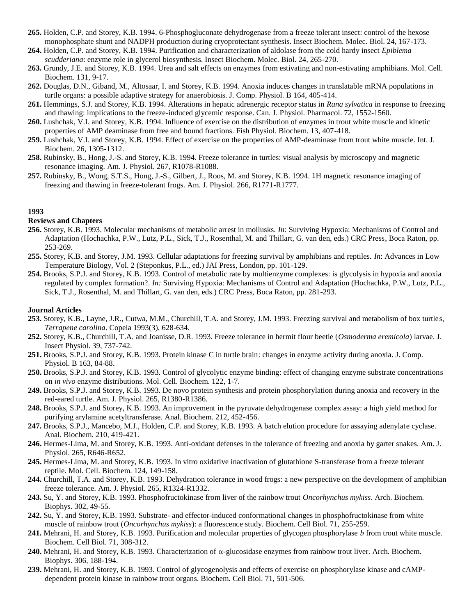- **265.** Holden, C.P. and Storey, K.B. 1994. 6-Phosphogluconate dehydrogenase from a freeze tolerant insect: control of the hexose monophosphate shunt and NADPH production during cryoprotectant synthesis. Insect Biochem. Molec. Biol. 24, 167-173.
- **264.** Holden, C.P. and Storey, K.B. 1994. Purification and characterization of aldolase from the cold hardy insect *Epiblema scudderiana*: enzyme role in glycerol biosynthesis. Insect Biochem. Molec. Biol. 24, 265-270.
- **263.** Grundy, J.E. and Storey, K.B. 1994. Urea and salt effects on enzymes from estivating and non-estivating amphibians. Mol. Cell. Biochem. 131, 9-17.
- **262.** Douglas, D.N., Giband, M., Altosaar, I. and Storey, K.B. 1994. Anoxia induces changes in translatable mRNA populations in turtle organs: a possible adaptive strategy for anaerobiosis. J. Comp. Physiol. B 164, 405-414.
- **261.** Hemmings, S.J. and Storey, K.B. 1994. Alterations in hepatic adrenergic receptor status in *Rana sylvatica* in response to freezing and thawing: implications to the freeze-induced glycemic response. Can. J. Physiol. Pharmacol. 72, 1552-1560.
- **260.** Lushchak, V.I. and Storey, K.B. 1994. Influence of exercise on the distribution of enzymes in trout white muscle and kinetic properties of AMP deaminase from free and bound fractions. Fish Physiol. Biochem. 13, 407-418.
- **259.** Lushchak, V.I. and Storey, K.B. 1994. Effect of exercise on the properties of AMP-deaminase from trout white muscle. Int. J. Biochem. 26, 1305-1312.
- **258.** Rubinsky, B., Hong, J.-S. and Storey, K.B. 1994. Freeze tolerance in turtles: visual analysis by microscopy and magnetic resonance imaging. Am. J. Physiol. 267, R1078-R1088.
- **257.** Rubinsky, B., Wong, S.T.S., Hong, J.-S., Gilbert, J., Roos, M. and Storey, K.B. 1994. 1H magnetic resonance imaging of freezing and thawing in freeze-tolerant frogs. Am. J. Physiol. 266, R1771-R1777.

# **Reviews and Chapters**

- **256.** Storey, K.B. 1993. Molecular mechanisms of metabolic arrest in mollusks. *In*: Surviving Hypoxia: Mechanisms of Control and Adaptation (Hochachka, P.W., Lutz, P.L., Sick, T.J., Rosenthal, M. and Thillart, G. van den, eds.) CRC Press, Boca Raton, pp. 253-269.
- **255.** Storey, K.B. and Storey, J.M. 1993. Cellular adaptations for freezing survival by amphibians and reptiles. *In*: Advances in Low Temperature Biology, Vol. 2 (Steponkus, P.L., ed.) JAI Press, London, pp. 101-129.
- **254.** Brooks, S.P.J. and Storey, K.B. 1993. Control of metabolic rate by multienzyme complexes: is glycolysis in hypoxia and anoxia regulated by complex formation?. *In:* Surviving Hypoxia: Mechanisms of Control and Adaptation (Hochachka, P.W., Lutz, P.L., Sick, T.J., Rosenthal, M. and Thillart, G. van den, eds.) CRC Press, Boca Raton, pp. 281-293.

- **253.** Storey, K.B., Layne, J.R., Cutwa, M.M., Churchill, T.A. and Storey, J.M. 1993. Freezing survival and metabolism of box turtles, *Terrapene carolina*. Copeia 1993(3), 628-634.
- **252.** Storey, K.B., Churchill, T.A. and Joanisse, D.R. 1993. Freeze tolerance in hermit flour beetle (*Osmoderma eremicola*) larvae. J. Insect Physiol. 39, 737-742.
- **251.** Brooks, S.P.J. and Storey, K.B. 1993. Protein kinase C in turtle brain: changes in enzyme activity during anoxia. J. Comp. Physiol. B 163, 84-88.
- **250.** Brooks, S.P.J. and Storey, K.B. 1993. Control of glycolytic enzyme binding: effect of changing enzyme substrate concentrations on *in vivo* enzyme distributions. Mol. Cell. Biochem. 122, 1-7.
- **249.** Brooks, S.P.J. and Storey, K.B. 1993. De novo protein synthesis and protein phosphorylation during anoxia and recovery in the red-eared turtle. Am. J. Physiol. 265, R1380-R1386.
- **248.** Brooks, S.P.J. and Storey, K.B. 1993. An improvement in the pyruvate dehydrogenase complex assay: a high yield method for purifying arylamine acetyltransferase. Anal. Biochem. 212, 452-456.
- **247.** Brooks, S.P.J., Mancebo, M.J., Holden, C.P. and Storey, K.B. 1993. A batch elution procedure for assaying adenylate cyclase. Anal. Biochem. 210, 419-421.
- **246.** Hermes-Lima, M. and Storey, K.B. 1993. Anti-oxidant defenses in the tolerance of freezing and anoxia by garter snakes. Am. J. Physiol. 265, R646-R652.
- **245.** Hermes-Lima, M. and Storey, K.B. 1993. In vitro oxidative inactivation of glutathione S-transferase from a freeze tolerant reptile. Mol. Cell. Biochem. 124, 149-158.
- **244.** Churchill, T.A. and Storey, K.B. 1993. Dehydration tolerance in wood frogs: a new perspective on the development of amphibian freeze tolerance. Am. J. Physiol. 265, R1324-R1332.
- **243.** Su, Y. and Storey, K.B. 1993. Phosphofructokinase from liver of the rainbow trout *Oncorhynchus mykiss*. Arch. Biochem. Biophys. 302, 49-55.
- **242.** Su, Y. and Storey, K.B. 1993. Substrate- and effector-induced conformational changes in phosphofructokinase from white muscle of rainbow trout (*Oncorhynchus mykiss*): a fluorescence study. Biochem. Cell Biol. 71, 255-259.
- **241.** Mehrani, H. and Storey, K.B. 1993. Purification and molecular properties of glycogen phosphorylase *b* from trout white muscle. Biochem. Cell Biol. 71, 308-312.
- **240.** Mehrani, H. and Storey, K.B. 1993. Characterization of  $\alpha$ -glucosidase enzymes from rainbow trout liver. Arch. Biochem. Biophys. 306, 188-194.
- **239.** Mehrani, H. and Storey, K.B. 1993. Control of glycogenolysis and effects of exercise on phosphorylase kinase and cAMPdependent protein kinase in rainbow trout organs. Biochem. Cell Biol. 71, 501-506.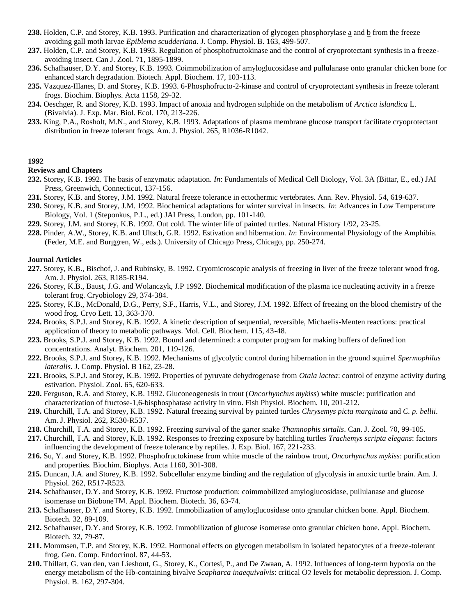- **238.** Holden, C.P. and Storey, K.B. 1993. Purification and characterization of glycogen phosphorylase a and b from the freeze avoiding gall moth larvae *Epiblema scudderiana*. J. Comp. Physiol. B. 163, 499-507.
- **237.** Holden, C.P. and Storey, K.B. 1993. Regulation of phosphofructokinase and the control of cryoprotectant synthesis in a freezeavoiding insect. Can J. Zool. 71, 1895-1899.
- **236.** Schafhauser, D.Y. and Storey, K.B. 1993. Coimmobilization of amyloglucosidase and pullulanase onto granular chicken bone for enhanced starch degradation. Biotech. Appl. Biochem. 17, 103-113.
- **235.** Vazquez-Illanes, D. and Storey, K.B. 1993. 6-Phosphofructo-2-kinase and control of cryoprotectant synthesis in freeze tolerant frogs. Biochim. Biophys. Acta 1158, 29-32.
- **234.** Oeschger, R. and Storey, K.B. 1993. Impact of anoxia and hydrogen sulphide on the metabolism of *Arctica islandica* L. (Bivalvia). J. Exp. Mar. Biol. Ecol. 170, 213-226.
- **233.** King, P.A., Rosholt, M.N., and Storey, K.B. 1993. Adaptations of plasma membrane glucose transport facilitate cryoprotectant distribution in freeze tolerant frogs. Am. J. Physiol. 265, R1036-R1042.

## **Reviews and Chapters**

- **232.** Storey, K.B. 1992. The basis of enzymatic adaptation. *In*: Fundamentals of Medical Cell Biology, Vol. 3A (Bittar, E., ed.) JAI Press, Greenwich, Connecticut, 137-156.
- **231.** Storey, K.B. and Storey, J.M. 1992. Natural freeze tolerance in ectothermic vertebrates. Ann. Rev. Physiol. 54, 619-637.
- **230.** Storey, K.B. and Storey, J.M. 1992. Biochemical adaptations for winter survival in insects. *In*: Advances in Low Temperature Biology, Vol. 1 (Steponkus, P.L., ed.) JAI Press, London, pp. 101-140.
- **229.** Storey, J.M. and Storey, K.B. 1992. Out cold. The winter life of painted turtles. Natural History 1/92, 23-25.
- **228.** Pinder, A.W., Storey, K.B. and Ultsch, G.R. 1992. Estivation and hibernation. *In*: Environmental Physiology of the Amphibia. (Feder, M.E. and Burggren, W., eds.). University of Chicago Press, Chicago, pp. 250-274.

- **227.** Storey, K.B., Bischof, J. and Rubinsky, B. 1992. Cryomicroscopic analysis of freezing in liver of the freeze tolerant wood frog. Am. J. Physiol. 263, R185-R194.
- **226.** Storey, K.B., Baust, J.G. and Wolanczyk, J.P 1992. Biochemical modification of the plasma ice nucleating activity in a freeze tolerant frog. Cryobiology 29, 374-384.
- **225.** Storey, K.B., McDonald, D.G., Perry, S.F., Harris, V.L., and Storey, J.M. 1992. Effect of freezing on the blood chemistry of the wood frog. Cryo Lett. 13, 363-370.
- **224.** Brooks, S.P.J. and Storey, K.B. 1992. A kinetic description of sequential, reversible, Michaelis-Menten reactions: practical application of theory to metabolic pathways. Mol. Cell. Biochem. 115, 43-48.
- **223.** Brooks, S.P.J. and Storey, K.B. 1992. Bound and determined: a computer program for making buffers of defined ion concentrations. Analyt. Biochem. 201, 119-126.
- **222.** Brooks, S.P.J. and Storey, K.B. 1992. Mechanisms of glycolytic control during hibernation in the ground squirrel *Spermophilus lateralis*. J. Comp. Physiol. B 162, 23-28.
- **221.** Brooks, S.P.J. and Storey, K.B. 1992. Properties of pyruvate dehydrogenase from *Otala lactea*: control of enzyme activity during estivation. Physiol. Zool. 65, 620-633.
- **220.** Ferguson, R.A. and Storey, K.B. 1992. Gluconeogenesis in trout (*Oncorhynchus mykiss*) white muscle: purification and characterization of fructose-1,6-bisphosphatase activity in vitro. Fish Physiol. Biochem. 10, 201-212.
- **219.** Churchill, T.A. and Storey, K.B. 1992. Natural freezing survival by painted turtles *Chrysemys picta marginata* and *C. p. bellii*. Am. J. Physiol. 262, R530-R537.
- **218.** Churchill, T.A. and Storey, K.B. 1992. Freezing survival of the garter snake *Thamnophis sirtalis*. Can. J. Zool. 70, 99-105.
- **217.** Churchill, T.A. and Storey, K.B. 1992. Responses to freezing exposure by hatchling turtles *Trachemys scripta elegans*: factors influencing the development of freeze tolerance by reptiles. J. Exp. Biol. 167, 221-233.
- **216.** Su, Y. and Storey, K.B. 1992. Phosphofructokinase from white muscle of the rainbow trout, *Oncorhynchus mykiss*: purification and properties. Biochim. Biophys. Acta 1160, 301-308.
- **215.** Duncan, J.A. and Storey, K.B. 1992. Subcellular enzyme binding and the regulation of glycolysis in anoxic turtle brain. Am. J. Physiol. 262, R517-R523.
- **214.** Schafhauser, D.Y. and Storey, K.B. 1992. Fructose production: coimmobilized amyloglucosidase, pullulanase and glucose isomerase on BioboneTM. Appl. Biochem. Biotech. 36, 63-74.
- **213.** Schafhauser, D.Y. and Storey, K.B. 1992. Immobilization of amyloglucosidase onto granular chicken bone. Appl. Biochem. Biotech. 32, 89-109.
- **212.** Schafhauser, D.Y. and Storey, K.B. 1992. Immobilization of glucose isomerase onto granular chicken bone. Appl. Biochem. Biotech. 32, 79-87.
- **211.** Mommsen, T.P. and Storey, K.B. 1992. Hormonal effects on glycogen metabolism in isolated hepatocytes of a freeze-tolerant frog. Gen. Comp. Endocrinol. 87, 44-53.
- **210.** Thillart, G. van den, van Lieshout, G., Storey, K., Cortesi, P., and De Zwaan, A. 1992. Influences of long-term hypoxia on the energy metabolism of the Hb-containing bivalve *Scapharca inaequivalvis*: critical O2 levels for metabolic depression. J. Comp. Physiol. B. 162, 297-304.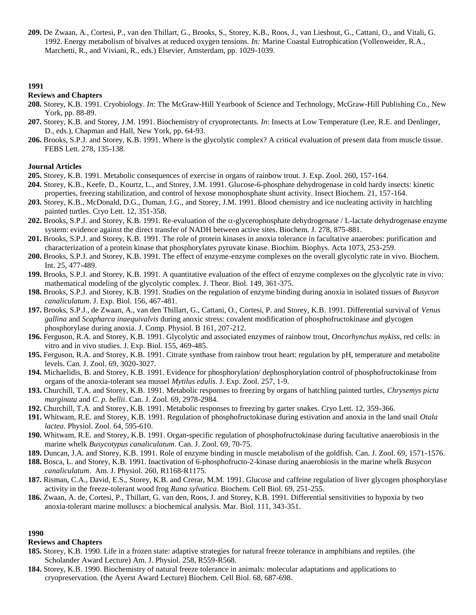**209.** De Zwaan, A., Cortesi, P., van den Thillart, G., Brooks, S., Storey, K.B., Roos, J., van Lieshout, G., Cattani, O., and Vitali, G. 1992. Energy metabolism of bivalves at reduced oxygen tensions. *In:* Marine Coastal Eutrophication (Vollenweider, R.A., Marchetti, R., and Viviani, R., eds.) Elsevier, Amsterdam, pp. 1029-1039.

#### **1991**

#### **Reviews and Chapters**

- **208.** Storey, K.B. 1991. Cryobiology. *In*: The McGraw-Hill Yearbook of Science and Technology, McGraw-Hill Publishing Co., New York, pp. 88-89.
- **207.** Storey, K.B. and Storey, J.M. 1991. Biochemistry of cryoprotectants. *In*: Insects at Low Temperature (Lee, R.E. and Denlinger, D., eds.), Chapman and Hall, New York, pp. 64-93.
- **206.** Brooks, S.P.J. and Storey, K.B. 1991. Where is the glycolytic complex? A critical evaluation of present data from muscle tissue. FEBS Lett. 278, 135-138.

#### **Journal Articles**

- **205.** Storey, K.B. 1991. Metabolic consequences of exercise in organs of rainbow trout. J. Exp. Zool. 260, 157-164.
- **204.** Storey, K.B., Keefe, D., Kourtz, L., and Storey, J.M. 1991. Glucose-6-phosphate dehydrogenase in cold hardy insects: kinetic properties, freezing stabilization, and control of hexose monophosphate shunt activity. Insect Biochem. 21, 157-164.
- **203.** Storey, K.B., McDonald, D.G., Duman, J.G., and Storey, J.M. 1991. Blood chemistry and ice nucleating activity in hatchling painted turtles. Cryo Lett. 12, 351-358.
- **202.** Brooks, S.P.J. and Storey, K.B. 1991. Re-evaluation of the  $\alpha$ -glycerophosphate dehydrogenase / L-lactate dehydrogenase enzyme system: evidence against the direct transfer of NADH between active sites. Biochem. J. 278, 875-881.
- **201.** Brooks, S.P.J. and Storey, K.B. 1991. The role of protein kinases in anoxia tolerance in facultative anaerobes: purification and characterization of a protein kinase that phosphorylates pyruvate kinase. Biochim. Biophys. Acta 1073, 253-259.
- **200.** Brooks, S.P.J. and Storey, K.B. 1991. The effect of enzyme-enzyme complexes on the overall glycolytic rate in vivo. Biochem. Int. 25, 477-489.
- **199.** Brooks, S.P.J. and Storey, K.B. 1991. A quantitative evaluation of the effect of enzyme complexes on the glycolytic rate in vivo: mathematical modeling of the glycolytic complex. J. Theor. Biol. 149, 361-375.
- **198.** Brooks, S.P.J. and Storey, K.B. 1991. Studies on the regulation of enzyme binding during anoxia in isolated tissues of *Busycon canaliculatum*. J. Exp. Biol. 156, 467-481.
- **197.** Brooks, S.P.J., de Zwaan, A., van den Thillart, G., Cattani, O., Cortesi, P. and Storey, K.B. 1991. Differential survival of *Venus gallina* and *Scapharca inaequivalvis* during anoxic stress: covalent modification of phosphofructokinase and glycogen phosphorylase during anoxia. J. Comp. Physiol. B 161, 207-212.
- **196.** Ferguson, R.A. and Storey, K.B. 1991. Glycolytic and associated enzymes of rainbow trout, *Oncorhynchus mykiss*, red cells: in vitro and in vivo studies. J. Exp. Biol. 155, 469-485.
- **195.** Ferguson, R.A. and Storey, K.B. 1991. Citrate synthase from rainbow trout heart: regulation by pH, temperature and metabolite levels. Can. J. Zool. 69, 3020-3027.
- **194.** Michaelidis, B. and Storey, K.B. 1991. Evidence for phosphorylation/ dephosphorylation control of phosphofructokinase from organs of the anoxia-tolerant sea mussel *Mytilus edulis*. J. Exp. Zool. 257, 1-9.
- **193.** Churchill, T.A. and Storey, K.B. 1991. Metabolic responses to freezing by organs of hatchling painted turtles, *Chrysemys picta marginata* and *C. p. bellii*. Can. J. Zool. 69, 2978-2984.
- **192.** Churchill, T.A. and Storey, K.B. 1991. Metabolic responses to freezing by garter snakes. Cryo Lett. 12, 359-366.
- **191.** Whitwam, R.E. and Storey, K.B. 1991. Regulation of phosphofructokinase during estivation and anoxia in the land snail *Otala lactea*. Physiol. Zool. 64, 595-610.
- **190.** Whitwam, R.E. and Storey, K.B. 1991. Organ-specific regulation of phosphofructokinase during facultative anaerobiosis in the marine whelk *Busycotypus canaliculatum*. Can. J. Zool. 69, 70-75.
- **189.** Duncan, J.A. and Storey, K.B. 1991. Role of enzyme binding in muscle metabolism of the goldfish. Can. J. Zool. 69, 1571-1576.
- **188.** Bosca, L. and Storey, K.B. 1991. Inactivation of 6-phosphofructo-2-kinase during anaerobiosis in the marine whelk *Busycon canaliculatum*. Am. J. Physiol. 260, R1168-R1175.
- **187.** Risman, C.A., David, E.S., Storey, K.B. and Crerar, M.M. 1991. Glucose and caffeine regulation of liver glycogen phosphorylase activity in the freeze-tolerant wood frog *Rana sylvatica*. Biochem. Cell Biol. 69, 251-255.
- **186.** Zwaan, A. de, Cortesi, P., Thillart, G. van den, Roos, J. and Storey, K.B. 1991. Differential sensitivities to hypoxia by two anoxia-tolerant marine molluscs: a biochemical analysis. Mar. Biol. 111, 343-351.

#### **1990**

#### **Reviews and Chapters**

- **185.** Storey, K.B. 1990. Life in a frozen state: adaptive strategies for natural freeze tolerance in amphibians and reptiles. (the Scholander Award Lecture) Am. J. Physiol. 258, R559-R568.
- **184.** Storey, K.B. 1990. Biochemistry of natural freeze tolerance in animals: molecular adaptations and applications to cryopreservation. (the Ayerst Award Lecture) Biochem. Cell Biol. 68, 687-698.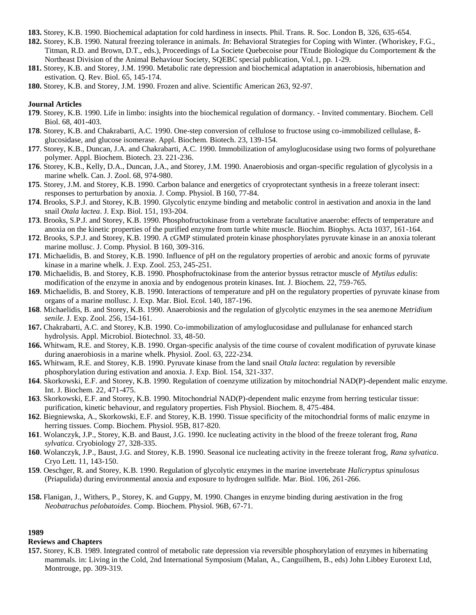- **183.** Storey, K.B. 1990. Biochemical adaptation for cold hardiness in insects. Phil. Trans. R. Soc. London B, 326, 635-654.
- **182.** Storey, K.B. 1990. Natural freezing tolerance in animals. *In*: Behavioral Strategies for Coping with Winter. (Whoriskey, F.G., Titman, R.D. and Brown, D.T., eds.), Proceedings of La Societe Quebecoise pour l'Etude Biologique du Comportement & the Northeast Division of the Animal Behaviour Society, SQEBC special publication, Vol.1, pp. 1-29.
- **181.** Storey, K.B. and Storey, J.M. 1990. Metabolic rate depression and biochemical adaptation in anaerobiosis, hibernation and estivation. Q. Rev. Biol. 65, 145-174.
- **180.** Storey, K.B. and Storey, J.M. 1990. Frozen and alive. Scientific American 263, 92-97.

#### **Journal Articles**

- **179**. Storey, K.B. 1990. Life in limbo: insights into the biochemical regulation of dormancy. Invited commentary. Biochem. Cell Biol. 68, 401-403.
- **178**. Storey, K.B. and Chakrabarti, A.C. 1990. One-step conversion of cellulose to fructose using co-immobilized cellulase, ßglucosidase, and glucose isomerase. Appl. Biochem. Biotech. 23, 139-154.
- **177**. Storey, K.B., Duncan, J.A. and Chakrabarti, A.C. 1990. Immobilization of amyloglucosidase using two forms of polyurethane polymer. Appl. Biochem. Biotech. 23. 221-236.
- **176**. Storey, K.B., Kelly, D.A., Duncan, J.A., and Storey, J.M. 1990. Anaerobiosis and organ-specific regulation of glycolysis in a marine whelk. Can. J. Zool. 68, 974-980.
- **175**. Storey, J.M. and Storey, K.B. 1990. Carbon balance and energetics of cryoprotectant synthesis in a freeze tolerant insect: responses to perturbation by anoxia. J. Comp. Physiol. B 160, 77-84.
- **174**. Brooks, S.P.J. and Storey, K.B. 1990. Glycolytic enzyme binding and metabolic control in aestivation and anoxia in the land snail *Otala lactea*. J. Exp. Biol. 151, 193-204.
- **173**. Brooks, S.P.J. and Storey, K.B. 1990. Phosphofructokinase from a vertebrate facultative anaerobe: effects of temperature and anoxia on the kinetic properties of the purified enzyme from turtle white muscle. Biochim. Biophys. Acta 1037, 161-164.
- **172**. Brooks, S.P.J. and Storey, K.B. 1990. A cGMP stimulated protein kinase phosphorylates pyruvate kinase in an anoxia tolerant marine mollusc. J. Comp. Physiol. B 160, 309-316.
- **171**. Michaelidis, B. and Storey, K.B. 1990. Influence of pH on the regulatory properties of aerobic and anoxic forms of pyruvate kinase in a marine whelk. J. Exp. Zool. 253, 245-251.
- **170**. Michaelidis, B. and Storey, K.B. 1990. Phosphofructokinase from the anterior byssus retractor muscle of *Mytilus edulis*: modification of the enzyme in anoxia and by endogenous protein kinases. Int. J. Biochem. 22, 759-765.
- **169**. Michaelidis, B. and Storey, K.B. 1990. Interactions of temperature and pH on the regulatory properties of pyruvate kinase from organs of a marine mollusc. J. Exp. Mar. Biol. Ecol. 140, 187-196.
- **168**. Michaelidis, B. and Storey, K.B. 1990. Anaerobiosis and the regulation of glycolytic enzymes in the sea anemone *Metridium senile*. J. Exp. Zool. 256, 154-161.
- **167.** Chakrabarti, A.C. and Storey, K.B. 1990. Co-immobilization of amyloglucosidase and pullulanase for enhanced starch hydrolysis. Appl. Microbiol. Biotechnol. 33, 48-50.
- **166.** Whitwam, R.E. and Storey, K.B. 1990. Organ-specific analysis of the time course of covalent modification of pyruvate kinase during anaerobiosis in a marine whelk. Physiol. Zool. 63, 222-234.
- **165.** Whitwam, R.E. and Storey, K.B. 1990. Pyruvate kinase from the land snail *Otala lactea*: regulation by reversible phosphorylation during estivation and anoxia. J. Exp. Biol. 154, 321-337.
- **164**. Skorkowski, E.F. and Storey, K.B. 1990. Regulation of coenzyme utilization by mitochondrial NAD(P)-dependent malic enzyme. Int. J. Biochem. 22, 471-475.
- **163**. Skorkowski, E.F. and Storey, K.B. 1990. Mitochondrial NAD(P)-dependent malic enzyme from herring testicular tissue: purification, kinetic behaviour, and regulatory properties. Fish Physiol. Biochem. 8, 475-484.
- **162**. Biegniewska, A., Skorkowski, E.F. and Storey, K.B. 1990. Tissue specificity of the mitochondrial forms of malic enzyme in herring tissues. Comp. Biochem. Physiol. 95B, 817-820.
- **161**. Wolanczyk, J.P., Storey, K.B. and Baust, J.G. 1990. Ice nucleating activity in the blood of the freeze tolerant frog, *Rana sylvatica*. Cryobiology 27, 328-335.
- **160**. Wolanczyk, J.P., Baust, J.G. and Storey, K.B. 1990. Seasonal ice nucleating activity in the freeze tolerant frog, *Rana sylvatica*. Cryo Lett. 11, 143-150.
- **159**. Oeschger, R. and Storey, K.B. 1990. Regulation of glycolytic enzymes in the marine invertebrate *Halicryptus spinulosus* (Priapulida) during environmental anoxia and exposure to hydrogen sulfide. Mar. Biol. 106, 261-266.
- **158.** Flanigan, J., Withers, P., Storey, K. and Guppy, M. 1990. Changes in enzyme binding during aestivation in the frog *Neobatrachus pelobatoides*. Comp. Biochem. Physiol. 96B, 67-71.

#### **1989**

#### **Reviews and Chapters**

**157.** Storey, K.B. 1989. Integrated control of metabolic rate depression via reversible phosphorylation of enzymes in hibernating mammals. in: Living in the Cold, 2nd International Symposium (Malan, A., Canguilhem, B., eds) John Libbey Eurotext Ltd, Montrouge, pp. 309-319.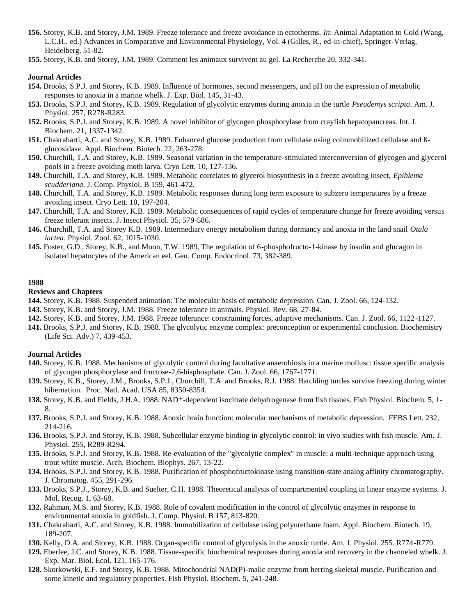- **156.** Storey, K.B. and Storey, J.M. 1989. Freeze tolerance and freeze avoidance in ectotherms. *In*: Animal Adaptation to Cold (Wang, L.C.H., ed.) Advances in Comparative and Environmental Physiology, Vol. 4 (Gilles, R., ed-in-chief), Springer-Verlag, Heidelberg, 51-82.
- **155.** Storey, K.B. and Storey, J.M. 1989. Comment les animaux survivent au gel. La Recherche 20, 332-341.

#### **Journal Articles**

- **154.** Brooks, S.P.J. and Storey, K.B. 1989. Influence of hormones, second messengers, and pH on the expression of metabolic responses to anoxia in a marine whelk. J. Exp. Biol. 145, 31-43.
- **153.** Brooks, S.P.J. and Storey, K.B. 1989. Regulation of glycolytic enzymes during anoxia in the turtle *Pseudemys scripta*. Am. J. Physiol. 257, R278-R283.
- **152.** Brooks, S.P.J. and Storey, K.B. 1989. A novel inhibitor of glycogen phosphorylase from crayfish hepatopancreas. Int. J. Biochem. 21, 1337-1342.
- **151.** Chakrabarti, A.C. and Storey, K.B. 1989. Enhanced glucose production from cellulase using coimmobilized cellulase and ßglucosidase. Appl. Biochem. Biotech. 22, 263-278.
- **150.** Churchill, T.A. and Storey, K.B. 1989. Seasonal variation in the temperature-stimulated interconversion of glycogen and glycerol pools in a freeze avoiding moth larva. Cryo Lett. 10, 127-136.
- **149.** Churchill, T.A. and Storey, K.B. 1989. Metabolic correlates to glycerol biosynthesis in a freeze avoiding insect, *Epiblema scudderiana*. J. Comp. Physiol. B 159, 461-472.
- **148.** Churchill, T.A. and Storey, K.B. 1989. Metabolic responses during long term exposure to subzero temperatures by a freeze avoiding insect. Cryo Lett. 10, 197-204.
- **147.** Churchill, T.A. and Storey, K.B. 1989. Metabolic consequences of rapid cycles of temperature change for freeze avoiding versus freeze tolerant insects. J. Insect Physiol. 35, 579-586.
- **146.** Churchill, T.A. and Storey K.B. 1989. Intermediary energy metabolism during dormancy and anoxia in the land snail *Otala lactea*. Physiol. Zool. 62, 1015-1030.
- **145.** Foster, G.D., Storey, K.B., and Moon, T.W. 1989. The regulation of 6-phosphofructo-1-kinase by insulin and glucagon in isolated hepatocytes of the American eel. Gen. Comp. Endocrinol. 73, 382-389.

#### **1988**

#### **Reviews and Chapters**

- **144.** Storey, K.B. 1988. Suspended animation: The molecular basis of metabolic depression. Can. J. Zool. 66, 124-132.
- **143.** Storey, K.B. and Storey, J.M. 1988. Freeze tolerance in animals. Physiol. Rev. 68, 27-84.
- **142.** Storey, K.B. and Storey, J.M. 1988. Freeze tolerance: constraining forces, adaptive mechanisms. Can. J. Zool. 66, 1122-1127.
- **141.** Brooks, S.P.J. and Storey, K.B. 1988. The glycolytic enzyme complex: preconception or experimental conclusion. Biochemistry (Life Sci. Adv.) 7, 439-453.

- **140.** Storey, K.B. 1988. Mechanisms of glycolytic control during facultative anaerobiosis in a marine mollusc: tissue specific analysis of glycogen phosphorylase and fructose-2,6-bisphosphate. Can. J. Zool. 66, 1767-1771.
- **139.** Storey, K.B., Storey, J.M., Brooks, S.P.J., Churchill, T.A. and Brooks, R.J. 1988. Hatchling turtles survive freezing during winter hibernation. Proc. Natl. Acad. USA 85, 8350-8354.
- **138.** Storey, K.B. and Fields, J.H.A. 1988. NAD+-dependent isocitrate dehydrogenase from fish tissues. Fish Physiol. Biochem. 5, 1- 8.
- **137.** Brooks, S.P.J. and Storey, K.B. 1988. Anoxic brain function: molecular mechanisms of metabolic depression. FEBS Lett. 232, 214-216.
- **136.** Brooks, S.P.J. and Storey, K.B. 1988. Subcellular enzyme binding in glycolytic control: in vivo studies with fish muscle. Am. J. Physiol. 255, R289-R294.
- **135.** Brooks, S.P.J. and Storey, K.B. 1988. Re-evaluation of the "glycolytic complex" in muscle: a multi-technique approach using trout white muscle. Arch. Biochem. Biophys. 267, 13-22.
- **134.** Brooks, S.P.J. and Storey, K.B. 1988. Purification of phosphofructokinase using transition-state analog affinity chromatography. J. Chromatog. 455, 291-296.
- **133.** Brooks, S.P.J., Storey, K.B. and Suelter, C.H. 1988. Theoretical analysis of compartmented coupling in linear enzyme systems. J. Mol. Recog. 1, 63-68.
- **132.** Rahman, M.S. and Storey, K.B. 1988. Role of covalent modification in the control of glycolytic enzymes in response to environmental anoxia in goldfish. J. Comp. Physiol. B 157, 813-820.
- **131.** Chakrabarti, A.C. and Storey, K.B. 1988. Immobilization of cellulase using polyurethane foam. Appl. Biochem. Biotech. 19, 189-207.
- **130.** Kelly, D.A. and Storey, K.B. 1988. Organ-specific control of glycolysis in the anoxic turtle. Am. J. Physiol. 255. R774-R779.
- **129.** Eberlee, J.C. and Storey, K.B. 1988. Tissue-specific biochemical responses during anoxia and recovery in the channeled whelk. J. Exp. Mar. Biol. Ecol. 121, 165-176.
- **128.** Skorkowski, E.F. and Storey, K.B. 1988. Mitochondrial NAD(P)-malic enzyme from herring skeletal muscle. Purification and some kinetic and regulatory properties. Fish Physiol. Biochem. 5, 241-248.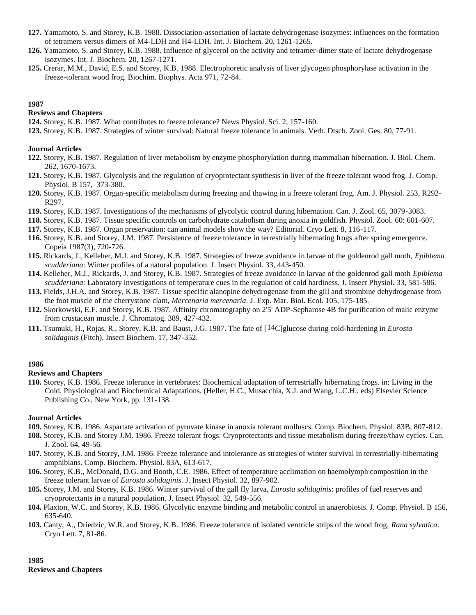- **127.** Yamamoto, S. and Storey, K.B. 1988. Dissociation-association of lactate dehydrogenase isozymes: influences on the formation of tetramers versus dimers of M4-LDH and H4-LDH. Int. J. Biochem. 20, 1261-1265.
- **126.** Yamamoto, S. and Storey, K.B. 1988. Influence of glycerol on the activity and tetramer-dimer state of lactate dehydrogenase isozymes. Int. J. Biochem. 20, 1267-1271.
- **125.** Crerar, M.M., David, E.S. and Storey, K.B. 1988. Electrophoretic analysis of liver glycogen phosphorylase activation in the freeze-tolerant wood frog. Biochim. Biophys. Acta 971, 72-84.

## **Reviews and Chapters**

**124.** Storey, K.B. 1987. What contributes to freeze tolerance? News Physiol. Sci. 2, 157-160.

**123.** Storey, K.B. 1987. Strategies of winter survival: Natural freeze tolerance in animals. Verh. Dtsch. Zool. Ges. 80, 77-91.

## **Journal Articles**

- **122.** Storey, K.B. 1987. Regulation of liver metabolism by enzyme phosphorylation during mammalian hibernation. J. Biol. Chem. 262, 1670-1673.
- **121.** Storey, K.B. 1987. Glycolysis and the regulation of cryoprotectant synthesis in liver of the freeze tolerant wood frog. J. Comp. Physiol. B 157, 373-380.
- **120.** Storey, K.B. 1987. Organ-specific metabolism during freezing and thawing in a freeze tolerant frog. Am. J. Physiol. 253, R292- R297.
- **119.** Storey, K.B. 1987. Investigations of the mechanisms of glycolytic control during hibernation. Can. J. Zool. 65, 3079-3083.
- **118.** Storey, K.B. 1987. Tissue specific controls on carbohydrate catabolism during anoxia in goldfish. Physiol. Zool. 60: 601-607.
- **117.** Storey, K.B. 1987. Organ preservation: can animal models show the way? Editorial. Cryo Lett. 8, 116-117.
- **116.** Storey, K.B. and Storey, J.M. 1987. Persistence of freeze tolerance in terrestrially hibernating frogs after spring emergence. Copeia 1987(3), 720-726.
- **115.** Rickards, J., Kelleher, M.J. and Storey, K.B. 1987. Strategies of freeze avoidance in larvae of the goldenrod gall moth, *Epiblema scudderiana*: Winter profiles of a natural population. J. Insect Physiol. 33, 443-450.
- **114.** Kelleher, M.J., Rickards, J. and Storey, K.B. 1987. Strategies of freeze avoidance in larvae of the goldenrod gall moth *Epiblema scudderiana*: Laboratory investigations of temperature cues in the regulation of cold hardiness. J. Insect Physiol. 33, 581-586.
- **113.** Fields, J.H.A. and Storey, K.B. 1987. Tissue specific alanopine dehydrogenase from the gill and strombine dehydrogenase from the foot muscle of the cherrystone clam, *Mercenaria mercenaria*. J. Exp. Mar. Biol. Ecol. 105, 175-185.
- **112.** Skorkowski, E.F. and Storey, K.B. 1987. Affinity chromatography on 2'5' ADP-Sepharose 4B for purification of malic enzyme from crustacean muscle. J. Chromatog. 389, 427-432.
- **111.** Tsumuki, H., Rojas, R., Storey, K.B. and Baust, J.G. 1987. The fate of [14C]glucose during cold-hardening in *Eurosta solidaginis* (Fitch). Insect Biochem. 17, 347-352.

# **1986**

#### **Reviews and Chapters**

**110.** Storey, K.B. 1986. Freeze tolerance in vertebrates: Biochemical adaptation of terrestrially hibernating frogs. in: Living in the Cold. Physiological and Biochemical Adaptations. (Heller, H.C., Musacchia, X.J. and Wang, L.C.H., eds) Elsevier Science Publishing Co., New York, pp. 131-138.

#### **Journal Articles**

- **109.** Storey, K.B. 1986. Aspartate activation of pyruvate kinase in anoxia tolerant molluscs. Comp. Biochem. Physiol. 83B, 807-812.
- **108.** Storey, K.B. and Storey J.M. 1986. Freeze tolerant frogs: Cryoprotectants and tissue metabolism during freeze/thaw cycles. Can. J. Zool. 64, 49-56.
- **107.** Storey, K.B. and Storey, J.M. 1986. Freeze tolerance and intolerance as strategies of winter survival in terrestrially-hibernating amphibians. Comp. Biochem. Physiol. 83A, 613-617.
- **106.** Storey, K.B., McDonald, D.G. and Booth, C.E. 1986. Effect of temperature acclimation on haemolymph composition in the freeze tolerant larvae of *Eurosta solidaginis*. J. Insect Physiol. 32, 897-902.
- **105.** Storey, J.M. and Storey, K.B. 1986. Winter survival of the gall fly larva, *Eurosta solidaginis*: profiles of fuel reserves and cryoprotectants in a natural population. J. Insect Physiol. 32, 549-556.
- **104.** Plaxton, W.C. and Storey, K.B. 1986. Glycolytic enzyme binding and metabolic control in anaerobiosis. J. Comp. Physiol. B 156, 635-640.
- **103.** Canty, A., Driedzic, W.R. and Storey, K.B. 1986. Freeze tolerance of isolated ventricle strips of the wood frog, *Rana sylvatica*. Cryo Lett. 7, 81-86.

**1985 Reviews and Chapters**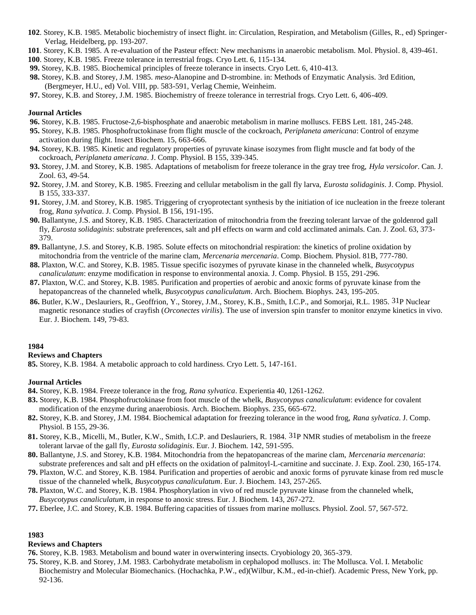- **102**. Storey, K.B. 1985. Metabolic biochemistry of insect flight. in: Circulation, Respiration, and Metabolism (Gilles, R., ed) Springer-Verlag, Heidelberg, pp. 193-207.
- **101**. Storey, K.B. 1985. A re-evaluation of the Pasteur effect: New mechanisms in anaerobic metabolism. Mol. Physiol. 8, 439-461.
- **100**. Storey, K.B. 1985. Freeze tolerance in terrestrial frogs. Cryo Lett. 6, 115-134.
- **99.** Storey, K.B. 1985. Biochemical principles of freeze tolerance in insects. Cryo Lett. 6, 410-413.
- **98.** Storey, K.B. and Storey, J.M. 1985. *meso*-Alanopine and D-strombine. in: Methods of Enzymatic Analysis. 3rd Edition, (Bergmeyer, H.U., ed) Vol. VIII, pp. 583-591, Verlag Chemie, Weinheim.
- **97.** Storey, K.B. and Storey, J.M. 1985. Biochemistry of freeze tolerance in terrestrial frogs. Cryo Lett. 6, 406-409.

## **Journal Articles**

- **96.** Storey, K.B. 1985. Fructose-2,6-bisphosphate and anaerobic metabolism in marine molluscs. FEBS Lett. 181, 245-248.
- **95.** Storey, K.B. 1985. Phosphofructokinase from flight muscle of the cockroach, *Periplaneta americana*: Control of enzyme activation during flight. Insect Biochem. 15, 663-666.
- **94.** Storey, K.B. 1985. Kinetic and regulatory properties of pyruvate kinase isozymes from flight muscle and fat body of the cockroach, *Periplaneta americana*. J. Comp. Physiol. B 155, 339-345.
- **93.** Storey, J.M. and Storey, K.B. 1985. Adaptations of metabolism for freeze tolerance in the gray tree frog, *Hyla versicolor*. Can. J. Zool. 63, 49-54.
- **92.** Storey, J.M. and Storey, K.B. 1985. Freezing and cellular metabolism in the gall fly larva, *Eurosta solidaginis*. J. Comp. Physiol. B 155, 333-337.
- **91.** Storey, J.M. and Storey, K.B. 1985. Triggering of cryoprotectant synthesis by the initiation of ice nucleation in the freeze tolerant frog, *Rana sylvatica*. J. Comp. Physiol. B 156, 191-195.
- **90.** Ballantyne, J.S. and Storey, K.B. 1985. Characterization of mitochondria from the freezing tolerant larvae of the goldenrod gall fly, *Eurosta solidaginis*: substrate preferences, salt and pH effects on warm and cold acclimated animals. Can. J. Zool. 63, 373- 379.
- **89.** Ballantyne, J.S. and Storey, K.B. 1985. Solute effects on mitochondrial respiration: the kinetics of proline oxidation by mitochondria from the ventricle of the marine clam, *Mercenaria mercenaria*. Comp. Biochem. Physiol. 81B, 777-780.
- **88.** Plaxton, W.C. and Storey, K.B. 1985. Tissue specific isozymes of pyruvate kinase in the channeled whelk, *Busycotypus canaliculatum*: enzyme modification in response to environmental anoxia. J. Comp. Physiol. B 155, 291-296.
- **87.** Plaxton, W.C. and Storey, K.B. 1985. Purification and properties of aerobic and anoxic forms of pyruvate kinase from the hepatopancreas of the channeled whelk, *Busycotypus canaliculatum*. Arch. Biochem. Biophys. 243, 195-205.
- **86.** Butler, K.W., Deslauriers, R., Geoffrion, Y., Storey, J.M., Storey, K.B., Smith, I.C.P., and Somorjai, R.L. 1985. 31P Nuclear magnetic resonance studies of crayfish (*Orconectes virilis*). The use of inversion spin transfer to monitor enzyme kinetics in vivo. Eur. J. Biochem. 149, 79-83.

# **1984**

# **Reviews and Chapters**

**85.** Storey, K.B. 1984. A metabolic approach to cold hardiness. Cryo Lett. 5, 147-161.

# **Journal Articles**

- **84.** Storey, K.B. 1984. Freeze tolerance in the frog, *Rana sylvatica*. Experientia 40, 1261-1262.
- **83.** Storey, K.B. 1984. Phosphofructokinase from foot muscle of the whelk, *Busycotypus canaliculatum*: evidence for covalent modification of the enzyme during anaerobiosis. Arch. Biochem. Biophys. 235, 665-672.
- **82.** Storey, K.B. and Storey, J.M. 1984. Biochemical adaptation for freezing tolerance in the wood frog, *Rana sylvatica*. J. Comp. Physiol. B 155, 29-36.
- **81.** Storey, K.B., Micelli, M., Butler, K.W., Smith, I.C.P. and Deslauriers, R. 1984. 31P NMR studies of metabolism in the freeze tolerant larvae of the gall fly, *Eurosta solidaginis*. Eur. J. Biochem. 142, 591-595.
- **80.** Ballantyne, J.S. and Storey, K.B. 1984. Mitochondria from the hepatopancreas of the marine clam, *Mercenaria mercenaria*: substrate preferences and salt and pH effects on the oxidation of palmitoyl-L-carnitine and succinate. J. Exp. Zool. 230, 165-174.
- **79.** Plaxton, W.C. and Storey, K.B. 1984. Purification and properties of aerobic and anoxic forms of pyruvate kinase from red muscle tissue of the channeled whelk, *Busycotypus canaliculatum*. Eur. J. Biochem. 143, 257-265.
- **78.** Plaxton, W.C. and Storey, K.B. 1984. Phosphorylation in vivo of red muscle pyruvate kinase from the channeled whelk, *Busycotypus canaliculatum*, in response to anoxic stress. Eur. J. Biochem. 143, 267-272.
- **77.** Eberlee, J.C. and Storey, K.B. 1984. Buffering capacities of tissues from marine molluscs. Physiol. Zool. 57, 567-572.

# **1983**

# **Reviews and Chapters**

- **76.** Storey, K.B. 1983. Metabolism and bound water in overwintering insects. Cryobiology 20, 365-379.
- **75.** Storey, K.B. and Storey, J.M. 1983. Carbohydrate metabolism in cephalopod molluscs. in: The Mollusca. Vol. I. Metabolic Biochemistry and Molecular Biomechanics. (Hochachka, P.W., ed)(Wilbur, K.M., ed-in-chief). Academic Press, New York, pp. 92-136.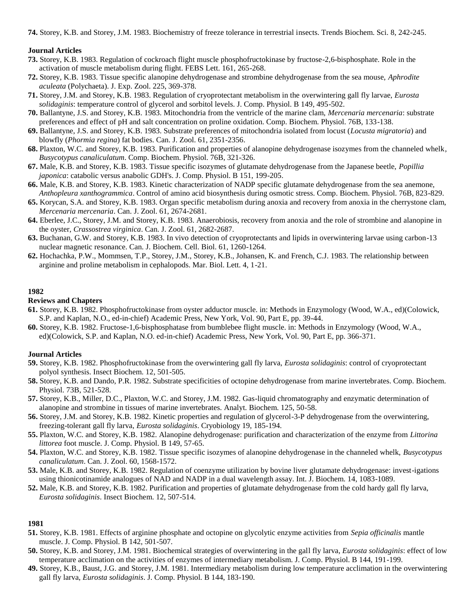**74.** Storey, K.B. and Storey, J.M. 1983. Biochemistry of freeze tolerance in terrestrial insects. Trends Biochem. Sci. 8, 242-245.

## **Journal Articles**

- **73.** Storey, K.B. 1983. Regulation of cockroach flight muscle phosphofructokinase by fructose-2,6-bisphosphate. Role in the activation of muscle metabolism during flight. FEBS Lett. 161, 265-268.
- **72.** Storey, K.B. 1983. Tissue specific alanopine dehydrogenase and strombine dehydrogenase from the sea mouse, *Aphrodite aculeata* (Polychaeta). J. Exp. Zool. 225, 369-378.
- **71.** Storey, J.M. and Storey, K.B. 1983. Regulation of cryoprotectant metabolism in the overwintering gall fly larvae, *Eurosta solidaginis*: temperature control of glycerol and sorbitol levels. J. Comp. Physiol. B 149, 495-502.
- **70.** Ballantyne, J.S. and Storey, K.B. 1983. Mitochondria from the ventricle of the marine clam, *Mercenaria mercenaria*: substrate preferences and effect of pH and salt concentration on proline oxidation. Comp. Biochem. Physiol. 76B, 133-138.
- **69.** Ballantyne, J.S. and Storey, K.B. 1983. Substrate preferences of mitochondria isolated from locust (*Locusta migratoria*) and blowfly (*Phormia regina*) fat bodies. Can. J. Zool. 61, 2351-2356.
- **68.** Plaxton, W.C. and Storey, K.B. 1983. Purification and properties of alanopine dehydrogenase isozymes from the channeled whelk, *Busycotypus canaliculatum*. Comp. Biochem. Physiol. 76B, 321-326.
- **67.** Male, K.B. and Storey, K.B. 1983. Tissue specific isozymes of glutamate dehydrogenase from the Japanese beetle, *Popillia japonica*: catabolic versus anabolic GDH's. J. Comp. Physiol. B 151, 199-205.
- **66.** Male, K.B. and Storey, K.B. 1983. Kinetic characterization of NADP specific glutamate dehydrogenase from the sea anemone, *Anthopleura xanthogrammica*. Control of amino acid biosynthesis during osmotic stress. Comp. Biochem. Physiol. 76B, 823-829.
- **65.** Korycan, S.A. and Storey, K.B. 1983. Organ specific metabolism during anoxia and recovery from anoxia in the cherrystone clam, *Mercenaria mercenaria*. Can. J. Zool. 61, 2674-2681.
- **64.** Eberlee, J.C., Storey, J.M. and Storey, K.B. 1983. Anaerobiosis, recovery from anoxia and the role of strombine and alanopine in the oyster, *Crassostrea virginica*. Can. J. Zool. 61, 2682-2687.
- **63.** Buchanan, G.W. and Storey, K.B. 1983. In vivo detection of cryoprotectants and lipids in overwintering larvae using carbon-13 nuclear magnetic resonance. Can. J. Biochem. Cell. Biol. 61, 1260-1264.
- **62.** Hochachka, P.W., Mommsen, T.P., Storey, J.M., Storey, K.B., Johansen, K. and French, C.J. 1983. The relationship between arginine and proline metabolism in cephalopods. Mar. Biol. Lett. 4, 1-21.

#### **1982**

# **Reviews and Chapters**

- **61.** Storey, K.B. 1982. Phosphofructokinase from oyster adductor muscle. in: Methods in Enzymology (Wood, W.A., ed)(Colowick, S.P. and Kaplan, N.O., ed-in-chief) Academic Press, New York, Vol. 90, Part E, pp. 39-44.
- **60.** Storey, K.B. 1982. Fructose-1,6-bisphosphatase from bumblebee flight muscle. in: Methods in Enzymology (Wood, W.A., ed)(Colowick, S.P. and Kaplan, N.O. ed-in-chief) Academic Press, New York, Vol. 90, Part E, pp. 366-371.

# **Journal Articles**

- **59.** Storey, K.B. 1982. Phosphofructokinase from the overwintering gall fly larva, *Eurosta solidaginis*: control of cryoprotectant polyol synthesis. Insect Biochem. 12, 501-505.
- **58.** Storey, K.B. and Dando, P.R. 1982. Substrate specificities of octopine dehydrogenase from marine invertebrates. Comp. Biochem. Physiol. 73B, 521-528.
- **57.** Storey, K.B., Miller, D.C., Plaxton, W.C. and Storey, J.M. 1982. Gas-liquid chromatography and enzymatic determination of alanopine and strombine in tissues of marine invertebrates. Analyt. Biochem. 125, 50-58.
- **56.** Storey, J.M. and Storey, K.B. 1982. Kinetic properties and regulation of glycerol-3-P dehydrogenase from the overwintering, freezing-tolerant gall fly larva, *Eurosta solidaginis*. Cryobiology 19, 185-194.
- **55.** Plaxton, W.C. and Storey, K.B. 1982. Alanopine dehydrogenase: purification and characterization of the enzyme from *Littorina littorea* foot muscle. J. Comp. Physiol. B 149, 57-65.
- **54.** Plaxton, W.C. and Storey, K.B. 1982. Tissue specific isozymes of alanopine dehydrogenase in the channeled whelk, *Busycotypus canaliculatum*. Can. J. Zool. 60, 1568-1572.
- **53.** Male, K.B. and Storey, K.B. 1982. Regulation of coenzyme utilization by bovine liver glutamate dehydrogenase: invest-igations using thionicotinamide analogues of NAD and NADP in a dual wavelength assay. Int. J. Biochem. 14, 1083-1089.
- **52.** Male, K.B. and Storey, K.B. 1982. Purification and properties of glutamate dehydrogenase from the cold hardy gall fly larva, *Eurosta solidaginis*. Insect Biochem. 12, 507-514.

#### **1981**

- **51.** Storey, K.B. 1981. Effects of arginine phosphate and octopine on glycolytic enzyme activities from *Sepia officinalis* mantle muscle. J. Comp. Physiol. B 142, 501-507.
- **50.** Storey, K.B. and Storey, J.M. 1981. Biochemical strategies of overwintering in the gall fly larva, *Eurosta solidaginis*: effect of low temperature acclimation on the activities of enzymes of intermediary metabolism. J. Comp. Physiol. B 144, 191-199.
- **49.** Storey, K.B., Baust, J.G. and Storey, J.M. 1981. Intermediary metabolism during low temperature acclimation in the overwintering gall fly larva, *Eurosta solidaginis*. J. Comp. Physiol. B 144, 183-190.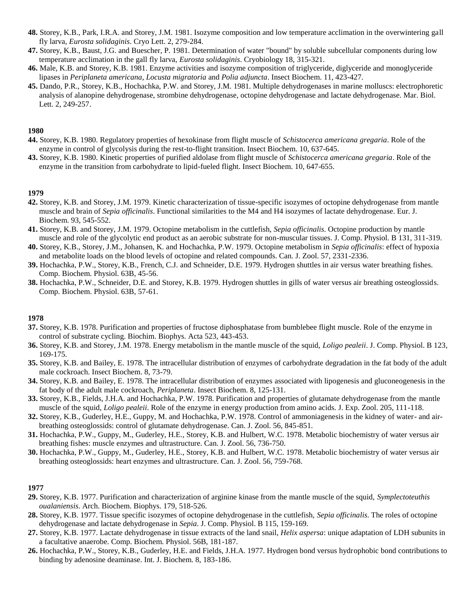- **48.** Storey, K.B., Park, I.R.A. and Storey, J.M. 1981. Isozyme composition and low temperature acclimation in the overwintering gall fly larva, *Eurosta solidaginis*. Cryo Lett. 2, 279-284.
- **47.** Storey, K.B., Baust, J.G. and Buescher, P. 1981. Determination of water "bound" by soluble subcellular components during low temperature acclimation in the gall fly larva, *Eurosta solidaginis*. Cryobiology 18, 315-321.
- **46.** Male, K.B. and Storey, K.B. 1981. Enzyme activities and isozyme composition of triglyceride, diglyceride and monoglyceride lipases in *Periplaneta americana*, *Locusta migratoria* and *Polia adjuncta*. Insect Biochem. 11, 423-427.
- **45.** Dando, P.R., Storey, K.B., Hochachka, P.W. and Storey, J.M. 1981. Multiple dehydrogenases in marine molluscs: electrophoretic analysis of alanopine dehydrogenase, strombine dehydrogenase, octopine dehydrogenase and lactate dehydrogenase. Mar. Biol. Lett. 2, 249-257.

- **44.** Storey, K.B. 1980. Regulatory properties of hexokinase from flight muscle of *Schistocerca americana gregaria*. Role of the enzyme in control of glycolysis during the rest-to-flight transition. Insect Biochem. 10, 637-645.
- **43.** Storey, K.B. 1980. Kinetic properties of purified aldolase from flight muscle of *Schistocerca americana gregaria*. Role of the enzyme in the transition from carbohydrate to lipid-fueled flight. Insect Biochem. 10, 647-655.

#### **1979**

- **42.** Storey, K.B. and Storey, J.M. 1979. Kinetic characterization of tissue-specific isozymes of octopine dehydrogenase from mantle muscle and brain of *Sepia officinalis*. Functional similarities to the M4 and H4 isozymes of lactate dehydrogenase. Eur. J. Biochem. 93, 545-552.
- **41.** Storey, K.B. and Storey, J.M. 1979. Octopine metabolism in the cuttlefish, *Sepia officinalis*. Octopine production by mantle muscle and role of the glycolytic end product as an aerobic substrate for non-muscular tissues. J. Comp. Physiol. B 131, 311-319.
- **40.** Storey, K.B., Storey, J.M., Johansen, K. and Hochachka, P.W. 1979. Octopine metabolism in *Sepia officinalis*: effect of hypoxia and metabolite loads on the blood levels of octopine and related compounds. Can. J. Zool. 57, 2331-2336.
- **39.** Hochachka, P.W., Storey, K.B., French, C.J. and Schneider, D.E. 1979. Hydrogen shuttles in air versus water breathing fishes. Comp. Biochem. Physiol. 63B, 45-56.
- **38.** Hochachka, P.W., Schneider, D.E. and Storey, K.B. 1979. Hydrogen shuttles in gills of water versus air breathing osteoglossids. Comp. Biochem. Physiol. 63B, 57-61.

#### **1978**

- **37.** Storey, K.B. 1978. Purification and properties of fructose diphosphatase from bumblebee flight muscle. Role of the enzyme in control of substrate cycling. Biochim. Biophys. Acta 523, 443-453.
- **36.** Storey, K.B. and Storey, J.M. 1978. Energy metabolism in the mantle muscle of the squid, *Loligo pealeii*. J. Comp. Physiol. B 123, 169-175.
- **35.** Storey, K.B. and Bailey, E. 1978. The intracellular distribution of enzymes of carbohydrate degradation in the fat body of the adult male cockroach. Insect Biochem. 8, 73-79.
- **34.** Storey, K.B. and Bailey, E. 1978. The intracellular distribution of enzymes associated with lipogenesis and gluconeogenesis in the fat body of the adult male cockroach, *Periplaneta*. Insect Biochem. 8, 125-131.
- **33.** Storey, K.B., Fields, J.H.A. and Hochachka, P.W. 1978. Purification and properties of glutamate dehydrogenase from the mantle muscle of the squid, *Loligo pealeii*. Role of the enzyme in energy production from amino acids. J. Exp. Zool. 205, 111-118.
- **32.** Storey, K.B., Guderley, H.E., Guppy, M. and Hochachka, P.W. 1978. Control of ammoniagenesis in the kidney of water- and airbreathing osteoglossids: control of glutamate dehydrogenase. Can. J. Zool. 56, 845-851.
- **31.** Hochachka, P.W., Guppy, M., Guderley, H.E., Storey, K.B. and Hulbert, W.C. 1978. Metabolic biochemistry of water versus air breathing fishes: muscle enzymes and ultrastructure. Can. J. Zool. 56, 736-750.
- **30.** Hochachka, P.W., Guppy, M., Guderley, H.E., Storey, K.B. and Hulbert, W.C. 1978. Metabolic biochemistry of water versus air breathing osteoglossids: heart enzymes and ultrastructure. Can. J. Zool. 56, 759-768.

#### **1977**

- **29.** Storey, K.B. 1977. Purification and characterization of arginine kinase from the mantle muscle of the squid, *Symplectoteuthis oualaniensis*. Arch. Biochem. Biophys. 179, 518-526.
- **28.** Storey, K.B. 1977. Tissue specific isozymes of octopine dehydrogenase in the cuttlefish, *Sepia officinalis*. The roles of octopine dehydrogenase and lactate dehydrogenase in *Sepia*. J. Comp. Physiol. B 115, 159-169.
- **27.** Storey, K.B. 1977. Lactate dehydrogenase in tissue extracts of the land snail, *Helix aspersa*: unique adaptation of LDH subunits in a facultative anaerobe. Comp. Biochem. Physiol. 56B, 181-187.
- **26.** Hochachka, P.W., Storey, K.B., Guderley, H.E. and Fields, J.H.A. 1977. Hydrogen bond versus hydrophobic bond contributions to binding by adenosine deaminase. Int. J. Biochem. 8, 183-186.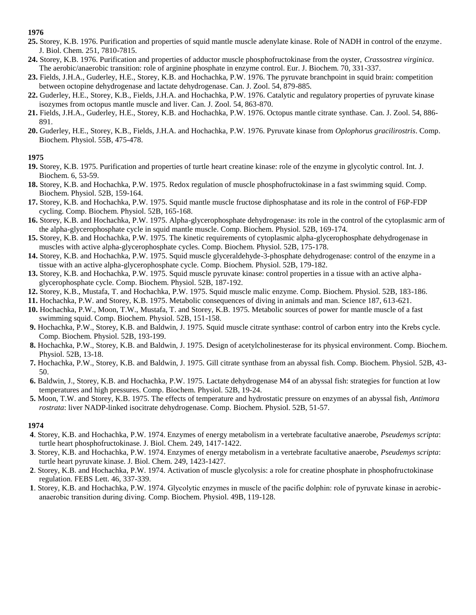- **25.** Storey, K.B. 1976. Purification and properties of squid mantle muscle adenylate kinase. Role of NADH in control of the enzyme. J. Biol. Chem. 251, 7810-7815.
- **24.** Storey, K.B. 1976. Purification and properties of adductor muscle phosphofructokinase from the oyster, *Crassostrea virginica*. The aerobic/anaerobic transition: role of arginine phosphate in enzyme control. Eur. J. Biochem. 70, 331-337.
- **23.** Fields, J.H.A., Guderley, H.E., Storey, K.B. and Hochachka, P.W. 1976. The pyruvate branchpoint in squid brain: competition between octopine dehydrogenase and lactate dehydrogenase. Can. J. Zool. 54, 879-885.
- **22.** Guderley, H.E., Storey, K.B., Fields, J.H.A. and Hochachka, P.W. 1976. Catalytic and regulatory properties of pyruvate kinase isozymes from octopus mantle muscle and liver. Can. J. Zool. 54, 863-870.
- **21.** Fields, J.H.A., Guderley, H.E., Storey, K.B. and Hochachka, P.W. 1976. Octopus mantle citrate synthase. Can. J. Zool. 54, 886- 891.
- **20.** Guderley, H.E., Storey, K.B., Fields, J.H.A. and Hochachka, P.W. 1976. Pyruvate kinase from *Oplophorus gracilirostris*. Comp. Biochem. Physiol. 55B, 475-478.

# **1975**

- **19.** Storey, K.B. 1975. Purification and properties of turtle heart creatine kinase: role of the enzyme in glycolytic control. Int. J. Biochem. 6, 53-59.
- **18.** Storey, K.B. and Hochachka, P.W. 1975. Redox regulation of muscle phosphofructokinase in a fast swimming squid. Comp. Biochem. Physiol. 52B, 159-164.
- **17.** Storey, K.B. and Hochachka, P.W. 1975. Squid mantle muscle fructose diphosphatase and its role in the control of F6P-FDP cycling. Comp. Biochem. Physiol. 52B, 165-168.
- **16.** Storey, K.B. and Hochachka, P.W. 1975. Alpha-glycerophosphate dehydrogenase: its role in the control of the cytoplasmic arm of the alpha-glycerophosphate cycle in squid mantle muscle. Comp. Biochem. Physiol. 52B, 169-174.
- **15.** Storey, K.B. and Hochachka, P.W. 1975. The kinetic requirements of cytoplasmic alpha-glycerophosphate dehydrogenase in muscles with active alpha-glycerophosphate cycles. Comp. Biochem. Physiol. 52B, 175-178.
- **14.** Storey, K.B. and Hochachka, P.W. 1975. Squid muscle glyceraldehyde-3-phosphate dehydrogenase: control of the enzyme in a tissue with an active alpha-glycerophosphate cycle. Comp. Biochem. Physiol. 52B, 179-182.
- **13.** Storey, K.B. and Hochachka, P.W. 1975. Squid muscle pyruvate kinase: control properties in a tissue with an active alphaglycerophosphate cycle. Comp. Biochem. Physiol. 52B, 187-192.
- **12.** Storey, K.B., Mustafa, T. and Hochachka, P.W. 1975. Squid muscle malic enzyme. Comp. Biochem. Physiol. 52B, 183-186.
- **11.** Hochachka, P.W. and Storey, K.B. 1975. Metabolic consequences of diving in animals and man. Science 187, 613-621.
- **10.** Hochachka, P.W., Moon, T.W., Mustafa, T. and Storey, K.B. 1975. Metabolic sources of power for mantle muscle of a fast swimming squid. Comp. Biochem. Physiol. 52B, 151-158.
- **9.** Hochachka, P.W., Storey, K.B. and Baldwin, J. 1975. Squid muscle citrate synthase: control of carbon entry into the Krebs cycle. Comp. Biochem. Physiol. 52B, 193-199.
- **8.** Hochachka, P.W., Storey, K.B. and Baldwin, J. 1975. Design of acetylcholinesterase for its physical environment. Comp. Biochem. Physiol. 52B, 13-18.
- **7.** Hochachka, P.W., Storey, K.B. and Baldwin, J. 1975. Gill citrate synthase from an abyssal fish. Comp. Biochem. Physiol. 52B, 43- 50.
- **6.** Baldwin, J., Storey, K.B. and Hochachka, P.W. 1975. Lactate dehydrogenase M4 of an abyssal fish: strategies for function at low temperatures and high pressures. Comp. Biochem. Physiol. 52B, 19-24.
- **5.** Moon, T.W. and Storey, K.B. 1975. The effects of temperature and hydrostatic pressure on enzymes of an abyssal fish, *Antimora rostrata*: liver NADP-linked isocitrate dehydrogenase. Comp. Biochem. Physiol. 52B, 51-57.

# **1974**

- **4**. Storey, K.B. and Hochachka, P.W. 1974. Enzymes of energy metabolism in a vertebrate facultative anaerobe, *Pseudemys scripta*: turtle heart phosphofructokinase. J. Biol. Chem. 249, 1417-1422.
- **3**. Storey, K.B. and Hochachka, P.W. 1974. Enzymes of energy metabolism in a vertebrate facultative anaerobe, *Pseudemys scripta*: turtle heart pyruvate kinase. J. Biol. Chem. 249, 1423-1427.
- **2**. Storey, K.B. and Hochachka, P.W. 1974. Activation of muscle glycolysis: a role for creatine phosphate in phosphofructokinase regulation. FEBS Lett. 46, 337-339.
- **1**. Storey, K.B. and Hochachka, P.W. 1974. Glycolytic enzymes in muscle of the pacific dolphin: role of pyruvate kinase in aerobicanaerobic transition during diving. Comp. Biochem. Physiol. 49B, 119-128.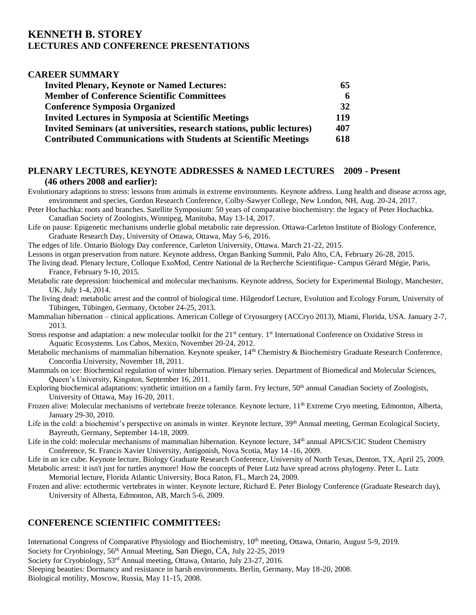# **KENNETH B. STOREY LECTURES AND CONFERENCE PRESENTATIONS**

| <b>CAREER SUMMARY</b>                                                  |     |
|------------------------------------------------------------------------|-----|
| <b>Invited Plenary, Keynote or Named Lectures:</b>                     | 65  |
| <b>Member of Conference Scientific Committees</b>                      | 6   |
| <b>Conference Symposia Organized</b>                                   | 32  |
| <b>Invited Lectures in Symposia at Scientific Meetings</b>             | 119 |
| Invited Seminars (at universities, research stations, public lectures) | 407 |
| <b>Contributed Communications with Students at Scientific Meetings</b> | 618 |

# **PLENARY LECTURES, KEYNOTE ADDRESSES & NAMED LECTURES 2009 - Present (46 others 2008 and earlier):**

Evolutionary adaptions to stress: lessons from animals in extreme environments. Keynote address. Lung health and disease across age, environment and species, Gordon Research Conference, Colby-Sawyer College, New London, NH, Aug. 20-24, 2017.

Peter Hochachka: roots and branches. Satellite Symposium: 50 years of comparative biochemistry: the legacy of Peter Hochachka. Canadian Society of Zoologists, Winnipeg, Manitoba, May 13-14, 2017.

Life on pause: Epigenetic mechanisms underlie global metabolic rate depression. Ottawa-Carleton Institute of Biology Conference, Graduate Research Day, University of Ottawa, Ottawa, May 5-6, 2016.

The edges of life. Ontario Biology Day conference, Carleton University, Ottawa. March 21-22, 2015.

Lessons in organ preservation from nature. Keynote address, Organ Banking Summit, Palo Alto, CA, February 26-28, 2015.

The living dead. Plenary lecture, Colloque ExoMod, Centre National de la Recherche Scientifique- Campus Gérard Mégie, Paris, France, February 9-10, 2015.

Metabolic rate depression: biochemical and molecular mechanisms. Keynote address, Society for Experimental Biology, Manchester, UK. July 1-4, 2014.

The living dead: metabolic arrest and the control of biological time. Hilgendorf Lecture, Evolution and Ecology Forum, University of Tübingen, Tübingen, Germany, October 24-25, 2013.

Mammalian hibernation – clinical applications. American College of Cryosurgery (ACCryo 2013), Miami, Florida, USA. January 2-7, 2013.

Stress response and adaptation: a new molecular toolkit for the 21<sup>st</sup> century. 1<sup>st</sup> International Conference on Oxidative Stress in Aquatic Ecosystems. Los Cabos, Mexico, November 20-24, 2012.

Metabolic mechanisms of mammalian hibernation. Keynote speaker, 14<sup>th</sup> Chemistry & Biochemistry Graduate Research Conference, Concordia University, November 18, 2011.

Mammals on ice: Biochemical regulation of winter hibernation. Plenary series. Department of Biomedical and Molecular Sciences, Queen's University, Kingston, September 16, 2011.

Exploring biochemical adaptations: synthetic intuition on a family farm. Fry lecture, 50<sup>th</sup> annual Canadian Society of Zoologists, University of Ottawa, May 16-20, 2011.

Frozen alive: Molecular mechanisms of vertebrate freeze tolerance. Keynote lecture, 11<sup>th</sup> Extreme Cryo meeting, Edmonton, Alberta, January 29-30, 2010.

Life in the cold: a biochemist's perspective on animals in winter. Keynote lecture, 39<sup>th</sup> Annual meeting, German Ecological Society, Bayreuth, Germany, September 14-18, 2009.

Life in the cold: molecular mechanisms of mammalian hibernation. Keynote lecture, 34<sup>th</sup> annual APICS/CIC Student Chemistry Conference, St. Francis Xavier University, Antigonish, Nova Scotia, May 14 -16, 2009.

Life in an ice cube. Keynote lecture, Biology Graduate Research Conference, University of North Texas, Denton, TX, April 25, 2009. Metabolic arrest: it isn't just for turtles anymore! How the concepts of Peter Lutz have spread across phylogeny. Peter L. Lutz

Memorial lecture, Florida Atlantic University, Boca Raton, FL, March 24, 2009.

Frozen and alive: ectothermic vertebrates in winter. Keynote lecture, Richard E. Peter Biology Conference (Graduate Research day), University of Alberta, Edmonton, AB, March 5-6, 2009.

# **CONFERENCE SCIENTIFIC COMMITTEES:**

International Congress of Comparative Physiology and Biochemistry, 10<sup>th</sup> meeting, Ottawa, Ontario, August 5-9, 2019. Society for Cryobiology, 56<sup>th</sup> Annual Meeting, San Diego, CA, July 22-25, 2019 Society for Cryobiology, 53<sup>rd</sup> Annual meeting, Ottawa, Ontario, July 23-27, 2016. Sleeping beauties: Dormancy and resistance in harsh environments. Berlin, Germany, May 18-20, 2008. Biological motility, Moscow, Russia, May 11-15, 2008.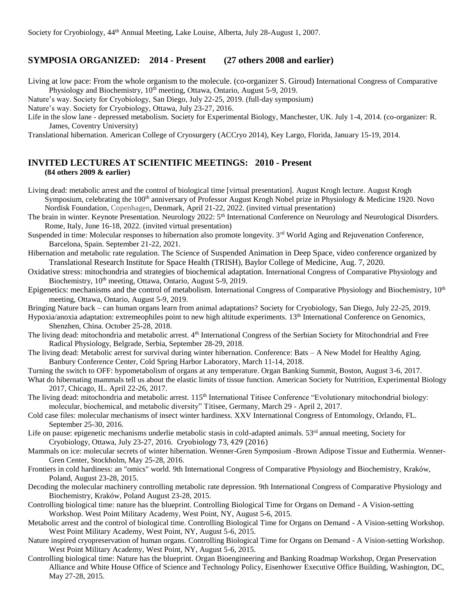# **SYMPOSIA ORGANIZED: 2014 - Present (27 others 2008 and earlier)**

Living at low pace: From the whole organism to the molecule. (co-organizer S. Giroud) International Congress of Comparative Physiology and Biochemistry,  $10^{th}$  meeting, Ottawa, Ontario, August 5-9, 2019.

Nature's way. Society for Cryobiology, San Diego, July 22-25, 2019. (full-day symposium)

Nature's way. Society for Cryobiology, Ottawa, July 23-27, 2016.

Life in the slow lane - depressed metabolism. Society for Experimental Biology, Manchester, UK. July 1-4, 2014. (co-organizer: R. James, Coventry University)

Translational hibernation. American College of Cryosurgery (ACCryo 2014), Key Largo, Florida, January 15-19, 2014.

# **INVITED LECTURES AT SCIENTIFIC MEETINGS: 2010 - Present (84 others 2009 & earlier)**

Living dead: metabolic arrest and the control of biological time [virtual presentation]. August Krogh lecture. August Krogh Symposium, celebrating the  $100<sup>th</sup>$  anniversary of Professor August Krogh Nobel prize in Physiology & Medicine 1920. Novo Nordisk Foundation, Copenhagen, Denmark, April 21-22, 2022. (invited virtual presentation)

The brain in winter. Keynote Presentation. Neurology 2022: 5<sup>th</sup> International Conference on Neurology and Neurological Disorders. Rome, Italy, June 16-18, 2022. (invited virtual presentation)

Suspended in time: Molecular responses to hibernation also promote longevity. 3<sup>rd</sup> World Aging and Rejuvenation Conference, Barcelona, Spain. September 21-22, 2021.

Hibernation and metabolic rate regulation. The Science of Suspended Animation in Deep Space, video conference organized by Translational Research Institute for Space Health (TRISH), Baylor College of Medicine, Aug. 7, 2020.

Oxidative stress: mitochondria and strategies of biochemical adaptation. International Congress of Comparative Physiology and Biochemistry, 10<sup>th</sup> meeting, Ottawa, Ontario, August 5-9, 2019.

Epigenetics: mechanisms and the control of metabolism. International Congress of Comparative Physiology and Biochemistry, 10<sup>th</sup> meeting, Ottawa, Ontario, August 5-9, 2019.

Bringing Nature back – can human organs learn from animal adaptations? Society for Cryobiology, San Diego, July 22-25, 2019.

Hypoxia/anoxia adaptation: extremeophiles point to new high altitude experiments. 13<sup>th</sup> International Conference on Genomics, Shenzhen, China. October 25-28, 2018.

The living dead: mitochondria and metabolic arrest. 4th International Congress of the Serbian Society for Mitochondrial and Free Radical Physiology, Belgrade, Serbia, September 28-29, 2018.

The living dead: Metabolic arrest for survival during winter hibernation. Conference: Bats – A New Model for Healthy Aging. Banbury Conference Center, Cold Spring Harbor Laboratory, March 11-14, 2018.

Turning the switch to OFF: hypometabolism of organs at any temperature. Organ Banking Summit, Boston, August 3-6, 2017.

What do hibernating mammals tell us about the elastic limits of tissue function. American Society for Nutrition, Experimental Biology 2017, Chicago, IL. April 22-26, 2017.

The living dead: mitochondria and metabolic arrest. 115<sup>th</sup> International Titisee Conference "Evolutionary mitochondrial biology: molecular, biochemical, and metabolic diversity" Titisee, Germany, March 29 - April 2, 2017.

Cold case files: molecular mechanisms of insect winter hardiness. XXV International Congress of Entomology, Orlando, FL. September 25-30, 2016.

Life on pause: epigenetic mechanisms underlie metabolic stasis in cold-adapted animals.  $53<sup>rd</sup>$  annual meeting, Society for Cryobiology, Ottawa, July 23-27, 2016. Cryobiology 73, 429 (2016)

Mammals on ice: molecular secrets of winter hibernation. Wenner-Gren Symposium -Brown Adipose Tissue and Euthermia. Wenner-Gren Center, Stockholm, May 25-28, 2016.

Frontiers in cold hardiness: an "omics" world. 9th International Congress of Comparative Physiology and Biochemistry, Kraków, Poland, August 23-28, 2015.

Decoding the molecular machinery controlling metabolic rate depression. 9th International Congress of Comparative Physiology and Biochemistry, Kraków, Poland August 23-28, 2015.

Controlling biological time: nature has the blueprint. Controlling Biological Time for Organs on Demand - A Vision-setting Workshop. West Point Military Academy, West Point, NY, August 5-6, 2015.

Metabolic arrest and the control of biological time. Controlling Biological Time for Organs on Demand - A Vision-setting Workshop. West Point Military Academy, West Point, NY, August 5-6, 2015.

Nature inspired cryopreservation of human organs. Controlling Biological Time for Organs on Demand - A Vision-setting Workshop. West Point Military Academy, West Point, NY, August 5-6, 2015.

Controlling biological time: Nature has the blueprint. Organ Bioengineering and Banking Roadmap Workshop, Organ Preservation Alliance and White House Office of Science and Technology Policy, Eisenhower Executive Office Building, Washington, DC, May 27-28, 2015.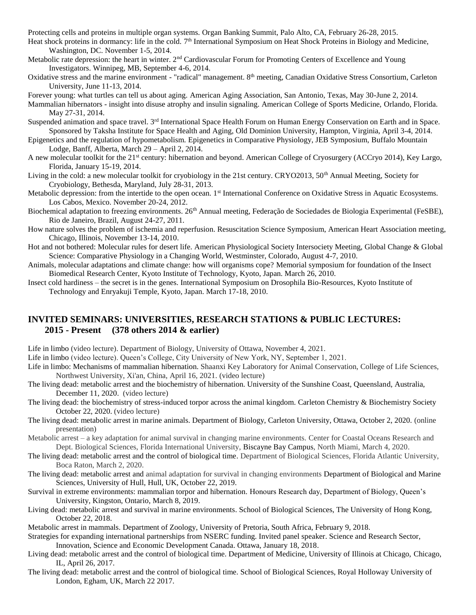Protecting cells and proteins in multiple organ systems. Organ Banking Summit, Palo Alto, CA, February 26-28, 2015.

Heat shock proteins in dormancy: life in the cold. 7<sup>th</sup> International Symposium on Heat Shock Proteins in Biology and Medicine, Washington, DC. November 1-5, 2014.

- Metabolic rate depression: the heart in winter.  $2<sup>nd</sup>$  Cardiovascular Forum for Promoting Centers of Excellence and Young Investigators. Winnipeg, MB, September 4-6, 2014.
- Oxidative stress and the marine environment "radical" management. 8th meeting, Canadian Oxidative Stress Consortium, Carleton University, June 11-13, 2014.
- Forever young: what turtles can tell us about aging. American Aging Association, San Antonio, Texas, May 30-June 2, 2014.
- Mammalian hibernators insight into disuse atrophy and insulin signaling. American College of Sports Medicine, Orlando, Florida. May 27-31, 2014.
- Suspended animation and space travel. 3<sup>rd</sup> International Space Health Forum on Human Energy Conservation on Earth and in Space. Sponsored by Taksha Institute for Space Health and Aging, Old Dominion University, Hampton, Virginia, April 3-4, 2014.
- Epigenetics and the regulation of hypometabolism. Epigenetics in Comparative Physiology, JEB Symposium, Buffalo Mountain Lodge, Banff, Alberta, March 29 – April 2, 2014.
- A new molecular toolkit for the 21st century: hibernation and beyond. American College of Cryosurgery (ACCryo 2014), Key Largo, Florida, January 15-19, 2014.
- Living in the cold: a new molecular toolkit for cryobiology in the 21st century. CRYO2013, 50<sup>th</sup> Annual Meeting, Society for Cryobiology, Bethesda, Maryland, July 28-31, 2013.
- Metabolic depression: from the intertide to the open ocean. 1<sup>st</sup> International Conference on Oxidative Stress in Aquatic Ecosystems. Los Cabos, Mexico. November 20-24, 2012.
- Biochemical adaptation to freezing environments. 26<sup>th</sup> Annual meeting, Federação de Sociedades de Biologia Experimental (FeSBE), Rio de Janeiro, Brazil, August 24-27, 2011.
- How nature solves the problem of ischemia and reperfusion. Resuscitation Science Symposium, American Heart Association meeting, Chicago, Illinois, November 13-14, 2010.
- Hot and not bothered: Molecular rules for desert life. American Physiological Society Intersociety Meeting, Global Change & Global Science: Comparative Physiology in a Changing World, Westminster, Colorado, August 4-7, 2010.
- Animals, molecular adaptations and climate change: how will organisms cope? Memorial symposium for foundation of the Insect Biomedical Research Center, Kyoto Institute of Technology, Kyoto, Japan. March 26, 2010.
- Insect cold hardiness the secret is in the genes. International Symposium on Drosophila Bio-Resources, Kyoto Institute of Technology and Enryakuji Temple, Kyoto, Japan. March 17-18, 2010.

# **INVITED SEMINARS: UNIVERSITIES, RESEARCH STATIONS & PUBLIC LECTURES: 2015 - Present (378 others 2014 & earlier)**

Life in limbo (video lecture). Department of Biology, University of Ottawa, November 4, 2021.

Life in limbo (video lecture). Queen's College, City University of New York, NY, September 1, 2021.

- Life in limbo: Mechanisms of mammalian hibernation. Shaanxi Key Laboratory for Animal Conservation, College of Life Sciences, Northwest University, Xi'an, China, April 16, 2021. (video lecture)
- The living dead: metabolic arrest and the biochemistry of hibernation. University of the Sunshine Coast, Queensland, Australia, December 11, 2020. (video lecture)
- The living dead: the biochemistry of stress-induced torpor across the animal kingdom. Carleton Chemistry & Biochemistry Society October 22, 2020. (video lecture)
- The living dead: metabolic arrest in marine animals. Department of Biology, Carleton University, Ottawa, October 2, 2020. (online presentation)
- Metabolic arrest a key adaptation for animal survival in changing marine environments. Center for Coastal Oceans Research and Dept. Biological Sciences, Florida International University, Biscayne Bay Campus, North Miami, March 4, 2020.
- The living dead: metabolic arrest and the control of biological time. Department of Biological Sciences, Florida Atlantic University, Boca Raton, March 2, 2020.
- The living dead: metabolic arrest and animal adaptation for survival in changing environments Department of Biological and Marine Sciences, University of Hull, Hull, UK, October 22, 2019.
- Survival in extreme environments: mammalian torpor and hibernation. Honours Research day, Department of Biology, Queen's University, Kingston, Ontario, March 8, 2019.
- Living dead: metabolic arrest and survival in marine environments. School of Biological Sciences, The University of Hong Kong, October 22, 2018.
- Metabolic arrest in mammals. Department of Zoology, University of Pretoria, South Africa, February 9, 2018.
- Strategies for expanding international partnerships from NSERC funding. Invited panel speaker. Science and Research Sector, Innovation, Science and Economic Development Canada. Ottawa, January 18, 2018.
- Living dead: metabolic arrest and the control of biological time. Department of Medicine, University of Illinois at Chicago, Chicago, IL, April 26, 2017.
- The living dead: metabolic arrest and the control of biological time. School of Biological Sciences, Royal Holloway University of London, Egham, UK, March 22 2017.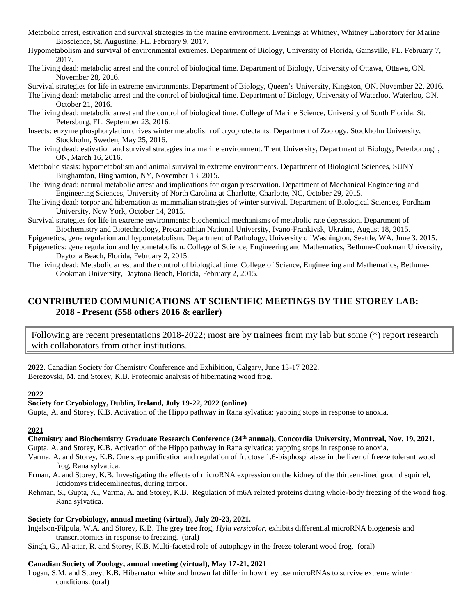- Metabolic arrest, estivation and survival strategies in the marine environment. Evenings at Whitney, Whitney Laboratory for Marine Bioscience, St. Augustine, FL. February 9, 2017.
- Hypometabolism and survival of environmental extremes. Department of Biology, University of Florida, Gainsville, FL. February 7, 2017.
- The living dead: metabolic arrest and the control of biological time. Department of Biology, University of Ottawa, Ottawa, ON. November 28, 2016.

Survival strategies for life in extreme environments. Department of Biology, Queen's University, Kingston, ON. November 22, 2016.

- The living dead: metabolic arrest and the control of biological time. Department of Biology, University of Waterloo, Waterloo, ON. October 21, 2016.
- The living dead: metabolic arrest and the control of biological time. College of Marine Science, University of South Florida, St. Petersburg, FL. September 23, 2016.
- Insects: enzyme phosphorylation drives winter metabolism of cryoprotectants. Department of Zoology, Stockholm University, Stockholm, Sweden, May 25, 2016.
- The living dead: estivation and survival strategies in a marine environment. Trent University, Department of Biology, Peterborough, ON, March 16, 2016.
- Metabolic stasis: hypometabolism and animal survival in extreme environments. Department of Biological Sciences, SUNY Binghamton, Binghamton, NY, November 13, 2015.
- The living dead: natural metabolic arrest and implications for organ preservation. Department of Mechanical Engineering and Engineering Sciences, University of North Carolina at Charlotte, Charlotte, NC, October 29, 2015.
- The living dead: torpor and hibernation as mammalian strategies of winter survival. Department of Biological Sciences, Fordham University, New York, October 14, 2015.

Survival strategies for life in extreme environments: biochemical mechanisms of metabolic rate depression. Department of Biochemistry and Biotechnology, Precarpathian National University, Ivano-Frankivsk, Ukraine, August 18, 2015.

- Epigenetics, gene regulation and hypometabolism. Department of Pathology, University of Washington, Seattle, WA. June 3, 2015.
- Epigenetics: gene regulation and hypometabolism. College of Science, Engineering and Mathematics, Bethune-Cookman University, Daytona Beach, Florida, February 2, 2015.
- The living dead: Metabolic arrest and the control of biological time. College of Science, Engineering and Mathematics, Bethune-Cookman University, Daytona Beach, Florida, February 2, 2015.

# **CONTRIBUTED COMMUNICATIONS AT SCIENTIFIC MEETINGS BY THE STOREY LAB: 2018 - Present (558 others 2016 & earlier)**

Following are recent presentations 2018-2022; most are by trainees from my lab but some (\*) report research with collaborators from other institutions.

**2022**. Canadian Society for Chemistry Conference and Exhibition, Calgary, June 13-17 2022. Berezovski, M. and Storey, K.B. Proteomic analysis of hibernating wood frog.

# **2022**

# **Society for Cryobiology, Dublin, Ireland, July 19-22, 2022 (online)**

Gupta, A. and Storey, K.B. Activation of the Hippo pathway in Rana sylvatica: yapping stops in response to anoxia.

# **2021**

# **Chemistry and Biochemistry Graduate Research Conference (24th annual), Concordia University, Montreal, Nov. 19, 2021.**

Gupta, A. and Storey, K.B. Activation of the Hippo pathway in Rana sylvatica: yapping stops in response to anoxia.

- Varma, A. and Storey, K.B. One step purification and regulation of fructose 1,6-bisphosphatase in the liver of freeze tolerant wood frog, Rana sylvatica.
- Erman, A. and Storey, K.B. Investigating the effects of microRNA expression on the kidney of the thirteen-lined ground squirrel, Ictidomys tridecemlineatus, during torpor.
- Rehman, S., Gupta, A., Varma, A. and Storey, K.B. Regulation of m6A related proteins during whole-body freezing of the wood frog, Rana sylvatica.

# **Society for Cryobiology, annual meeting (virtual), July 20-23, 2021.**

- Ingelson-Filpula, W.A. and Storey, K.B. The grey tree frog, *Hyla versicolor*, exhibits differential microRNA biogenesis and transcriptomics in response to freezing. (oral)
- Singh, G., Al-attar, R. and Storey, K.B. Multi-faceted role of autophagy in the freeze tolerant wood frog. (oral)

# **Canadian Society of Zoology, annual meeting (virtual), May 17-21, 2021**

Logan, S.M. and Storey, K.B. Hibernator white and brown fat differ in how they use microRNAs to survive extreme winter conditions. (oral)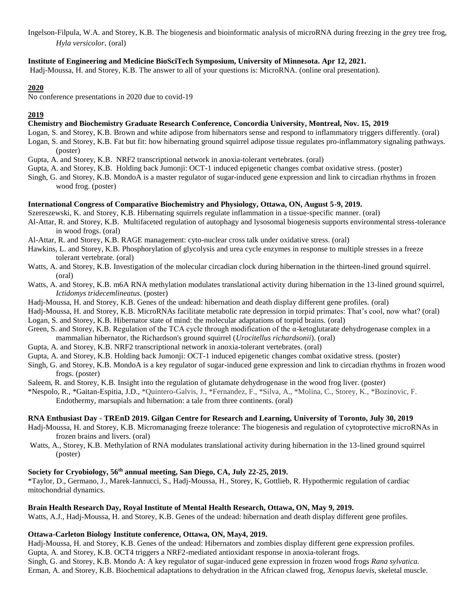Ingelson-Filpula, W.A. and Storey, K.B. The biogenesis and bioinformatic analysis of microRNA during freezing in the grey tree frog, *Hyla versicolor.* (oral)

## **Institute of Engineering and Medicine BioSciTech Symposium, University of Minnesota. Apr 12, 2021.**

Hadj-Moussa, H. and Storey, K.B. The answer to all of your questions is: MicroRNA. (online oral presentation).

# **2020**

No conference presentations in 2020 due to covid-19

# **2019**

# **Chemistry and Biochemistry Graduate Research Conference, Concordia University, Montreal, Nov. 15, 2019**

- Logan, S. and Storey, K.B. Brown and white adipose from hibernators sense and respond to inflammatory triggers differently. (oral)
- Logan, S. and Storey, K.B. Fat but fit: how hibernating ground squirrel adipose tissue regulates pro-inflammatory signaling pathways. (poster)
- Gupta, A. and Storey, K.B. NRF2 transcriptional network in anoxia-tolerant vertebrates. (oral)
- Gupta, A. and Storey, K.B. Holding back Jumonji: OCT-1 induced epigenetic changes combat oxidative stress. (poster)
- Singh, G. and Storey, K.B. MondoA is a master regulator of sugar-induced gene expression and link to circadian rhythms in frozen wood frog. (poster)

# **International Congress of Comparative Biochemistry and Physiology, Ottawa, ON, August 5-9, 2019.**

Szereszewski, K. and Storey, K.B. Hibernating squirrels regulate inflammation in a tissue-specific manner. (oral)

- Al-Attar, R. and Storey, K.B. Multifaceted regulation of autophagy and lysosomal biogenesis supports environmental stress-tolerance in wood frogs. (oral)
- Al-Attar, R. and Storey, K.B. RAGE management: cyto-nuclear cross talk under oxidative stress. (oral)
- Hawkins, L. and Storey, K.B. Phosphorylation of glycolysis and urea cycle enzymes in response to multiple stresses in a freeze tolerant vertebrate. (oral)
- Watts, A. and Storey, K.B. Investigation of the molecular circadian clock during hibernation in the thirteen-lined ground squirrel. (oral)
- Watts, A. and Storey, K.B. m6A RNA methylation modulates translational activity during hibernation in the 13-lined ground squirrel, *Ictidomys tridecemlineatus*. (poster)
- Hadj-Moussa, H. and Storey, K.B. Genes of the undead: hibernation and death display different gene profiles. (oral)
- Hadj-Moussa, H. and Storey, K.B. MicroRNAs facilitate metabolic rate depression in torpid primates: That's cool, now what? (oral)
- Logan, S. and Storey, K.B. Hibernator state of mind: the molecular adaptations of torpid brains. (oral)
- Green, S. and Storey, K.B. Regulation of the TCA cycle through modification of the α-ketoglutarate dehydrogenase complex in a mammalian hibernator, the Richardson's ground squirrel (*Urocitellus richardsonii*). (oral)
- Gupta, A. and Storey, K.B. NRF2 transcriptional network in anoxia-tolerant vertebrates. (oral)
- Gupta, A. and Storey, K.B. Holding back Jumonji: OCT-1 induced epigenetic changes combat oxidative stress. (poster)
- Singh, G. and Storey, K.B. MondoA is a key regulator of sugar-induced gene expression and link to circadian rhythms in frozen wood frogs. (poster)
- Saleem, R. and Storey, K.B. Insight into the regulation of glutamate dehydrogenase in the wood frog liver. (poster)
- \*Nespolo, R., \*Gaitan-Espitia, J.D., \*Quintero-Galvis, J., \*Fernandez, F., \*Silva, A., \*Molina, C., Storey, K., \*Bozinovic, F. Endothermy, marsupials and hibernation: a tale from three continents. (oral)

# **RNA Enthusiast Day - TREnD 2019. Gilgan Centre for Research and Learning, University of Toronto, July 30, 2019**

- Hadj-Moussa, H. and Storey, K.B. Micromanaging freeze tolerance: The biogenesis and regulation of cytoprotective microRNAs in frozen brains and livers. (oral)
- Watts, A., Storey, K.B. Methylation of RNA modulates translational activity during hibernation in the 13-lined ground squirrel (poster)

# **Society for Cryobiology, 56th annual meeting, San Diego, CA, July 22-25, 2019.**

\*Taylor, D., Germano, J., Marek-Iannucci, S., Hadj-Moussa, H., Storey, K, Gottlieb, R. Hypothermic regulation of cardiac mitochondrial dynamics.

# **Brain Health Research Day, Royal Institute of Mental Health Research, Ottawa, ON, May 9, 2019.**

Watts, A.J., Hadj-Moussa, H. and Storey, K.B. Genes of the undead: hibernation and death display different gene profiles.

# **Ottawa-Carleton Biology Institute conference, Ottawa, ON, May4, 2019.**

Hadj-Moussa, H. and Storey, K.B. Genes of the undead: Hibernators and zombies display different gene expression profiles. Gupta, A. and Storey, K.B. OCT4 triggers a NRF2-mediated antioxidant response in anoxia-tolerant frogs. Singh, G. and Storey, K.B. Mondo A: A key regulator of sugar-induced gene expression in frozen wood frogs *Rana sylvatica.*

Erman, A. and Storey, K.B. Biochemical adaptations to dehydration in the African clawed frog, *Xenopus laevis*, skeletal muscle.